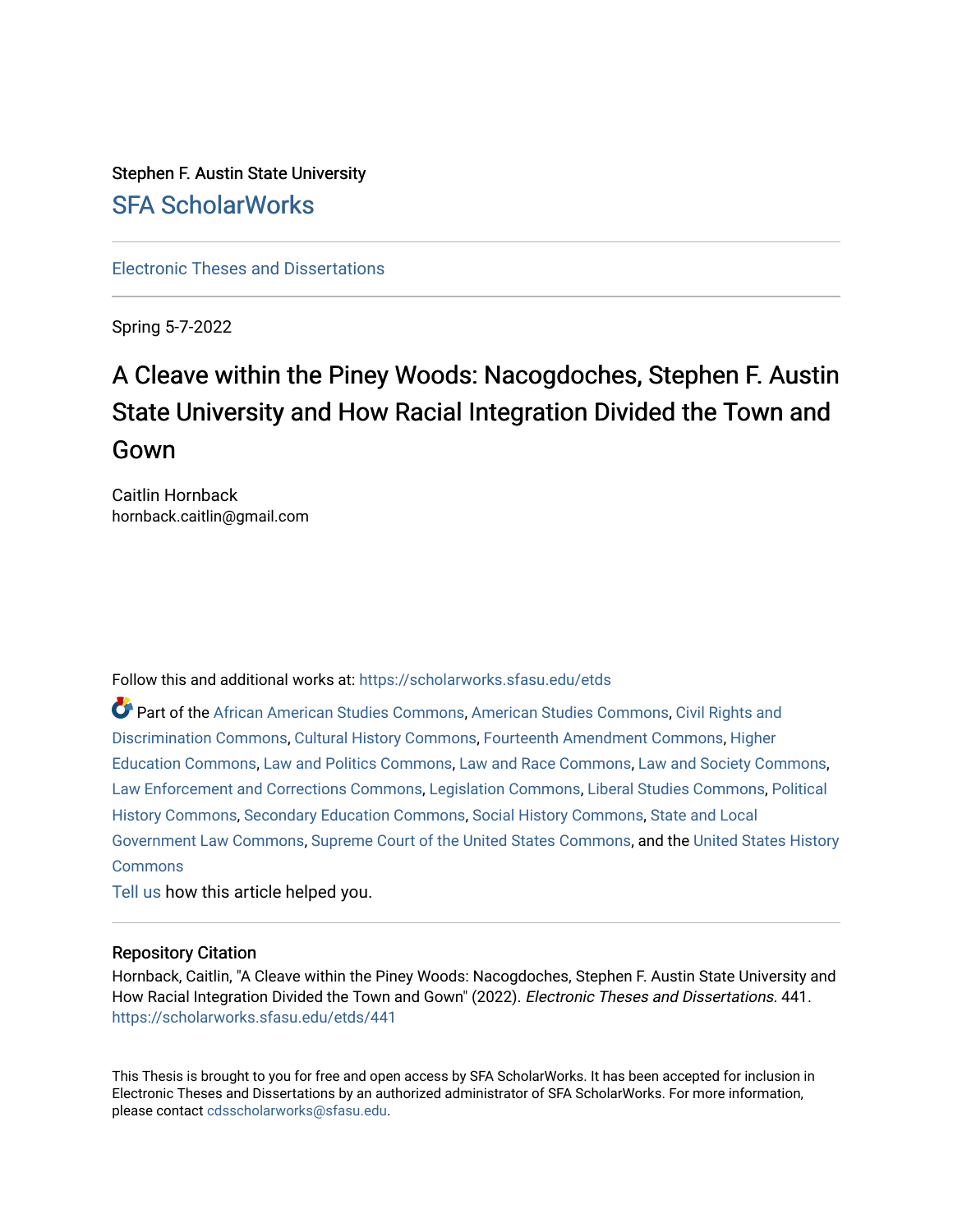# Stephen F. Austin State University [SFA ScholarWorks](https://scholarworks.sfasu.edu/)

[Electronic Theses and Dissertations](https://scholarworks.sfasu.edu/etds)

Spring 5-7-2022

# A Cleave within the Piney Woods: Nacogdoches, Stephen F. Austin State University and How Racial Integration Divided the Town and Gown

Caitlin Hornback hornback.caitlin@gmail.com

Follow this and additional works at: [https://scholarworks.sfasu.edu/etds](https://scholarworks.sfasu.edu/etds?utm_source=scholarworks.sfasu.edu%2Fetds%2F441&utm_medium=PDF&utm_campaign=PDFCoverPages) 

Part of the [African American Studies Commons,](https://network.bepress.com/hgg/discipline/567?utm_source=scholarworks.sfasu.edu%2Fetds%2F441&utm_medium=PDF&utm_campaign=PDFCoverPages) [American Studies Commons,](https://network.bepress.com/hgg/discipline/439?utm_source=scholarworks.sfasu.edu%2Fetds%2F441&utm_medium=PDF&utm_campaign=PDFCoverPages) [Civil Rights and](https://network.bepress.com/hgg/discipline/585?utm_source=scholarworks.sfasu.edu%2Fetds%2F441&utm_medium=PDF&utm_campaign=PDFCoverPages)  [Discrimination Commons,](https://network.bepress.com/hgg/discipline/585?utm_source=scholarworks.sfasu.edu%2Fetds%2F441&utm_medium=PDF&utm_campaign=PDFCoverPages) [Cultural History Commons](https://network.bepress.com/hgg/discipline/496?utm_source=scholarworks.sfasu.edu%2Fetds%2F441&utm_medium=PDF&utm_campaign=PDFCoverPages), [Fourteenth Amendment Commons,](https://network.bepress.com/hgg/discipline/1116?utm_source=scholarworks.sfasu.edu%2Fetds%2F441&utm_medium=PDF&utm_campaign=PDFCoverPages) [Higher](https://network.bepress.com/hgg/discipline/1245?utm_source=scholarworks.sfasu.edu%2Fetds%2F441&utm_medium=PDF&utm_campaign=PDFCoverPages)  [Education Commons,](https://network.bepress.com/hgg/discipline/1245?utm_source=scholarworks.sfasu.edu%2Fetds%2F441&utm_medium=PDF&utm_campaign=PDFCoverPages) [Law and Politics Commons,](https://network.bepress.com/hgg/discipline/867?utm_source=scholarworks.sfasu.edu%2Fetds%2F441&utm_medium=PDF&utm_campaign=PDFCoverPages) [Law and Race Commons,](https://network.bepress.com/hgg/discipline/1300?utm_source=scholarworks.sfasu.edu%2Fetds%2F441&utm_medium=PDF&utm_campaign=PDFCoverPages) [Law and Society Commons](https://network.bepress.com/hgg/discipline/853?utm_source=scholarworks.sfasu.edu%2Fetds%2F441&utm_medium=PDF&utm_campaign=PDFCoverPages), [Law Enforcement and Corrections Commons](https://network.bepress.com/hgg/discipline/854?utm_source=scholarworks.sfasu.edu%2Fetds%2F441&utm_medium=PDF&utm_campaign=PDFCoverPages), [Legislation Commons](https://network.bepress.com/hgg/discipline/859?utm_source=scholarworks.sfasu.edu%2Fetds%2F441&utm_medium=PDF&utm_campaign=PDFCoverPages), [Liberal Studies Commons,](https://network.bepress.com/hgg/discipline/1042?utm_source=scholarworks.sfasu.edu%2Fetds%2F441&utm_medium=PDF&utm_campaign=PDFCoverPages) [Political](https://network.bepress.com/hgg/discipline/505?utm_source=scholarworks.sfasu.edu%2Fetds%2F441&utm_medium=PDF&utm_campaign=PDFCoverPages)  [History Commons](https://network.bepress.com/hgg/discipline/505?utm_source=scholarworks.sfasu.edu%2Fetds%2F441&utm_medium=PDF&utm_campaign=PDFCoverPages), [Secondary Education Commons](https://network.bepress.com/hgg/discipline/1382?utm_source=scholarworks.sfasu.edu%2Fetds%2F441&utm_medium=PDF&utm_campaign=PDFCoverPages), [Social History Commons,](https://network.bepress.com/hgg/discipline/506?utm_source=scholarworks.sfasu.edu%2Fetds%2F441&utm_medium=PDF&utm_campaign=PDFCoverPages) [State and Local](https://network.bepress.com/hgg/discipline/879?utm_source=scholarworks.sfasu.edu%2Fetds%2F441&utm_medium=PDF&utm_campaign=PDFCoverPages)  [Government Law Commons,](https://network.bepress.com/hgg/discipline/879?utm_source=scholarworks.sfasu.edu%2Fetds%2F441&utm_medium=PDF&utm_campaign=PDFCoverPages) [Supreme Court of the United States Commons,](https://network.bepress.com/hgg/discipline/1350?utm_source=scholarworks.sfasu.edu%2Fetds%2F441&utm_medium=PDF&utm_campaign=PDFCoverPages) and the [United States History](https://network.bepress.com/hgg/discipline/495?utm_source=scholarworks.sfasu.edu%2Fetds%2F441&utm_medium=PDF&utm_campaign=PDFCoverPages) **[Commons](https://network.bepress.com/hgg/discipline/495?utm_source=scholarworks.sfasu.edu%2Fetds%2F441&utm_medium=PDF&utm_campaign=PDFCoverPages)** 

[Tell us](http://sfasu.qualtrics.com/SE/?SID=SV_0qS6tdXftDLradv) how this article helped you.

## Repository Citation

Hornback, Caitlin, "A Cleave within the Piney Woods: Nacogdoches, Stephen F. Austin State University and How Racial Integration Divided the Town and Gown" (2022). Electronic Theses and Dissertations. 441. [https://scholarworks.sfasu.edu/etds/441](https://scholarworks.sfasu.edu/etds/441?utm_source=scholarworks.sfasu.edu%2Fetds%2F441&utm_medium=PDF&utm_campaign=PDFCoverPages) 

This Thesis is brought to you for free and open access by SFA ScholarWorks. It has been accepted for inclusion in Electronic Theses and Dissertations by an authorized administrator of SFA ScholarWorks. For more information, please contact [cdsscholarworks@sfasu.edu.](mailto:cdsscholarworks@sfasu.edu)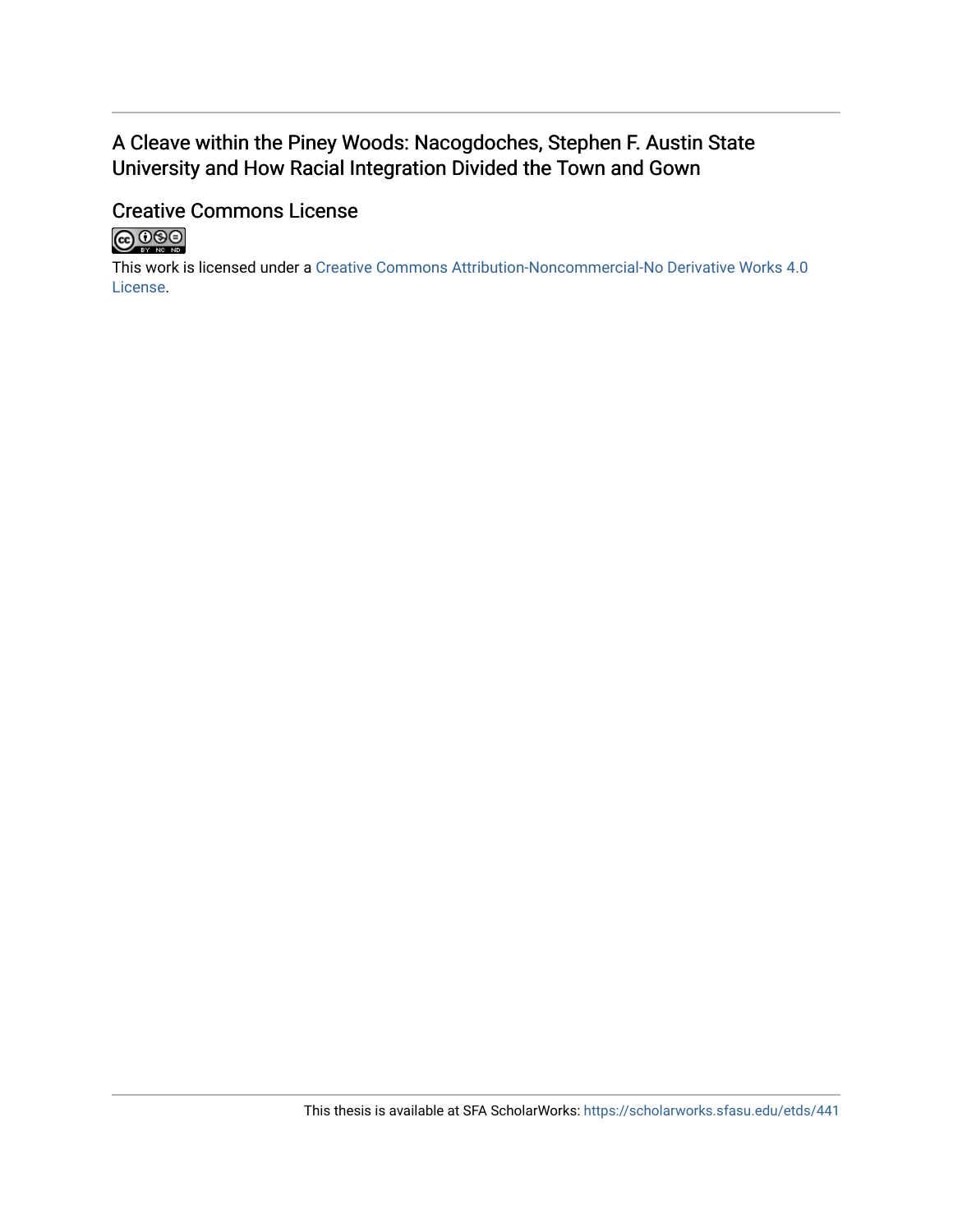# A Cleave within the Piney Woods: Nacogdoches, Stephen F. Austin State University and How Racial Integration Divided the Town and Gown

## Creative Commons License



This work is licensed under a [Creative Commons Attribution-Noncommercial-No Derivative Works 4.0](https://creativecommons.org/licenses/by-nc-nd/4.0/) [License](https://creativecommons.org/licenses/by-nc-nd/4.0/).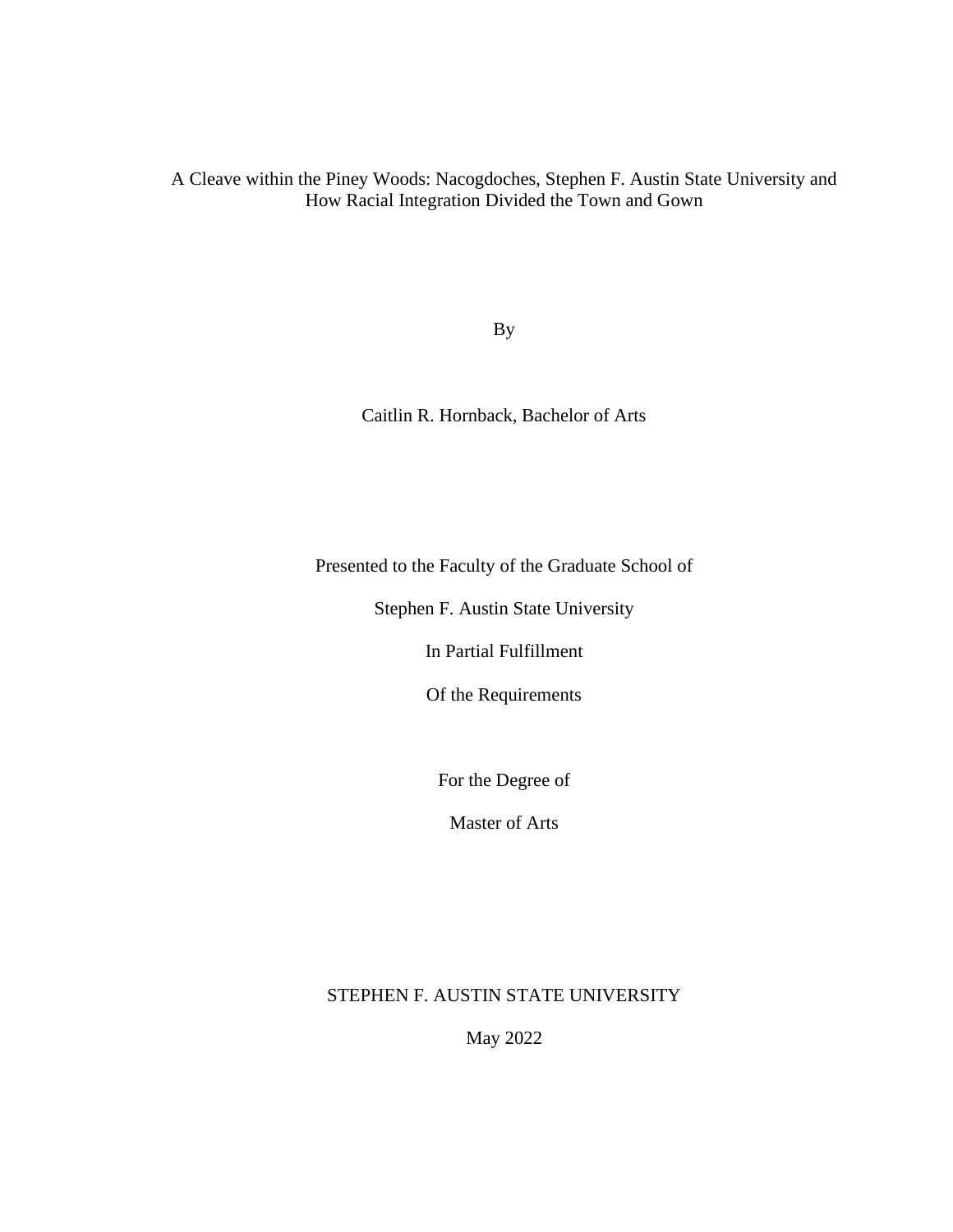A Cleave within the Piney Woods: Nacogdoches, Stephen F. Austin State University and How Racial Integration Divided the Town and Gown

By

Caitlin R. Hornback, Bachelor of Arts

Presented to the Faculty of the Graduate School of

Stephen F. Austin State University

In Partial Fulfillment

Of the Requirements

For the Degree of

Master of Arts

## STEPHEN F. AUSTIN STATE UNIVERSITY

May 2022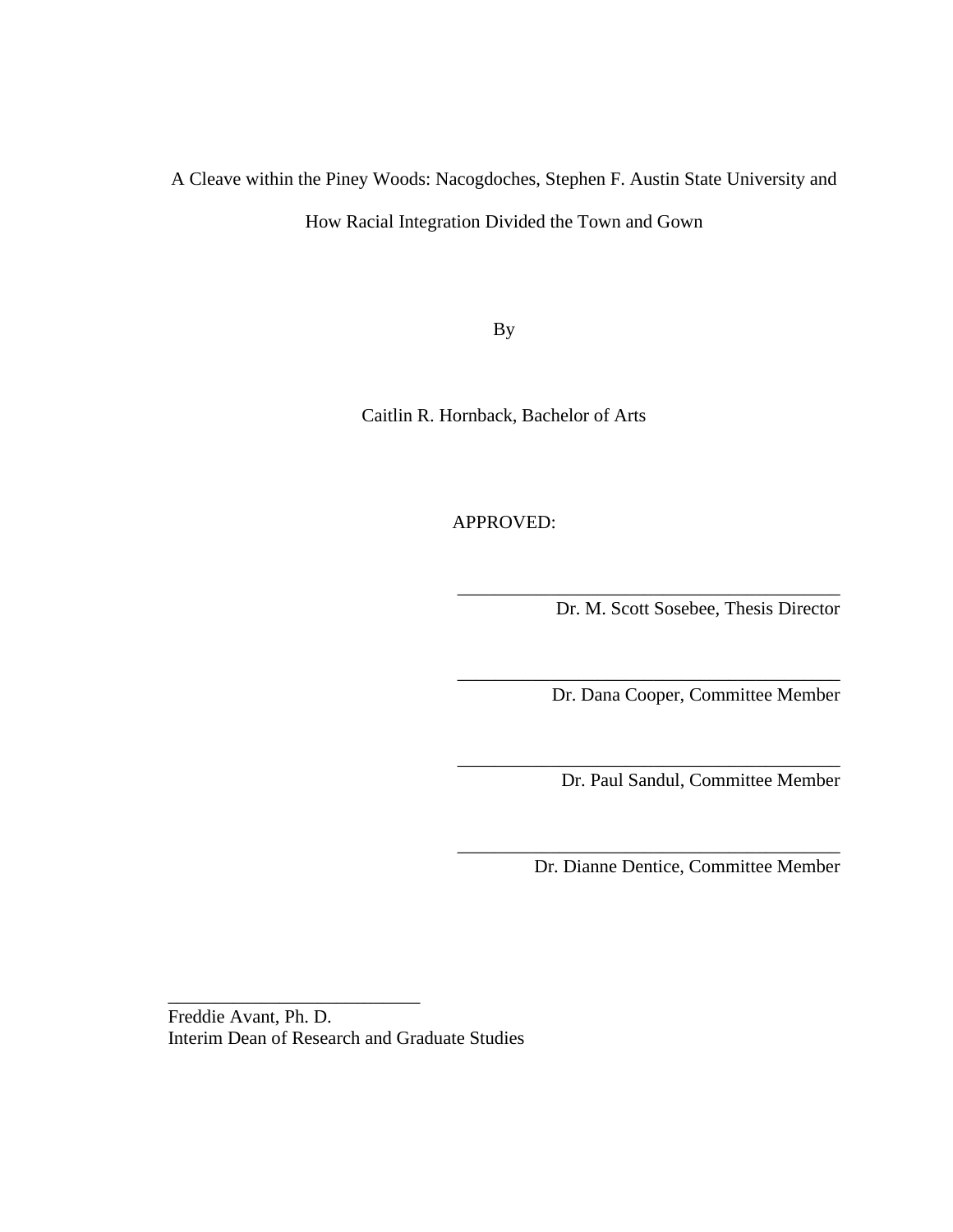# A Cleave within the Piney Woods: Nacogdoches, Stephen F. Austin State University and How Racial Integration Divided the Town and Gown

By

Caitlin R. Hornback, Bachelor of Arts

APPROVED:

Dr. M. Scott Sosebee, Thesis Director

\_\_\_\_\_\_\_\_\_\_\_\_\_\_\_\_\_\_\_\_\_\_\_\_\_\_\_\_\_\_\_\_\_\_\_\_\_\_\_\_\_

\_\_\_\_\_\_\_\_\_\_\_\_\_\_\_\_\_\_\_\_\_\_\_\_\_\_\_\_\_\_\_\_\_\_\_\_\_\_\_\_\_

\_\_\_\_\_\_\_\_\_\_\_\_\_\_\_\_\_\_\_\_\_\_\_\_\_\_\_\_\_\_\_\_\_\_\_\_\_\_\_\_\_

\_\_\_\_\_\_\_\_\_\_\_\_\_\_\_\_\_\_\_\_\_\_\_\_\_\_\_\_\_\_\_\_\_\_\_\_\_\_\_\_\_

Dr. Dana Cooper, Committee Member

Dr. Paul Sandul, Committee Member

Dr. Dianne Dentice, Committee Member

Freddie Avant, Ph. D. Interim Dean of Research and Graduate Studies

\_\_\_\_\_\_\_\_\_\_\_\_\_\_\_\_\_\_\_\_\_\_\_\_\_\_\_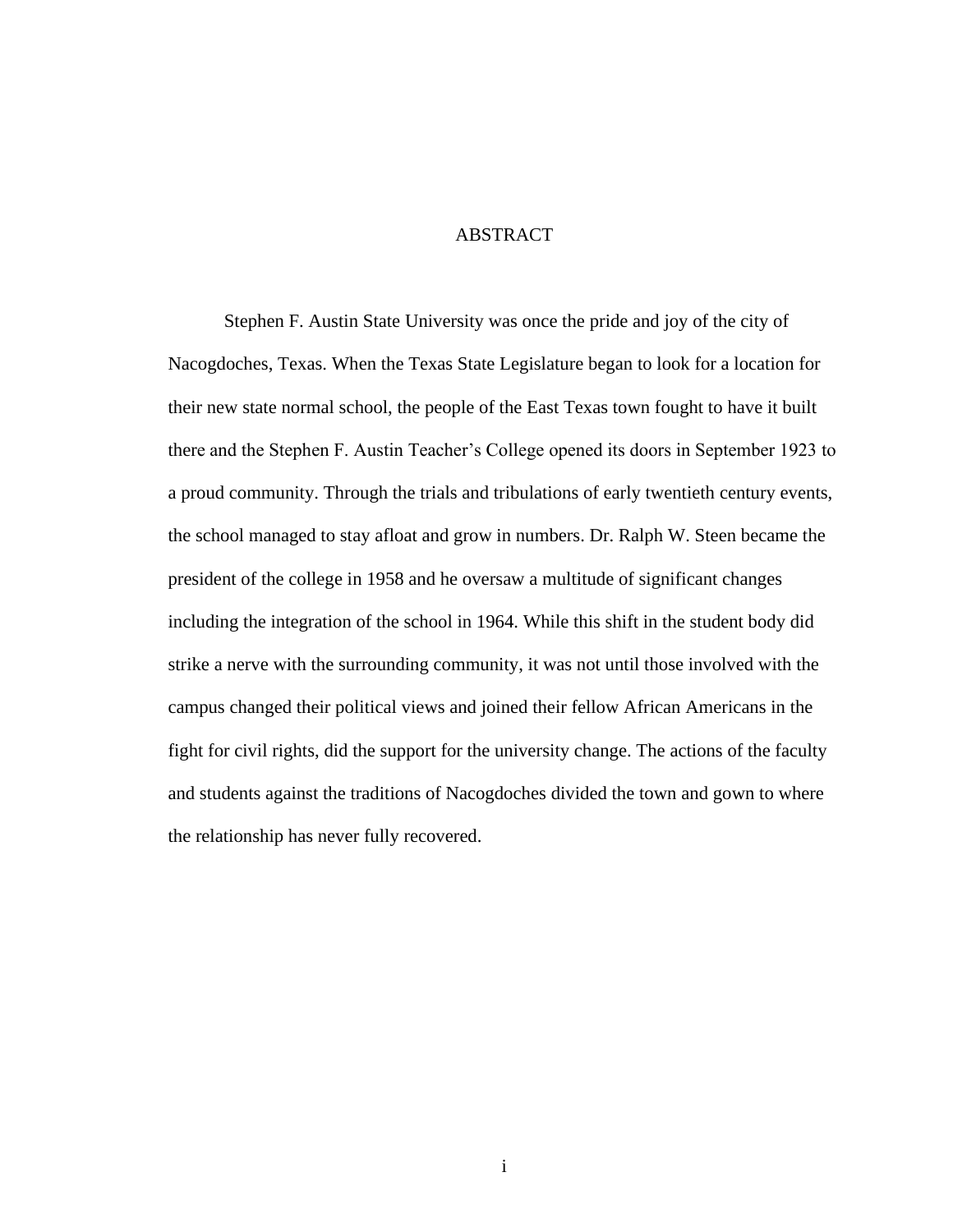#### ABSTRACT

Stephen F. Austin State University was once the pride and joy of the city of Nacogdoches, Texas. When the Texas State Legislature began to look for a location for their new state normal school, the people of the East Texas town fought to have it built there and the Stephen F. Austin Teacher's College opened its doors in September 1923 to a proud community. Through the trials and tribulations of early twentieth century events, the school managed to stay afloat and grow in numbers. Dr. Ralph W. Steen became the president of the college in 1958 and he oversaw a multitude of significant changes including the integration of the school in 1964. While this shift in the student body did strike a nerve with the surrounding community, it was not until those involved with the campus changed their political views and joined their fellow African Americans in the fight for civil rights, did the support for the university change. The actions of the faculty and students against the traditions of Nacogdoches divided the town and gown to where the relationship has never fully recovered.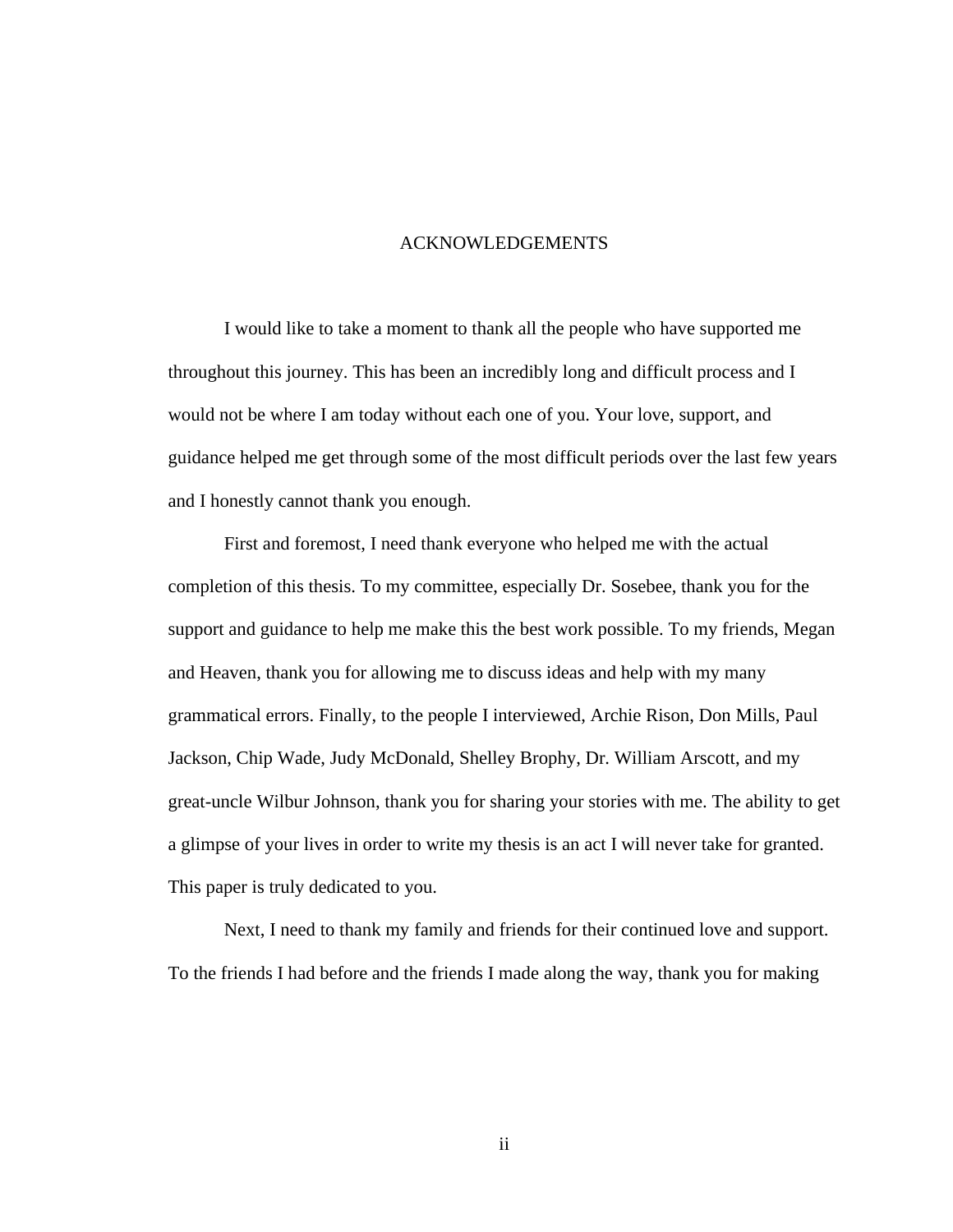#### ACKNOWLEDGEMENTS

I would like to take a moment to thank all the people who have supported me throughout this journey. This has been an incredibly long and difficult process and I would not be where I am today without each one of you. Your love, support, and guidance helped me get through some of the most difficult periods over the last few years and I honestly cannot thank you enough.

First and foremost, I need thank everyone who helped me with the actual completion of this thesis. To my committee, especially Dr. Sosebee, thank you for the support and guidance to help me make this the best work possible. To my friends, Megan and Heaven, thank you for allowing me to discuss ideas and help with my many grammatical errors. Finally, to the people I interviewed, Archie Rison, Don Mills, Paul Jackson, Chip Wade, Judy McDonald, Shelley Brophy, Dr. William Arscott, and my great-uncle Wilbur Johnson, thank you for sharing your stories with me. The ability to get a glimpse of your lives in order to write my thesis is an act I will never take for granted. This paper is truly dedicated to you.

Next, I need to thank my family and friends for their continued love and support. To the friends I had before and the friends I made along the way, thank you for making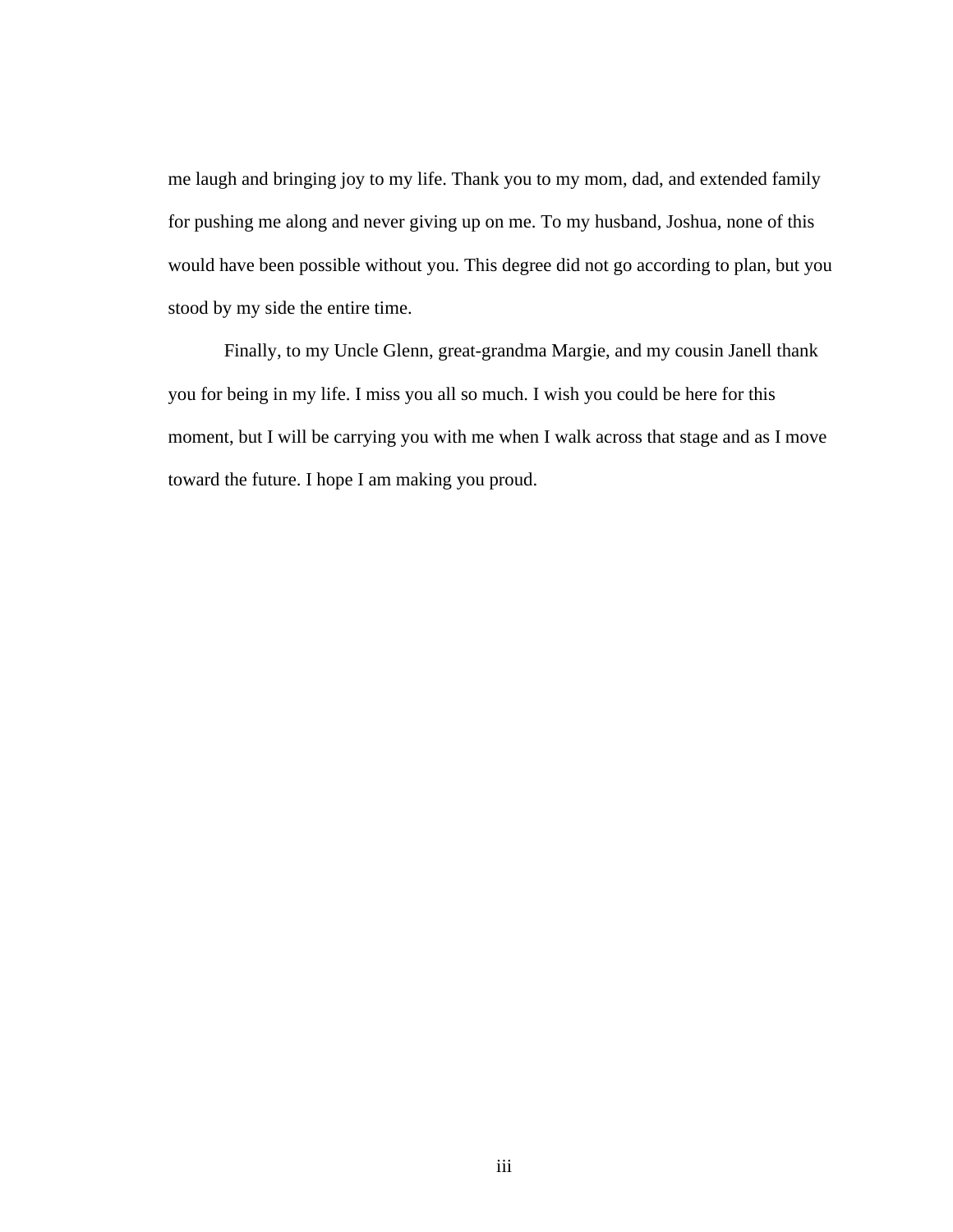me laugh and bringing joy to my life. Thank you to my mom, dad, and extended family for pushing me along and never giving up on me. To my husband, Joshua, none of this would have been possible without you. This degree did not go according to plan, but you stood by my side the entire time.

Finally, to my Uncle Glenn, great-grandma Margie, and my cousin Janell thank you for being in my life. I miss you all so much. I wish you could be here for this moment, but I will be carrying you with me when I walk across that stage and as I move toward the future. I hope I am making you proud.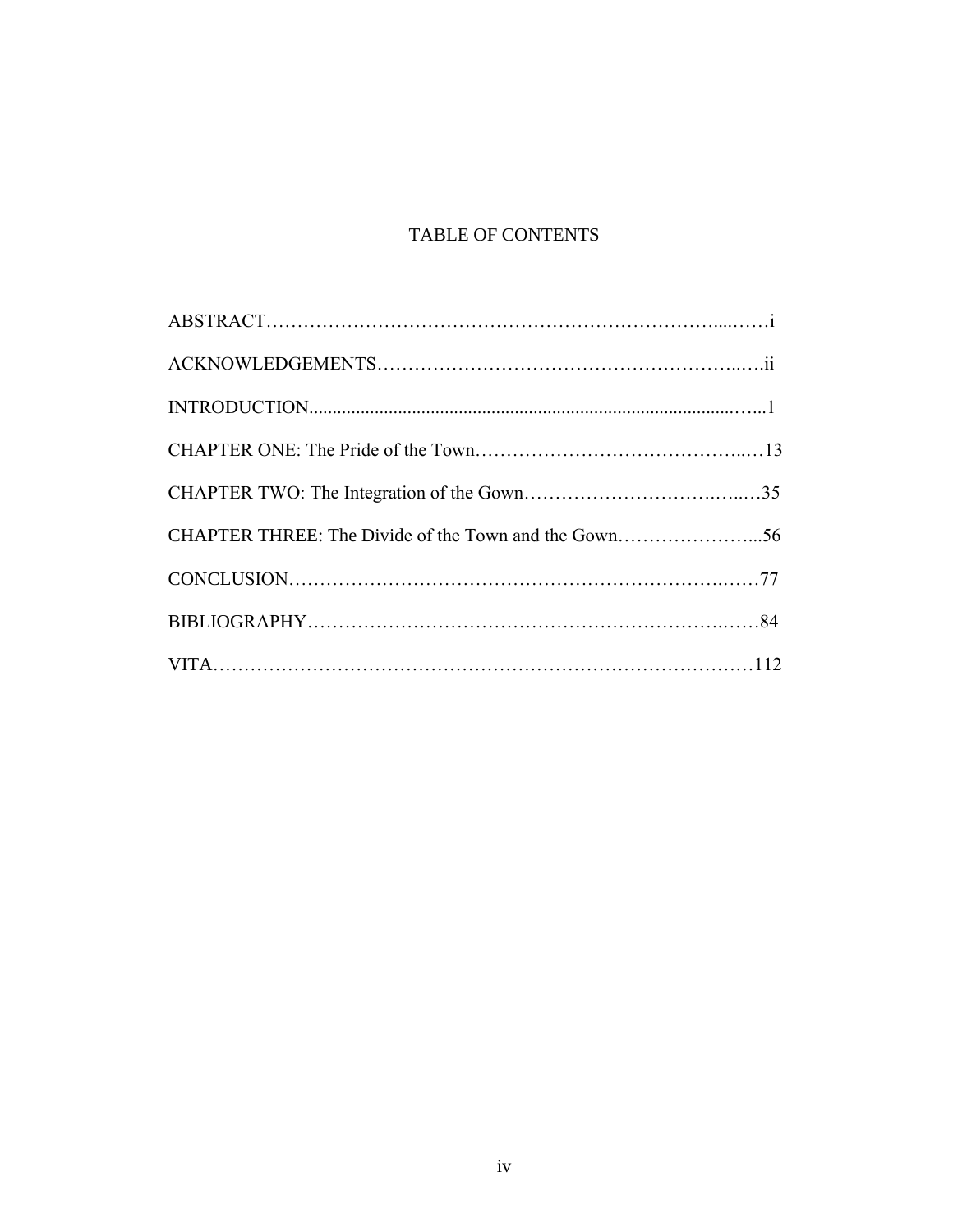## TABLE OF CONTENTS

| CHAPTER THREE: The Divide of the Town and the Gown56 |  |
|------------------------------------------------------|--|
|                                                      |  |
|                                                      |  |
|                                                      |  |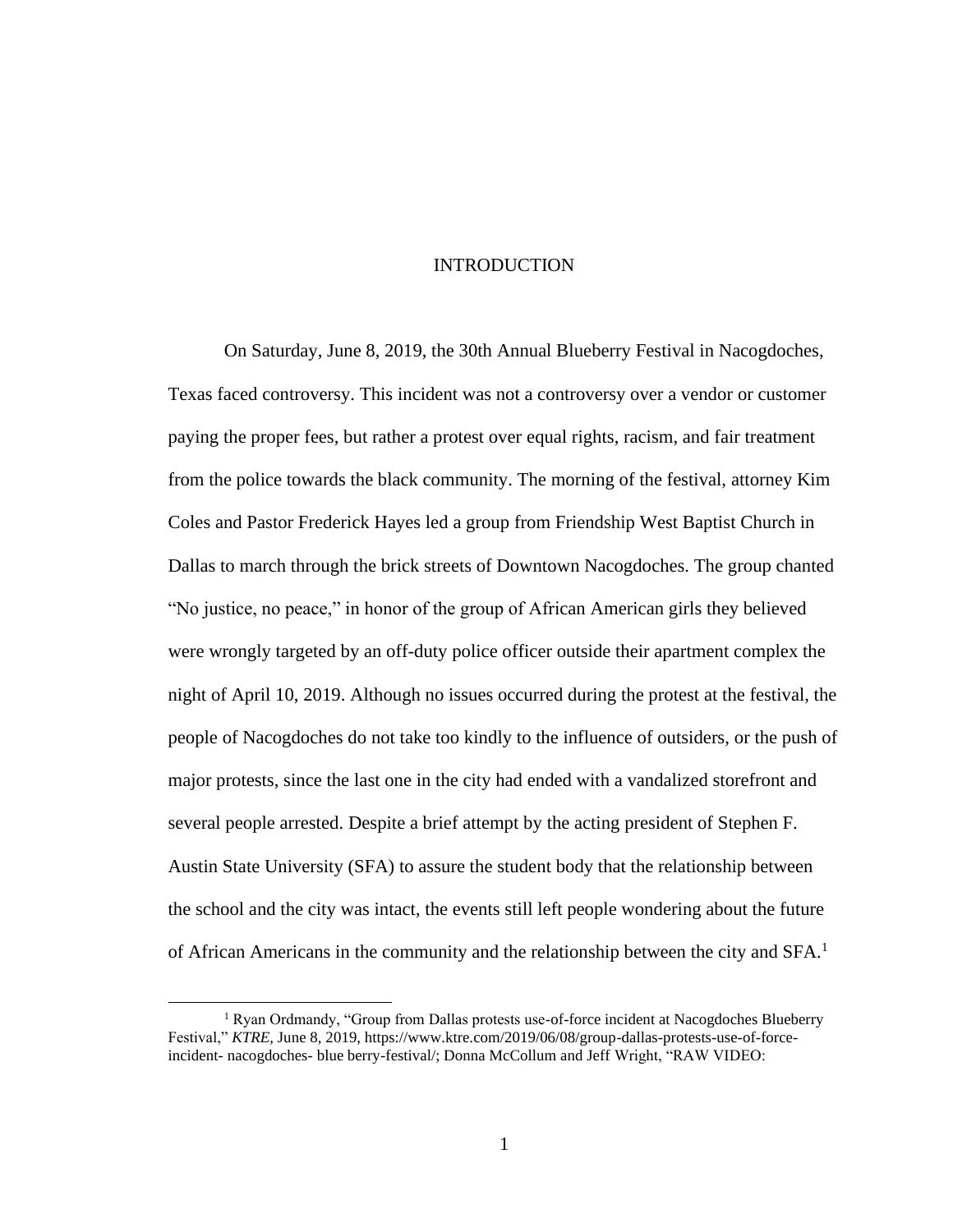## INTRODUCTION

On Saturday, June 8, 2019, the 30th Annual Blueberry Festival in Nacogdoches, Texas faced controversy. This incident was not a controversy over a vendor or customer paying the proper fees, but rather a protest over equal rights, racism, and fair treatment from the police towards the black community. The morning of the festival, attorney Kim Coles and Pastor Frederick Hayes led a group from Friendship West Baptist Church in Dallas to march through the brick streets of Downtown Nacogdoches. The group chanted "No justice, no peace," in honor of the group of African American girls they believed were wrongly targeted by an off-duty police officer outside their apartment complex the night of April 10, 2019. Although no issues occurred during the protest at the festival, the people of Nacogdoches do not take too kindly to the influence of outsiders, or the push of major protests, since the last one in the city had ended with a vandalized storefront and several people arrested. Despite a brief attempt by the acting president of Stephen F. Austin State University (SFA) to assure the student body that the relationship between the school and the city was intact, the events still left people wondering about the future of African Americans in the community and the relationship between the city and  $SFA$ .<sup>1</sup>

<sup>&</sup>lt;sup>1</sup> Ryan Ordmandy, "Group from Dallas protests use-of-force incident at Nacogdoches Blueberry Festival," *KTRE*, June 8, 2019, https://www.ktre.com/2019/06/08/group-dallas-protests-use-of-forceincident- nacogdoches- blue berry-festival/; Donna McCollum and Jeff Wright, "RAW VIDEO: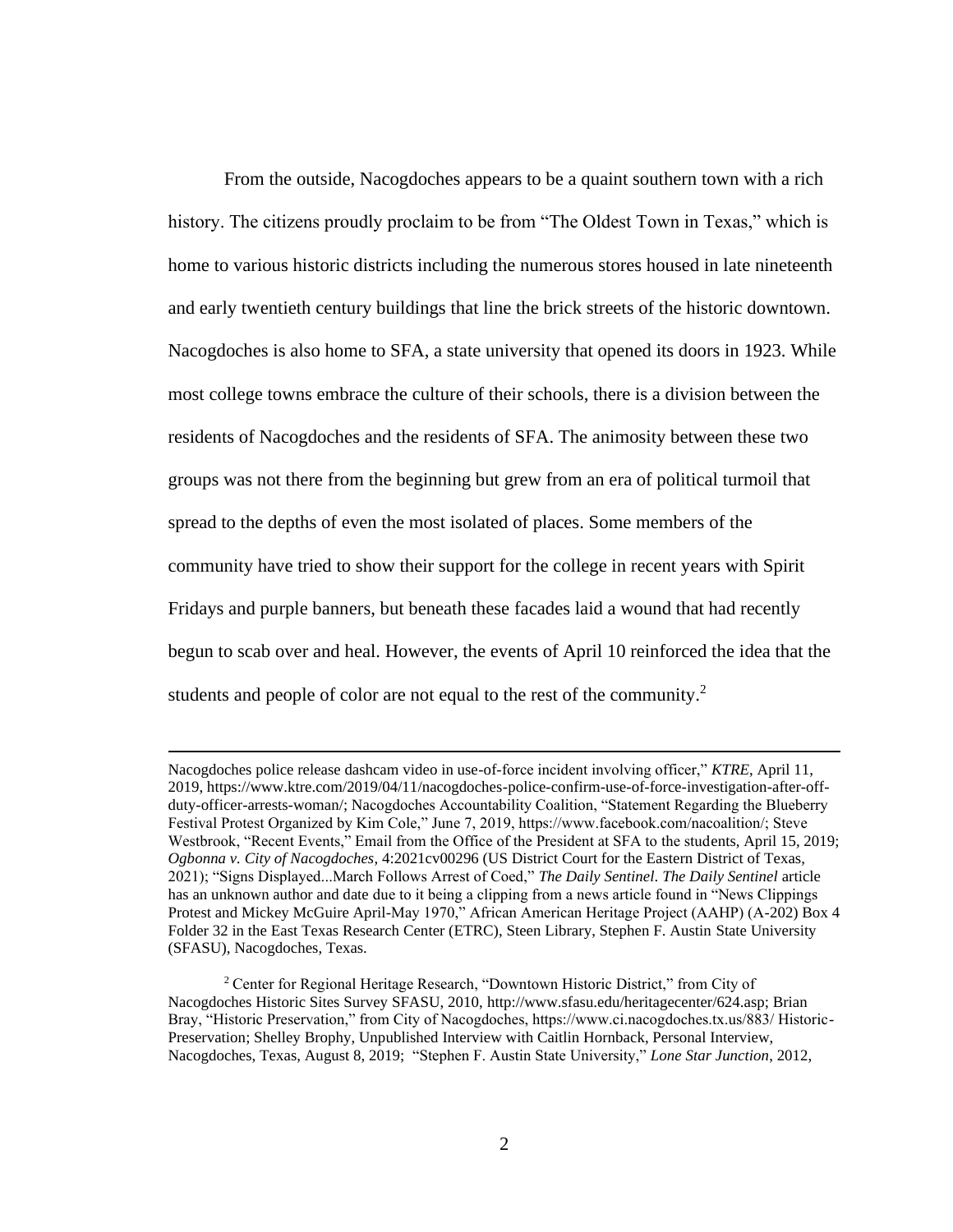From the outside, Nacogdoches appears to be a quaint southern town with a rich history. The citizens proudly proclaim to be from "The Oldest Town in Texas," which is home to various historic districts including the numerous stores housed in late nineteenth and early twentieth century buildings that line the brick streets of the historic downtown. Nacogdoches is also home to SFA, a state university that opened its doors in 1923. While most college towns embrace the culture of their schools, there is a division between the residents of Nacogdoches and the residents of SFA. The animosity between these two groups was not there from the beginning but grew from an era of political turmoil that spread to the depths of even the most isolated of places. Some members of the community have tried to show their support for the college in recent years with Spirit Fridays and purple banners, but beneath these facades laid a wound that had recently begun to scab over and heal. However, the events of April 10 reinforced the idea that the students and people of color are not equal to the rest of the community.<sup>2</sup>

Nacogdoches police release dashcam video in use-of-force incident involving officer," *KTRE*, April 11, 2019, https://www.ktre.com/2019/04/11/nacogdoches-police-confirm-use-of-force-investigation-after-offduty-officer-arrests-woman/; Nacogdoches Accountability Coalition, "Statement Regarding the Blueberry Festival Protest Organized by Kim Cole," June 7, 2019, https://www.facebook.com/nacoalition/; Steve Westbrook, "Recent Events," Email from the Office of the President at SFA to the students, April 15, 2019; *Ogbonna v. City of Nacogdoches*, 4:2021cv00296 (US District Court for the Eastern District of Texas, 2021); "Signs Displayed...March Follows Arrest of Coed," *The Daily Sentinel*. *The Daily Sentinel* article has an unknown author and date due to it being a clipping from a news article found in "News Clippings Protest and Mickey McGuire April-May 1970," African American Heritage Project (AAHP) (A-202) Box 4 Folder 32 in the East Texas Research Center (ETRC), Steen Library, Stephen F. Austin State University (SFASU), Nacogdoches, Texas.

<sup>&</sup>lt;sup>2</sup> Center for Regional Heritage Research, "Downtown Historic District," from City of Nacogdoches Historic Sites Survey SFASU, 2010, http://www.sfasu.edu/heritagecenter/624.asp; Brian Bray, "Historic Preservation," from City of Nacogdoches, https://www.ci.nacogdoches.tx.us/883/ Historic-Preservation; Shelley Brophy, Unpublished Interview with Caitlin Hornback, Personal Interview, Nacogdoches, Texas, August 8, 2019; "Stephen F. Austin State University," *Lone Star Junction*, 2012,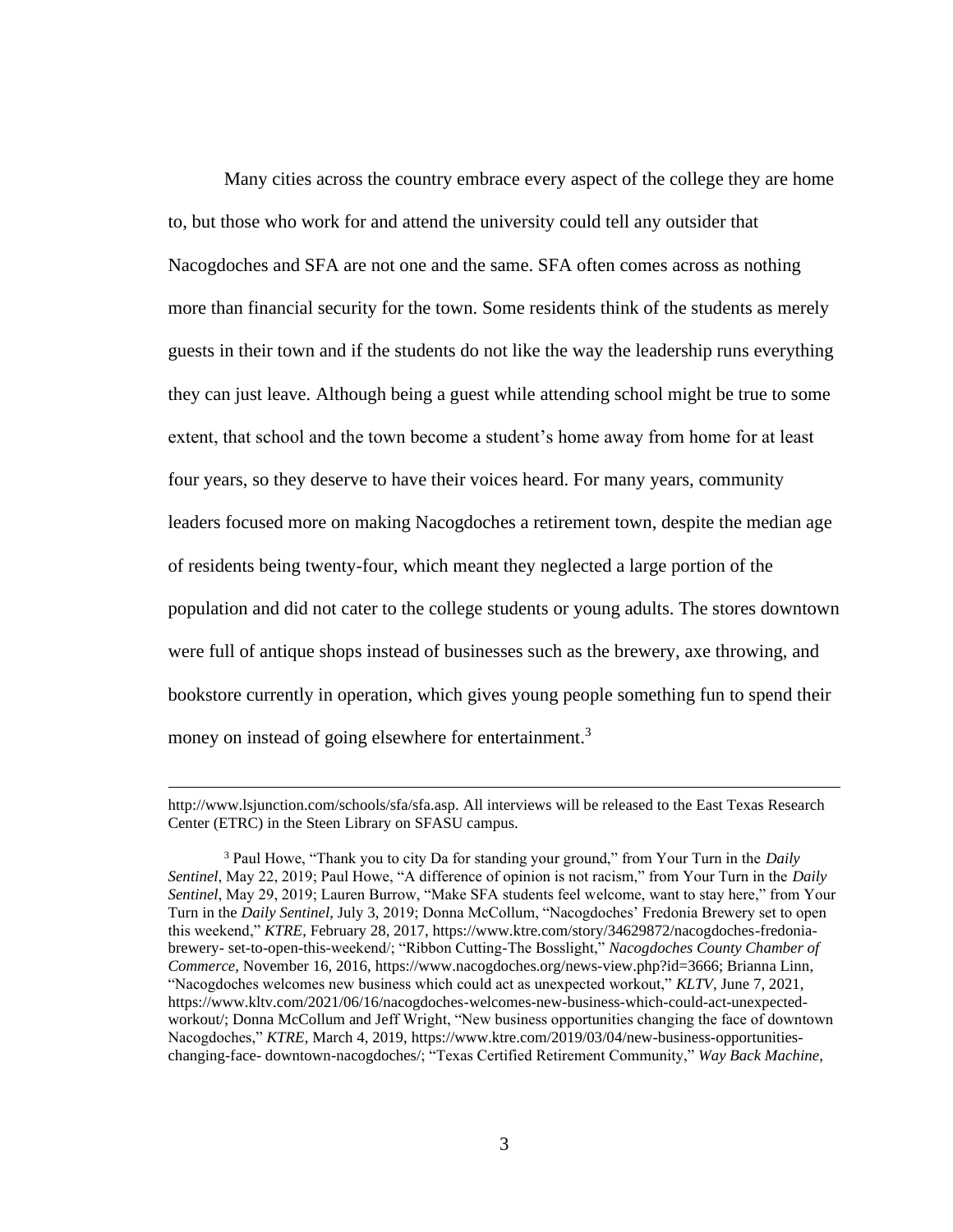Many cities across the country embrace every aspect of the college they are home to, but those who work for and attend the university could tell any outsider that Nacogdoches and SFA are not one and the same. SFA often comes across as nothing more than financial security for the town. Some residents think of the students as merely guests in their town and if the students do not like the way the leadership runs everything they can just leave. Although being a guest while attending school might be true to some extent, that school and the town become a student's home away from home for at least four years, so they deserve to have their voices heard. For many years, community leaders focused more on making Nacogdoches a retirement town, despite the median age of residents being twenty-four, which meant they neglected a large portion of the population and did not cater to the college students or young adults. The stores downtown were full of antique shops instead of businesses such as the brewery, axe throwing, and bookstore currently in operation, which gives young people something fun to spend their money on instead of going elsewhere for entertainment.<sup>3</sup>

http://www.lsjunction.com/schools/sfa/sfa.asp. All interviews will be released to the East Texas Research Center (ETRC) in the Steen Library on SFASU campus.

<sup>3</sup> Paul Howe, "Thank you to city Da for standing your ground," from Your Turn in the *Daily Sentinel*, May 22, 2019; Paul Howe, "A difference of opinion is not racism," from Your Turn in the *Daily Sentinel*, May 29, 2019; Lauren Burrow, "Make SFA students feel welcome, want to stay here," from Your Turn in the *Daily Sentinel*, July 3, 2019; Donna McCollum, "Nacogdoches' Fredonia Brewery set to open this weekend," *KTRE*, February 28, 2017, https://www.ktre.com/story/34629872/nacogdoches-fredoniabrewery- set-to-open-this-weekend/; "Ribbon Cutting-The Bosslight," *Nacogdoches County Chamber of Commerce*, November 16, 2016, [https://www.nacogdoches.org/n](https://www.nacogdoches.org/)ews-view.php?id=3666; Brianna Linn, "Nacogdoches welcomes new business which could act as unexpected workout," *KLTV*, June 7, 2021, https://www.kltv.com/2021/06/16/nacogdoches-welcomes-new-business-which-could-act-unexpectedworkout/; Donna McCollum and Jeff Wright, "New business opportunities changing the face of downtown Nacogdoches," *KTRE*, March 4, 2019, [https://www.ktre.com/2019/03/04/new-business-opportunities](https://www.ktre.com/2019/03/04/new-business-opportunities-changing-face-%20downtown-nacogdoches/)changing-face- [downtown-nacogdoches/;](https://www.ktre.com/2019/03/04/new-business-opportunities-changing-face-%20downtown-nacogdoches/) "Texas Certified Retirement Community," *Way Back Machine*,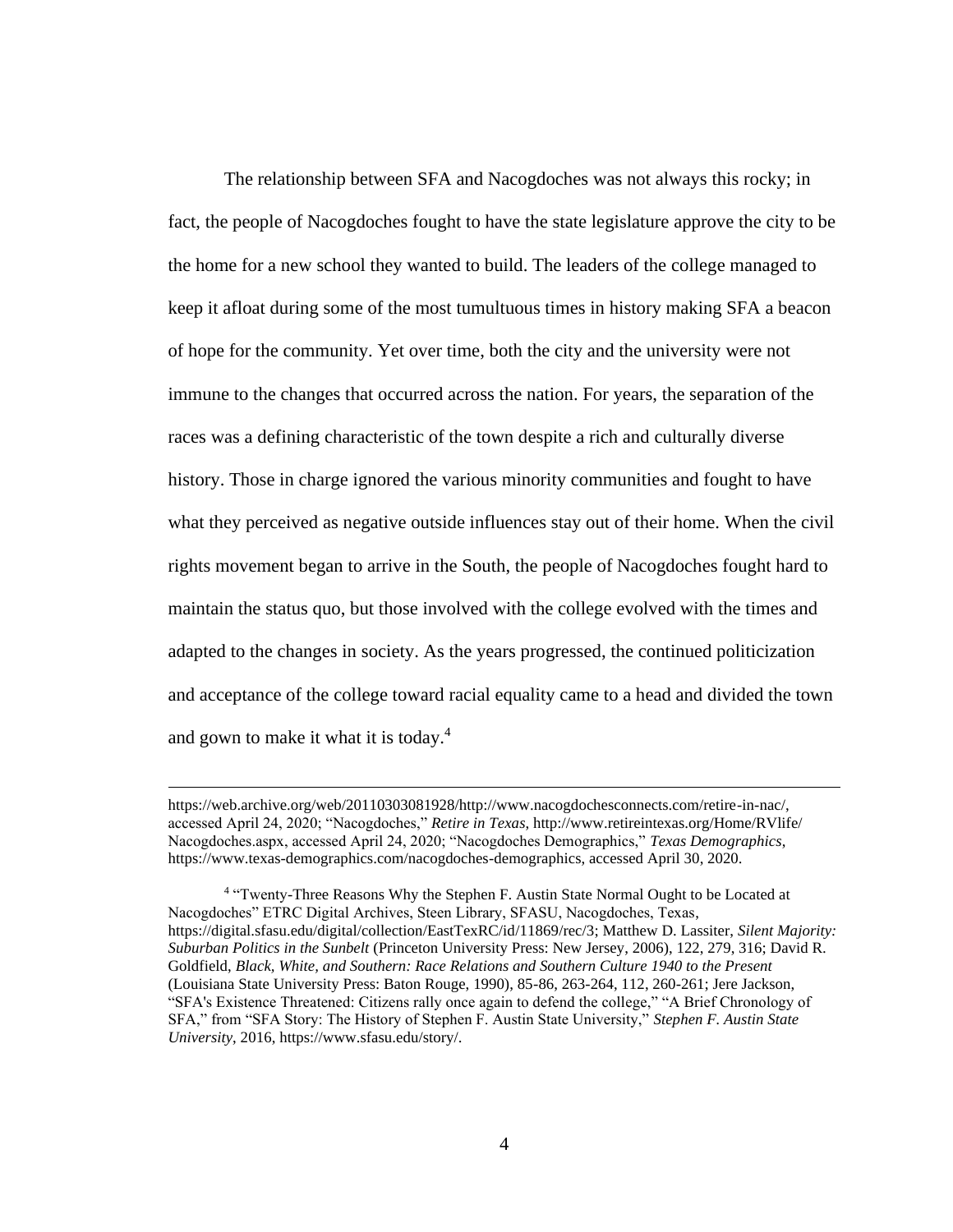The relationship between SFA and Nacogdoches was not always this rocky; in fact, the people of Nacogdoches fought to have the state legislature approve the city to be the home for a new school they wanted to build. The leaders of the college managed to keep it afloat during some of the most tumultuous times in history making SFA a beacon of hope for the community. Yet over time, both the city and the university were not immune to the changes that occurred across the nation. For years, the separation of the races was a defining characteristic of the town despite a rich and culturally diverse history. Those in charge ignored the various minority communities and fought to have what they perceived as negative outside influences stay out of their home. When the civil rights movement began to arrive in the South, the people of Nacogdoches fought hard to maintain the status quo, but those involved with the college evolved with the times and adapted to the changes in society. As the years progressed, the continued politicization and acceptance of the college toward racial equality came to a head and divided the town and gown to make it what it is today.<sup>4</sup>

https://web.archive.org/web/20110303081928/http://www.nacogdochesconnects.com/retire-in-nac/, accessed April 24, 2020; "Nacogdoches," *Retire in Texas*[, http://www.retireintexas.org/Home/RVlife/](http://www.retireintexas.org/Home/RVlife/) Nacogdoches.aspx, accessed April 24, 2020; "Nacogdoches Demographics," *Texas Demographics*, https://www.texas-demographics.com/nacogdoches-demographics, accessed April 30, 2020.

<sup>&</sup>lt;sup>4</sup> "Twenty-Three Reasons Why the Stephen F. Austin State Normal Ought to be Located at Nacogdoches" ETRC Digital Archives, Steen Library, SFASU, Nacogdoches, Texas, https://digital.sfasu.edu/digital/collection/EastTexRC/id/11869/rec/3; Matthew D. Lassiter, *Silent Majority: Suburban Politics in the Sunbelt* (Princeton University Press: New Jersey, 2006), 122, 279, 316; David R. Goldfield, *Black, White, and Southern: Race Relations and Southern Culture 1940 to the Present*  (Louisiana State University Press: Baton Rouge, 1990), 85-86, 263-264, 112, 260-261; Jere Jackson, "SFA's Existence Threatened: Citizens rally once again to defend the college," "A Brief Chronology of SFA," from "SFA Story: The History of Stephen F. Austin State University," *Stephen F. Austin State University*, 2016, https://www.sfasu.edu/story/.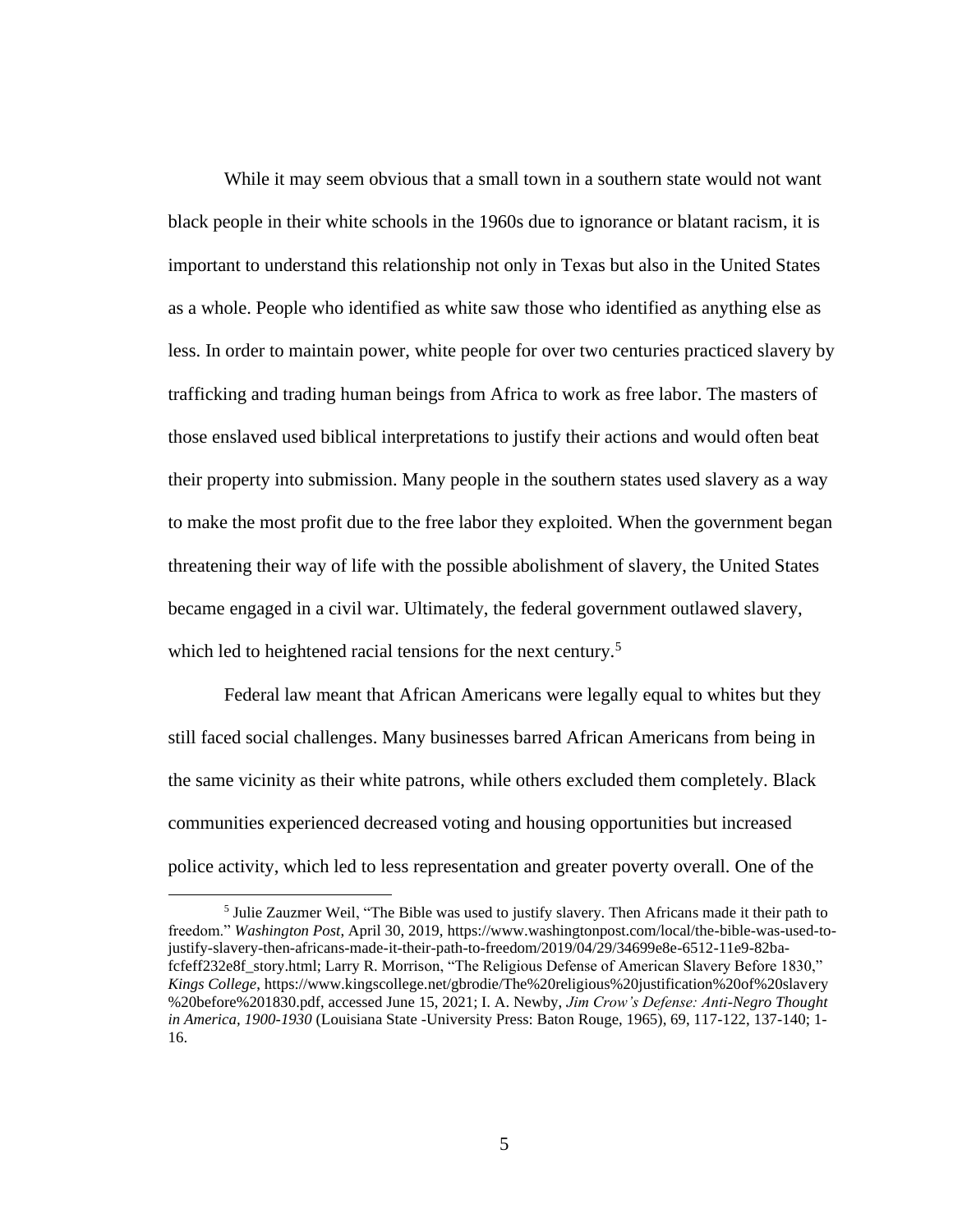While it may seem obvious that a small town in a southern state would not want black people in their white schools in the 1960s due to ignorance or blatant racism, it is important to understand this relationship not only in Texas but also in the United States as a whole. People who identified as white saw those who identified as anything else as less. In order to maintain power, white people for over two centuries practiced slavery by trafficking and trading human beings from Africa to work as free labor. The masters of those enslaved used biblical interpretations to justify their actions and would often beat their property into submission. Many people in the southern states used slavery as a way to make the most profit due to the free labor they exploited. When the government began threatening their way of life with the possible abolishment of slavery, the United States became engaged in a civil war. Ultimately, the federal government outlawed slavery, which led to heightened racial tensions for the next century.<sup>5</sup>

Federal law meant that African Americans were legally equal to whites but they still faced social challenges. Many businesses barred African Americans from being in the same vicinity as their white patrons, while others excluded them completely. Black communities experienced decreased voting and housing opportunities but increased police activity, which led to less representation and greater poverty overall. One of the

<sup>&</sup>lt;sup>5</sup> Julie Zauzmer Weil, "The Bible was used to justify slavery. Then Africans made it their path to freedom." *Washington Post*, April 30, 2019, https://www.washingtonpost.com/local/the-bible-was-used-tojustify-slavery-then-africans-made-it-their-path-to-freedom/2019/04/29/34699e8e-6512-11e9-82bafcfeff232e8f\_story.html; Larry R. Morrison, "The Religious Defense of American Slavery Before 1830," *Kings College*,<https://www.kingscollege.net/gbrodie/The%20religious%20justification%20of%20slavery> %20before%201830.pdf, accessed June 15, 2021; I. A. Newby, *Jim Crow's Defense: Anti-Negro Thought in America, 1900-1930* (Louisiana State -University Press: Baton Rouge, 1965), 69, 117-122, 137-140; 1- 16.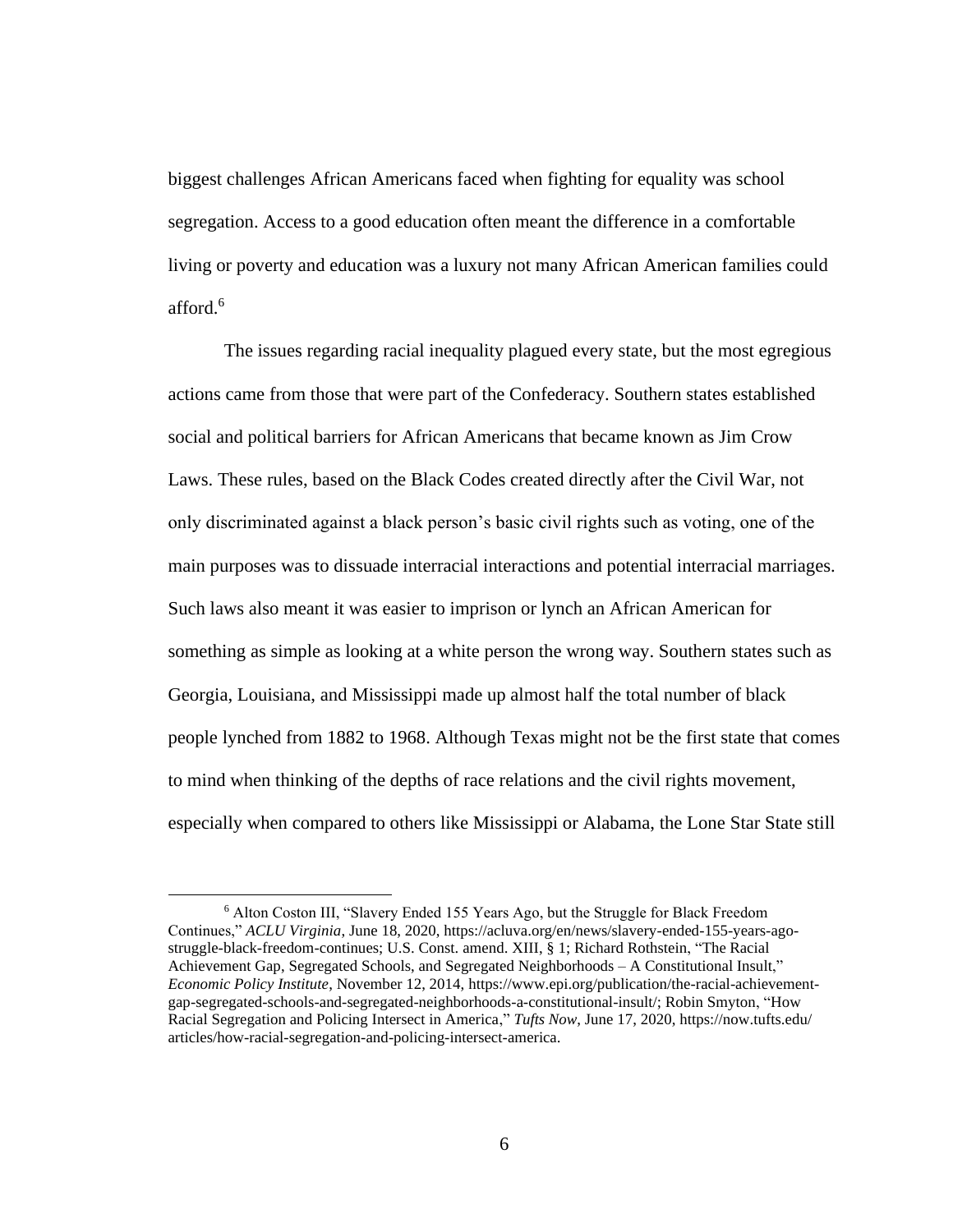biggest challenges African Americans faced when fighting for equality was school segregation. Access to a good education often meant the difference in a comfortable living or poverty and education was a luxury not many African American families could afford.<sup>6</sup>

The issues regarding racial inequality plagued every state, but the most egregious actions came from those that were part of the Confederacy. Southern states established social and political barriers for African Americans that became known as Jim Crow Laws. These rules, based on the Black Codes created directly after the Civil War, not only discriminated against a black person's basic civil rights such as voting, one of the main purposes was to dissuade interracial interactions and potential interracial marriages. Such laws also meant it was easier to imprison or lynch an African American for something as simple as looking at a white person the wrong way. Southern states such as Georgia, Louisiana, and Mississippi made up almost half the total number of black people lynched from 1882 to 1968. Although Texas might not be the first state that comes to mind when thinking of the depths of race relations and the civil rights movement, especially when compared to others like Mississippi or Alabama, the Lone Star State still

<sup>6</sup> Alton Coston III, "Slavery Ended 155 Years Ago, but the Struggle for Black Freedom Continues," *ACLU Virginia*, June 18, 2020, https://acluva.org/en/news/slavery-ended-155-years-agostruggle-black-freedom-continues; U.S. Const. amend. XIII, § 1; Richard Rothstein, "The Racial Achievement Gap, Segregated Schools, and Segregated Neighborhoods – A Constitutional Insult," *Economic Policy Institute*, November 12, 2014, https://www.epi.org/publication/the-racial-achievementgap-segregated-schools-and-segregated-neighborhoods-a-constitutional-insult/; Robin Smyton, "How Racial Segregation and Policing Intersect in America," *Tufts Now*, June 17, 2020, https://now.tufts.edu/ articles/how-racial-segregation-and-policing-intersect-america.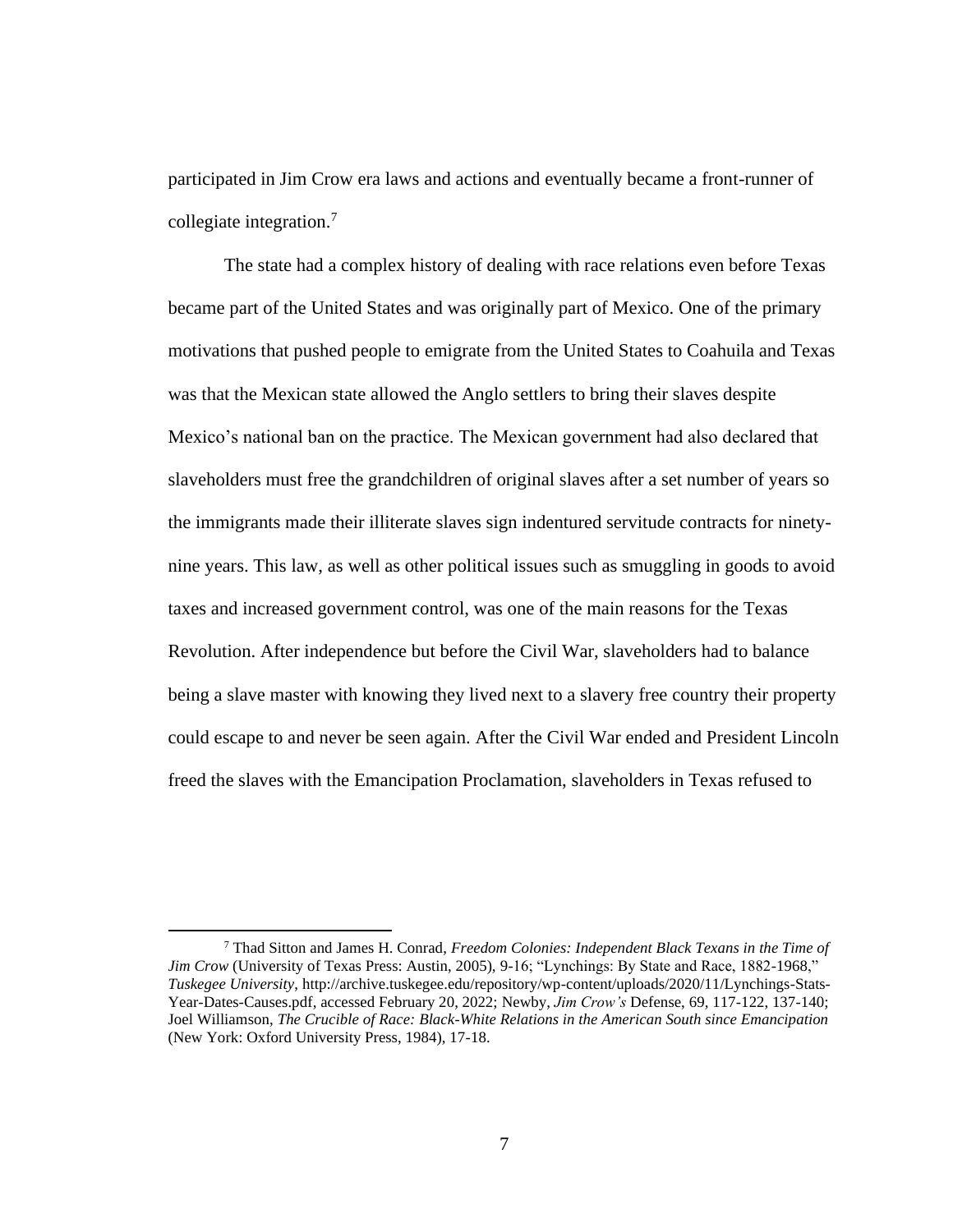participated in Jim Crow era laws and actions and eventually became a front-runner of collegiate integration.<sup>7</sup>

The state had a complex history of dealing with race relations even before Texas became part of the United States and was originally part of Mexico. One of the primary motivations that pushed people to emigrate from the United States to Coahuila and Texas was that the Mexican state allowed the Anglo settlers to bring their slaves despite Mexico's national ban on the practice. The Mexican government had also declared that slaveholders must free the grandchildren of original slaves after a set number of years so the immigrants made their illiterate slaves sign indentured servitude contracts for ninetynine years. This law, as well as other political issues such as smuggling in goods to avoid taxes and increased government control, was one of the main reasons for the Texas Revolution. After independence but before the Civil War, slaveholders had to balance being a slave master with knowing they lived next to a slavery free country their property could escape to and never be seen again. After the Civil War ended and President Lincoln freed the slaves with the Emancipation Proclamation, slaveholders in Texas refused to

<sup>7</sup> Thad Sitton and James H. Conrad, *Freedom Colonies: Independent Black Texans in the Time of Jim Crow* (University of Texas Press: Austin, 2005), 9-16; "Lynchings: By State and Race, 1882-1968," *Tuskegee University*, http://archive.tuskegee.edu/repository/wp-content/uploads/2020/11/Lynchings-Stats-Year-Dates-Causes.pdf, accessed February 20, 2022; Newby, *Jim Crow's* Defense, 69, 117-122, 137-140; Joel Williamson, *The Crucible of Race: Black-White Relations in the American South since Emancipation* (New York: Oxford University Press, 1984), 17-18.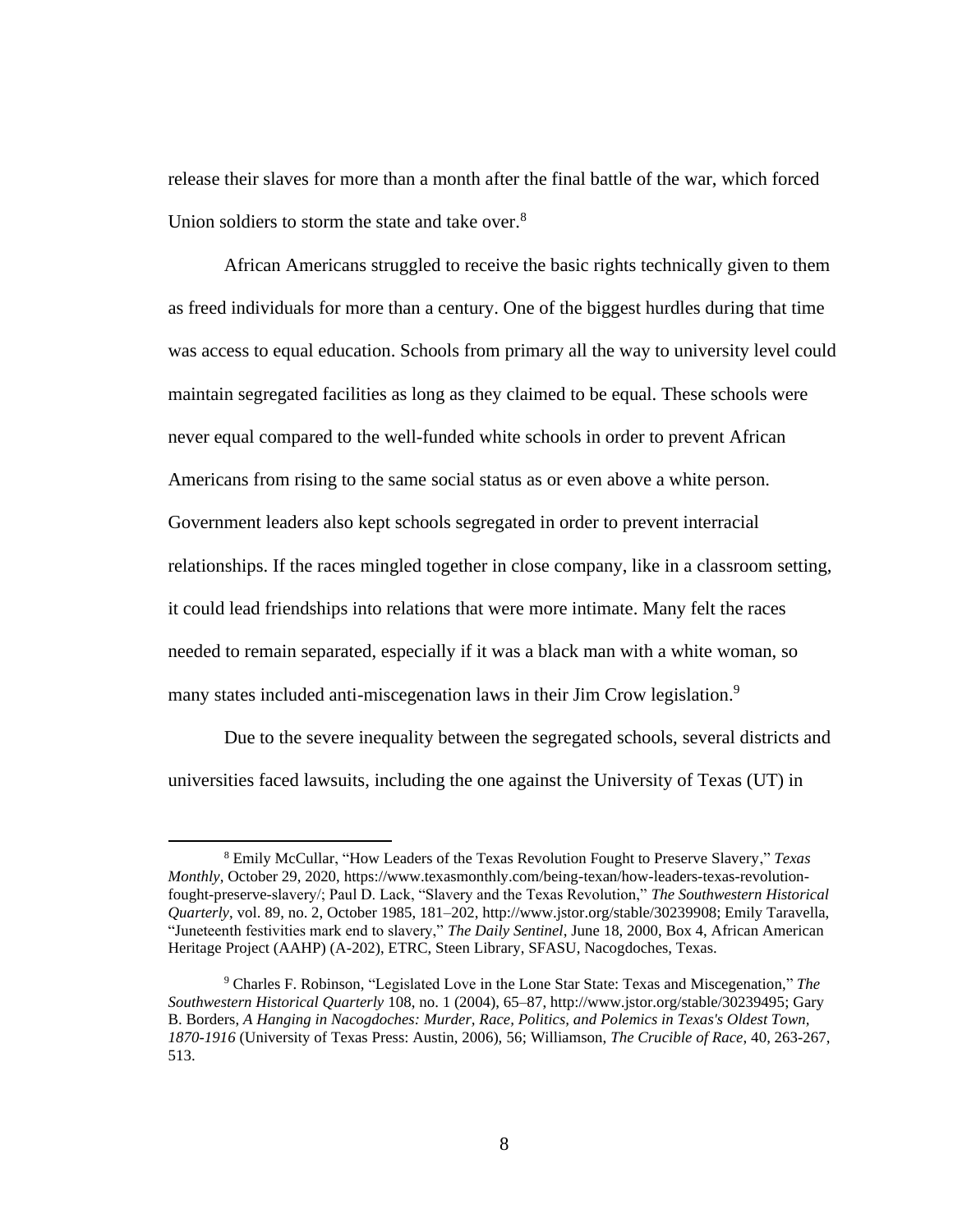release their slaves for more than a month after the final battle of the war, which forced Union soldiers to storm the state and take over.<sup>8</sup>

African Americans struggled to receive the basic rights technically given to them as freed individuals for more than a century. One of the biggest hurdles during that time was access to equal education. Schools from primary all the way to university level could maintain segregated facilities as long as they claimed to be equal. These schools were never equal compared to the well-funded white schools in order to prevent African Americans from rising to the same social status as or even above a white person. Government leaders also kept schools segregated in order to prevent interracial relationships. If the races mingled together in close company, like in a classroom setting, it could lead friendships into relations that were more intimate. Many felt the races needed to remain separated, especially if it was a black man with a white woman, so many states included anti-miscegenation laws in their Jim Crow legislation.<sup>9</sup>

Due to the severe inequality between the segregated schools, several districts and universities faced lawsuits, including the one against the University of Texas (UT) in

<sup>8</sup> Emily McCullar, "How Leaders of the Texas Revolution Fought to Preserve Slavery," *Texas Monthly*, October 29, 2020, https://www.texasmonthly.com/being-texan/how-leaders-texas-revolutionfought-preserve-slavery/; Paul D. Lack, "Slavery and the Texas Revolution," *The Southwestern Historical Quarterly*, vol. 89, no. 2, October 1985, 181–202, http://www.jstor.org/stable/30239908; Emily Taravella, "Juneteenth festivities mark end to slavery," *The Daily Sentinel*, June 18, 2000, Box 4, African American Heritage Project (AAHP) (A-202), ETRC, Steen Library, SFASU, Nacogdoches, Texas.

<sup>9</sup> Charles F. Robinson, "Legislated Love in the Lone Star State: Texas and Miscegenation," *The Southwestern Historical Quarterly* 108, no. 1 (2004), 65–87, http://www.jstor.org/stable/30239495; Gary B. Borders, *A Hanging in Nacogdoches: Murder, Race, Politics, and Polemics in Texas's Oldest Town, 1870-1916* (University of Texas Press: Austin, 2006), 56; Williamson, *The Crucible of Race*, 40, 263-267, 513.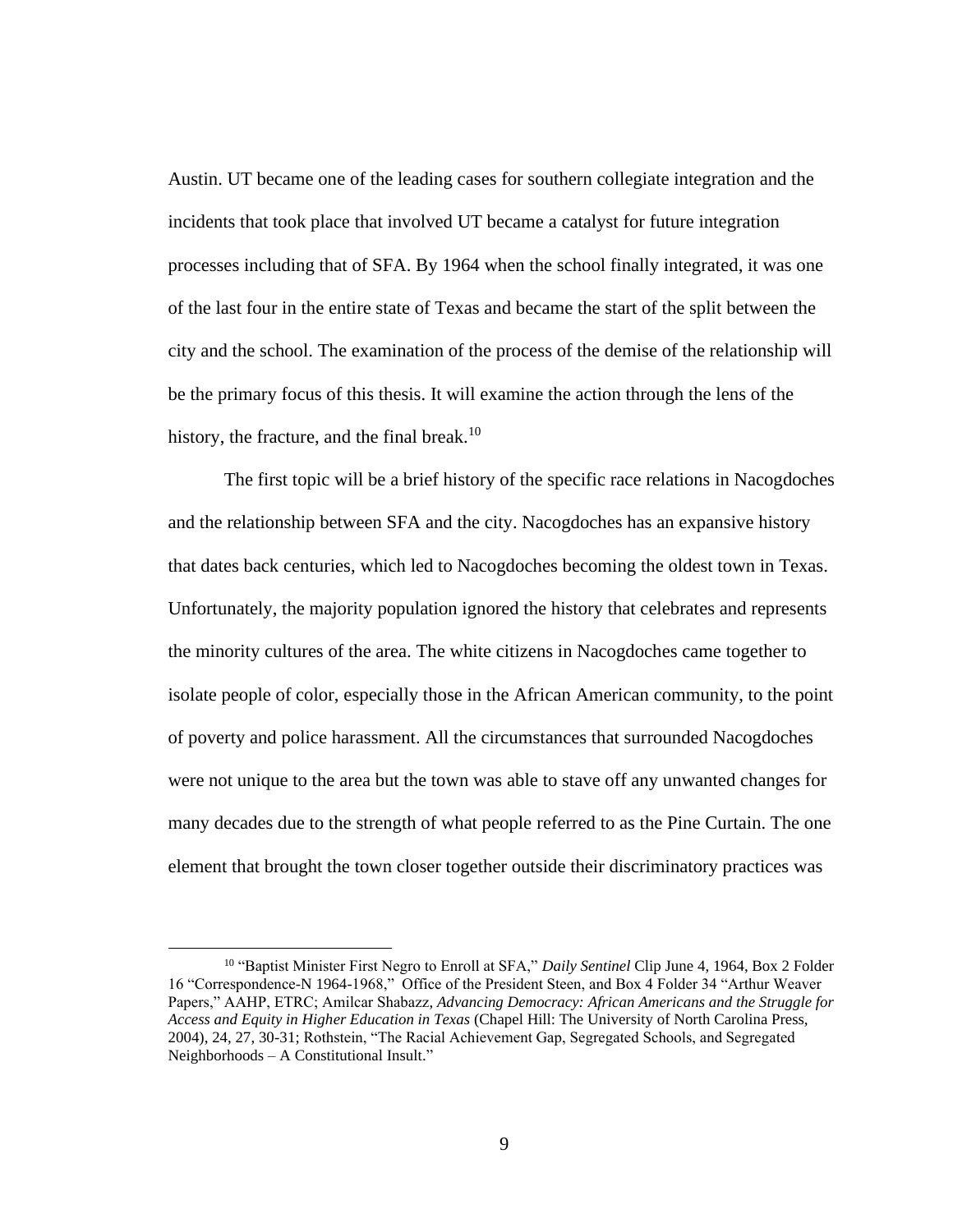Austin. UT became one of the leading cases for southern collegiate integration and the incidents that took place that involved UT became a catalyst for future integration processes including that of SFA. By 1964 when the school finally integrated, it was one of the last four in the entire state of Texas and became the start of the split between the city and the school. The examination of the process of the demise of the relationship will be the primary focus of this thesis. It will examine the action through the lens of the history, the fracture, and the final break.<sup>10</sup>

The first topic will be a brief history of the specific race relations in Nacogdoches and the relationship between SFA and the city. Nacogdoches has an expansive history that dates back centuries, which led to Nacogdoches becoming the oldest town in Texas. Unfortunately, the majority population ignored the history that celebrates and represents the minority cultures of the area. The white citizens in Nacogdoches came together to isolate people of color, especially those in the African American community, to the point of poverty and police harassment. All the circumstances that surrounded Nacogdoches were not unique to the area but the town was able to stave off any unwanted changes for many decades due to the strength of what people referred to as the Pine Curtain. The one element that brought the town closer together outside their discriminatory practices was

<sup>10</sup> "Baptist Minister First Negro to Enroll at SFA," *Daily Sentinel* Clip June 4, 1964, Box 2 Folder 16 "Correspondence-N 1964-1968," Office of the President Steen, and Box 4 Folder 34 "Arthur Weaver Papers," AAHP, ETRC; Amilcar Shabazz, *Advancing Democracy: African Americans and the Struggle for Access and Equity in Higher Education in Texas* (Chapel Hill: The University of North Carolina Press, 2004), 24, 27, 30-31; Rothstein, "The Racial Achievement Gap, Segregated Schools, and Segregated Neighborhoods – A Constitutional Insult."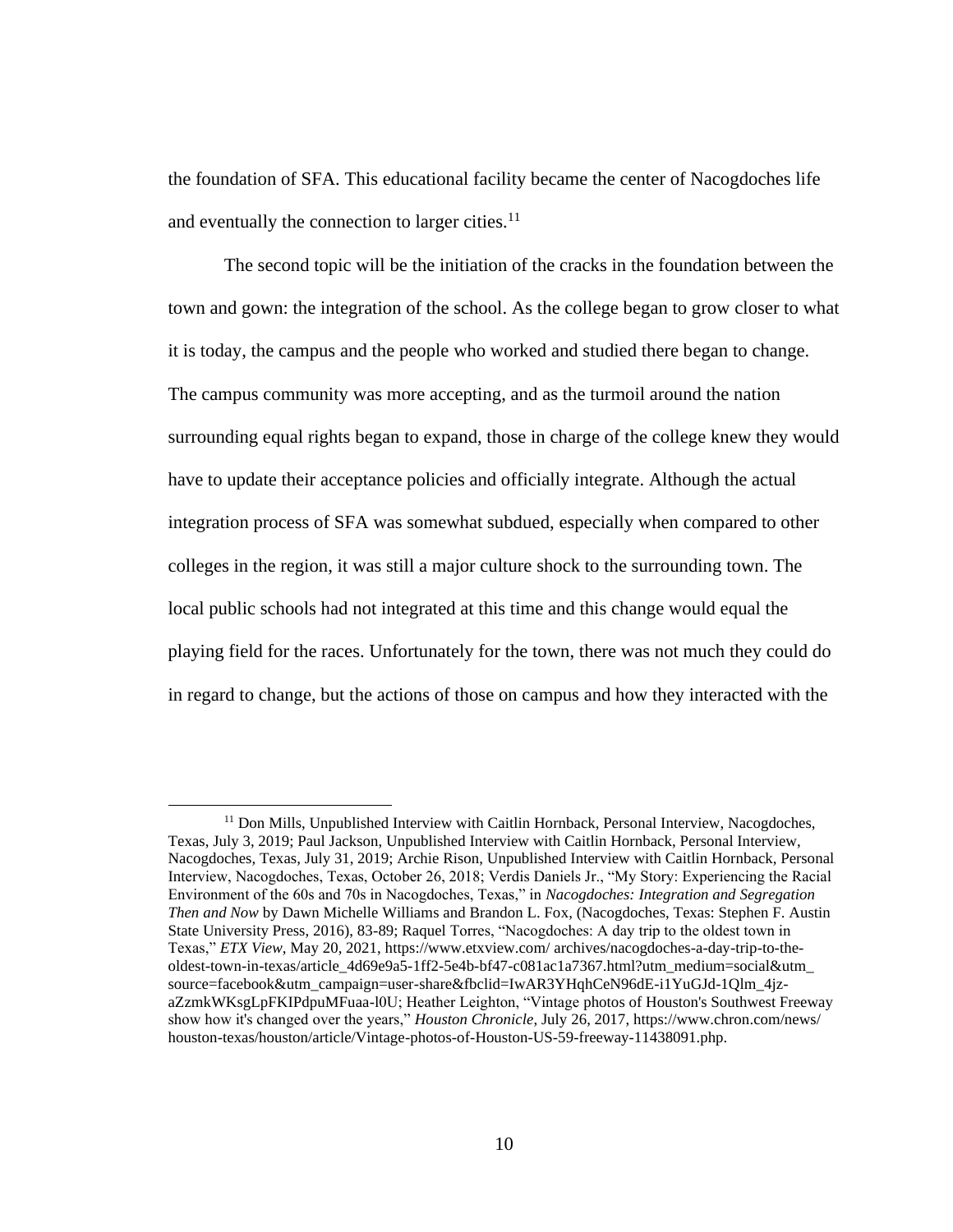the foundation of SFA. This educational facility became the center of Nacogdoches life and eventually the connection to larger cities. $<sup>11</sup>$ </sup>

The second topic will be the initiation of the cracks in the foundation between the town and gown: the integration of the school. As the college began to grow closer to what it is today, the campus and the people who worked and studied there began to change. The campus community was more accepting, and as the turmoil around the nation surrounding equal rights began to expand, those in charge of the college knew they would have to update their acceptance policies and officially integrate. Although the actual integration process of SFA was somewhat subdued, especially when compared to other colleges in the region, it was still a major culture shock to the surrounding town. The local public schools had not integrated at this time and this change would equal the playing field for the races. Unfortunately for the town, there was not much they could do in regard to change, but the actions of those on campus and how they interacted with the

<sup>&</sup>lt;sup>11</sup> Don Mills, Unpublished Interview with Caitlin Hornback, Personal Interview, Nacogdoches, Texas, July 3, 2019; Paul Jackson, Unpublished Interview with Caitlin Hornback, Personal Interview, Nacogdoches, Texas, July 31, 2019; Archie Rison, Unpublished Interview with Caitlin Hornback, Personal Interview, Nacogdoches, Texas, October 26, 2018; Verdis Daniels Jr., "My Story: Experiencing the Racial Environment of the 60s and 70s in Nacogdoches, Texas," in *Nacogdoches: Integration and Segregation Then and Now* by Dawn Michelle Williams and Brandon L. Fox, (Nacogdoches, Texas: Stephen F. Austin State University Press, 2016), 83-89; Raquel Torres, "Nacogdoches: A day trip to the oldest town in Texas," *ETX View*, May 20, 2021,<https://www.etxview.com/> archives/nacogdoches-a-day-trip-to-theoldest-town-in-texas/article\_4d69e9a5-1ff2-5e4b-bf47-c081ac1a7367.html?utm\_medium=social&utm\_ source=facebook&utm\_campaign=user-share&fbclid=IwAR3YHqhCeN96dE-i1YuGJd-1Qlm\_4jzaZzmkWKsgLpFKIPdpuMFuaa-l0U; Heather Leighton, "Vintage photos of Houston's Southwest Freeway show how it's changed over the years," *Houston Chronicle*, July 26, 2017,<https://www.chron.com/news/> houston-texas/houston/article/Vintage-photos-of-Houston-US-59-freeway-11438091.php.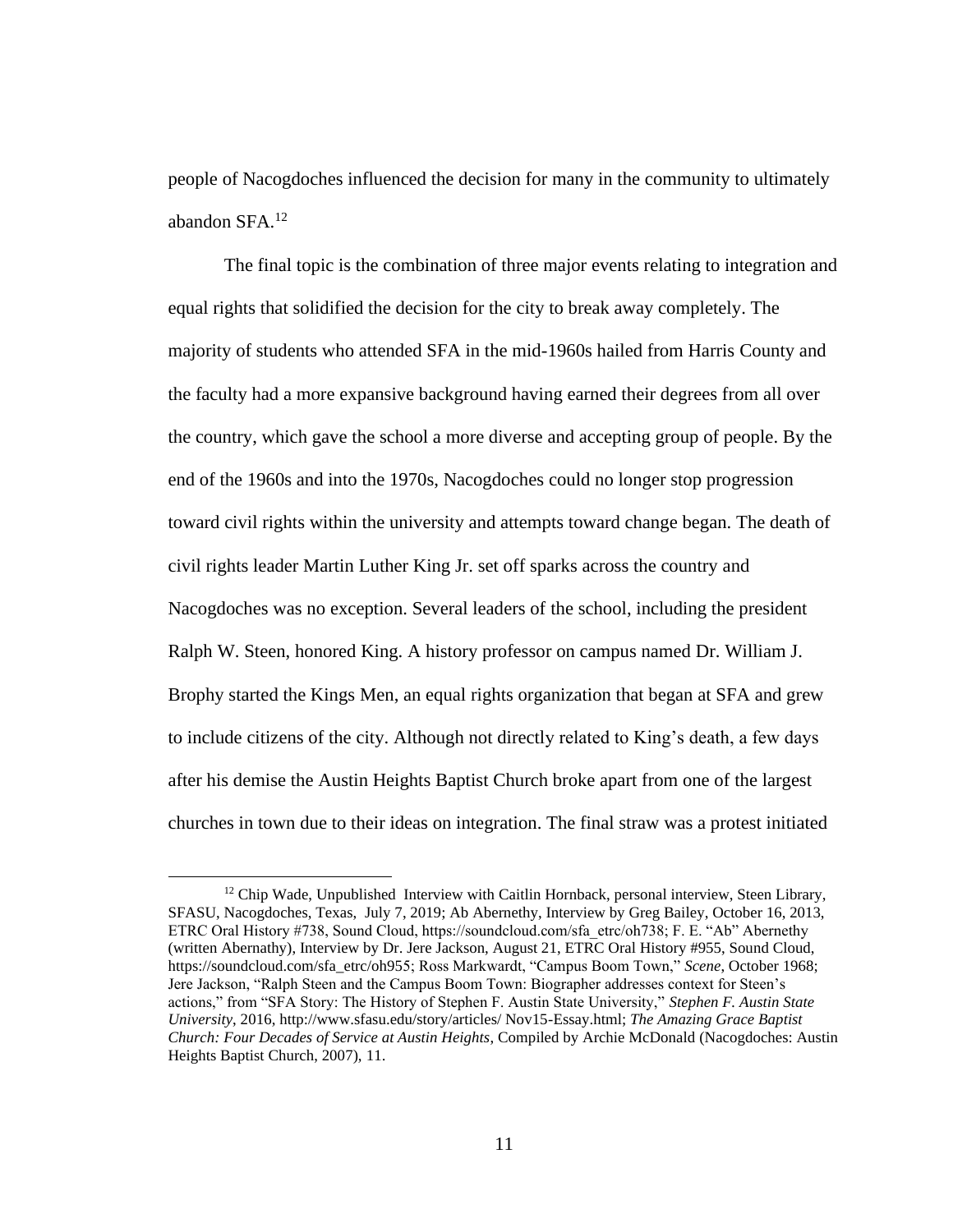people of Nacogdoches influenced the decision for many in the community to ultimately abandon SFA.<sup>12</sup>

The final topic is the combination of three major events relating to integration and equal rights that solidified the decision for the city to break away completely. The majority of students who attended SFA in the mid-1960s hailed from Harris County and the faculty had a more expansive background having earned their degrees from all over the country, which gave the school a more diverse and accepting group of people. By the end of the 1960s and into the 1970s, Nacogdoches could no longer stop progression toward civil rights within the university and attempts toward change began. The death of civil rights leader Martin Luther King Jr. set off sparks across the country and Nacogdoches was no exception. Several leaders of the school, including the president Ralph W. Steen, honored King. A history professor on campus named Dr. William J. Brophy started the Kings Men, an equal rights organization that began at SFA and grew to include citizens of the city. Although not directly related to King's death, a few days after his demise the Austin Heights Baptist Church broke apart from one of the largest churches in town due to their ideas on integration. The final straw was a protest initiated

 $12$  Chip Wade, Unpublished Interview with Caitlin Hornback, personal interview, Steen Library, SFASU, Nacogdoches, Texas, July 7, 2019; Ab Abernethy, Interview by Greg Bailey, October 16, 2013, ETRC Oral History #738, Sound Cloud, https://soundcloud.com/sfa\_etrc/oh738; F. E. "Ab" Abernethy (written Abernathy), Interview by Dr. Jere Jackson, August 21, ETRC Oral History #955, Sound Cloud, https://soundcloud.com/sfa\_etrc/oh955; Ross Markwardt, "Campus Boom Town," *Scene*, October 1968; Jere Jackson, "Ralph Steen and the Campus Boom Town: Biographer addresses context for Steen's actions," from "SFA Story: The History of Stephen F. Austin State University," *Stephen F. Austin State University*, 2016, http://www.sfasu.edu/story/articles/ Nov15-Essay.html; *The Amazing Grace Baptist Church: Four Decades of Service at Austin Heights*, Compiled by Archie McDonald (Nacogdoches: Austin Heights Baptist Church, 2007), 11.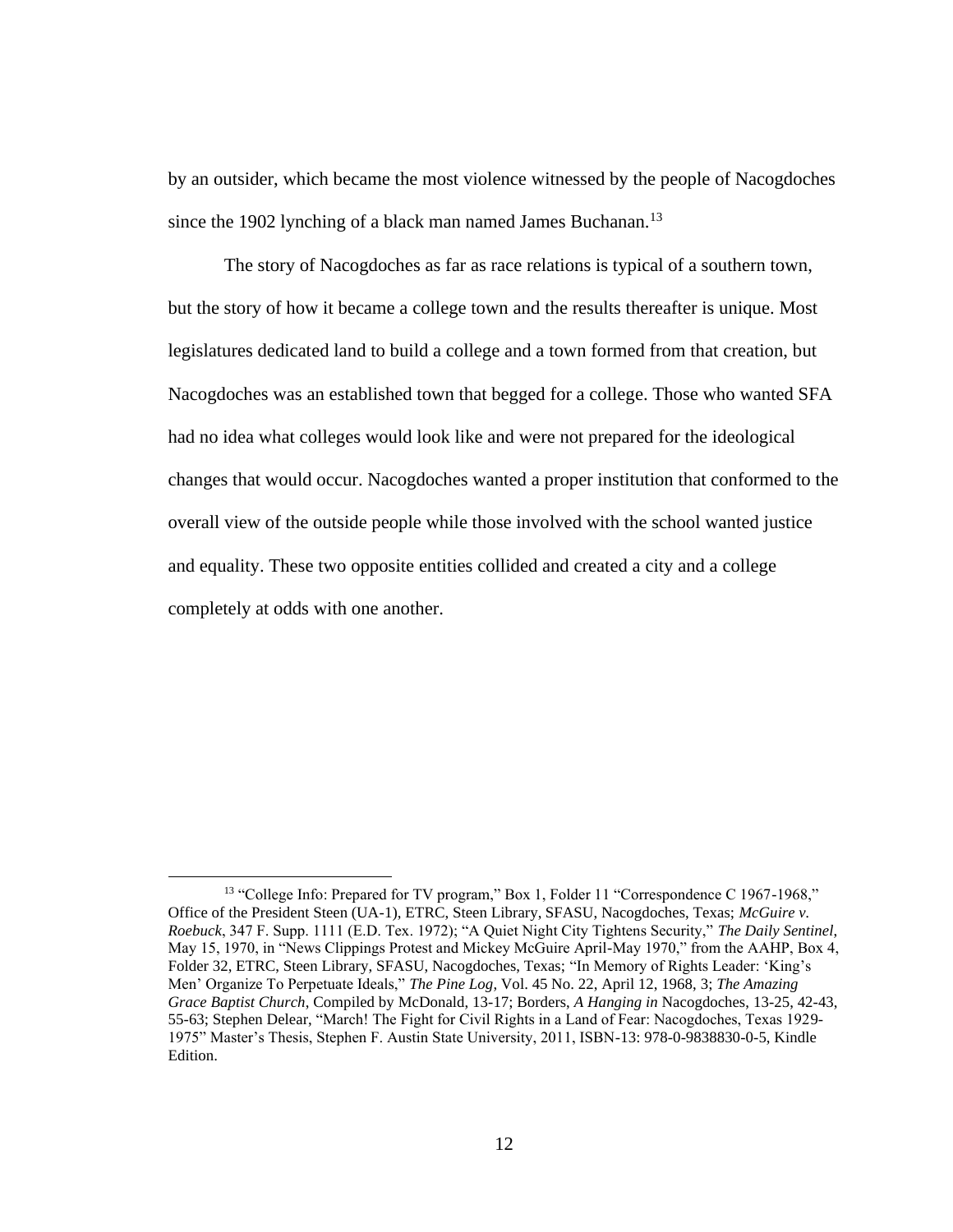by an outsider, which became the most violence witnessed by the people of Nacogdoches since the 1902 lynching of a black man named James Buchanan.<sup>13</sup>

The story of Nacogdoches as far as race relations is typical of a southern town, but the story of how it became a college town and the results thereafter is unique. Most legislatures dedicated land to build a college and a town formed from that creation, but Nacogdoches was an established town that begged for a college. Those who wanted SFA had no idea what colleges would look like and were not prepared for the ideological changes that would occur. Nacogdoches wanted a proper institution that conformed to the overall view of the outside people while those involved with the school wanted justice and equality. These two opposite entities collided and created a city and a college completely at odds with one another.

<sup>&</sup>lt;sup>13</sup> "College Info: Prepared for TV program," Box 1, Folder 11 "Correspondence C 1967-1968," Office of the President Steen (UA-1), ETRC, Steen Library, SFASU, Nacogdoches, Texas; *McGuire v. Roebuck*, 347 F. Supp. 1111 (E.D. Tex. 1972); "A Quiet Night City Tightens Security," *The Daily Sentinel*, May 15, 1970, in "News Clippings Protest and Mickey McGuire April-May 1970," from the AAHP, Box 4, Folder 32, ETRC, Steen Library, SFASU, Nacogdoches, Texas; "In Memory of Rights Leader: 'King's Men' Organize To Perpetuate Ideals," *The Pine Log*, Vol. 45 No. 22, April 12, 1968, 3; *The Amazing Grace Baptist Church*, Compiled by McDonald, 13-17; Borders, *A Hanging in* Nacogdoches, 13-25, 42-43, 55-63; Stephen Delear, "March! The Fight for Civil Rights in a Land of Fear: Nacogdoches, Texas 1929- 1975" Master's Thesis, Stephen F. Austin State University, 2011, ISBN-13: 978-0-9838830-0-5, Kindle Edition.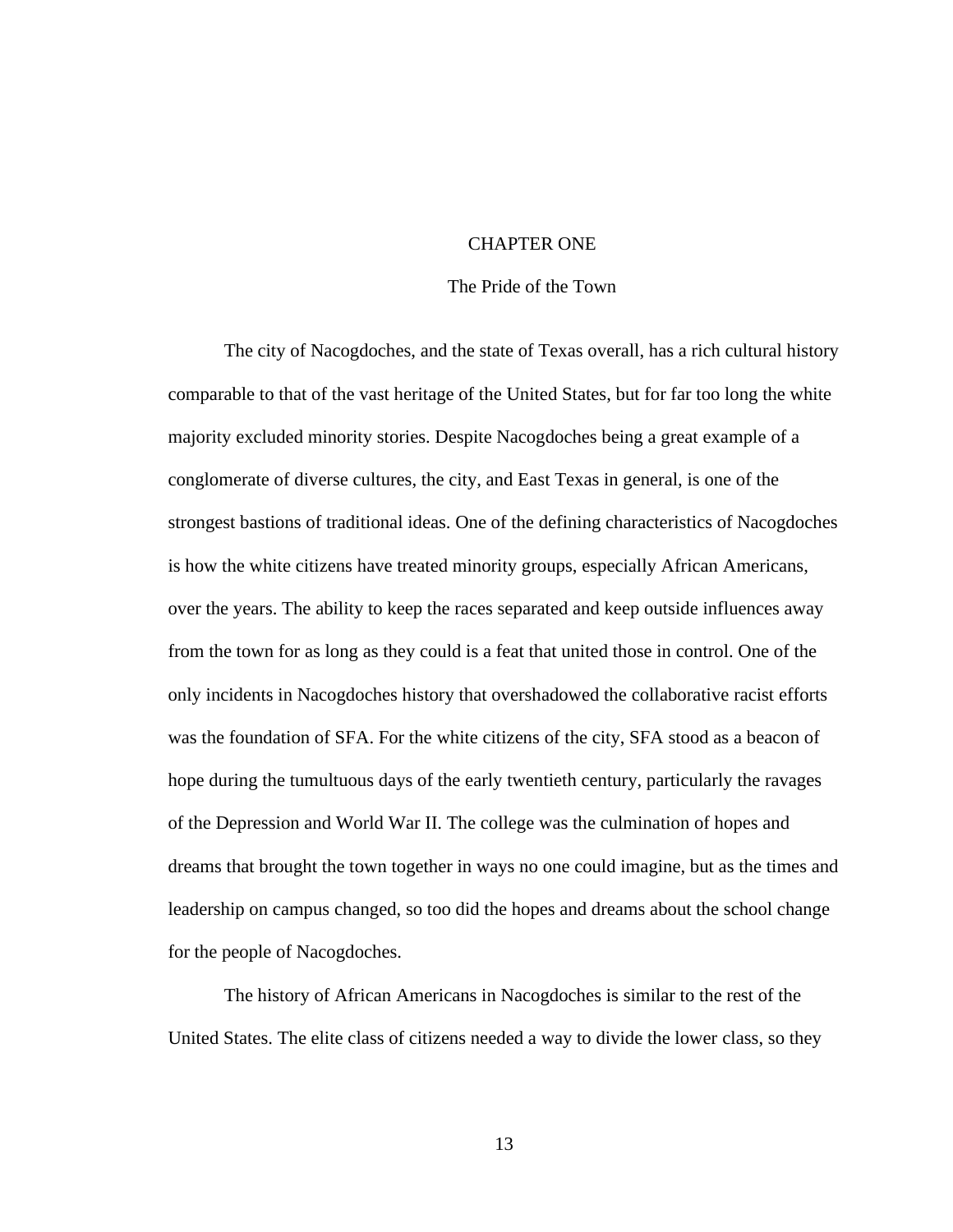#### CHAPTER ONE

### The Pride of the Town

The city of Nacogdoches, and the state of Texas overall, has a rich cultural history comparable to that of the vast heritage of the United States, but for far too long the white majority excluded minority stories. Despite Nacogdoches being a great example of a conglomerate of diverse cultures, the city, and East Texas in general, is one of the strongest bastions of traditional ideas. One of the defining characteristics of Nacogdoches is how the white citizens have treated minority groups, especially African Americans, over the years. The ability to keep the races separated and keep outside influences away from the town for as long as they could is a feat that united those in control. One of the only incidents in Nacogdoches history that overshadowed the collaborative racist efforts was the foundation of SFA. For the white citizens of the city, SFA stood as a beacon of hope during the tumultuous days of the early twentieth century, particularly the ravages of the Depression and World War II. The college was the culmination of hopes and dreams that brought the town together in ways no one could imagine, but as the times and leadership on campus changed, so too did the hopes and dreams about the school change for the people of Nacogdoches.

The history of African Americans in Nacogdoches is similar to the rest of the United States. The elite class of citizens needed a way to divide the lower class, so they

13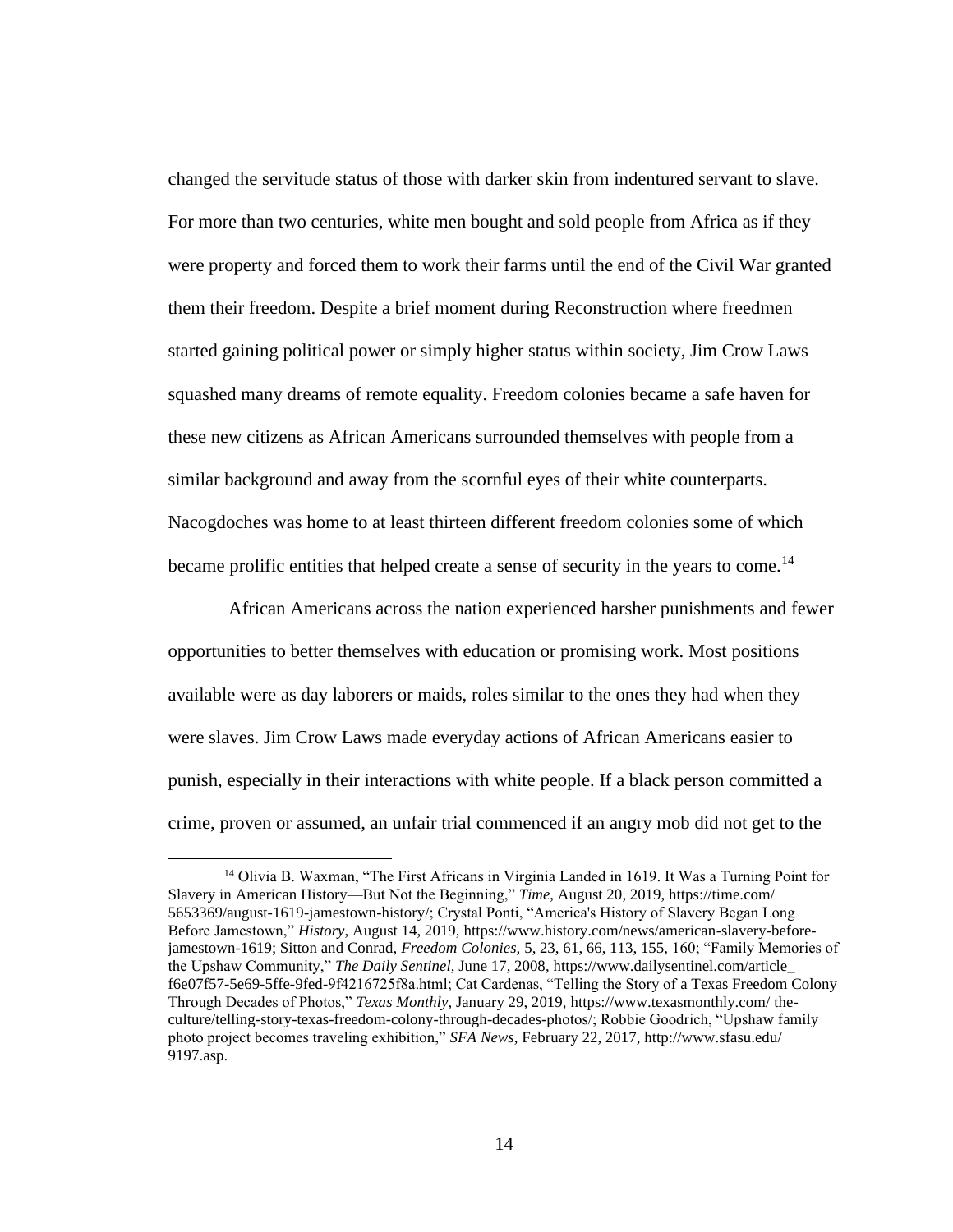changed the servitude status of those with darker skin from indentured servant to slave. For more than two centuries, white men bought and sold people from Africa as if they were property and forced them to work their farms until the end of the Civil War granted them their freedom. Despite a brief moment during Reconstruction where freedmen started gaining political power or simply higher status within society, Jim Crow Laws squashed many dreams of remote equality. Freedom colonies became a safe haven for these new citizens as African Americans surrounded themselves with people from a similar background and away from the scornful eyes of their white counterparts. Nacogdoches was home to at least thirteen different freedom colonies some of which became prolific entities that helped create a sense of security in the years to come.<sup>14</sup>

African Americans across the nation experienced harsher punishments and fewer opportunities to better themselves with education or promising work. Most positions available were as day laborers or maids, roles similar to the ones they had when they were slaves. Jim Crow Laws made everyday actions of African Americans easier to punish, especially in their interactions with white people. If a black person committed a crime, proven or assumed, an unfair trial commenced if an angry mob did not get to the

<sup>&</sup>lt;sup>14</sup> Olivia B. Waxman, "The First Africans in Virginia Landed in 1619. It Was a Turning Point for Slavery in American History—But Not the Beginning," *Time*, August 20, 2019, [https://time.com/](https://time.com/%205653369/august-1619-jamestown-history/)  [5653369/august-1619-jamestown-history/;](https://time.com/%205653369/august-1619-jamestown-history/) Crystal Ponti, "America's History of Slavery Began Long Before Jamestown," *History*, August 14, 2019, [https://www.history.com/news/american-slavery-before](https://www.history.com/news/american-slavery-before-jamestown-1619)[jamestown-1619;](https://www.history.com/news/american-slavery-before-jamestown-1619) Sitton and Conrad, *Freedom Colonies,* 5, 23, 61, 66, 113, 155, 160; "Family Memories of the Upshaw Community," *The Daily Sentinel*, June 17, 2008[, https://www.dailysentinel.com/article\\_](https://www.dailysentinel.com/article_) f6e07f57-5e69-5ffe-9fed-9f4216725f8a.html; Cat Cardenas, "Telling the Story of a Texas Freedom Colony Through Decades of Photos," *Texas Monthly*, January 29, 2019[, https://www.texasmonthly.com/](https://www.texasmonthly.com/) theculture/telling-story-texas-freedom-colony-through-decades-photos/; Robbie Goodrich, "Upshaw family photo project becomes traveling exhibition," *SFA News*, February 22, 2017, [http://www.sfasu.edu/](http://www.sfasu.edu/%209197.asp)  [9197.asp.](http://www.sfasu.edu/%209197.asp)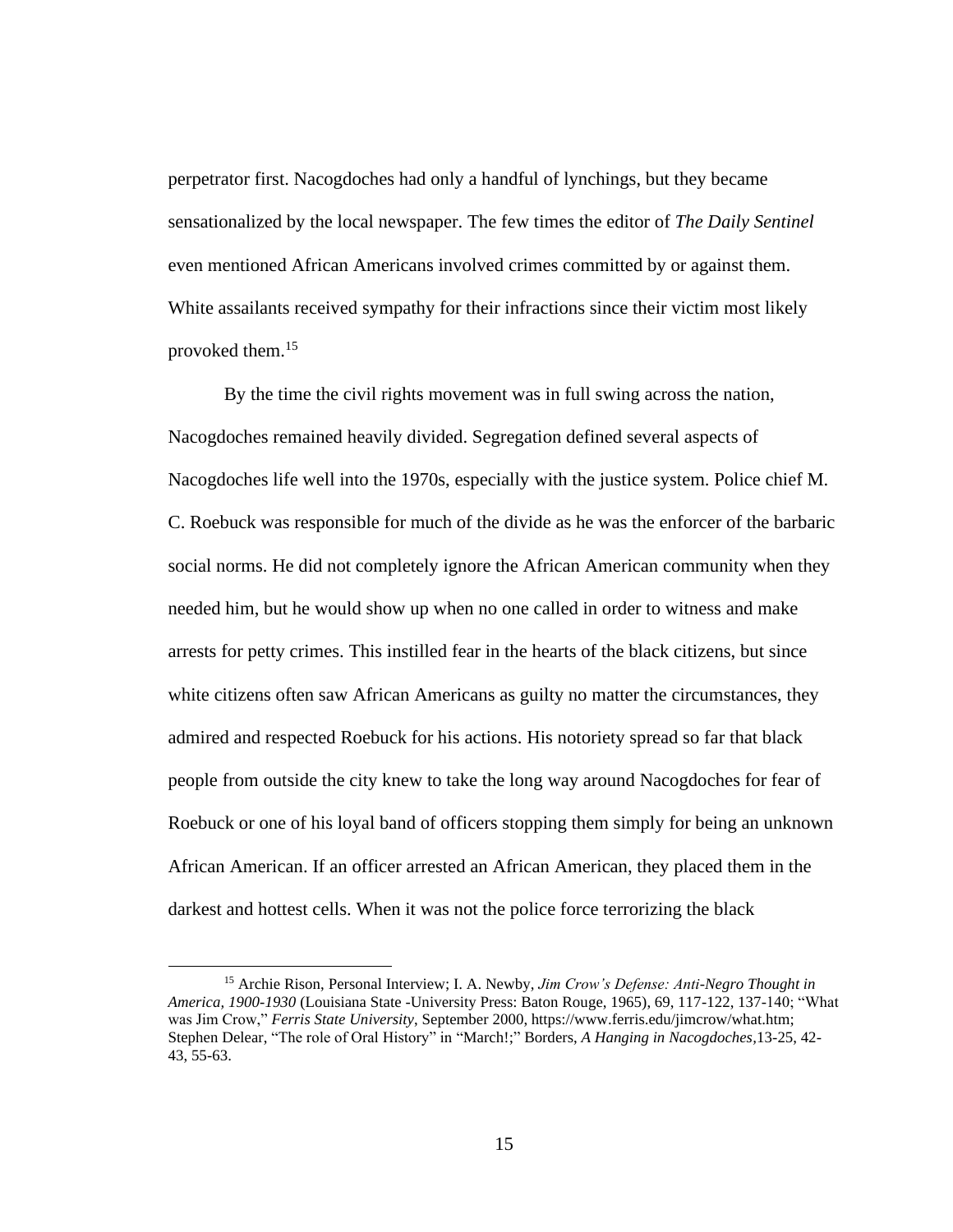perpetrator first. Nacogdoches had only a handful of lynchings, but they became sensationalized by the local newspaper. The few times the editor of *The Daily Sentinel* even mentioned African Americans involved crimes committed by or against them. White assailants received sympathy for their infractions since their victim most likely provoked them.<sup>15</sup>

By the time the civil rights movement was in full swing across the nation, Nacogdoches remained heavily divided. Segregation defined several aspects of Nacogdoches life well into the 1970s, especially with the justice system. Police chief M. C. Roebuck was responsible for much of the divide as he was the enforcer of the barbaric social norms. He did not completely ignore the African American community when they needed him, but he would show up when no one called in order to witness and make arrests for petty crimes. This instilled fear in the hearts of the black citizens, but since white citizens often saw African Americans as guilty no matter the circumstances, they admired and respected Roebuck for his actions. His notoriety spread so far that black people from outside the city knew to take the long way around Nacogdoches for fear of Roebuck or one of his loyal band of officers stopping them simply for being an unknown African American. If an officer arrested an African American, they placed them in the darkest and hottest cells. When it was not the police force terrorizing the black

<sup>15</sup> Archie Rison, Personal Interview; I. A. Newby, *Jim Crow's Defense: Anti-Negro Thought in America, 1900-1930* (Louisiana State -University Press: Baton Rouge, 1965), 69, 117-122, 137-140; "What was Jim Crow," *Ferris State University*, September 2000, https://www.ferris.edu/jimcrow/what.htm; Stephen Delear, "The role of Oral History" in "March!;" Borders, *A Hanging in Nacogdoches,*13-25, 42- 43, 55-63.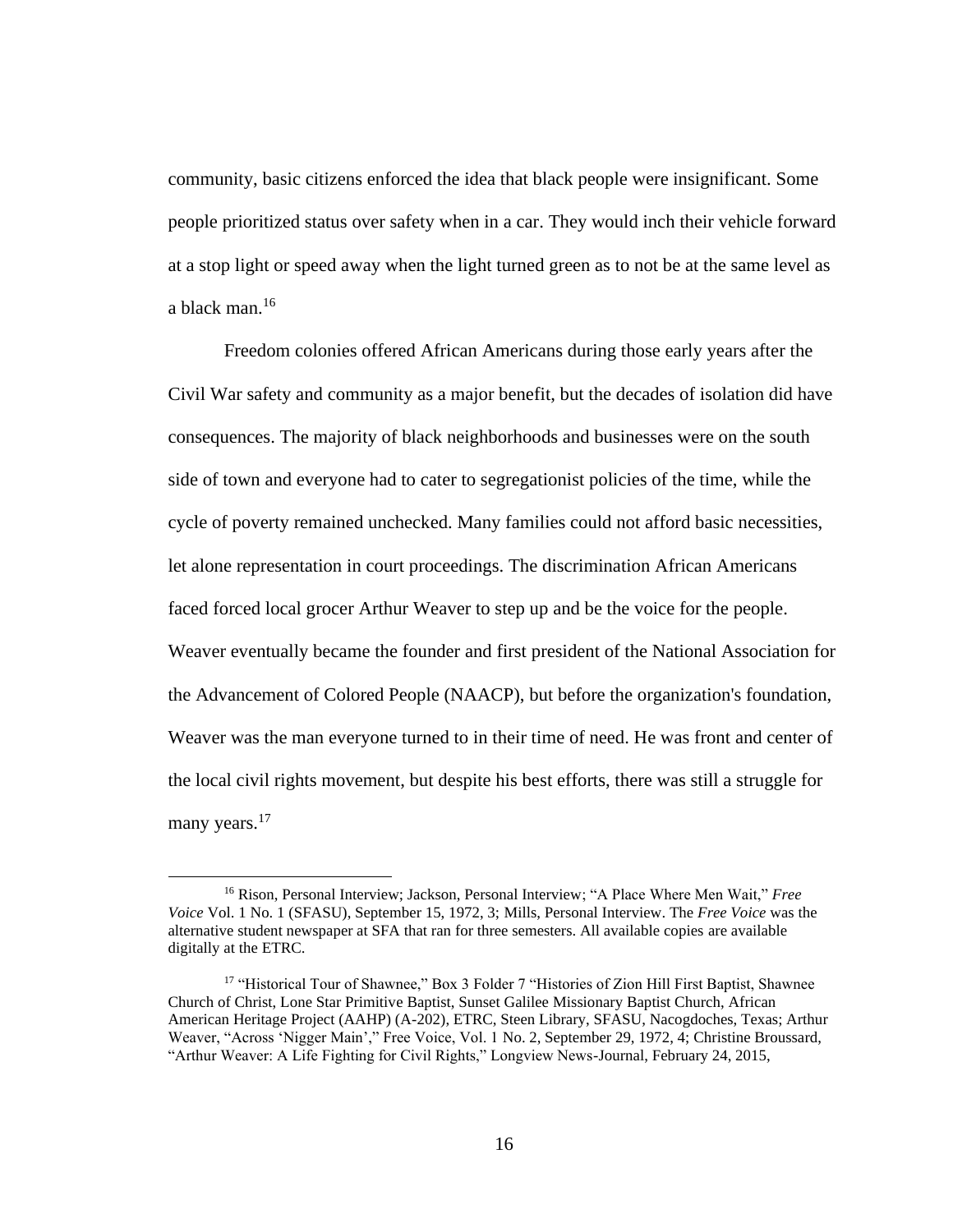community, basic citizens enforced the idea that black people were insignificant. Some people prioritized status over safety when in a car. They would inch their vehicle forward at a stop light or speed away when the light turned green as to not be at the same level as a black man.<sup>16</sup>

Freedom colonies offered African Americans during those early years after the Civil War safety and community as a major benefit, but the decades of isolation did have consequences. The majority of black neighborhoods and businesses were on the south side of town and everyone had to cater to segregationist policies of the time, while the cycle of poverty remained unchecked. Many families could not afford basic necessities, let alone representation in court proceedings. The discrimination African Americans faced forced local grocer Arthur Weaver to step up and be the voice for the people. Weaver eventually became the founder and first president of the National Association for the Advancement of Colored People (NAACP), but before the organization's foundation, Weaver was the man everyone turned to in their time of need. He was front and center of the local civil rights movement, but despite his best efforts, there was still a struggle for many years.<sup>17</sup>

<sup>16</sup> Rison, Personal Interview; Jackson, Personal Interview; "A Place Where Men Wait," *Free Voice* Vol. 1 No. 1 (SFASU), September 15, 1972, 3; Mills, Personal Interview. The *Free Voice* was the alternative student newspaper at SFA that ran for three semesters. All available copies are available digitally at the ETRC.

<sup>&</sup>lt;sup>17</sup> "Historical Tour of Shawnee," Box 3 Folder 7 "Histories of Zion Hill First Baptist, Shawnee Church of Christ, Lone Star Primitive Baptist, Sunset Galilee Missionary Baptist Church, African American Heritage Project (AAHP) (A-202), ETRC, Steen Library, SFASU, Nacogdoches, Texas; Arthur Weaver, "Across 'Nigger Main'," Free Voice, Vol. 1 No. 2, September 29, 1972, 4; Christine Broussard, "Arthur Weaver: A Life Fighting for Civil Rights," Longview News-Journal, February 24, 2015,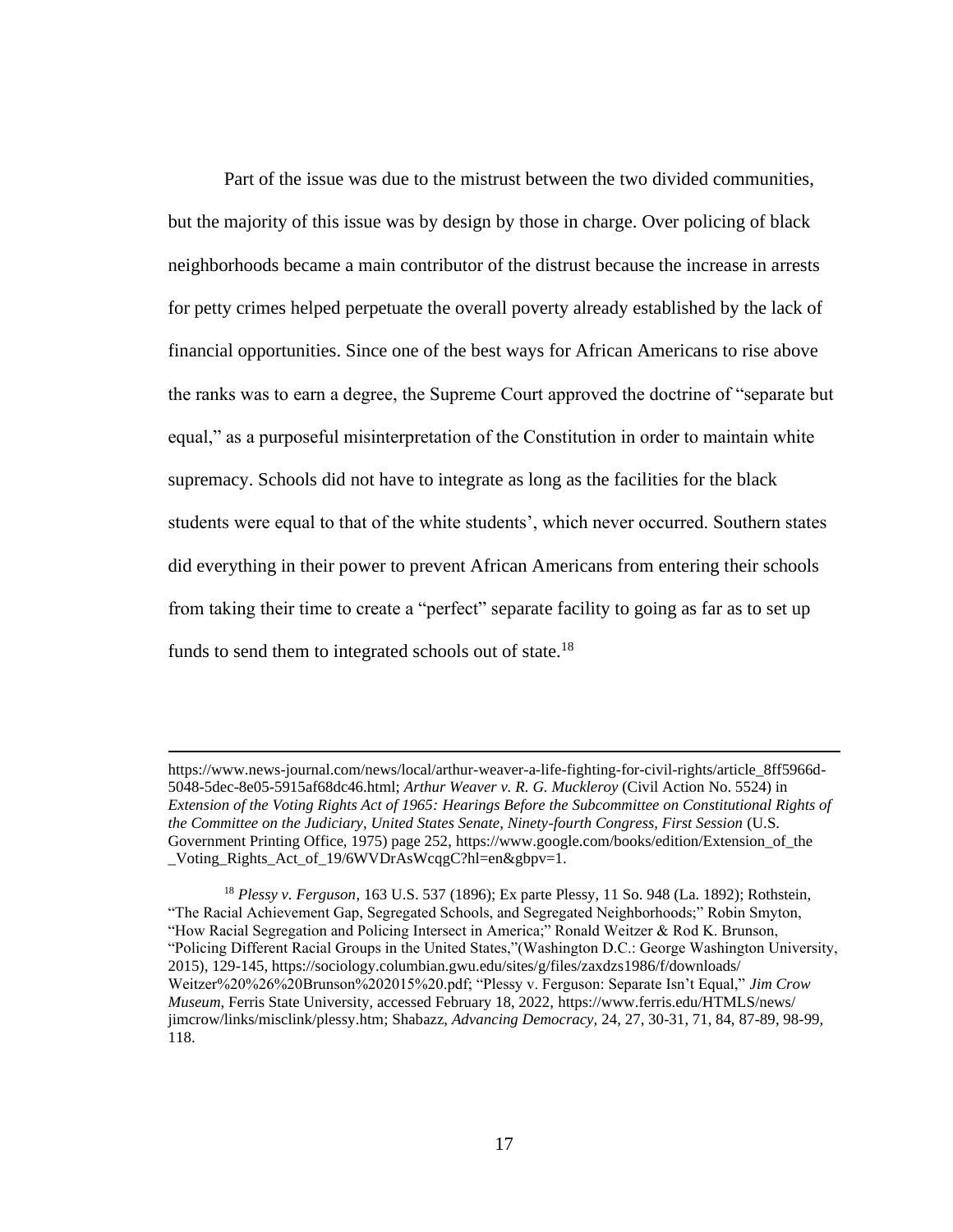Part of the issue was due to the mistrust between the two divided communities, but the majority of this issue was by design by those in charge. Over policing of black neighborhoods became a main contributor of the distrust because the increase in arrests for petty crimes helped perpetuate the overall poverty already established by the lack of financial opportunities. Since one of the best ways for African Americans to rise above the ranks was to earn a degree, the Supreme Court approved the doctrine of "separate but equal," as a purposeful misinterpretation of the Constitution in order to maintain white supremacy. Schools did not have to integrate as long as the facilities for the black students were equal to that of the white students', which never occurred. Southern states did everything in their power to prevent African Americans from entering their schools from taking their time to create a "perfect" separate facility to going as far as to set up funds to send them to integrated schools out of state.<sup>18</sup>

https://www.news-journal.com/news/local/arthur-weaver-a-life-fighting-for-civil-rights/article\_8ff5966d-5048-5dec-8e05-5915af68dc46.html; *Arthur Weaver v. R. G. Muckleroy* (Civil Action No. 5524) in *Extension of the Voting Rights Act of 1965: Hearings Before the Subcommittee on Constitutional Rights of the Committee on the Judiciary, United States Senate, Ninety-fourth Congress, First Session* (U.S. Government Printing Office, 1975) page 252, https://www.google.com/books/edition/Extension of the \_Voting\_Rights\_Act\_of\_19/6WVDrAsWcqgC?hl=en&gbpv=1.

<sup>18</sup> *Plessy v. Ferguson*, 163 U.S. 537 (1896); Ex parte Plessy, 11 So. 948 (La. 1892); Rothstein, "The Racial Achievement Gap, Segregated Schools, and Segregated Neighborhoods;" Robin Smyton, "How Racial Segregation and Policing Intersect in America;" Ronald Weitzer & Rod K. Brunson, "Policing Different Racial Groups in the United States,"(Washington D.C.: George Washington University, 2015), 129-145[, https://sociology.columbian.gwu.edu/sites/g/files/zaxdzs1986/f/downloads/](https://sociology.columbian.gwu.edu/sites/g/files/zaxdzs1986/f/downloads/) Weitzer%20%26%20Brunson%202015%20.pdf; "Plessy v. Ferguson: Separate Isn't Equal," *Jim Crow Museum*, Ferris State University, accessed February 18, 2022, [https://www.ferris.edu/HTMLS/news/](https://www.ferris.edu/HTMLS/news/%20jimcrow/links/misclink/plessy.htm)  [jimcrow/links/misclink/plessy.htm;](https://www.ferris.edu/HTMLS/news/%20jimcrow/links/misclink/plessy.htm) Shabazz, *Advancing Democracy,* 24, 27, 30-31, 71, 84, 87-89, 98-99, 118.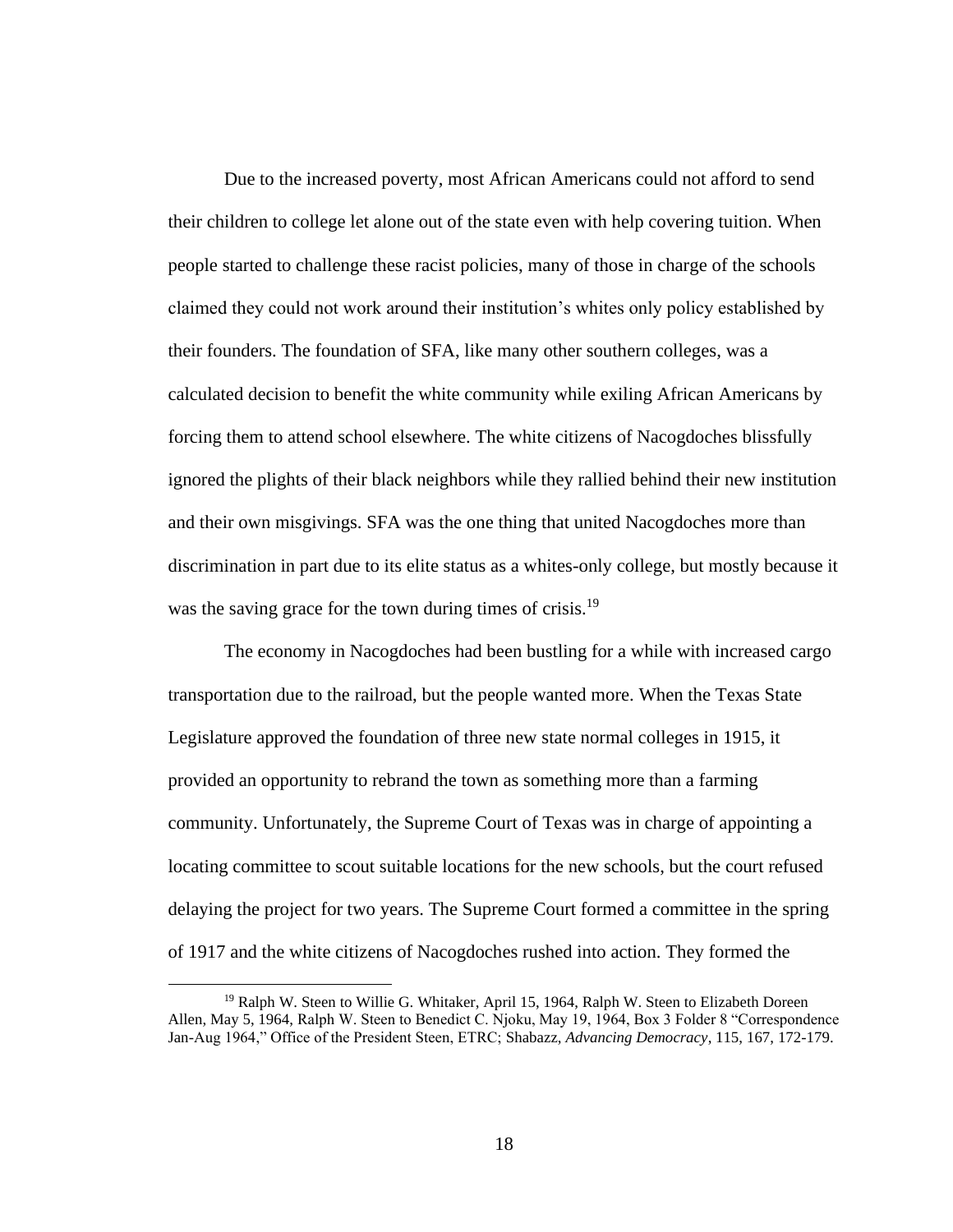Due to the increased poverty, most African Americans could not afford to send their children to college let alone out of the state even with help covering tuition. When people started to challenge these racist policies, many of those in charge of the schools claimed they could not work around their institution's whites only policy established by their founders. The foundation of SFA, like many other southern colleges, was a calculated decision to benefit the white community while exiling African Americans by forcing them to attend school elsewhere. The white citizens of Nacogdoches blissfully ignored the plights of their black neighbors while they rallied behind their new institution and their own misgivings. SFA was the one thing that united Nacogdoches more than discrimination in part due to its elite status as a whites-only college, but mostly because it was the saving grace for the town during times of crisis.<sup>19</sup>

The economy in Nacogdoches had been bustling for a while with increased cargo transportation due to the railroad, but the people wanted more. When the Texas State Legislature approved the foundation of three new state normal colleges in 1915, it provided an opportunity to rebrand the town as something more than a farming community. Unfortunately, the Supreme Court of Texas was in charge of appointing a locating committee to scout suitable locations for the new schools, but the court refused delaying the project for two years. The Supreme Court formed a committee in the spring of 1917 and the white citizens of Nacogdoches rushed into action. They formed the

<sup>&</sup>lt;sup>19</sup> Ralph W. Steen to Willie G. Whitaker, April 15, 1964, Ralph W. Steen to Elizabeth Doreen Allen, May 5, 1964, Ralph W. Steen to Benedict C. Njoku, May 19, 1964, Box 3 Folder 8 "Correspondence Jan-Aug 1964," Office of the President Steen, ETRC; Shabazz, *Advancing Democracy*, 115, 167, 172-179.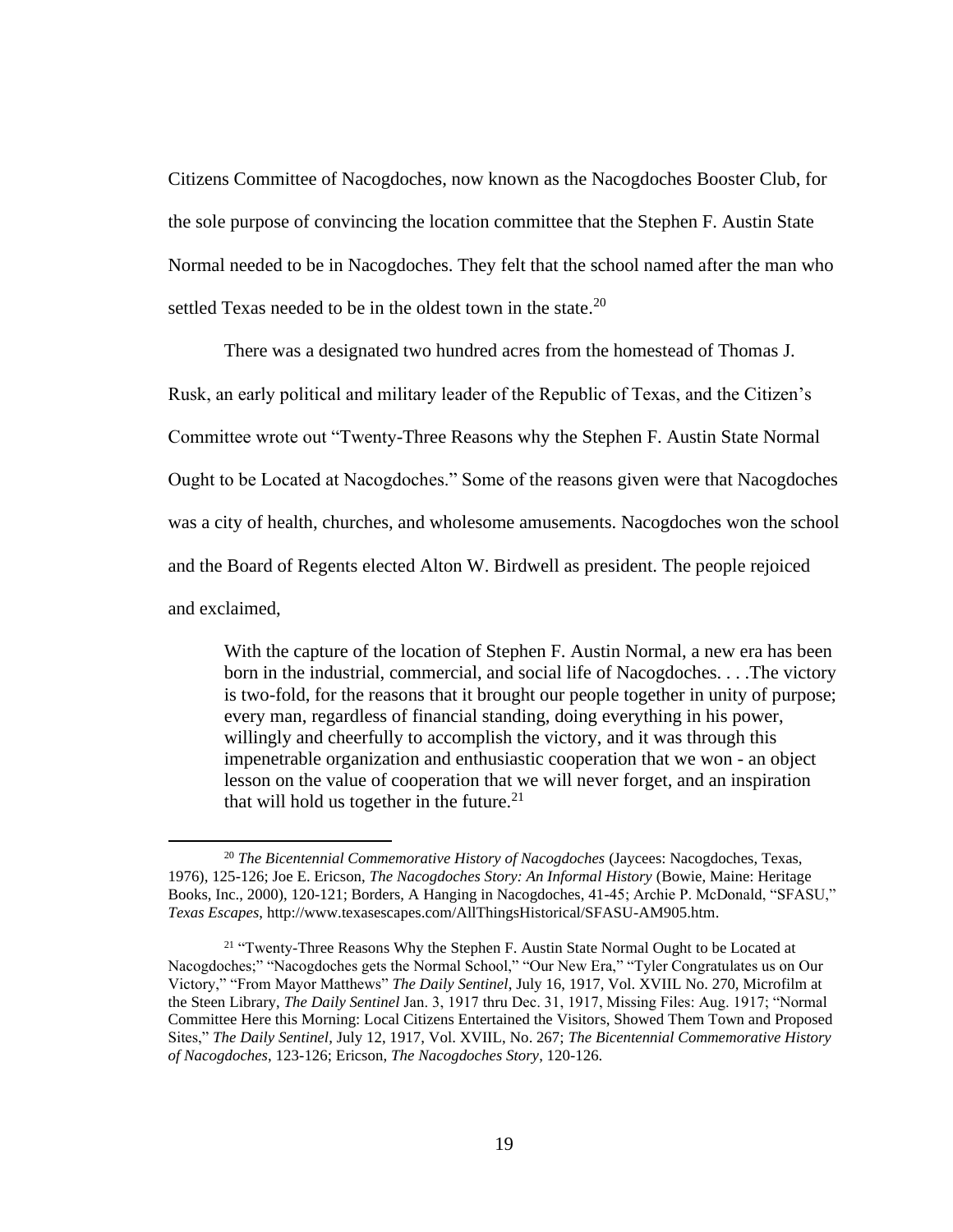Citizens Committee of Nacogdoches, now known as the Nacogdoches Booster Club, for the sole purpose of convincing the location committee that the Stephen F. Austin State Normal needed to be in Nacogdoches. They felt that the school named after the man who settled Texas needed to be in the oldest town in the state. $^{20}$ 

There was a designated two hundred acres from the homestead of Thomas J.

Rusk, an early political and military leader of the Republic of Texas, and the Citizen's

Committee wrote out "Twenty-Three Reasons why the Stephen F. Austin State Normal

Ought to be Located at Nacogdoches." Some of the reasons given were that Nacogdoches

was a city of health, churches, and wholesome amusements. Nacogdoches won the school

and the Board of Regents elected Alton W. Birdwell as president. The people rejoiced

and exclaimed,

With the capture of the location of Stephen F. Austin Normal, a new era has been born in the industrial, commercial, and social life of Nacogdoches. . . .The victory is two-fold, for the reasons that it brought our people together in unity of purpose; every man, regardless of financial standing, doing everything in his power, willingly and cheerfully to accomplish the victory, and it was through this impenetrable organization and enthusiastic cooperation that we won - an object lesson on the value of cooperation that we will never forget, and an inspiration that will hold us together in the future. $21$ 

<sup>20</sup> *The Bicentennial Commemorative History of Nacogdoches* (Jaycees: Nacogdoches, Texas, 1976), 125-126; Joe E. Ericson, *The Nacogdoches Story: An Informal History* (Bowie, Maine: Heritage Books, Inc., 2000), 120-121; Borders, A Hanging in Nacogdoches, 41-45; Archie P. McDonald, "SFASU," *Texas Escapes*, http://www.texasescapes.com/AllThingsHistorical/SFASU-AM905.htm.

<sup>&</sup>lt;sup>21</sup> "Twenty-Three Reasons Why the Stephen F. Austin State Normal Ought to be Located at Nacogdoches;" "Nacogdoches gets the Normal School," "Our New Era," "Tyler Congratulates us on Our Victory," "From Mayor Matthews" *The Daily Sentinel*, July 16, 1917, Vol. XVIIL No. 270, Microfilm at the Steen Library, *The Daily Sentinel* Jan. 3, 1917 thru Dec. 31, 1917, Missing Files: Aug. 1917; "Normal Committee Here this Morning: Local Citizens Entertained the Visitors, Showed Them Town and Proposed Sites," *The Daily Sentinel*, July 12, 1917, Vol. XVIIL, No. 267; *The Bicentennial Commemorative History of Nacogdoches*, 123-126; Ericson, *The Nacogdoches Story*, 120-126.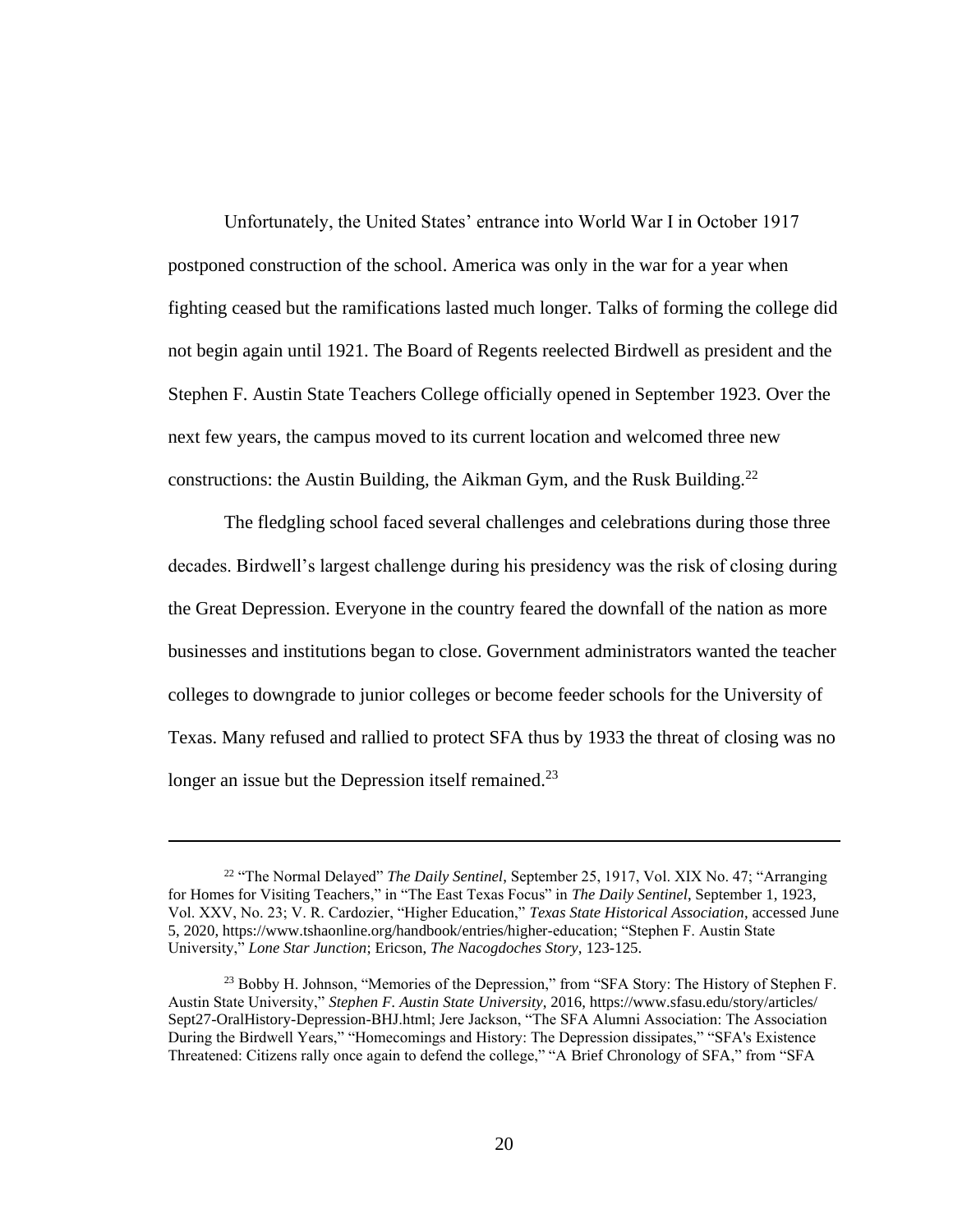Unfortunately, the United States' entrance into World War I in October 1917 postponed construction of the school. America was only in the war for a year when fighting ceased but the ramifications lasted much longer. Talks of forming the college did not begin again until 1921. The Board of Regents reelected Birdwell as president and the Stephen F. Austin State Teachers College officially opened in September 1923. Over the next few years, the campus moved to its current location and welcomed three new constructions: the Austin Building, the Aikman Gym, and the Rusk Building.<sup>22</sup>

The fledgling school faced several challenges and celebrations during those three decades. Birdwell's largest challenge during his presidency was the risk of closing during the Great Depression. Everyone in the country feared the downfall of the nation as more businesses and institutions began to close. Government administrators wanted the teacher colleges to downgrade to junior colleges or become feeder schools for the University of Texas. Many refused and rallied to protect SFA thus by 1933 the threat of closing was no longer an issue but the Depression itself remained.<sup>23</sup>

<sup>22</sup> "The Normal Delayed" *The Daily Sentinel*, September 25, 1917, Vol. XIX No. 47; "Arranging for Homes for Visiting Teachers," in "The East Texas Focus" in *The Daily Sentinel*, September 1, 1923, Vol. XXV, No. 23; V. R. Cardozier, "Higher Education," *Texas State Historical Association*, accessed June 5, 2020, [https://www.tshaonline.org/handbook/e](https://www.tshaonline.org/handbook/)ntries/higher-education; "Stephen F. Austin State University," *Lone Star Junction*; Ericson, *The Nacogdoches Story*, 123-125.

<sup>&</sup>lt;sup>23</sup> Bobby H. Johnson, "Memories of the Depression," from "SFA Story: The History of Stephen F. Austin State University," *Stephen F. Austin State University*, 2016,<https://www.sfasu.edu/story/articles/> Sept27-OralHistory-Depression-BHJ.html; Jere Jackson, "The SFA Alumni Association: The Association During the Birdwell Years," "Homecomings and History: The Depression dissipates," "SFA's Existence Threatened: Citizens rally once again to defend the college," "A Brief Chronology of SFA," from "SFA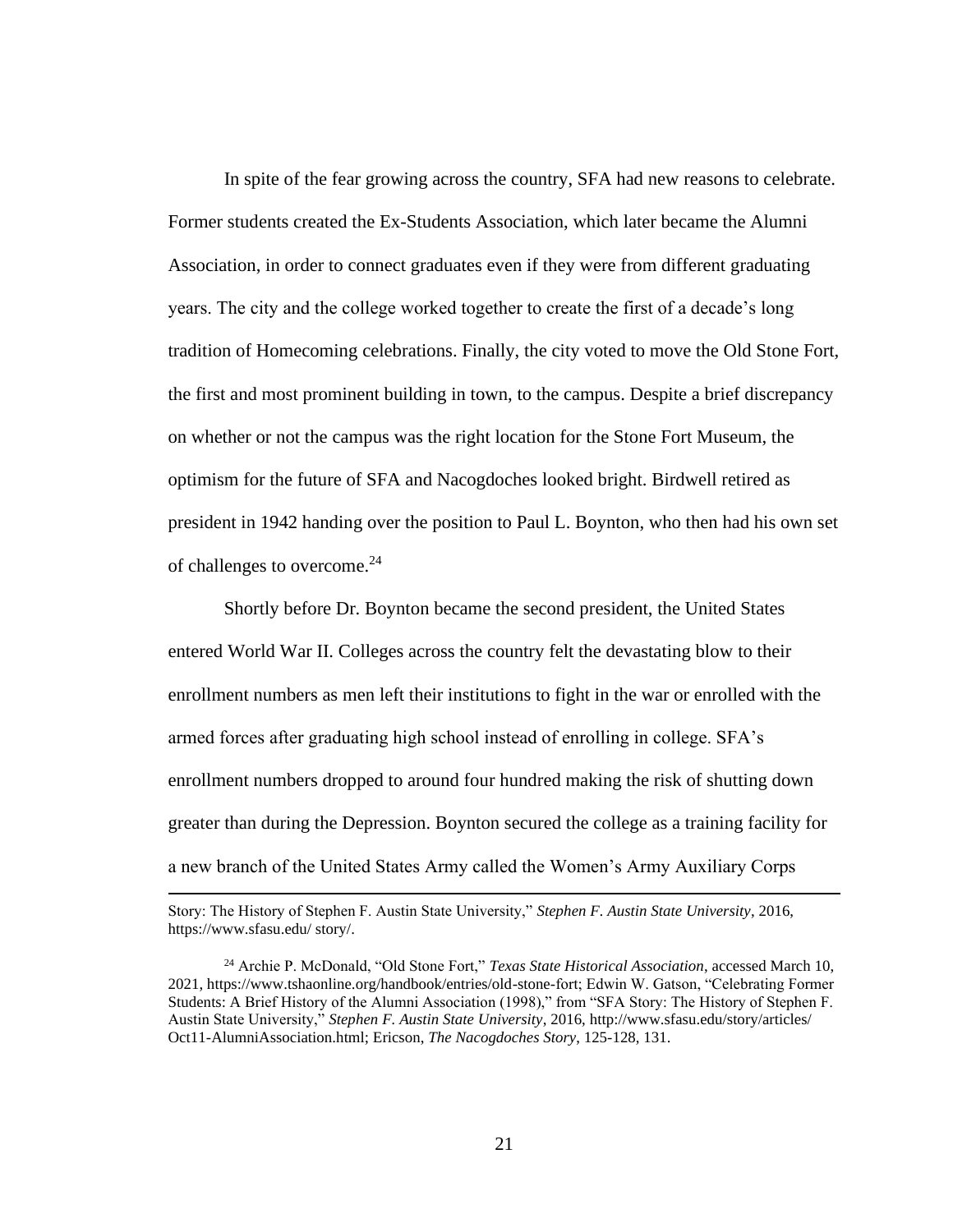In spite of the fear growing across the country, SFA had new reasons to celebrate. Former students created the Ex-Students Association, which later became the Alumni Association, in order to connect graduates even if they were from different graduating years. The city and the college worked together to create the first of a decade's long tradition of Homecoming celebrations. Finally, the city voted to move the Old Stone Fort, the first and most prominent building in town, to the campus. Despite a brief discrepancy on whether or not the campus was the right location for the Stone Fort Museum, the optimism for the future of SFA and Nacogdoches looked bright. Birdwell retired as president in 1942 handing over the position to Paul L. Boynton, who then had his own set of challenges to overcome.<sup>24</sup>

Shortly before Dr. Boynton became the second president, the United States entered World War II. Colleges across the country felt the devastating blow to their enrollment numbers as men left their institutions to fight in the war or enrolled with the armed forces after graduating high school instead of enrolling in college. SFA's enrollment numbers dropped to around four hundred making the risk of shutting down greater than during the Depression. Boynton secured the college as a training facility for a new branch of the United States Army called the Women's Army Auxiliary Corps

Story: The History of Stephen F. Austin State University," *Stephen F. Austin State University*, 2016, https://www.sfasu.edu/ story/.

<sup>24</sup> Archie P. McDonald, "Old Stone Fort," *Texas State Historical Association*, accessed March 10, 2021, https://www.tshaonline.org/handbook/entries/old-stone-fort; Edwin W. Gatson, "Celebrating Former Students: A Brief History of the Alumni Association (1998)," from "SFA Story: The History of Stephen F. Austin State University," *Stephen F. Austin State University*, 2016, [http://www.sfasu.edu/story/articles/](http://www.sfasu.edu/story/articles/%20Oct11-AlumniAssociation.html)  [Oct11-AlumniAssociation.html;](http://www.sfasu.edu/story/articles/%20Oct11-AlumniAssociation.html) Ericson, *The Nacogdoches Story*, 125-128, 131.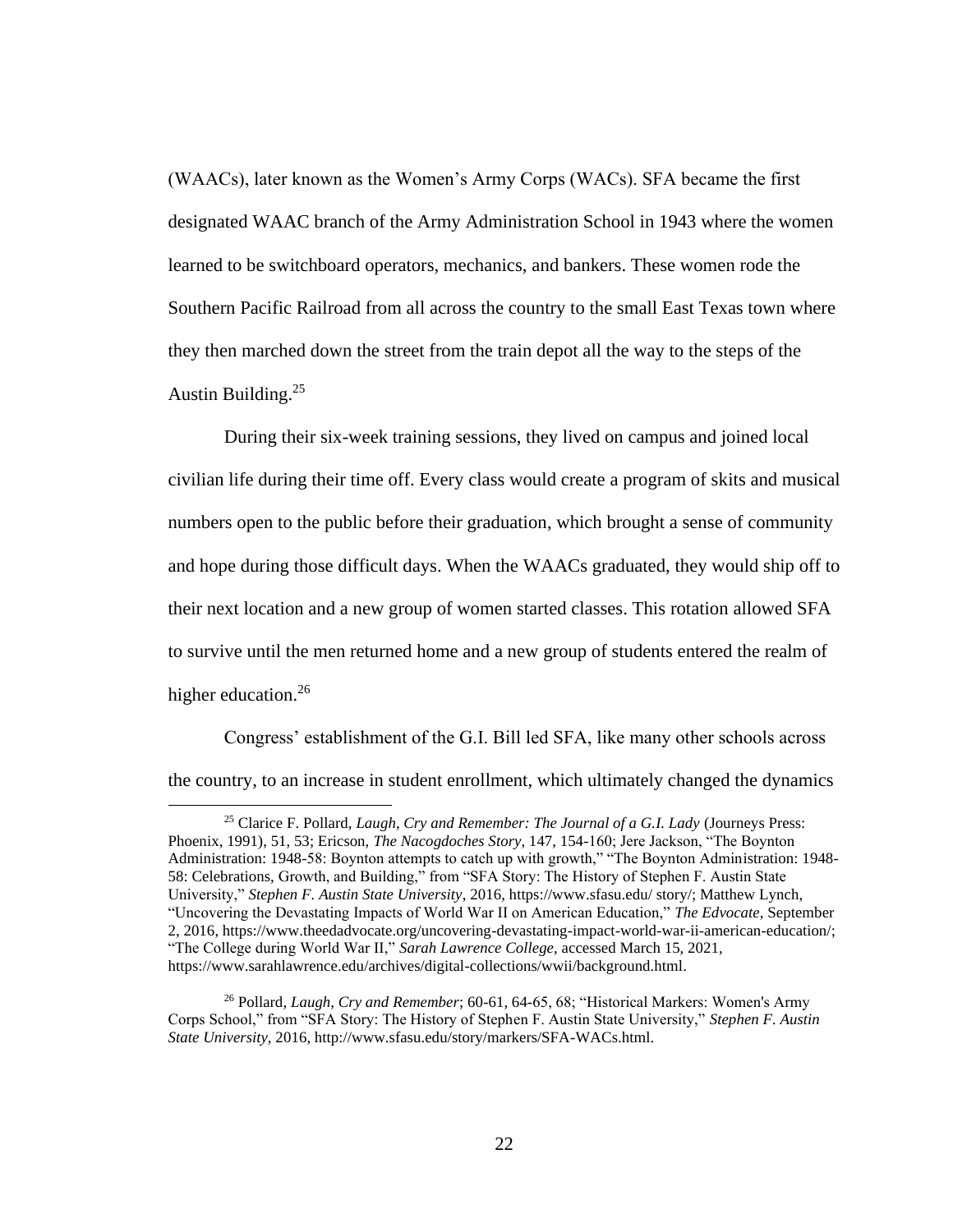(WAACs), later known as the Women's Army Corps (WACs). SFA became the first designated WAAC branch of the Army Administration School in 1943 where the women learned to be switchboard operators, mechanics, and bankers. These women rode the Southern Pacific Railroad from all across the country to the small East Texas town where they then marched down the street from the train depot all the way to the steps of the Austin Building.<sup>25</sup>

During their six-week training sessions, they lived on campus and joined local civilian life during their time off. Every class would create a program of skits and musical numbers open to the public before their graduation, which brought a sense of community and hope during those difficult days. When the WAACs graduated, they would ship off to their next location and a new group of women started classes. This rotation allowed SFA to survive until the men returned home and a new group of students entered the realm of higher education.<sup>26</sup>

Congress' establishment of the G.I. Bill led SFA, like many other schools across the country, to an increase in student enrollment, which ultimately changed the dynamics

<sup>25</sup> Clarice F. Pollard, *Laugh, Cry and Remember: The Journal of a G.I. Lady* (Journeys Press: Phoenix, 1991), 51, 53; Ericson, *The Nacogdoches Story*, 147, 154-160; Jere Jackson, "The Boynton Administration: 1948-58: Boynton attempts to catch up with growth," "The Boynton Administration: 1948- 58: Celebrations, Growth, and Building," from "SFA Story: The History of Stephen F. Austin State University," *Stephen F. Austin State University*, 2016, https://www.sfasu.edu/ story/; Matthew Lynch, "Uncovering the Devastating Impacts of World War II on American Education," *The Edvocate*, September 2, 2016, [https://www.theedadvocate.org/uncovering-devastating-impact-world-war-ii-american-education/;](https://www.theedadvocate.org/uncovering-devastating-impact-world-war-ii-american-education/) "The College during World War II," *Sarah Lawrence College*, accessed March 15, 2021, [https://www.sarahlawrence.edu/archives/digital-collections/wwii/background.html.](https://www.sarahlawrence.edu/archives/digital-collections/wwii/background.html)

<sup>26</sup> Pollard, *Laugh, Cry and Remember*; 60-61, 64-65, 68; "Historical Markers: Women's Army Corps School," from "SFA Story: The History of Stephen F. Austin State University," *Stephen F. Austin State University,* 2016, http://www.sfasu.edu/story/markers/SFA-WACs.html.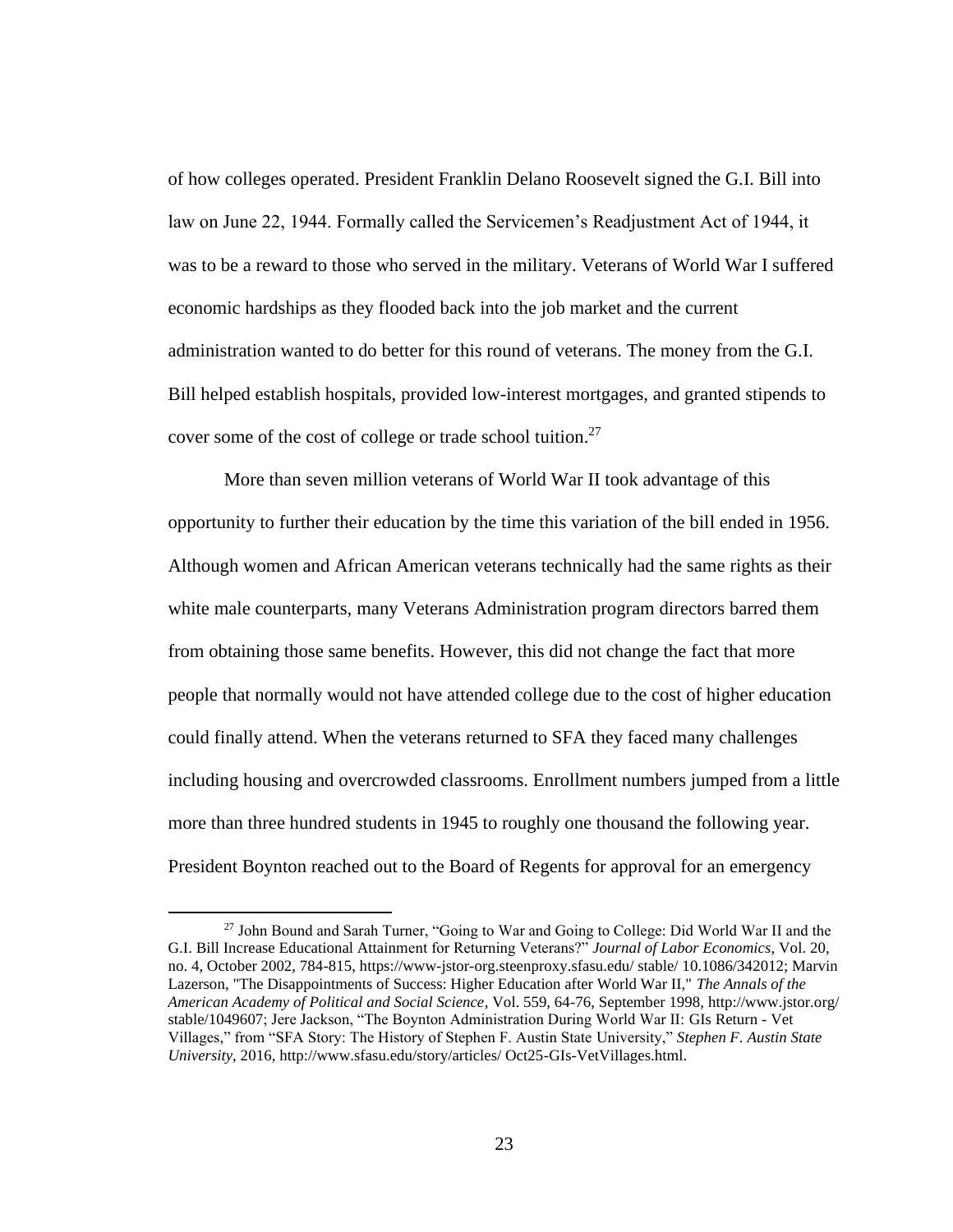of how colleges operated. President Franklin Delano Roosevelt signed the G.I. Bill into law on June 22, 1944. Formally called the Servicemen's Readjustment Act of 1944, it was to be a reward to those who served in the military. Veterans of World War I suffered economic hardships as they flooded back into the job market and the current administration wanted to do better for this round of veterans. The money from the G.I. Bill helped establish hospitals, provided low-interest mortgages, and granted stipends to cover some of the cost of college or trade school tuition.<sup>27</sup>

More than seven million veterans of World War II took advantage of this opportunity to further their education by the time this variation of the bill ended in 1956. Although women and African American veterans technically had the same rights as their white male counterparts, many Veterans Administration program directors barred them from obtaining those same benefits. However, this did not change the fact that more people that normally would not have attended college due to the cost of higher education could finally attend. When the veterans returned to SFA they faced many challenges including housing and overcrowded classrooms. Enrollment numbers jumped from a little more than three hundred students in 1945 to roughly one thousand the following year. President Boynton reached out to the Board of Regents for approval for an emergency

<sup>27</sup> John Bound and Sarah Turner, "Going to War and Going to College: Did World War II and the G.I. Bill Increase Educational Attainment for Returning Veterans?" *Journal of Labor Economics*, Vol. 20, no. 4, October 2002, 784-815, https://www-jstor-org.steenproxy.sfasu.edu/ stable/ 10.1086/342012; Marvin Lazerson, "The Disappointments of Success: Higher Education after World War II," *The Annals of the American Academy of Political and Social Science*, Vol. 559, 64-76, September 1998, [http://www.jstor.org/](http://www.jstor.org/%20stable/1049607)  [stable/1049607;](http://www.jstor.org/%20stable/1049607) Jere Jackson, "The Boynton Administration During World War II: GIs Return - Vet Villages," from "SFA Story: The History of Stephen F. Austin State University," *Stephen F. Austin State University*, 2016, http://www.sfasu.edu/story/articles/ Oct25-GIs-VetVillages.html.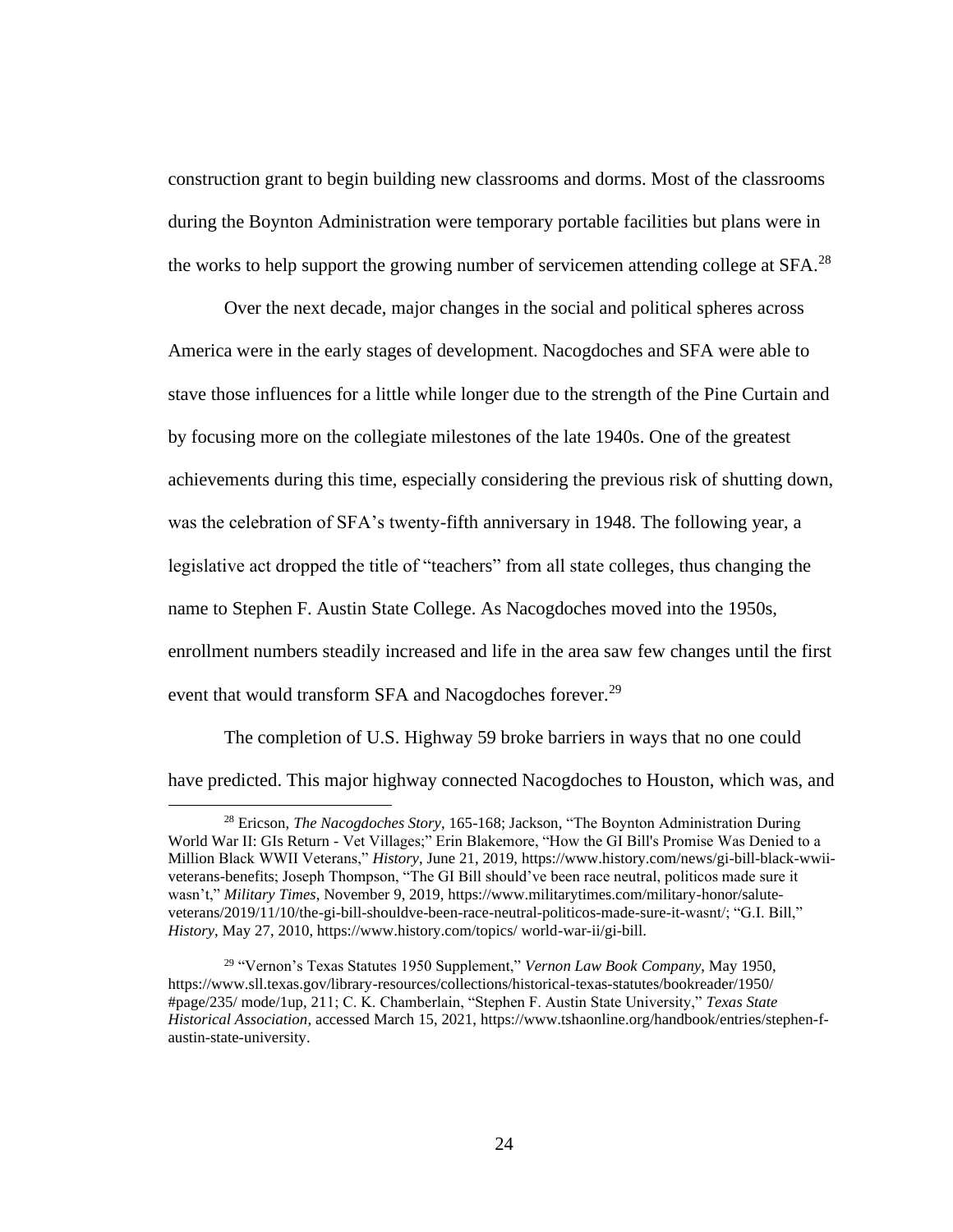construction grant to begin building new classrooms and dorms. Most of the classrooms during the Boynton Administration were temporary portable facilities but plans were in the works to help support the growing number of servicemen attending college at SFA.<sup>28</sup>

Over the next decade, major changes in the social and political spheres across America were in the early stages of development. Nacogdoches and SFA were able to stave those influences for a little while longer due to the strength of the Pine Curtain and by focusing more on the collegiate milestones of the late 1940s. One of the greatest achievements during this time, especially considering the previous risk of shutting down, was the celebration of SFA's twenty-fifth anniversary in 1948. The following year, a legislative act dropped the title of "teachers" from all state colleges, thus changing the name to Stephen F. Austin State College. As Nacogdoches moved into the 1950s, enrollment numbers steadily increased and life in the area saw few changes until the first event that would transform SFA and Nacogdoches forever.<sup>29</sup>

The completion of U.S. Highway 59 broke barriers in ways that no one could have predicted. This major highway connected Nacogdoches to Houston, which was, and

<sup>28</sup> Ericson, *The Nacogdoches Story*, 165-168; Jackson, "The Boynton Administration During World War II: GIs Return - Vet Villages;" Erin Blakemore, "How the GI Bill's Promise Was Denied to a Million Black WWII Veterans," *History*, June 21, 2019, [https://www.history.com/news/gi-bill-black-wwii](https://www.history.com/news/gi-bill-black-wwii-veterans-benefits)[veterans-benefits;](https://www.history.com/news/gi-bill-black-wwii-veterans-benefits) Joseph Thompson, "The GI Bill should've been race neutral, politicos made sure it wasn't," *Military Times*, November 9, 2019, https://www.militarytimes.com/military-honor/saluteveterans/2019/11/10/the-gi-bill-shouldve-been-race-neutral-politicos-made-sure-it-wasnt/; "G.I. Bill," *History*, May 27, 2010, https://www.history.com/topics/ world-war-ii/gi-bill.

<sup>29</sup> "Vernon's Texas Statutes 1950 Supplement," *Vernon Law Book Company*, May 1950, <https://www.sll.texas.gov/library-resources/collections/historical-texas-statutes/bookreader/1950/> #page/235/ mode/1up, 211; C. K. Chamberlain, "Stephen F. Austin State University," *Texas State Historical Association*, accessed March 15, 2021, [https://www.tshaonline.org/handbook/entries/stephen-f](https://www.tshaonline.org/handbook/entries/stephen-f-austin-state-university)[austin-state-university.](https://www.tshaonline.org/handbook/entries/stephen-f-austin-state-university)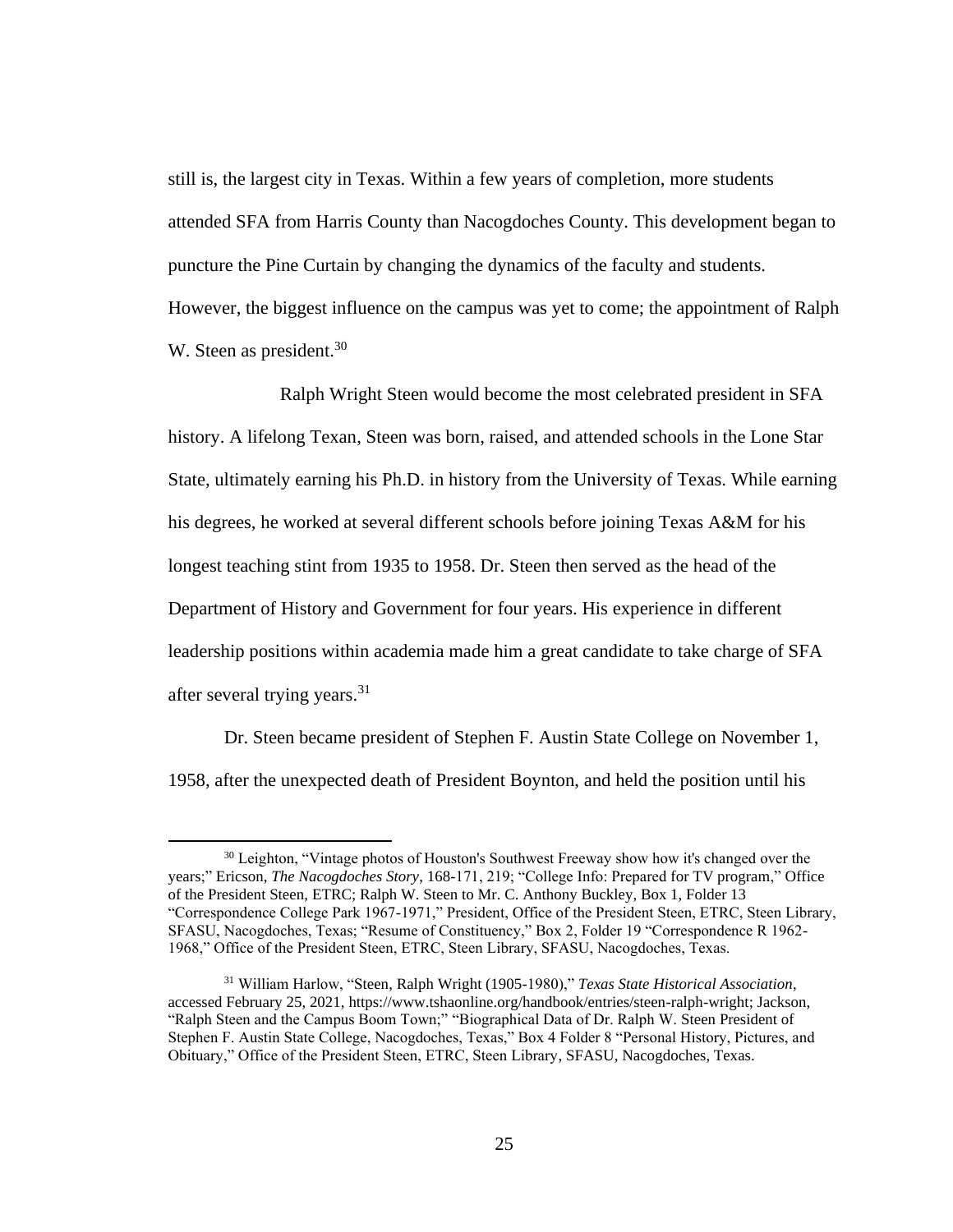still is, the largest city in Texas. Within a few years of completion, more students attended SFA from Harris County than Nacogdoches County. This development began to puncture the Pine Curtain by changing the dynamics of the faculty and students. However, the biggest influence on the campus was yet to come; the appointment of Ralph W. Steen as president.<sup>30</sup>

Ralph Wright Steen would become the most celebrated president in SFA history. A lifelong Texan, Steen was born, raised, and attended schools in the Lone Star State, ultimately earning his Ph.D. in history from the University of Texas. While earning his degrees, he worked at several different schools before joining Texas A&M for his longest teaching stint from 1935 to 1958. Dr. Steen then served as the head of the Department of History and Government for four years. His experience in different leadership positions within academia made him a great candidate to take charge of SFA after several trying years.<sup>31</sup>

Dr. Steen became president of Stephen F. Austin State College on November 1, 1958, after the unexpected death of President Boynton, and held the position until his

<sup>&</sup>lt;sup>30</sup> Leighton, "Vintage photos of Houston's Southwest Freeway show how it's changed over the years;" Ericson, *The Nacogdoches Story*, 168-171, 219; "College Info: Prepared for TV program," Office of the President Steen, ETRC; Ralph W. Steen to Mr. C. Anthony Buckley, Box 1, Folder 13 "Correspondence College Park 1967-1971," President, Office of the President Steen, ETRC, Steen Library, SFASU, Nacogdoches, Texas; "Resume of Constituency," Box 2, Folder 19 "Correspondence R 1962- 1968," Office of the President Steen, ETRC, Steen Library, SFASU, Nacogdoches, Texas.

<sup>31</sup> William Harlow, "Steen, Ralph Wright (1905-1980)," *Texas State Historical Association*, accessed February 25, 2021, [https://www.tshaonline.org/handbook/entries/steen-ralph-wright;](https://www.tshaonline.org/handbook/entries/steen-ralph-wright) Jackson, "Ralph Steen and the Campus Boom Town;" "Biographical Data of Dr. Ralph W. Steen President of Stephen F. Austin State College, Nacogdoches, Texas," Box 4 Folder 8 "Personal History, Pictures, and Obituary," Office of the President Steen, ETRC, Steen Library, SFASU, Nacogdoches, Texas.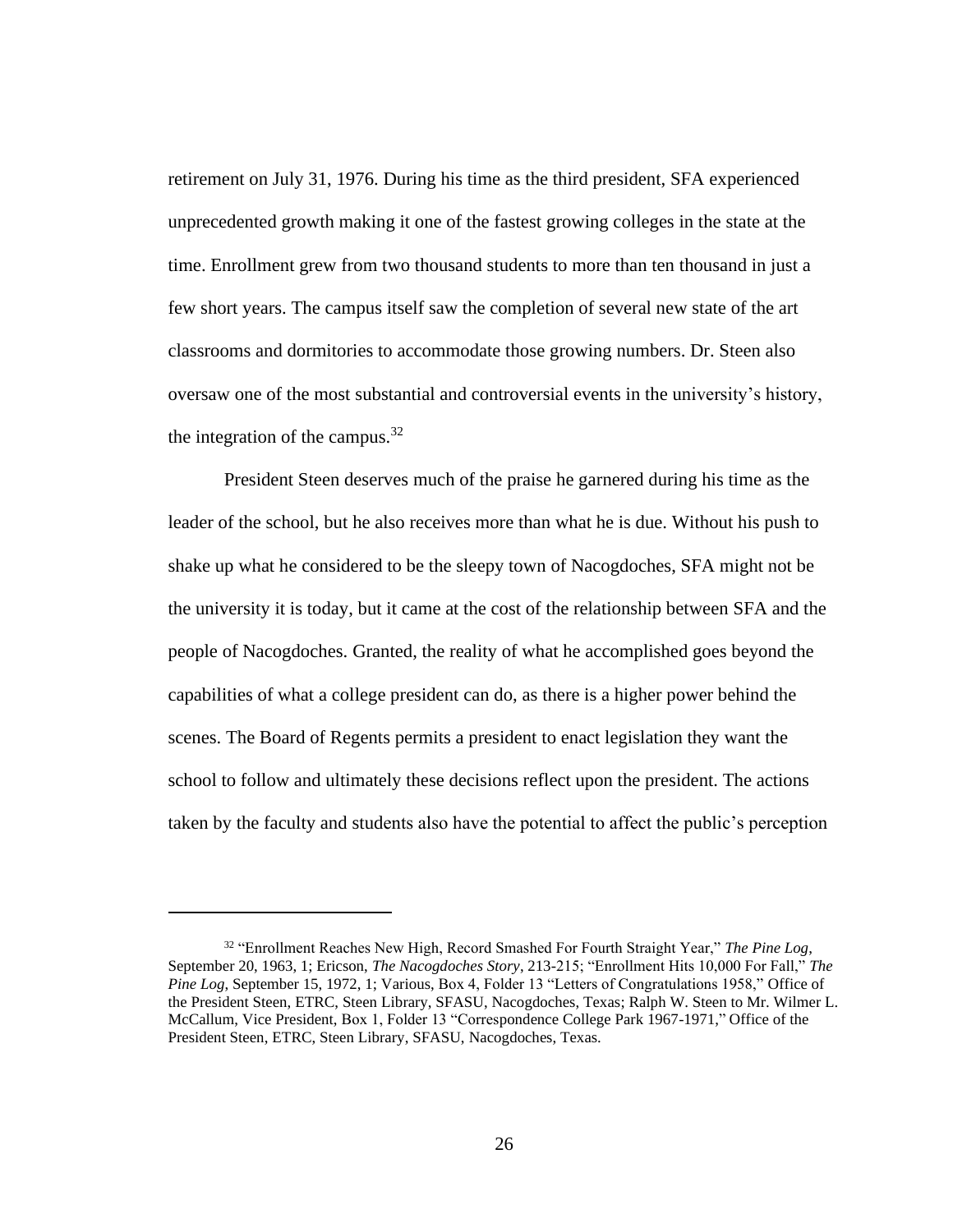retirement on July 31, 1976. During his time as the third president, SFA experienced unprecedented growth making it one of the fastest growing colleges in the state at the time. Enrollment grew from two thousand students to more than ten thousand in just a few short years. The campus itself saw the completion of several new state of the art classrooms and dormitories to accommodate those growing numbers. Dr. Steen also oversaw one of the most substantial and controversial events in the university's history, the integration of the campus.<sup>32</sup>

President Steen deserves much of the praise he garnered during his time as the leader of the school, but he also receives more than what he is due. Without his push to shake up what he considered to be the sleepy town of Nacogdoches, SFA might not be the university it is today, but it came at the cost of the relationship between SFA and the people of Nacogdoches. Granted, the reality of what he accomplished goes beyond the capabilities of what a college president can do, as there is a higher power behind the scenes. The Board of Regents permits a president to enact legislation they want the school to follow and ultimately these decisions reflect upon the president. The actions taken by the faculty and students also have the potential to affect the public's perception

<sup>32</sup> "Enrollment Reaches New High, Record Smashed For Fourth Straight Year," *The Pine Log*, September 20, 1963, 1; Ericson, *The Nacogdoches Story*, 213-215; "Enrollment Hits 10,000 For Fall," *The Pine Log*, September 15, 1972, 1; Various, Box 4, Folder 13 "Letters of Congratulations 1958," Office of the President Steen, ETRC, Steen Library, SFASU, Nacogdoches, Texas; Ralph W. Steen to Mr. Wilmer L. McCallum, Vice President, Box 1, Folder 13 "Correspondence College Park 1967-1971," Office of the President Steen, ETRC, Steen Library, SFASU, Nacogdoches, Texas.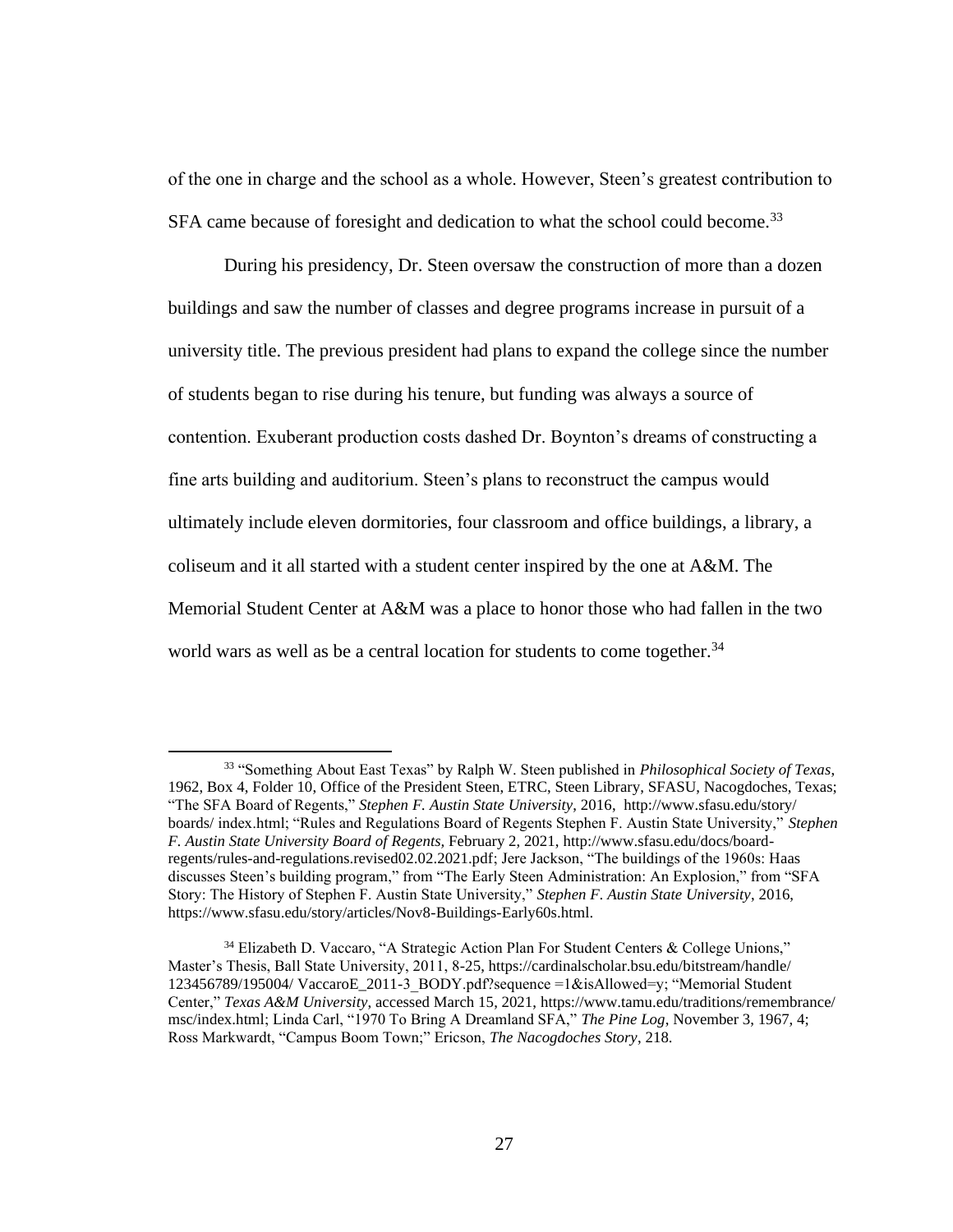of the one in charge and the school as a whole. However, Steen's greatest contribution to SFA came because of foresight and dedication to what the school could become.<sup>33</sup>

During his presidency, Dr. Steen oversaw the construction of more than a dozen buildings and saw the number of classes and degree programs increase in pursuit of a university title. The previous president had plans to expand the college since the number of students began to rise during his tenure, but funding was always a source of contention. Exuberant production costs dashed Dr. Boynton's dreams of constructing a fine arts building and auditorium. Steen's plans to reconstruct the campus would ultimately include eleven dormitories, four classroom and office buildings, a library, a coliseum and it all started with a student center inspired by the one at A&M. The Memorial Student Center at A&M was a place to honor those who had fallen in the two world wars as well as be a central location for students to come together.<sup>34</sup>

<sup>33</sup> "Something About East Texas" by Ralph W. Steen published in *Philosophical Society of Texas*, 1962, Box 4, Folder 10, Office of the President Steen, ETRC, Steen Library, SFASU, Nacogdoches, Texas; "The SFA Board of Regents," *Stephen F. Austin State University*, 2016, [http://www.sfasu.edu/story/](http://www.sfasu.edu/story/%20boards/)  [boards/](http://www.sfasu.edu/story/%20boards/) index.html; "Rules and Regulations Board of Regents Stephen F. Austin State University," *Stephen F. Austin State University Board of Regents,* February 2, 2021, [http://www.sfasu.edu/docs/board](http://www.sfasu.edu/docs/board-regents/rules-and-regulations.revised02.02.2021.pdf)[regents/rules-and-regulations.revised02.02.2021.pdf;](http://www.sfasu.edu/docs/board-regents/rules-and-regulations.revised02.02.2021.pdf) Jere Jackson, "The buildings of the 1960s: Haas discusses Steen's building program," from "The Early Steen Administration: An Explosion," from "SFA Story: The History of Stephen F. Austin State University," *Stephen F. Austin State University*, 2016, [https://www.sfasu.edu/story/articles/Nov8-Buildings-Early60s.html.](https://www.sfasu.edu/story/articles/Nov8-Buildings-Early60s.html)

<sup>&</sup>lt;sup>34</sup> Elizabeth D. Vaccaro, "A Strategic Action Plan For Student Centers & College Unions," Master's Thesis, Ball State University, 2011, 8-25, [https://cardinalscholar.bsu.edu/bitstream/handle/](https://cardinalscholar.bsu.edu/bitstream/handle/%20123456789/195004/)  [123456789/195004/](https://cardinalscholar.bsu.edu/bitstream/handle/%20123456789/195004/) VaccaroE\_2011-3\_BODY.pdf?sequence =1&isAllowed=y; "Memorial Student Center," *Texas A&M University*, accessed March 15, 2021, [https://www.tamu.edu/traditions/remembrance/](https://www.tamu.edu/traditions/remembrance/%20msc/index.html)  [msc/index.html;](https://www.tamu.edu/traditions/remembrance/%20msc/index.html) Linda Carl, "1970 To Bring A Dreamland SFA," *The Pine Log*, November 3, 1967, 4; Ross Markwardt, "Campus Boom Town;" Ericson, *The Nacogdoches Story*, 218.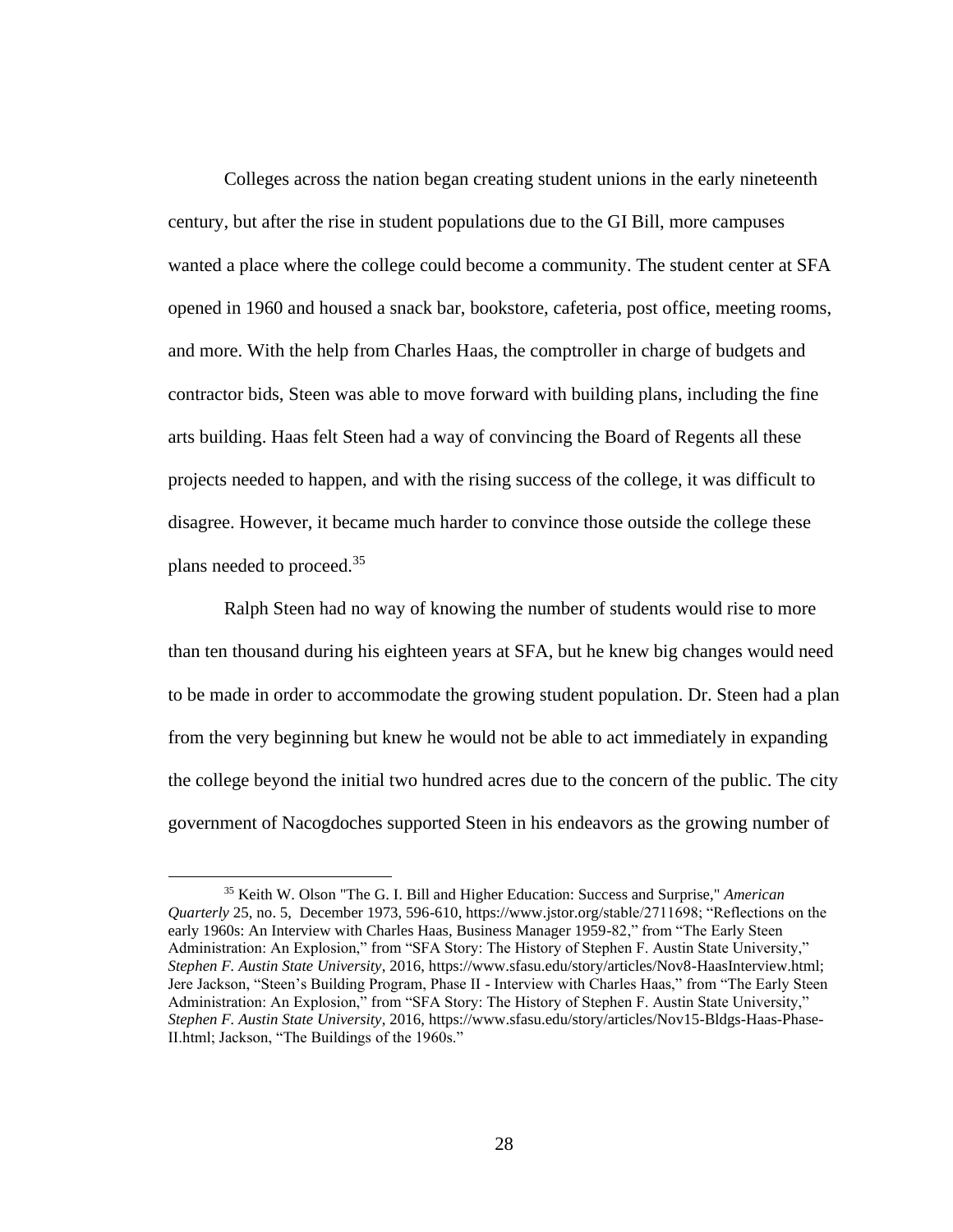Colleges across the nation began creating student unions in the early nineteenth century, but after the rise in student populations due to the GI Bill, more campuses wanted a place where the college could become a community. The student center at SFA opened in 1960 and housed a snack bar, bookstore, cafeteria, post office, meeting rooms, and more. With the help from Charles Haas, the comptroller in charge of budgets and contractor bids, Steen was able to move forward with building plans, including the fine arts building. Haas felt Steen had a way of convincing the Board of Regents all these projects needed to happen, and with the rising success of the college, it was difficult to disagree. However, it became much harder to convince those outside the college these plans needed to proceed.<sup>35</sup>

Ralph Steen had no way of knowing the number of students would rise to more than ten thousand during his eighteen years at SFA, but he knew big changes would need to be made in order to accommodate the growing student population. Dr. Steen had a plan from the very beginning but knew he would not be able to act immediately in expanding the college beyond the initial two hundred acres due to the concern of the public. The city government of Nacogdoches supported Steen in his endeavors as the growing number of

<sup>35</sup> Keith W. Olson "The G. I. Bill and Higher Education: Success and Surprise," *American Quarterly* 25, no. 5, December 1973, 596-610, https://www.jstor.org/stable/2711698; "Reflections on the early 1960s: An Interview with Charles Haas, Business Manager 1959-82," from "The Early Steen Administration: An Explosion," from "SFA Story: The History of Stephen F. Austin State University," *Stephen F. Austin State University*, 2016, https://www.sfasu.edu/story/articles/Nov8-HaasInterview.html; Jere Jackson, "Steen's Building Program, Phase II - Interview with Charles Haas," from "The Early Steen Administration: An Explosion," from "SFA Story: The History of Stephen F. Austin State University," *Stephen F. Austin State University*, 2016, https://www.sfasu.edu/story/articles/Nov15-Bldgs-Haas-Phase-II.html; Jackson, "The Buildings of the 1960s."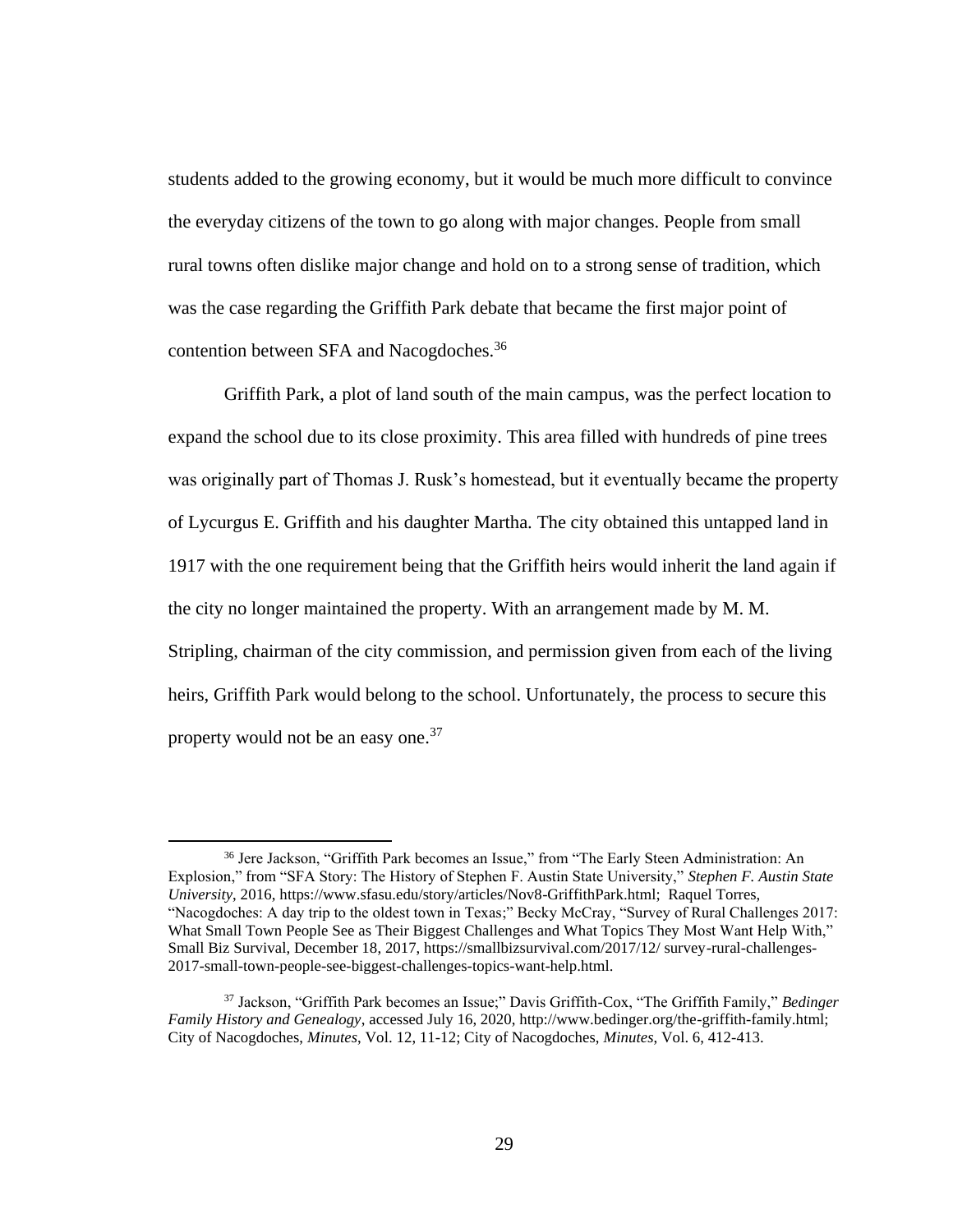students added to the growing economy, but it would be much more difficult to convince the everyday citizens of the town to go along with major changes. People from small rural towns often dislike major change and hold on to a strong sense of tradition, which was the case regarding the Griffith Park debate that became the first major point of contention between SFA and Nacogdoches.<sup>36</sup>

Griffith Park, a plot of land south of the main campus, was the perfect location to expand the school due to its close proximity. This area filled with hundreds of pine trees was originally part of Thomas J. Rusk's homestead, but it eventually became the property of Lycurgus E. Griffith and his daughter Martha. The city obtained this untapped land in 1917 with the one requirement being that the Griffith heirs would inherit the land again if the city no longer maintained the property. With an arrangement made by M. M. Stripling, chairman of the city commission, and permission given from each of the living heirs, Griffith Park would belong to the school. Unfortunately, the process to secure this property would not be an easy one.<sup>37</sup>

<sup>&</sup>lt;sup>36</sup> Jere Jackson, "Griffith Park becomes an Issue," from "The Early Steen Administration: An Explosion," from "SFA Story: The History of Stephen F. Austin State University," *Stephen F. Austin State University*, 2016, https://www.sfasu.edu/story/articles/Nov8-GriffithPark.html; Raquel Torres, "Nacogdoches: A day trip to the oldest town in Texas;" Becky McCray, "Survey of Rural Challenges 2017: What Small Town People See as Their Biggest Challenges and What Topics They Most Want Help With," Small Biz Survival, December 18, 2017, https://smallbizsurvival.com/2017/12/ survey-rural-challenges-2017-small-town-people-see-biggest-challenges-topics-want-help.html.

<sup>37</sup> Jackson, "Griffith Park becomes an Issue;" Davis Griffith-Cox, "The Griffith Family," *Bedinger Family History and Genealogy*, accessed July 16, 2020, http://www.bedinger.org/the-griffith-family.html; City of Nacogdoches, *Minutes*, Vol. 12, 11-12; City of Nacogdoches, *Minutes*, Vol. 6, 412-413.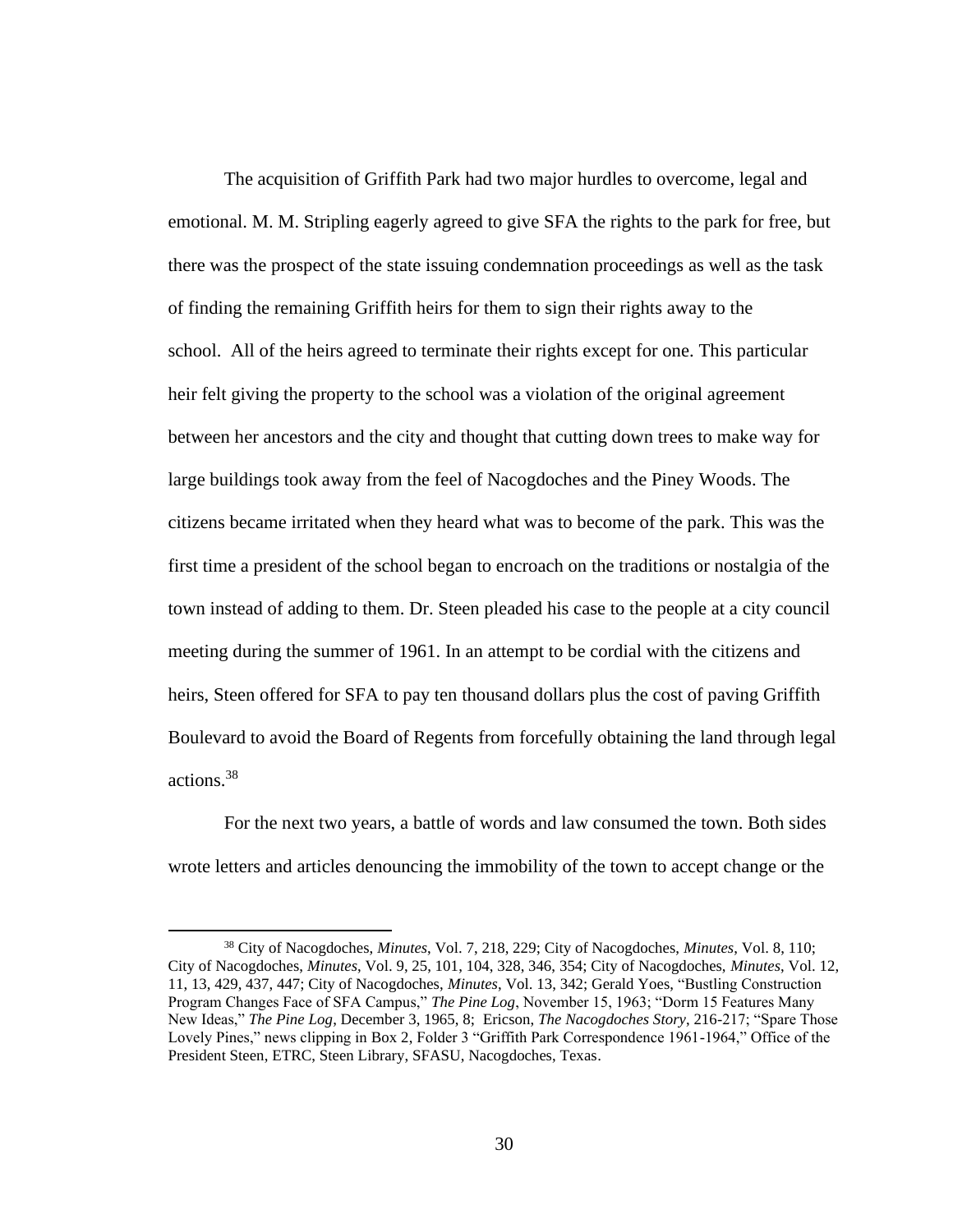The acquisition of Griffith Park had two major hurdles to overcome, legal and emotional. M. M. Stripling eagerly agreed to give SFA the rights to the park for free, but there was the prospect of the state issuing condemnation proceedings as well as the task of finding the remaining Griffith heirs for them to sign their rights away to the school. All of the heirs agreed to terminate their rights except for one. This particular heir felt giving the property to the school was a violation of the original agreement between her ancestors and the city and thought that cutting down trees to make way for large buildings took away from the feel of Nacogdoches and the Piney Woods. The citizens became irritated when they heard what was to become of the park. This was the first time a president of the school began to encroach on the traditions or nostalgia of the town instead of adding to them. Dr. Steen pleaded his case to the people at a city council meeting during the summer of 1961. In an attempt to be cordial with the citizens and heirs, Steen offered for SFA to pay ten thousand dollars plus the cost of paving Griffith Boulevard to avoid the Board of Regents from forcefully obtaining the land through legal actions.<sup>38</sup>

For the next two years, a battle of words and law consumed the town. Both sides wrote letters and articles denouncing the immobility of the town to accept change or the

<sup>38</sup> City of Nacogdoches, *Minutes*, Vol. 7, 218, 229; City of Nacogdoches, *Minutes*, Vol. 8, 110; City of Nacogdoches, *Minutes*, Vol. 9, 25, 101, 104, 328, 346, 354; City of Nacogdoches, *Minutes*, Vol. 12, 11, 13, 429, 437, 447; City of Nacogdoches, *Minutes*, Vol. 13, 342; Gerald Yoes, "Bustling Construction Program Changes Face of SFA Campus," *The Pine Log*, November 15, 1963; "Dorm 15 Features Many New Ideas," *The Pine Log*, December 3, 1965, 8; Ericson, *The Nacogdoches Story*, 216-217; "Spare Those Lovely Pines," news clipping in Box 2, Folder 3 "Griffith Park Correspondence 1961-1964," Office of the President Steen, ETRC, Steen Library, SFASU, Nacogdoches, Texas.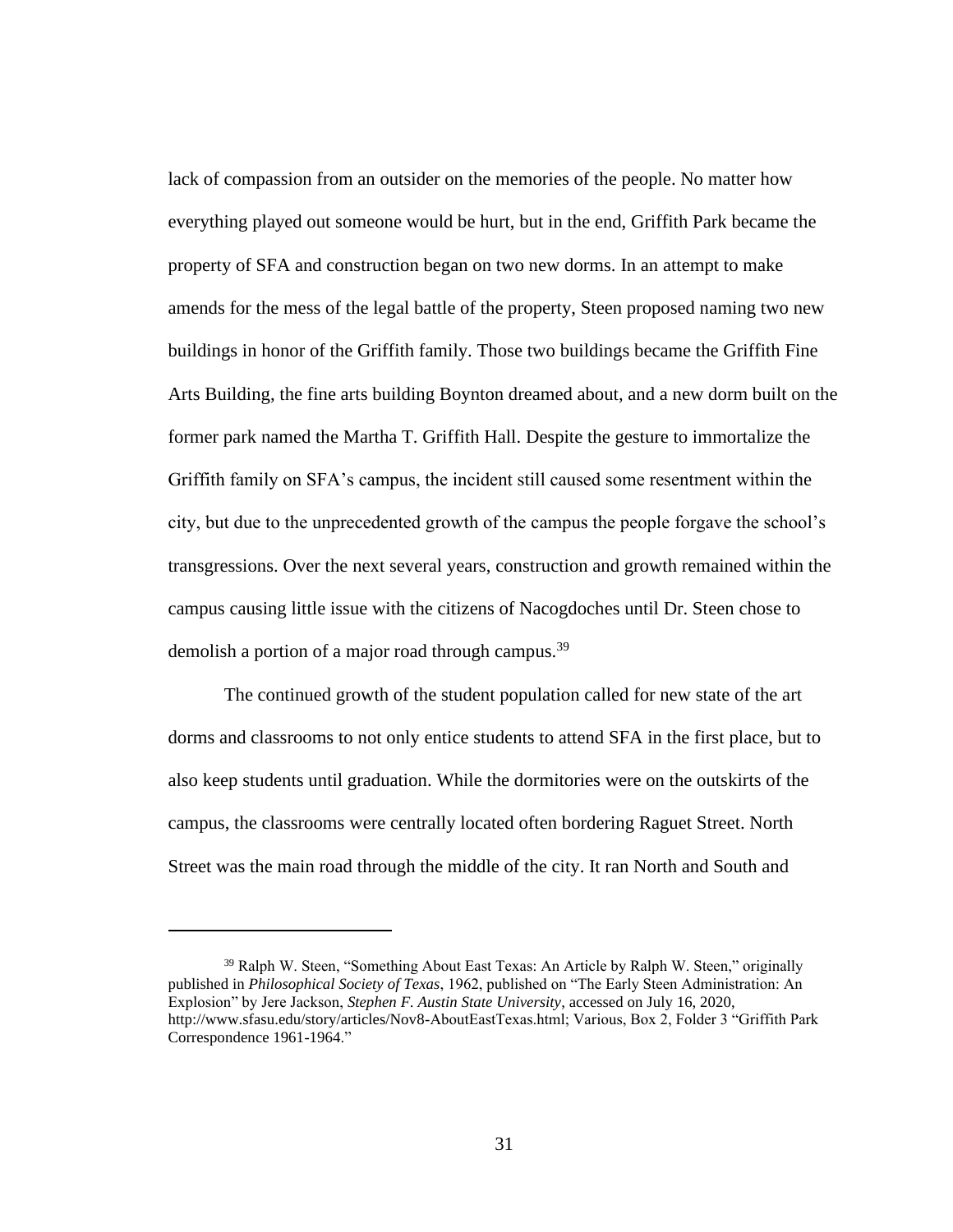lack of compassion from an outsider on the memories of the people. No matter how everything played out someone would be hurt, but in the end, Griffith Park became the property of SFA and construction began on two new dorms. In an attempt to make amends for the mess of the legal battle of the property, Steen proposed naming two new buildings in honor of the Griffith family. Those two buildings became the Griffith Fine Arts Building, the fine arts building Boynton dreamed about, and a new dorm built on the former park named the Martha T. Griffith Hall. Despite the gesture to immortalize the Griffith family on SFA's campus, the incident still caused some resentment within the city, but due to the unprecedented growth of the campus the people forgave the school's transgressions. Over the next several years, construction and growth remained within the campus causing little issue with the citizens of Nacogdoches until Dr. Steen chose to demolish a portion of a major road through campus.<sup>39</sup>

The continued growth of the student population called for new state of the art dorms and classrooms to not only entice students to attend SFA in the first place, but to also keep students until graduation. While the dormitories were on the outskirts of the campus, the classrooms were centrally located often bordering Raguet Street. North Street was the main road through the middle of the city. It ran North and South and

<sup>&</sup>lt;sup>39</sup> Ralph W. Steen, "Something About East Texas: An Article by Ralph W. Steen," originally published in *Philosophical Society of Texas*, 1962, published on "The Early Steen Administration: An Explosion" by Jere Jackson, *Stephen F. Austin State University*, accessed on July 16, 2020, http://www.sfasu.edu/story/articles/Nov8-AboutEastTexas.html; Various, Box 2, Folder 3 "Griffith Park Correspondence 1961-1964."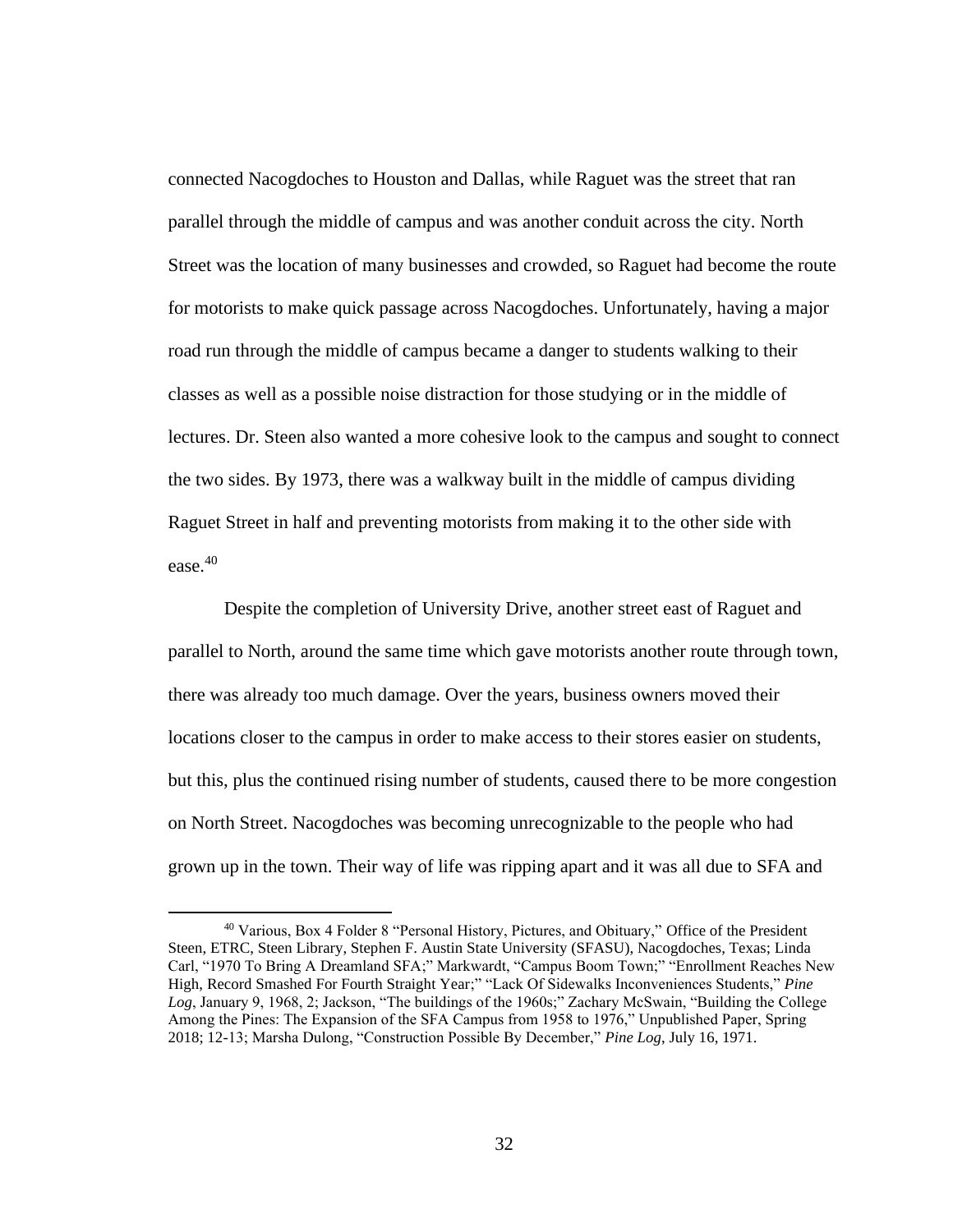connected Nacogdoches to Houston and Dallas, while Raguet was the street that ran parallel through the middle of campus and was another conduit across the city. North Street was the location of many businesses and crowded, so Raguet had become the route for motorists to make quick passage across Nacogdoches. Unfortunately, having a major road run through the middle of campus became a danger to students walking to their classes as well as a possible noise distraction for those studying or in the middle of lectures. Dr. Steen also wanted a more cohesive look to the campus and sought to connect the two sides. By 1973, there was a walkway built in the middle of campus dividing Raguet Street in half and preventing motorists from making it to the other side with ease.<sup>40</sup>

Despite the completion of University Drive, another street east of Raguet and parallel to North, around the same time which gave motorists another route through town, there was already too much damage. Over the years, business owners moved their locations closer to the campus in order to make access to their stores easier on students, but this, plus the continued rising number of students, caused there to be more congestion on North Street. Nacogdoches was becoming unrecognizable to the people who had grown up in the town. Their way of life was ripping apart and it was all due to SFA and

<sup>40</sup> Various, Box 4 Folder 8 "Personal History, Pictures, and Obituary," Office of the President Steen, ETRC, Steen Library, Stephen F. Austin State University (SFASU), Nacogdoches, Texas; Linda Carl, "1970 To Bring A Dreamland SFA;" Markwardt, "Campus Boom Town;" "Enrollment Reaches New High, Record Smashed For Fourth Straight Year;" "Lack Of Sidewalks Inconveniences Students," *Pine Log*, January 9, 1968, 2; Jackson, "The buildings of the 1960s;" Zachary McSwain, "Building the College Among the Pines: The Expansion of the SFA Campus from 1958 to 1976," Unpublished Paper, Spring 2018; 12-13; Marsha Dulong, "Construction Possible By December," *Pine Log*, July 16, 1971.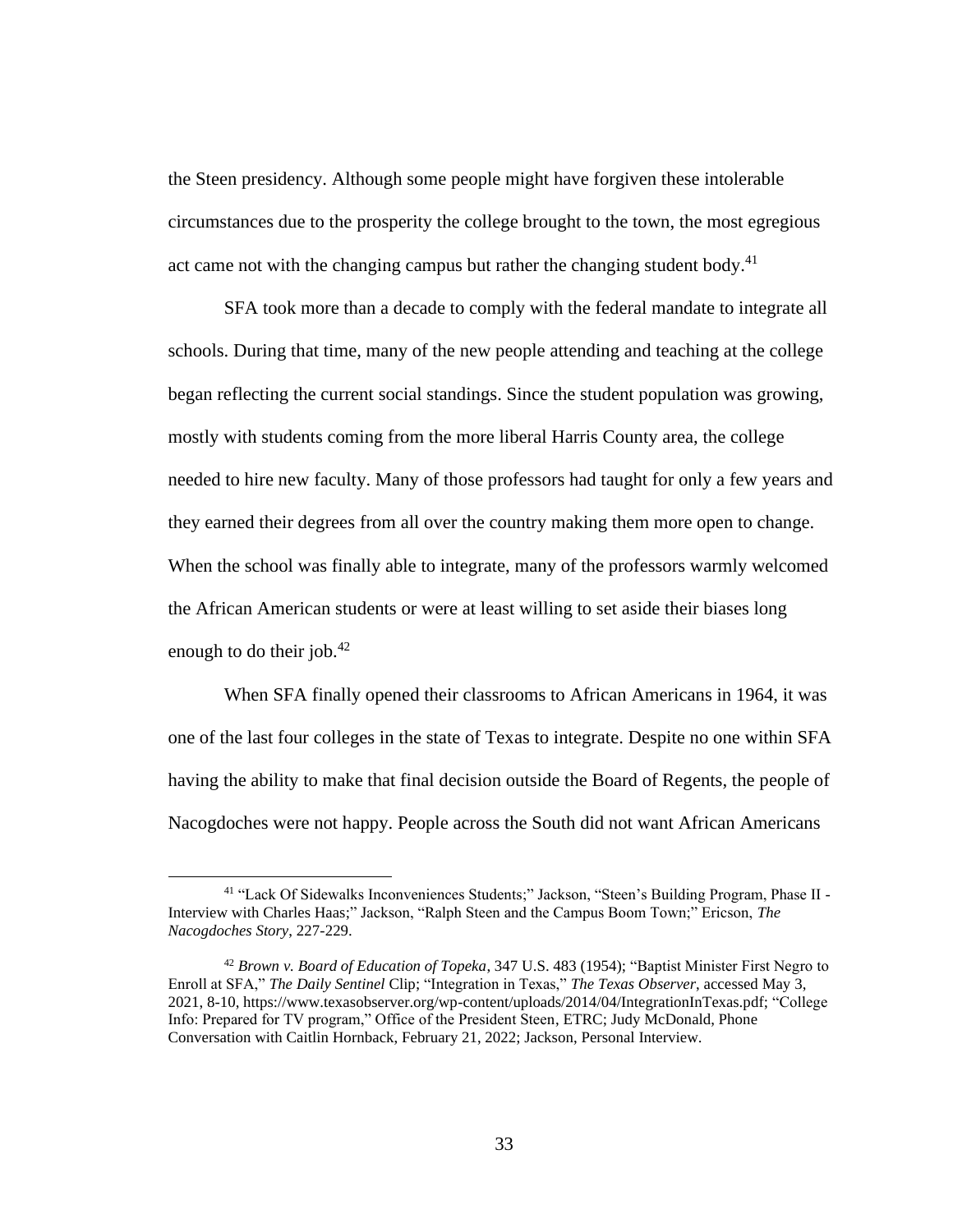the Steen presidency. Although some people might have forgiven these intolerable circumstances due to the prosperity the college brought to the town, the most egregious act came not with the changing campus but rather the changing student body.<sup>41</sup>

SFA took more than a decade to comply with the federal mandate to integrate all schools. During that time, many of the new people attending and teaching at the college began reflecting the current social standings. Since the student population was growing, mostly with students coming from the more liberal Harris County area, the college needed to hire new faculty. Many of those professors had taught for only a few years and they earned their degrees from all over the country making them more open to change. When the school was finally able to integrate, many of the professors warmly welcomed the African American students or were at least willing to set aside their biases long enough to do their job. $42$ 

When SFA finally opened their classrooms to African Americans in 1964, it was one of the last four colleges in the state of Texas to integrate. Despite no one within SFA having the ability to make that final decision outside the Board of Regents, the people of Nacogdoches were not happy. People across the South did not want African Americans

<sup>41</sup> "Lack Of Sidewalks Inconveniences Students;" Jackson, "Steen's Building Program, Phase II - Interview with Charles Haas;" Jackson, "Ralph Steen and the Campus Boom Town;" Ericson, *The Nacogdoches Story*, 227-229.

<sup>42</sup> *Brown v. Board of Education of Topeka*, 347 U.S. 483 (1954); "Baptist Minister First Negro to Enroll at SFA," *The Daily Sentinel* Clip; "Integration in Texas," *The Texas Observer*, accessed May 3, 2021, 8-10, https://www.texasobserver.org/wp-content/uploads/2014/04/IntegrationInTexas.pdf; "College Info: Prepared for TV program," Office of the President Steen, ETRC; Judy McDonald, Phone Conversation with Caitlin Hornback, February 21, 2022; Jackson, Personal Interview.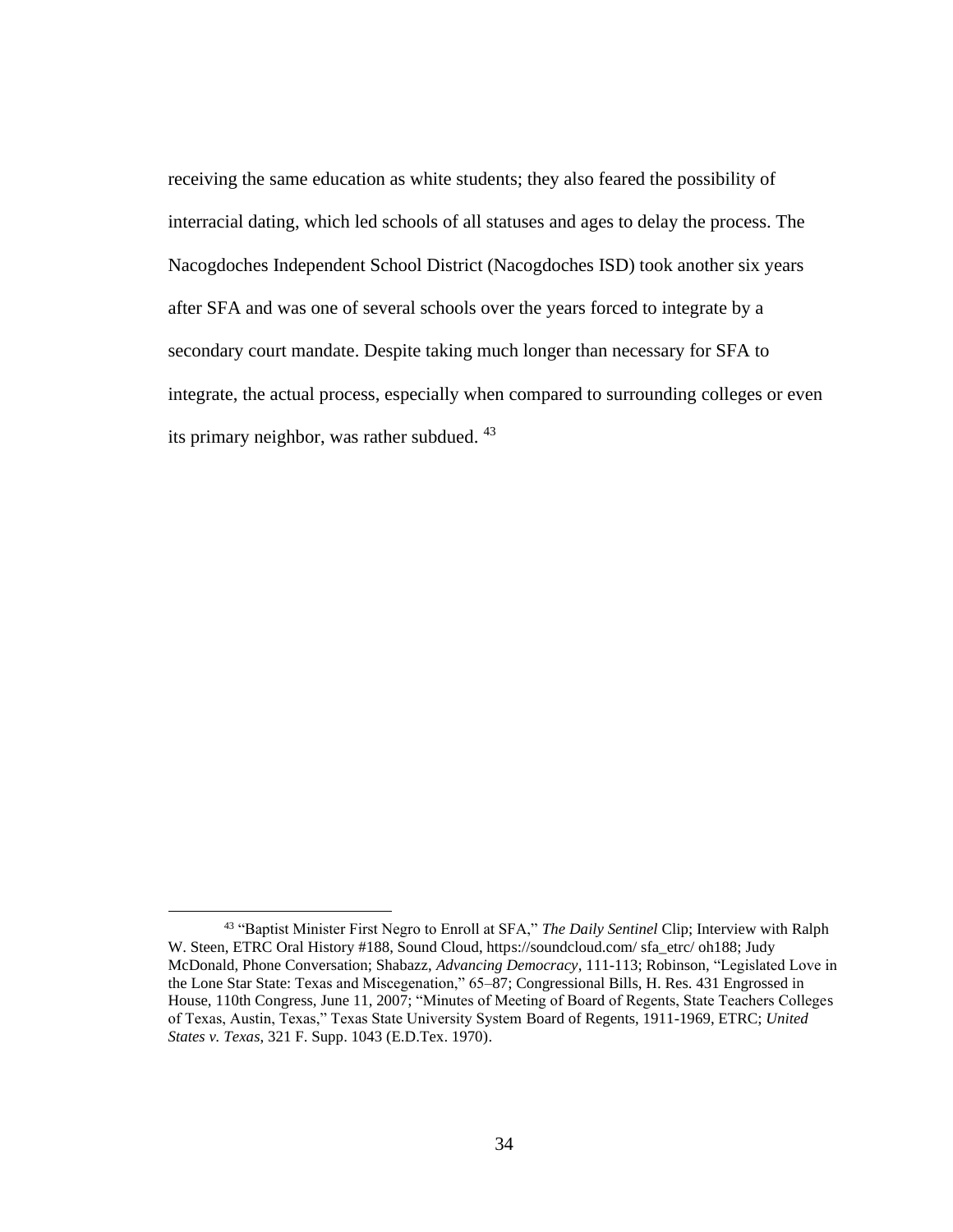receiving the same education as white students; they also feared the possibility of interracial dating, which led schools of all statuses and ages to delay the process. The Nacogdoches Independent School District (Nacogdoches ISD) took another six years after SFA and was one of several schools over the years forced to integrate by a secondary court mandate. Despite taking much longer than necessary for SFA to integrate, the actual process, especially when compared to surrounding colleges or even its primary neighbor, was rather subdued. <sup>43</sup>

<sup>43</sup> "Baptist Minister First Negro to Enroll at SFA," *The Daily Sentinel* Clip; Interview with Ralph W. Steen, ETRC Oral History #188, Sound Cloud, https://soundcloud.com/ sfa\_etrc/ oh188; Judy McDonald, Phone Conversation; Shabazz, *Advancing Democracy*, 111-113; Robinson, "Legislated Love in the Lone Star State: Texas and Miscegenation," 65–87; Congressional Bills, H. Res. 431 Engrossed in House, 110th Congress, June 11, 2007; "Minutes of Meeting of Board of Regents, State Teachers Colleges of Texas, Austin, Texas," Texas State University System Board of Regents, 1911-1969, ETRC; *United States v. Texas*, 321 F. Supp. 1043 (E.D.Tex. 1970).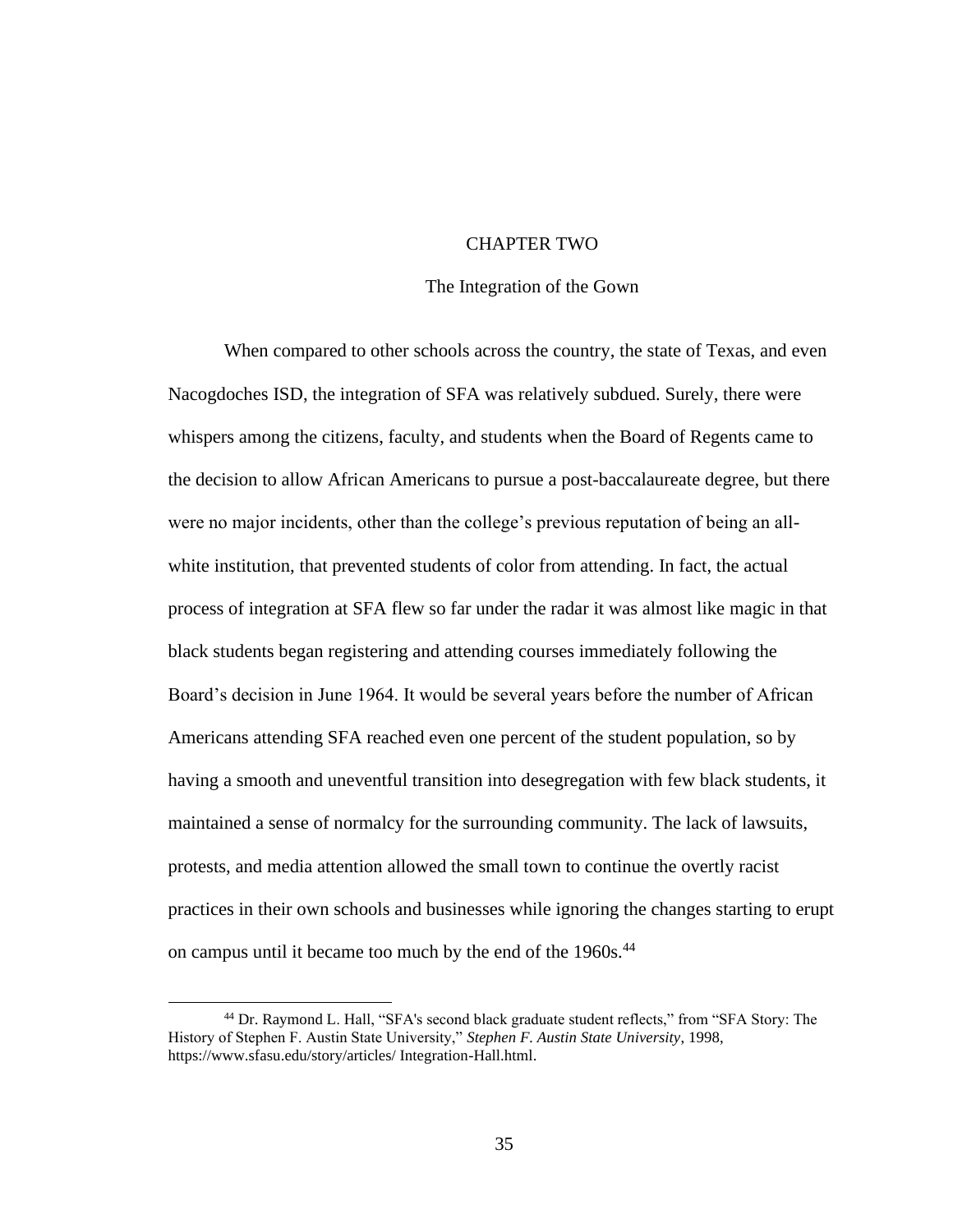## CHAPTER TWO

## The Integration of the Gown

When compared to other schools across the country, the state of Texas, and even Nacogdoches ISD, the integration of SFA was relatively subdued. Surely, there were whispers among the citizens, faculty, and students when the Board of Regents came to the decision to allow African Americans to pursue a post-baccalaureate degree, but there were no major incidents, other than the college's previous reputation of being an allwhite institution, that prevented students of color from attending. In fact, the actual process of integration at SFA flew so far under the radar it was almost like magic in that black students began registering and attending courses immediately following the Board's decision in June 1964. It would be several years before the number of African Americans attending SFA reached even one percent of the student population, so by having a smooth and uneventful transition into desegregation with few black students, it maintained a sense of normalcy for the surrounding community. The lack of lawsuits, protests, and media attention allowed the small town to continue the overtly racist practices in their own schools and businesses while ignoring the changes starting to erupt on campus until it became too much by the end of the 1960s.<sup>44</sup>

<sup>44</sup> Dr. Raymond L. Hall, "SFA's second black graduate student reflects," from "SFA Story: The History of Stephen F. Austin State University," *Stephen F. Austin State University*, 1998, [https://www.sfasu.edu/story/articles/ Integration-Hall.html.](https://www.sfasu.edu/story/articles/%20Integration-Hall.html)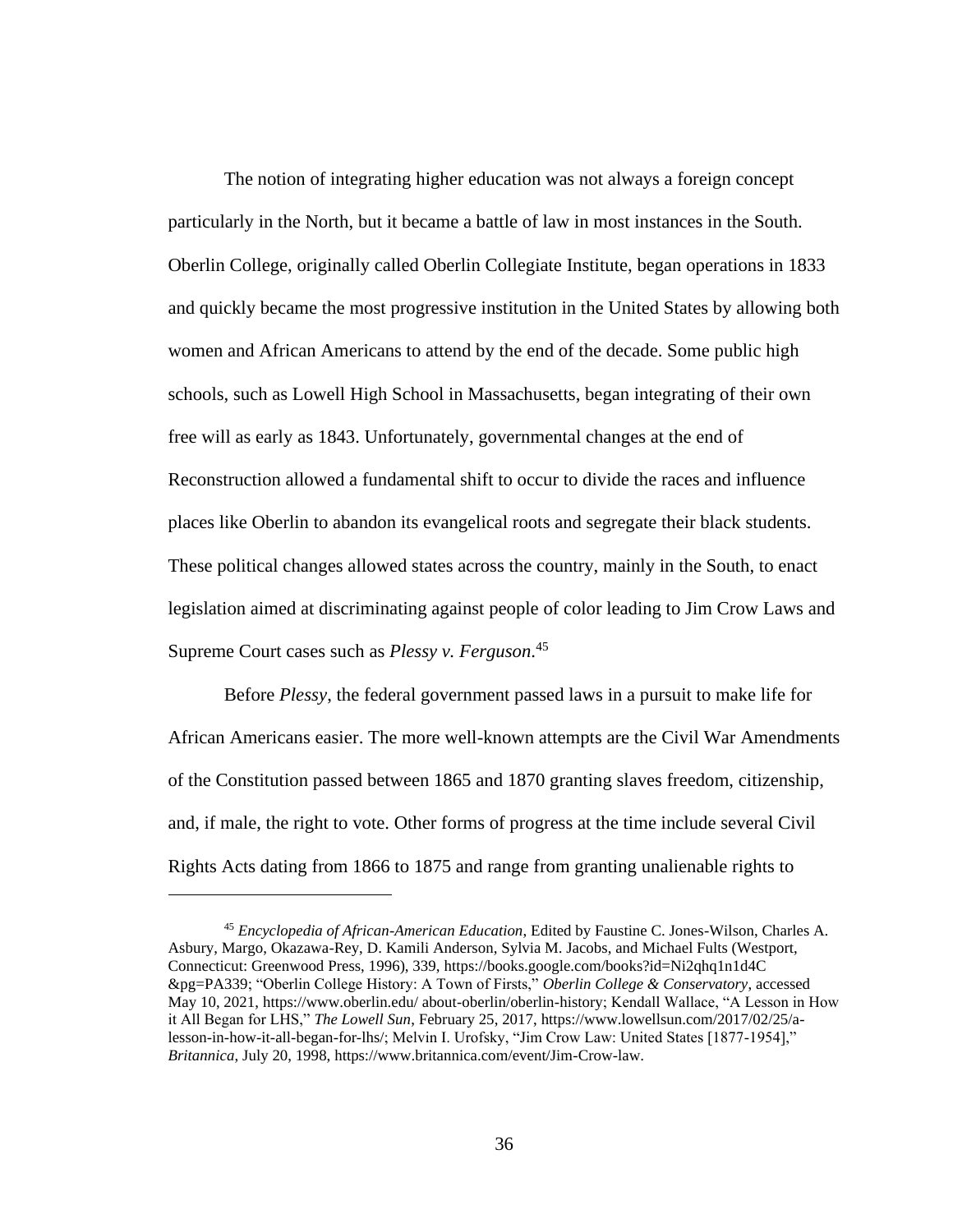The notion of integrating higher education was not always a foreign concept particularly in the North, but it became a battle of law in most instances in the South. Oberlin College, originally called Oberlin Collegiate Institute, began operations in 1833 and quickly became the most progressive institution in the United States by allowing both women and African Americans to attend by the end of the decade. Some public high schools, such as Lowell High School in Massachusetts, began integrating of their own free will as early as 1843. Unfortunately, governmental changes at the end of Reconstruction allowed a fundamental shift to occur to divide the races and influence places like Oberlin to abandon its evangelical roots and segregate their black students. These political changes allowed states across the country, mainly in the South, to enact legislation aimed at discriminating against people of color leading to Jim Crow Laws and Supreme Court cases such as *Plessy v. Ferguson*. 45

Before *Plessy*, the federal government passed laws in a pursuit to make life for African Americans easier. The more well-known attempts are the Civil War Amendments of the Constitution passed between 1865 and 1870 granting slaves freedom, citizenship, and, if male, the right to vote. Other forms of progress at the time include several Civil Rights Acts dating from 1866 to 1875 and range from granting unalienable rights to

<sup>45</sup> *Encyclopedia of African-American Education*, Edited by Faustine C. Jones-Wilson, Charles A. Asbury, Margo, Okazawa-Rey, D. Kamili Anderson, Sylvia M. Jacobs, and Michael Fults (Westport, Connecticut: Greenwood Press, 1996), 339, [https://books.google.com/books?id=Ni2qhq1n1d4C](https://books.google.com/books?id=Ni2qhq1n1d4C%20&pg=PA339)  [&pg=PA339;](https://books.google.com/books?id=Ni2qhq1n1d4C%20&pg=PA339) "Oberlin College History: A Town of Firsts," *Oberlin College & Conservatory*, accessed May 10, 2021, [https://www.oberlin.edu/ about-oberlin/oberlin-history;](https://www.oberlin.edu/%20about-oberlin/oberlin-history) Kendall Wallace, "A Lesson in How it All Began for LHS," *The Lowell Sun*, February 25, 2017[, https://www.lowellsun.com/2017/02/25/a](https://www.lowellsun.com/2017/02/25/a-lesson-in-how-it-all-began-for-lhs/)[lesson-in-how-it-all-began-for-lhs/;](https://www.lowellsun.com/2017/02/25/a-lesson-in-how-it-all-began-for-lhs/) Melvin I. Urofsky, "Jim Crow Law: United States [1877-1954]," *Britannica*, July 20, 1998, [https://www.britannica.com/event/Jim-Crow-law.](https://www.britannica.com/event/Jim-Crow-law)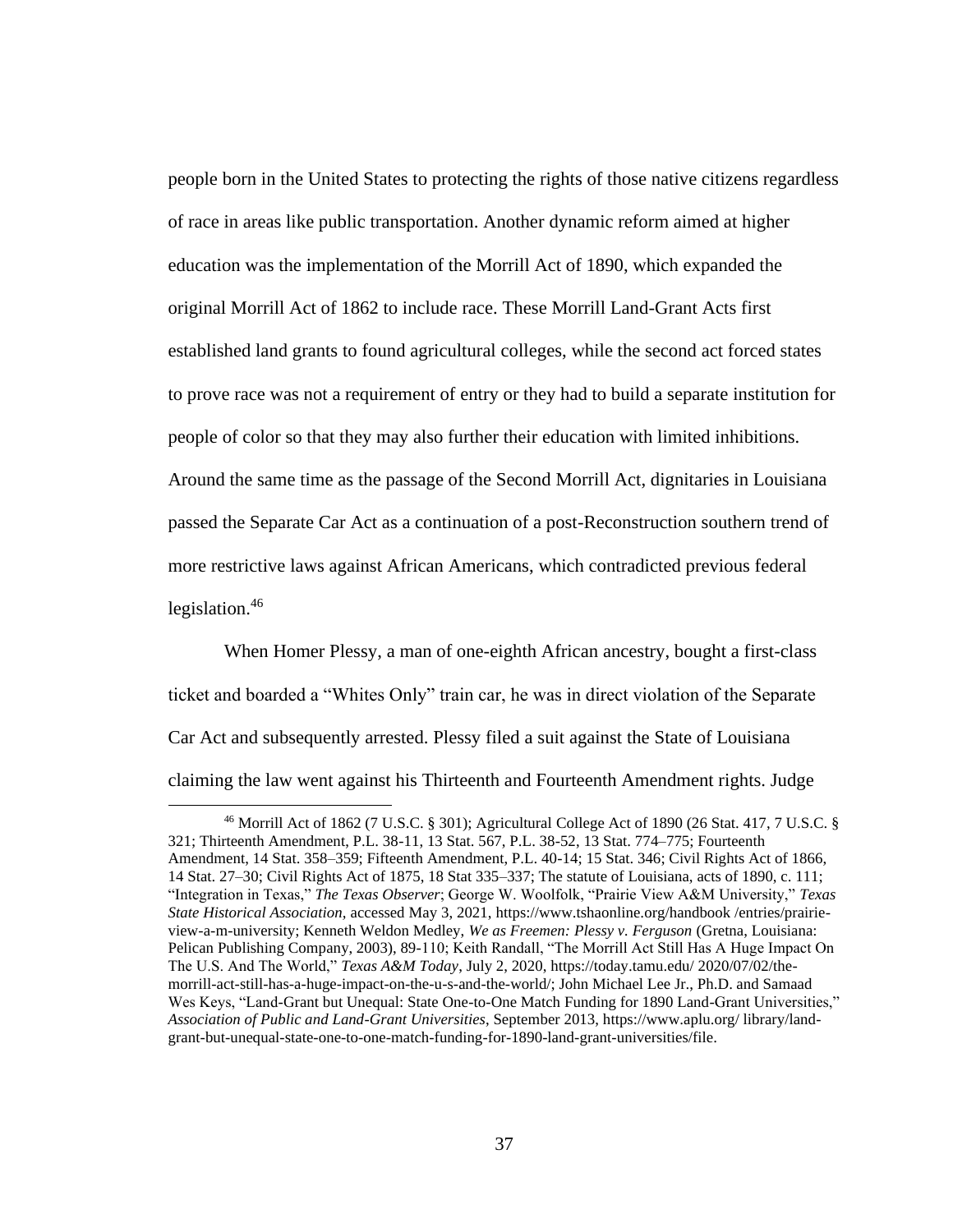people born in the United States to protecting the rights of those native citizens regardless of race in areas like public transportation. Another dynamic reform aimed at higher education was the implementation of the Morrill Act of 1890, which expanded the original Morrill Act of 1862 to include race. These Morrill Land-Grant Acts first established land grants to found agricultural colleges, while the second act forced states to prove race was not a requirement of entry or they had to build a separate institution for people of color so that they may also further their education with limited inhibitions. Around the same time as the passage of the Second Morrill Act, dignitaries in Louisiana passed the Separate Car Act as a continuation of a post-Reconstruction southern trend of more restrictive laws against African Americans, which contradicted previous federal legislation.<sup>46</sup>

When Homer Plessy, a man of one-eighth African ancestry, bought a first-class ticket and boarded a "Whites Only" train car, he was in direct violation of the Separate Car Act and subsequently arrested. Plessy filed a suit against the State of Louisiana claiming the law went against his Thirteenth and Fourteenth Amendment rights. Judge

<sup>46</sup> Morrill Act of 1862 (7 U.S.C. § 301); Agricultural College Act of 1890 (26 Stat. 417, 7 U.S.C. § 321; Thirteenth Amendment, P.L. 38-11, 13 Stat. 567, P.L. 38-52, 13 Stat. 774–775; Fourteenth Amendment, 14 Stat. 358–359; Fifteenth Amendment, P.L. 40-14; 15 Stat. 346; Civil Rights Act of 1866, 14 Stat. 27–30; Civil Rights Act of 1875, 18 Stat 335–337; The statute of Louisiana, acts of 1890, c. 111; "Integration in Texas," *The Texas Observer*; George W. Woolfolk, "Prairie View A&M University," *Texas State Historical Association,* accessed May 3, 2021[, https://www.tshaonline.org/handbook /entries/prairie](https://www.tshaonline.org/handbook%20/entries/prairie-view-a-m-university)[view-a-m-university;](https://www.tshaonline.org/handbook%20/entries/prairie-view-a-m-university) Kenneth Weldon Medley, *We as Freemen: Plessy v. Ferguson* (Gretna, Louisiana: Pelican Publishing Company, 2003), 89-110; Keith Randall, "The Morrill Act Still Has A Huge Impact On The U.S. And The World," *Texas A&M Today*, July 2, 2020, [https://today.tamu.edu/ 2020/07/02/the](https://today.tamu.edu/%202020/07/02/the-morrill-act-still-has-a-huge-impact-on-the-u-s-and-the-world/)[morrill-act-still-has-a-huge-impact-on-the-u-s-and-the-world/;](https://today.tamu.edu/%202020/07/02/the-morrill-act-still-has-a-huge-impact-on-the-u-s-and-the-world/) John Michael Lee Jr., Ph.D. and Samaad Wes Keys, "Land-Grant but Unequal: State One-to-One Match Funding for 1890 Land-Grant Universities," *Association of Public and Land-Grant Universities*, September 2013, [https://www.aplu.org/ library/land](https://www.aplu.org/%20library/land-grant-but-unequal-state-one-to-one-match-funding-for-1890-land-grant-universities/file)[grant-but-unequal-state-one-to-one-match-funding-for-1890-land-grant-universities/file.](https://www.aplu.org/%20library/land-grant-but-unequal-state-one-to-one-match-funding-for-1890-land-grant-universities/file)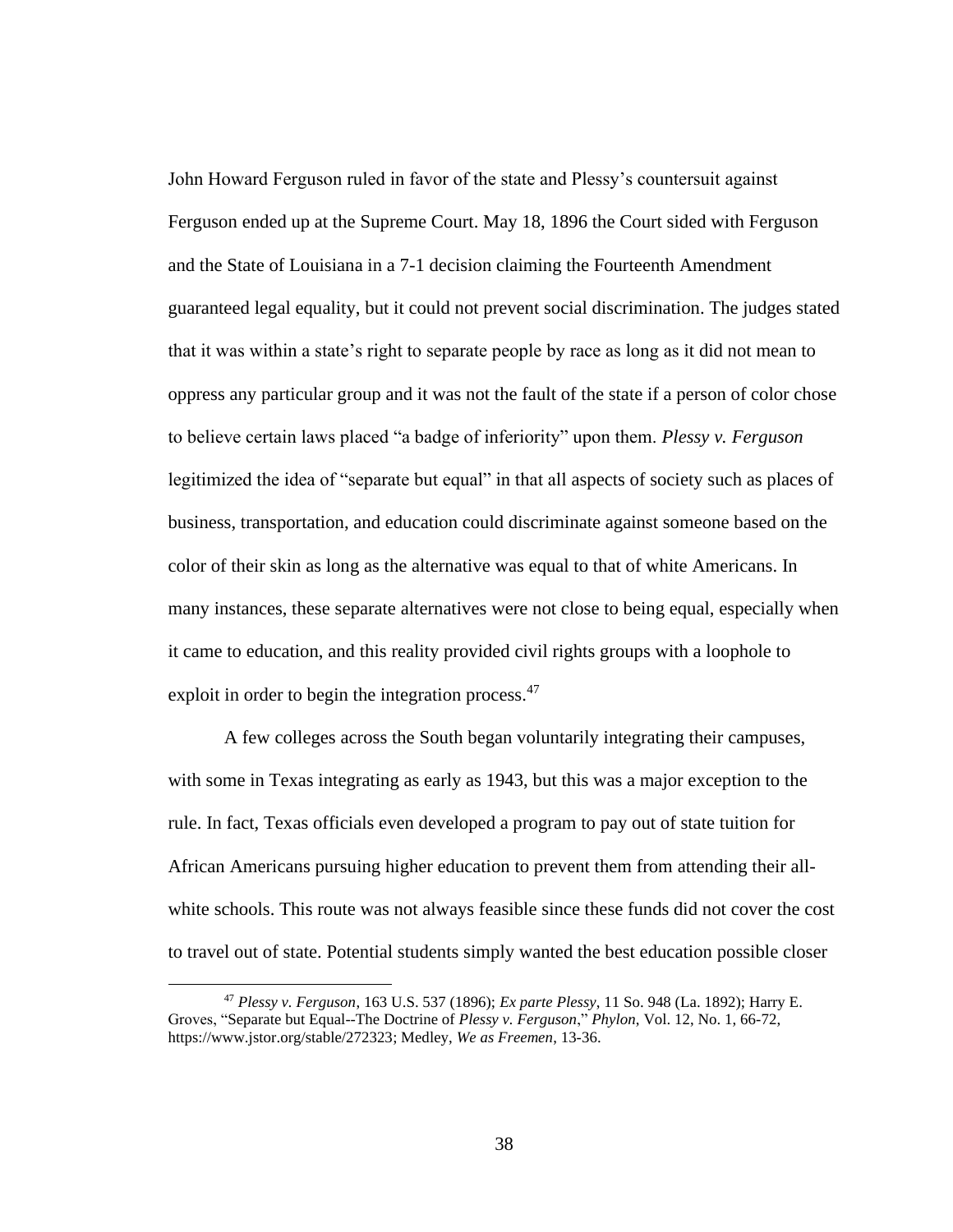John Howard Ferguson ruled in favor of the state and Plessy's countersuit against Ferguson ended up at the Supreme Court. May 18, 1896 the Court sided with Ferguson and the State of Louisiana in a 7-1 decision claiming the Fourteenth Amendment guaranteed legal equality, but it could not prevent social discrimination. The judges stated that it was within a state's right to separate people by race as long as it did not mean to oppress any particular group and it was not the fault of the state if a person of color chose to believe certain laws placed "a badge of inferiority" upon them. *Plessy v. Ferguson* legitimized the idea of "separate but equal" in that all aspects of society such as places of business, transportation, and education could discriminate against someone based on the color of their skin as long as the alternative was equal to that of white Americans. In many instances, these separate alternatives were not close to being equal, especially when it came to education, and this reality provided civil rights groups with a loophole to exploit in order to begin the integration process.<sup>47</sup>

A few colleges across the South began voluntarily integrating their campuses, with some in Texas integrating as early as 1943, but this was a major exception to the rule. In fact, Texas officials even developed a program to pay out of state tuition for African Americans pursuing higher education to prevent them from attending their allwhite schools. This route was not always feasible since these funds did not cover the cost to travel out of state. Potential students simply wanted the best education possible closer

<sup>47</sup> *Plessy v. Ferguson*, 163 U.S. 537 (1896); *Ex parte Plessy*, 11 So. 948 (La. 1892); Harry E. Groves, "Separate but Equal--The Doctrine of *Plessy v. Ferguson*," *Phylon*, Vol. 12, No. 1, 66-72, [https://www.jstor.org/stable/272323;](https://www.jstor.org/stable/272323) Medley, *We as Freemen*, 13-36.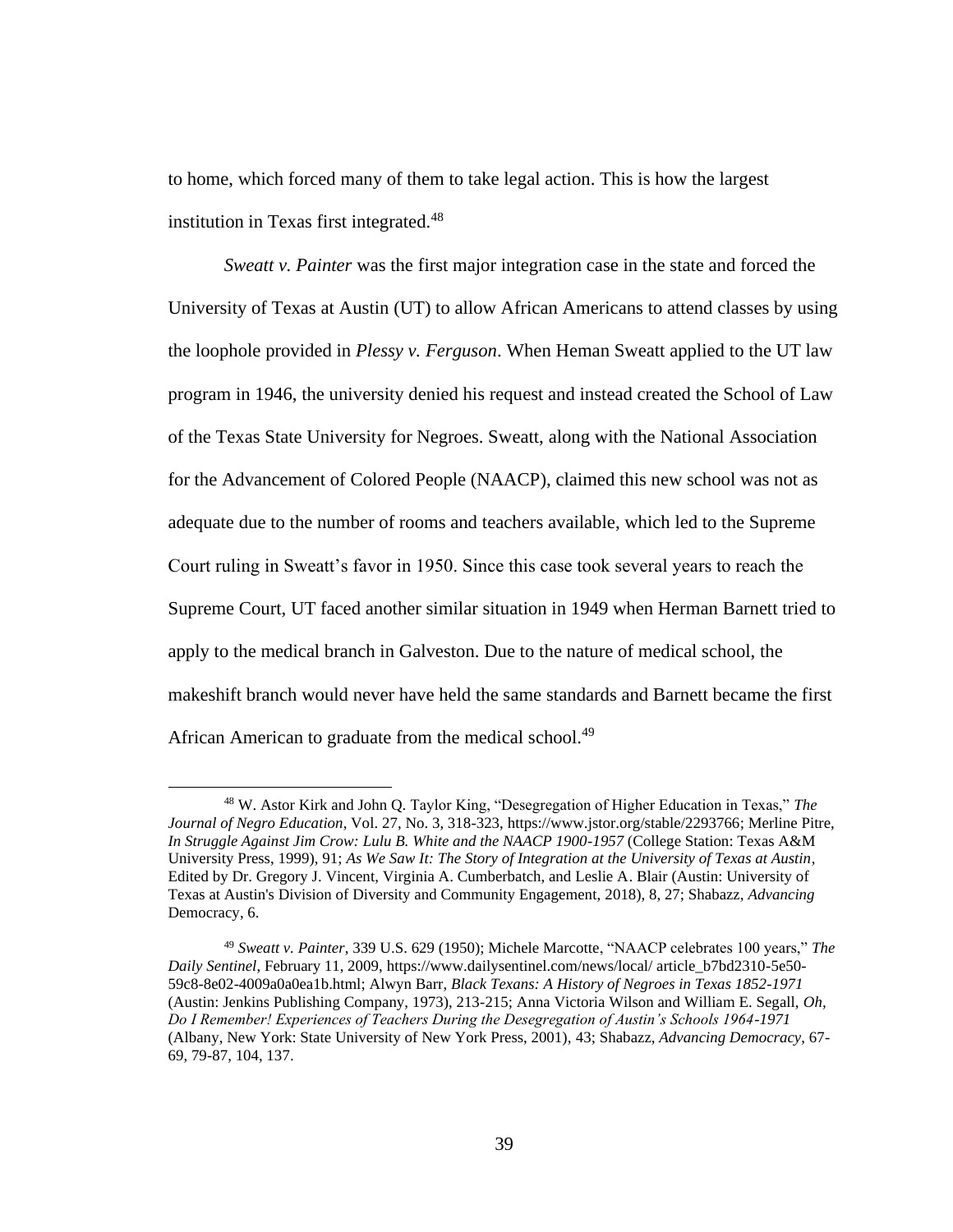to home, which forced many of them to take legal action. This is how the largest institution in Texas first integrated.<sup>48</sup>

*Sweatt v. Painter* was the first major integration case in the state and forced the University of Texas at Austin (UT) to allow African Americans to attend classes by using the loophole provided in *Plessy v. Ferguson*. When Heman Sweatt applied to the UT law program in 1946, the university denied his request and instead created the School of Law of the Texas State University for Negroes. Sweatt, along with the National Association for the Advancement of Colored People (NAACP), claimed this new school was not as adequate due to the number of rooms and teachers available, which led to the Supreme Court ruling in Sweatt's favor in 1950. Since this case took several years to reach the Supreme Court, UT faced another similar situation in 1949 when Herman Barnett tried to apply to the medical branch in Galveston. Due to the nature of medical school, the makeshift branch would never have held the same standards and Barnett became the first African American to graduate from the medical school.<sup>49</sup>

<sup>48</sup> W. Astor Kirk and John Q. Taylor King, "Desegregation of Higher Education in Texas," *The Journal of Negro Education*, Vol. 27, No. 3, 318-323, [https://www.jstor.org/stable/2293766;](https://www.jstor.org/stable/2293766) Merline Pitre, *In Struggle Against Jim Crow: Lulu B. White and the NAACP 1900-1957* (College Station: Texas A&M University Press, 1999), 91; *As We Saw It: The Story of Integration at the University of Texas at Austin*, Edited by Dr. Gregory J. Vincent, Virginia A. Cumberbatch, and Leslie A. Blair (Austin: University of Texas at Austin's Division of Diversity and Community Engagement, 2018), 8, 27; Shabazz, *Advancing*  Democracy, 6.

<sup>49</sup> *Sweatt v. Painter*, 339 U.S. 629 (1950); Michele Marcotte, "NAACP celebrates 100 years," *The Daily Sentinel*, February 11, 2009, https://www.dailysentinel.com/news/local/ article\_b7bd2310-5e50- 59c8-8e02-4009a0a0ea1b.html; Alwyn Barr, *Black Texans: A History of Negroes in Texas 1852-1971* (Austin: Jenkins Publishing Company, 1973), 213-215; Anna Victoria Wilson and William E. Segall, *Oh, Do I Remember! Experiences of Teachers During the Desegregation of Austin's Schools 1964-1971*  (Albany, New York: State University of New York Press, 2001), 43; Shabazz, *Advancing Democracy*, 67- 69, 79-87, 104, 137.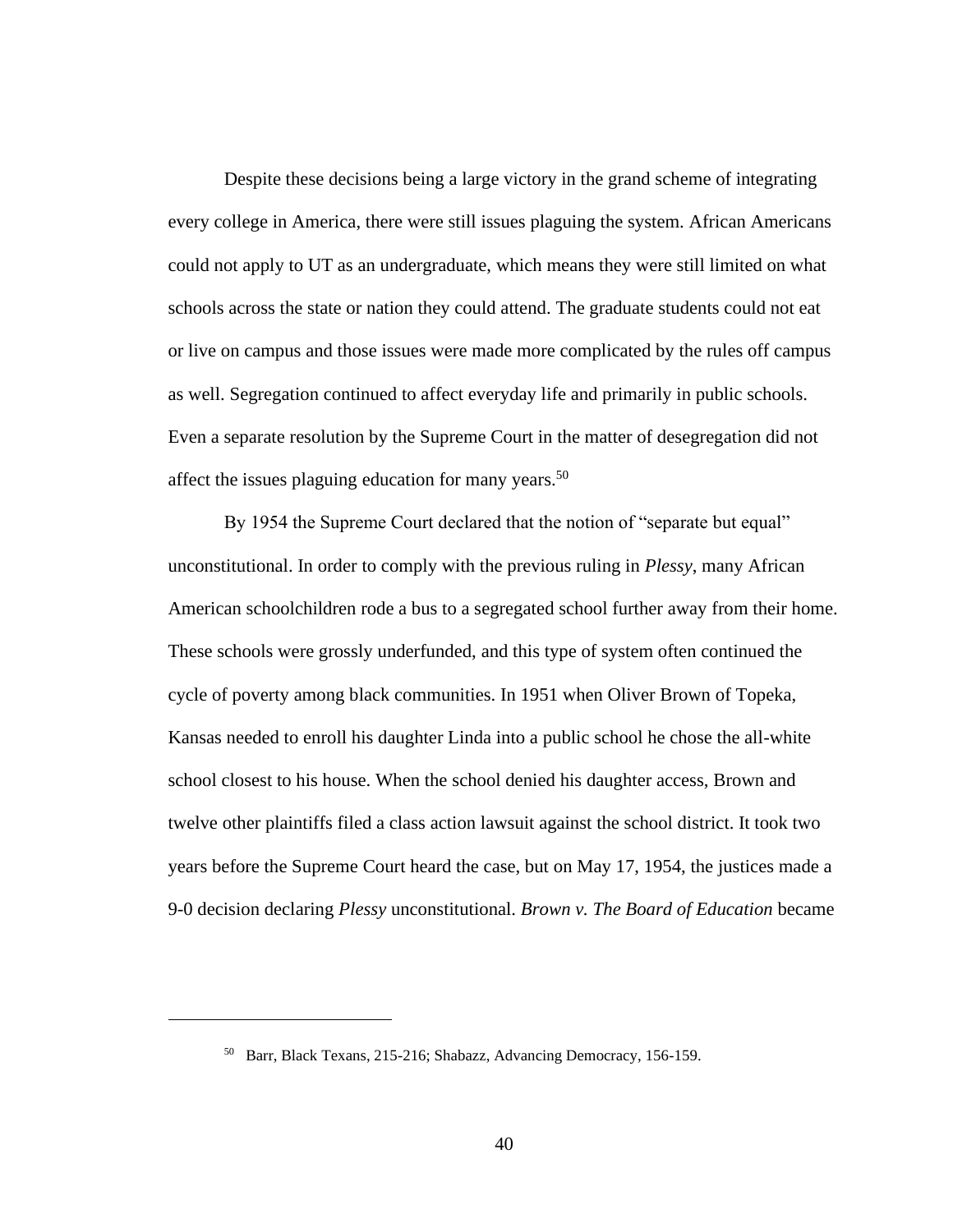Despite these decisions being a large victory in the grand scheme of integrating every college in America, there were still issues plaguing the system. African Americans could not apply to UT as an undergraduate, which means they were still limited on what schools across the state or nation they could attend. The graduate students could not eat or live on campus and those issues were made more complicated by the rules off campus as well. Segregation continued to affect everyday life and primarily in public schools. Even a separate resolution by the Supreme Court in the matter of desegregation did not affect the issues plaguing education for many years.<sup>50</sup>

By 1954 the Supreme Court declared that the notion of "separate but equal" unconstitutional. In order to comply with the previous ruling in *Plessy*, many African American schoolchildren rode a bus to a segregated school further away from their home. These schools were grossly underfunded, and this type of system often continued the cycle of poverty among black communities. In 1951 when Oliver Brown of Topeka, Kansas needed to enroll his daughter Linda into a public school he chose the all-white school closest to his house. When the school denied his daughter access, Brown and twelve other plaintiffs filed a class action lawsuit against the school district. It took two years before the Supreme Court heard the case, but on May 17, 1954, the justices made a 9-0 decision declaring *Plessy* unconstitutional. *Brown v. The Board of Education* became

<sup>50</sup> Barr, Black Texans, 215-216; Shabazz, Advancing Democracy, 156-159.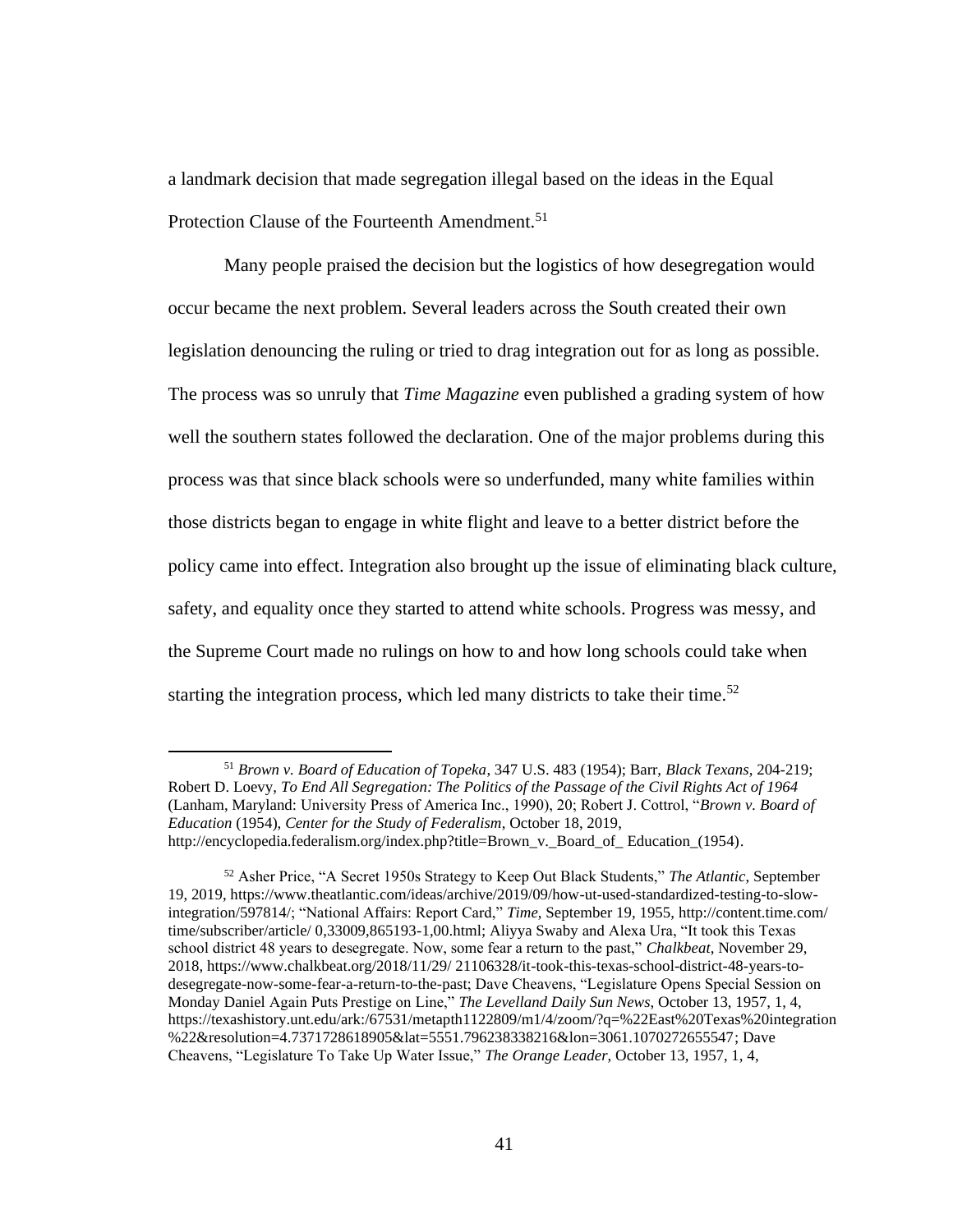a landmark decision that made segregation illegal based on the ideas in the Equal Protection Clause of the Fourteenth Amendment.<sup>51</sup>

Many people praised the decision but the logistics of how desegregation would occur became the next problem. Several leaders across the South created their own legislation denouncing the ruling or tried to drag integration out for as long as possible. The process was so unruly that *Time Magazine* even published a grading system of how well the southern states followed the declaration. One of the major problems during this process was that since black schools were so underfunded, many white families within those districts began to engage in white flight and leave to a better district before the policy came into effect. Integration also brought up the issue of eliminating black culture, safety, and equality once they started to attend white schools. Progress was messy, and the Supreme Court made no rulings on how to and how long schools could take when starting the integration process, which led many districts to take their time.<sup>52</sup>

<sup>51</sup> *Brown v. Board of Education of Topeka*, 347 U.S. 483 (1954); Barr, *Black Texans*, 204-219; Robert D. Loevy, *To End All Segregation: The Politics of the Passage of the Civil Rights Act of 1964* (Lanham, Maryland: University Press of America Inc., 1990), 20; Robert J. Cottrol, "*Brown v. Board of Education* (1954), *Center for the Study of Federalism*, October 18, 2019, http://encyclopedia.federalism.org/index.php?title=Brown\_v.\_Board\_of\_ Education (1954).

<sup>52</sup> Asher Price, "A Secret 1950s Strategy to Keep Out Black Students," *The Atlantic*, September 19, 2019, [https://www.theatlantic.com/ideas/archive/2019/09/how-ut-used-standardized-testing-to-slow](https://www.theatlantic.com/ideas/archive/2019/09/how-ut-used-standardized-testing-to-slow-integration/597814/)[integration/597814/;](https://www.theatlantic.com/ideas/archive/2019/09/how-ut-used-standardized-testing-to-slow-integration/597814/) "National Affairs: Report Card," *Time*, September 19, 1955, [http://content.time.com/](http://content.time.com/%20time/subscriber/article/%200,33009,865193-1,00.html)  [time/subscriber/article/ 0,33009,865193-1,00.html;](http://content.time.com/%20time/subscriber/article/%200,33009,865193-1,00.html) Aliyya Swaby and Alexa Ura, "It took this Texas school district 48 years to desegregate. Now, some fear a return to the past," *Chalkbeat*, November 29, 2018, [https://www.chalkbeat.org/2018/11/29/ 21106328/it-took-this-texas-school-district-48-years-to](https://www.chalkbeat.org/2018/11/29/%2021106328/it-took-this-texas-school-district-48-years-to-desegregate-now-some-fear-a-return-to-the-past)[desegregate-now-some-fear-a-return-to-the-past;](https://www.chalkbeat.org/2018/11/29/%2021106328/it-took-this-texas-school-district-48-years-to-desegregate-now-some-fear-a-return-to-the-past) Dave Cheavens, "Legislature Opens Special Session on Monday Daniel Again Puts Prestige on Line," *The Levelland Daily Sun News*, October 13, 1957, 1, 4, [https://texashistory.unt.edu/ark:/67531/metapth1122809/m1/4/zoom/?q=%22East%20Texas%20integration](https://texashistory.unt.edu/ark:/67531/metapth1122809/m1/4/zoom/?q=%22East%20Texas%20integration%22&resolution=4.7371728618905&lat=5551.796238338216&lon=3061.1070272655547) [%22&resolution=4.7371728618905&lat=5551.796238338216&lon=3061.1070272655547;](https://texashistory.unt.edu/ark:/67531/metapth1122809/m1/4/zoom/?q=%22East%20Texas%20integration%22&resolution=4.7371728618905&lat=5551.796238338216&lon=3061.1070272655547) Dave Cheavens, "Legislature To Take Up Water Issue," *The Orange Leader*, October 13, 1957, 1, 4,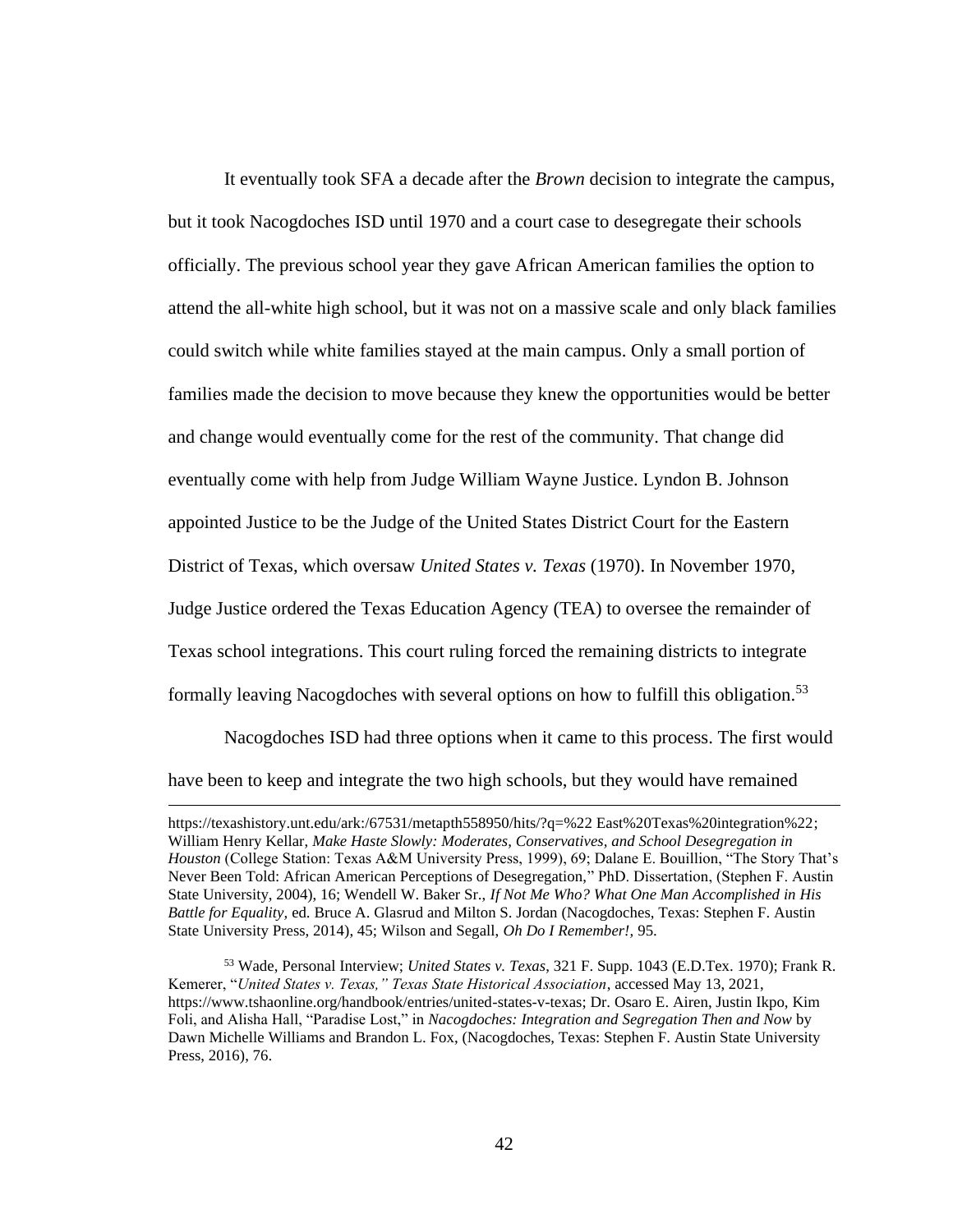It eventually took SFA a decade after the *Brown* decision to integrate the campus, but it took Nacogdoches ISD until 1970 and a court case to desegregate their schools officially. The previous school year they gave African American families the option to attend the all-white high school, but it was not on a massive scale and only black families could switch while white families stayed at the main campus. Only a small portion of families made the decision to move because they knew the opportunities would be better and change would eventually come for the rest of the community. That change did eventually come with help from Judge William Wayne Justice. Lyndon B. Johnson appointed Justice to be the Judge of the United States District Court for the Eastern District of Texas, which oversaw *United States v. Texas* (1970). In November 1970, Judge Justice ordered the Texas Education Agency (TEA) to oversee the remainder of Texas school integrations. This court ruling forced the remaining districts to integrate formally leaving Nacogdoches with several options on how to fulfill this obligation.<sup>53</sup>

Nacogdoches ISD had three options when it came to this process. The first would have been to keep and integrate the two high schools, but they would have remained

[https://texashistory.unt.edu/ark:/67531/metapth558950/hits/?q=%22 East%20Texas%20integration%22;](https://texashistory.unt.edu/ark:/67531/metapth558950/hits/?q=%22%20East%20Texas%20integration%22) William Henry Kellar, *Make Haste Slowly: Moderates, Conservatives, and School Desegregation in Houston* (College Station: Texas A&M University Press, 1999), 69; Dalane E. Bouillion, "The Story That's Never Been Told: African American Perceptions of Desegregation," PhD. Dissertation, (Stephen F. Austin State University, 2004), 16; Wendell W. Baker Sr., *If Not Me Who? What One Man Accomplished in His Battle for Equality,* ed. Bruce A. Glasrud and Milton S. Jordan (Nacogdoches, Texas: Stephen F. Austin State University Press, 2014), 45; Wilson and Segall, *Oh Do I Remember!,* 95.

<sup>53</sup> Wade, Personal Interview; *United States v. Texas*, 321 F. Supp. 1043 (E.D.Tex. 1970); Frank R. Kemerer, "*United States v. Texas," Texas State Historical Association*, accessed May 13, 2021, [https://www.tshaonline.org/handbook/entries/united-states-v-texas;](https://www.tshaonline.org/handbook/entries/united-states-v-texas) Dr. Osaro E. Airen, Justin Ikpo, Kim Foli, and Alisha Hall, "Paradise Lost," in *Nacogdoches: Integration and Segregation Then and Now* by Dawn Michelle Williams and Brandon L. Fox, (Nacogdoches, Texas: Stephen F. Austin State University Press, 2016), 76.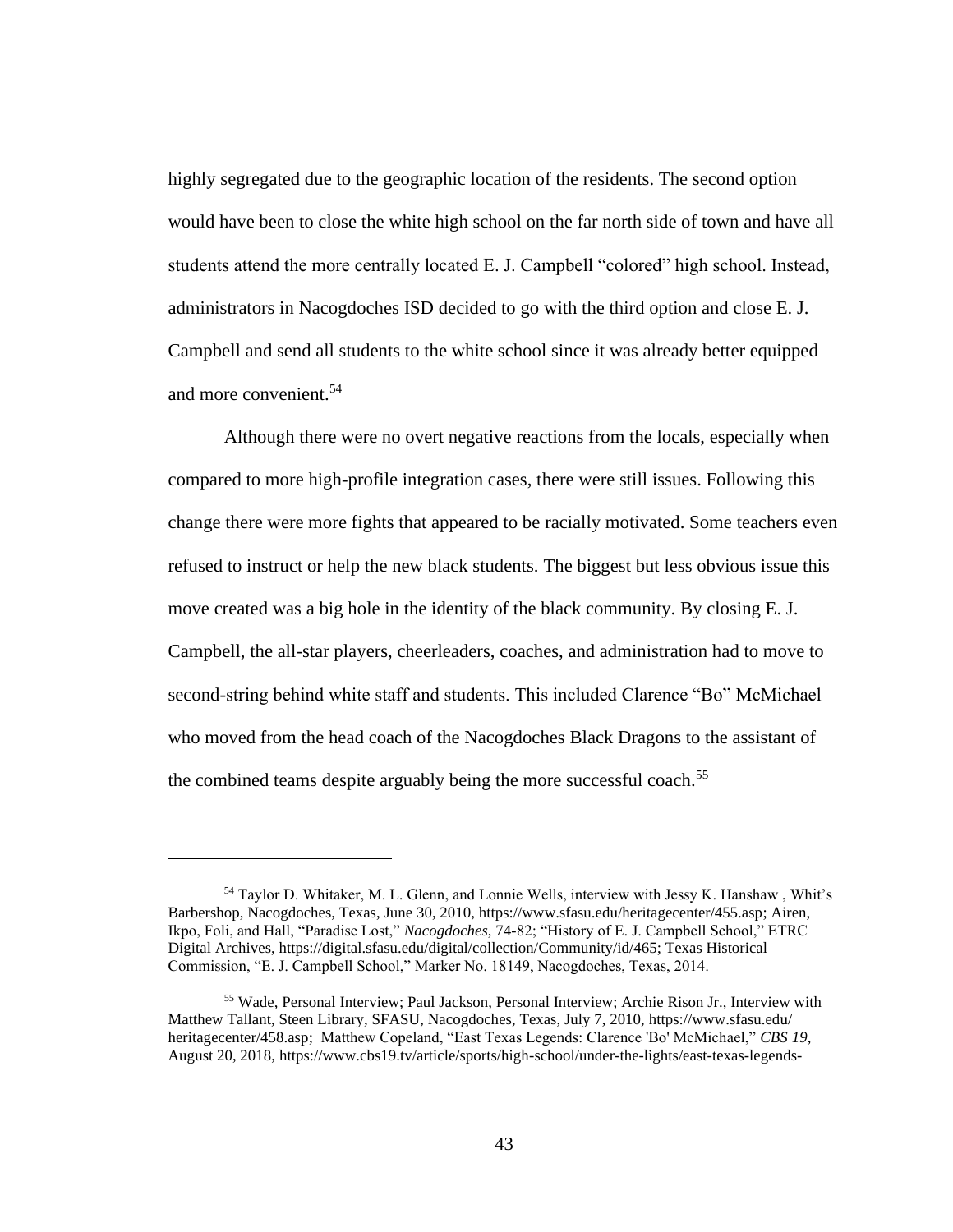highly segregated due to the geographic location of the residents. The second option would have been to close the white high school on the far north side of town and have all students attend the more centrally located E. J. Campbell "colored" high school. Instead, administrators in Nacogdoches ISD decided to go with the third option and close E. J. Campbell and send all students to the white school since it was already better equipped and more convenient.<sup>54</sup>

Although there were no overt negative reactions from the locals, especially when compared to more high-profile integration cases, there were still issues. Following this change there were more fights that appeared to be racially motivated. Some teachers even refused to instruct or help the new black students. The biggest but less obvious issue this move created was a big hole in the identity of the black community. By closing E. J. Campbell, the all-star players, cheerleaders, coaches, and administration had to move to second-string behind white staff and students. This included Clarence "Bo" McMichael who moved from the head coach of the Nacogdoches Black Dragons to the assistant of the combined teams despite arguably being the more successful coach.<sup>55</sup>

<sup>54</sup> Taylor D. Whitaker, M. L. Glenn, and Lonnie Wells, interview with Jessy K. Hanshaw , Whit's Barbershop, Nacogdoches, Texas, June 30, 2010[, https://www.sfasu.edu/heritagecenter/455.asp;](https://www.sfasu.edu/heritagecenter/455.asp) Airen, Ikpo, Foli, and Hall, "Paradise Lost," *Nacogdoches*, 74-82; "History of E. J. Campbell School," ETRC Digital Archives, https://digital.sfasu.edu/digital/collection/Community/id/465; Texas Historical Commission, "E. J. Campbell School," Marker No. 18149, Nacogdoches, Texas, 2014.

<sup>55</sup> Wade, Personal Interview; Paul Jackson, Personal Interview; Archie Rison Jr., Interview with Matthew Tallant, Steen Library, SFASU, Nacogdoches, Texas, July 7, 2010, https://www.sfasu.edu/ heritagecenter/458.asp; Matthew Copeland, "East Texas Legends: Clarence 'Bo' McMichael," *CBS 19*, August 20, 2018, https://www.cbs19.tv/article/sports/high-school/under-the-lights/east-texas-legends-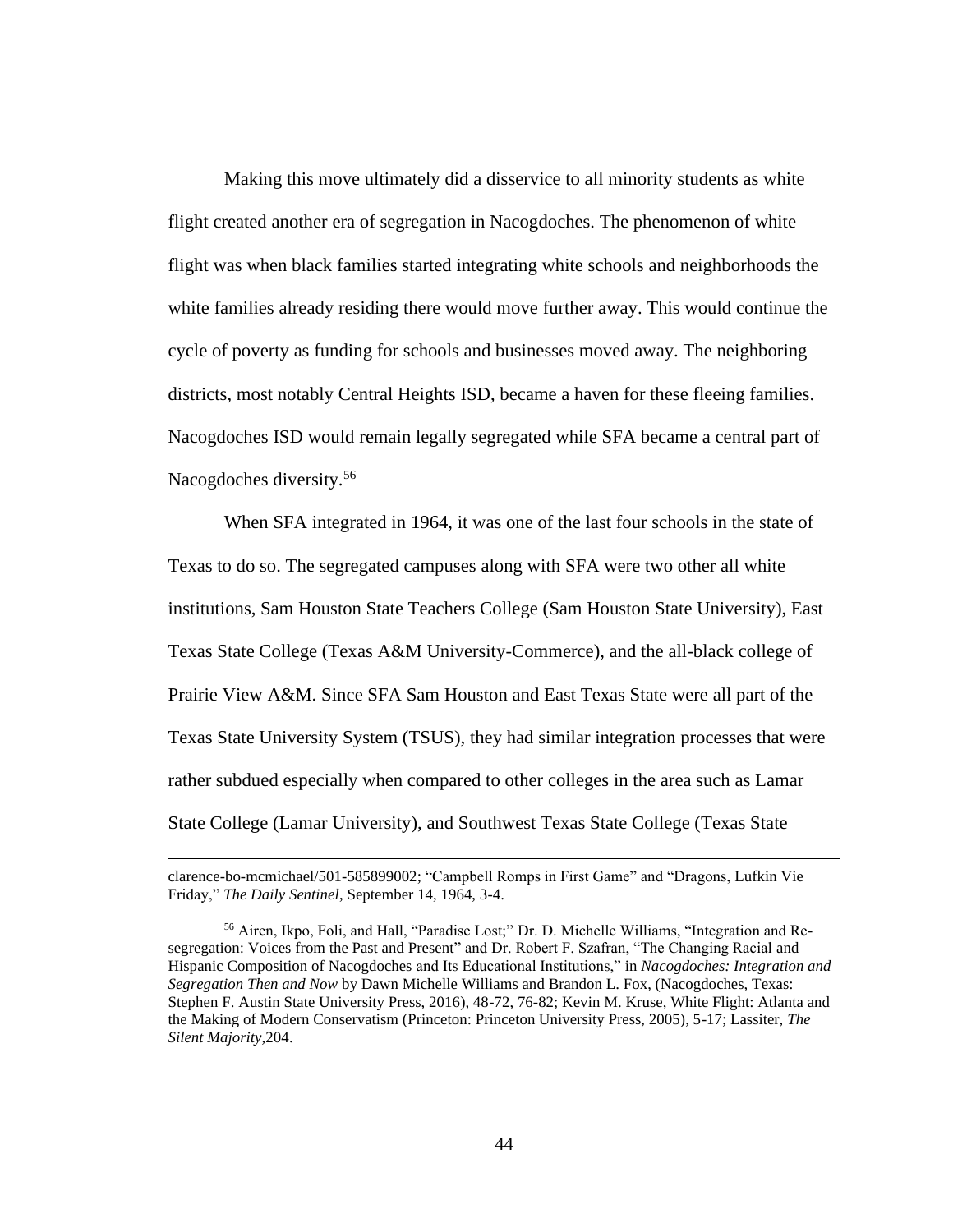Making this move ultimately did a disservice to all minority students as white flight created another era of segregation in Nacogdoches. The phenomenon of white flight was when black families started integrating white schools and neighborhoods the white families already residing there would move further away. This would continue the cycle of poverty as funding for schools and businesses moved away. The neighboring districts, most notably Central Heights ISD, became a haven for these fleeing families. Nacogdoches ISD would remain legally segregated while SFA became a central part of Nacogdoches diversity.<sup>56</sup>

When SFA integrated in 1964, it was one of the last four schools in the state of Texas to do so. The segregated campuses along with SFA were two other all white institutions, Sam Houston State Teachers College (Sam Houston State University), East Texas State College (Texas A&M University-Commerce), and the all-black college of Prairie View A&M. Since SFA Sam Houston and East Texas State were all part of the Texas State University System (TSUS), they had similar integration processes that were rather subdued especially when compared to other colleges in the area such as Lamar State College (Lamar University), and Southwest Texas State College (Texas State

clarence-bo-mcmichael/501-585899002; "Campbell Romps in First Game" and "Dragons, Lufkin Vie Friday," *The Daily Sentinel*, September 14, 1964, 3-4.

<sup>56</sup> Airen, Ikpo, Foli, and Hall, "Paradise Lost;" Dr. D. Michelle Williams, "Integration and Resegregation: Voices from the Past and Present" and Dr. Robert F. Szafran, "The Changing Racial and Hispanic Composition of Nacogdoches and Its Educational Institutions," in *Nacogdoches: Integration and Segregation Then and Now* by Dawn Michelle Williams and Brandon L. Fox, (Nacogdoches, Texas: Stephen F. Austin State University Press, 2016), 48-72, 76-82; Kevin M. Kruse, White Flight: Atlanta and the Making of Modern Conservatism (Princeton: Princeton University Press, 2005), 5-17; Lassiter, *The Silent Majority,*204.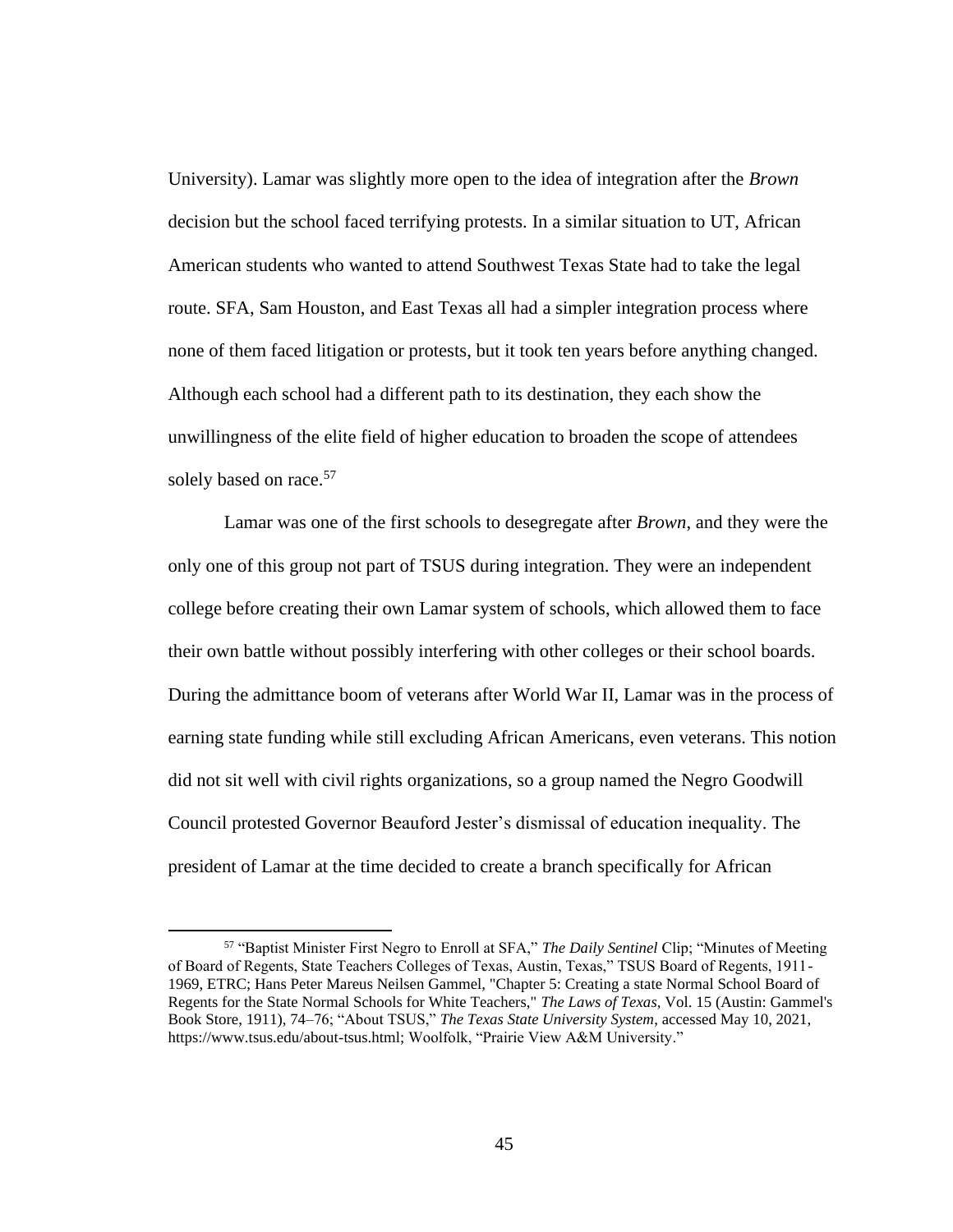University). Lamar was slightly more open to the idea of integration after the *Brown* decision but the school faced terrifying protests. In a similar situation to UT, African American students who wanted to attend Southwest Texas State had to take the legal route. SFA, Sam Houston, and East Texas all had a simpler integration process where none of them faced litigation or protests, but it took ten years before anything changed. Although each school had a different path to its destination, they each show the unwillingness of the elite field of higher education to broaden the scope of attendees solely based on race.<sup>57</sup>

Lamar was one of the first schools to desegregate after *Brown*, and they were the only one of this group not part of TSUS during integration. They were an independent college before creating their own Lamar system of schools, which allowed them to face their own battle without possibly interfering with other colleges or their school boards. During the admittance boom of veterans after World War II, Lamar was in the process of earning state funding while still excluding African Americans, even veterans. This notion did not sit well with civil rights organizations, so a group named the Negro Goodwill Council protested Governor Beauford Jester's dismissal of education inequality. The president of Lamar at the time decided to create a branch specifically for African

<sup>57</sup> "Baptist Minister First Negro to Enroll at SFA," *The Daily Sentinel* Clip; "Minutes of Meeting of Board of Regents, State Teachers Colleges of Texas, Austin, Texas," TSUS Board of Regents, 1911- 1969, ETRC; Hans Peter Mareus Neilsen Gammel, "Chapter 5: Creating a state Normal School Board of Regents for the State Normal Schools for White Teachers," *The Laws of Texas*, Vol. 15 (Austin: Gammel's Book Store, 1911), 74–76; "About TSUS," *The Texas State University System*, accessed May 10, 2021, [https://www.tsus.edu/about-tsus.html;](https://www.tsus.edu/about-tsus.html) Woolfolk, "Prairie View A&M University."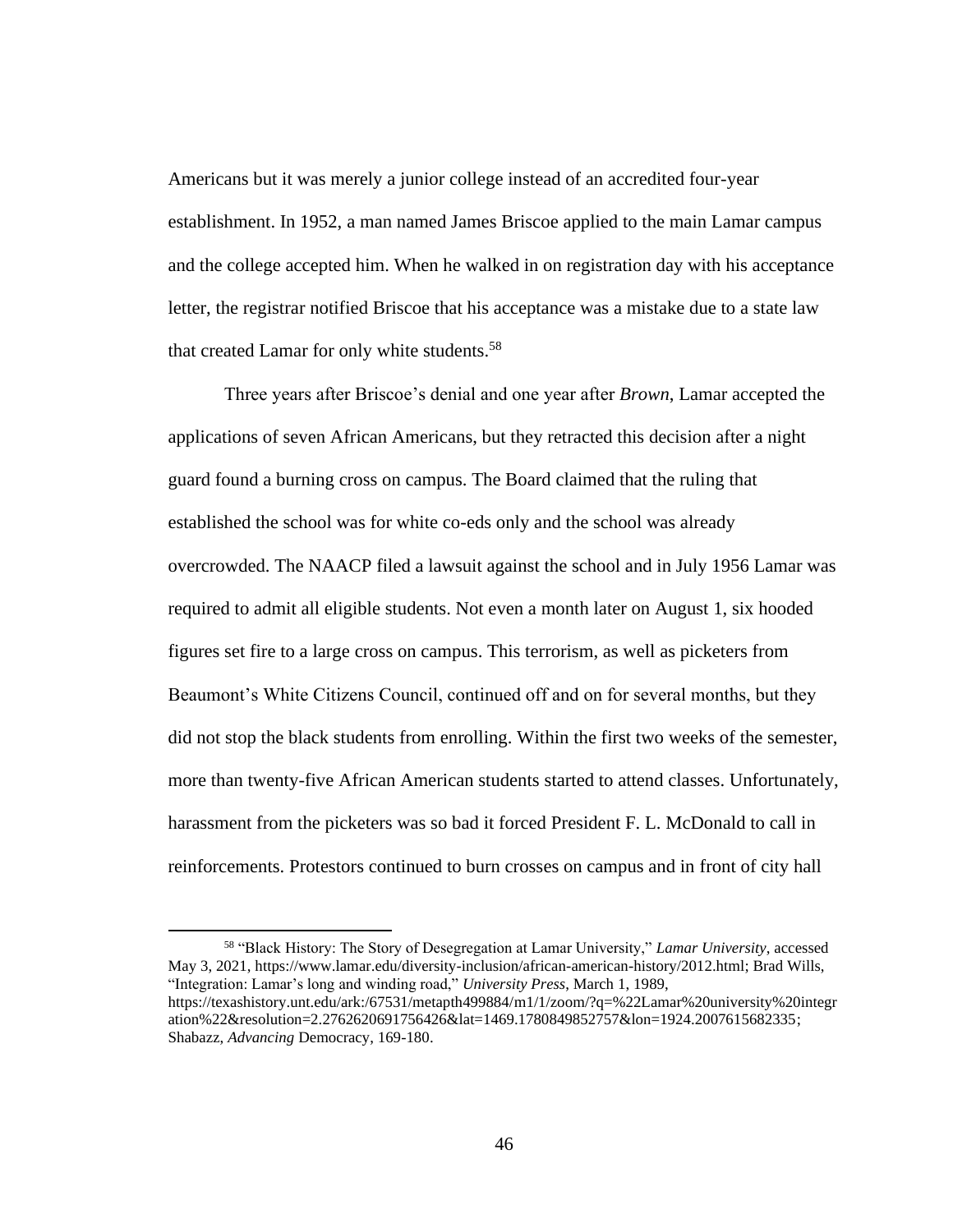Americans but it was merely a junior college instead of an accredited four-year establishment. In 1952, a man named James Briscoe applied to the main Lamar campus and the college accepted him. When he walked in on registration day with his acceptance letter, the registrar notified Briscoe that his acceptance was a mistake due to a state law that created Lamar for only white students.<sup>58</sup>

Three years after Briscoe's denial and one year after *Brown*, Lamar accepted the applications of seven African Americans, but they retracted this decision after a night guard found a burning cross on campus. The Board claimed that the ruling that established the school was for white co-eds only and the school was already overcrowded. The NAACP filed a lawsuit against the school and in July 1956 Lamar was required to admit all eligible students. Not even a month later on August 1, six hooded figures set fire to a large cross on campus. This terrorism, as well as picketers from Beaumont's White Citizens Council, continued off and on for several months, but they did not stop the black students from enrolling. Within the first two weeks of the semester, more than twenty-five African American students started to attend classes. Unfortunately, harassment from the picketers was so bad it forced President F. L. McDonald to call in reinforcements. Protestors continued to burn crosses on campus and in front of city hall

58 "Black History: The Story of Desegregation at Lamar University," *Lamar University*, accessed May 3, 2021, [https://www.lamar.edu/diversity-inclusion/african-american-history/2012.html;](https://www.lamar.edu/diversity-inclusion/african-american-history/2012.html) Brad Wills, "Integration: Lamar's long and winding road," *University Press*, March 1, 1989, [https://texashistory.unt.edu/ark:/67531/metapth499884/m1/1/zoom/?q=%22Lamar%20university%20integr](https://texashistory.unt.edu/ark:/67531/metapth499884/m1/1/zoom/?q=%22Lamar%20university%20integration%22&resolution=2.2762620691756426&lat=1469.1780849852757&lon=1924.2007615682335) [ation%22&resolution=2.2762620691756426&lat=1469.1780849852757&lon=1924.2007615682335;](https://texashistory.unt.edu/ark:/67531/metapth499884/m1/1/zoom/?q=%22Lamar%20university%20integration%22&resolution=2.2762620691756426&lat=1469.1780849852757&lon=1924.2007615682335) Shabazz, *Advancing* Democracy, 169-180.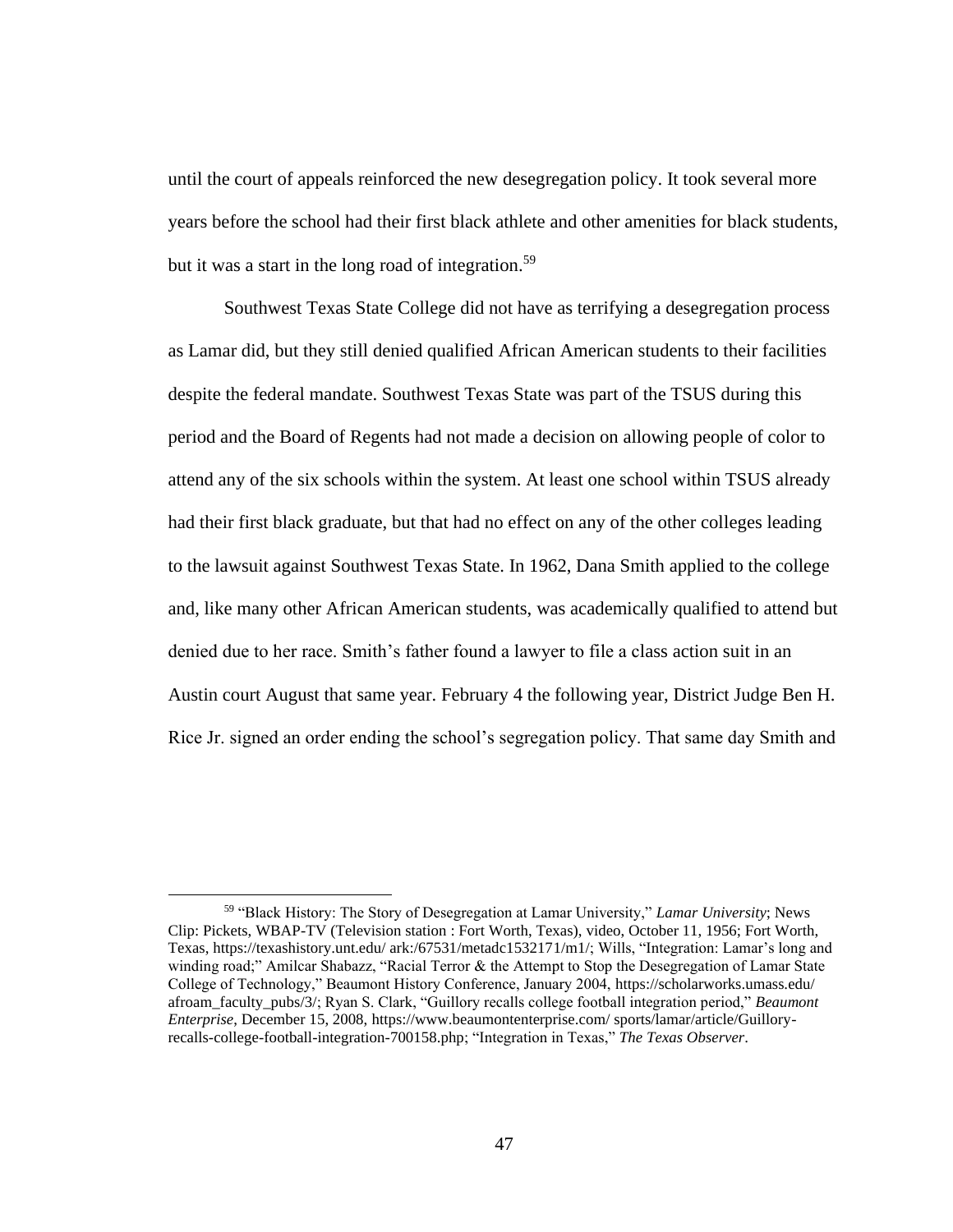until the court of appeals reinforced the new desegregation policy. It took several more years before the school had their first black athlete and other amenities for black students, but it was a start in the long road of integration.<sup>59</sup>

Southwest Texas State College did not have as terrifying a desegregation process as Lamar did, but they still denied qualified African American students to their facilities despite the federal mandate. Southwest Texas State was part of the TSUS during this period and the Board of Regents had not made a decision on allowing people of color to attend any of the six schools within the system. At least one school within TSUS already had their first black graduate, but that had no effect on any of the other colleges leading to the lawsuit against Southwest Texas State. In 1962, Dana Smith applied to the college and, like many other African American students, was academically qualified to attend but denied due to her race. Smith's father found a lawyer to file a class action suit in an Austin court August that same year. February 4 the following year, District Judge Ben H. Rice Jr. signed an order ending the school's segregation policy. That same day Smith and

<sup>59</sup> "Black History: The Story of Desegregation at Lamar University," *Lamar University*; News Clip: Pickets, WBAP-TV (Television station : Fort Worth, Texas), video, October 11, 1956; Fort Worth, Texas, [https://texashistory.unt.edu/ ark:/67531/metadc1532171/m1/;](https://texashistory.unt.edu/%20ark:/67531/metadc1532171/m1/) Wills, "Integration: Lamar's long and winding road;" Amilcar Shabazz, "Racial Terror & the Attempt to Stop the Desegregation of Lamar State College of Technology," Beaumont History Conference, January 2004, [https://scholarworks.umass.edu/](https://scholarworks.umass.edu/%20afroam_faculty_pubs/3/)  [afroam\\_faculty\\_pubs/3/;](https://scholarworks.umass.edu/%20afroam_faculty_pubs/3/) Ryan S. Clark, "Guillory recalls college football integration period," *Beaumont Enterprise*, December 15, 2008, [https://www.beaumontenterprise.com/ sports/lamar/article/Guillory](https://www.beaumontenterprise.com/%20sports/lamar/article/Guillory-recalls-college-football-integration-700158.php)[recalls-college-football-integration-700158.php;](https://www.beaumontenterprise.com/%20sports/lamar/article/Guillory-recalls-college-football-integration-700158.php) "Integration in Texas," *The Texas Observer*.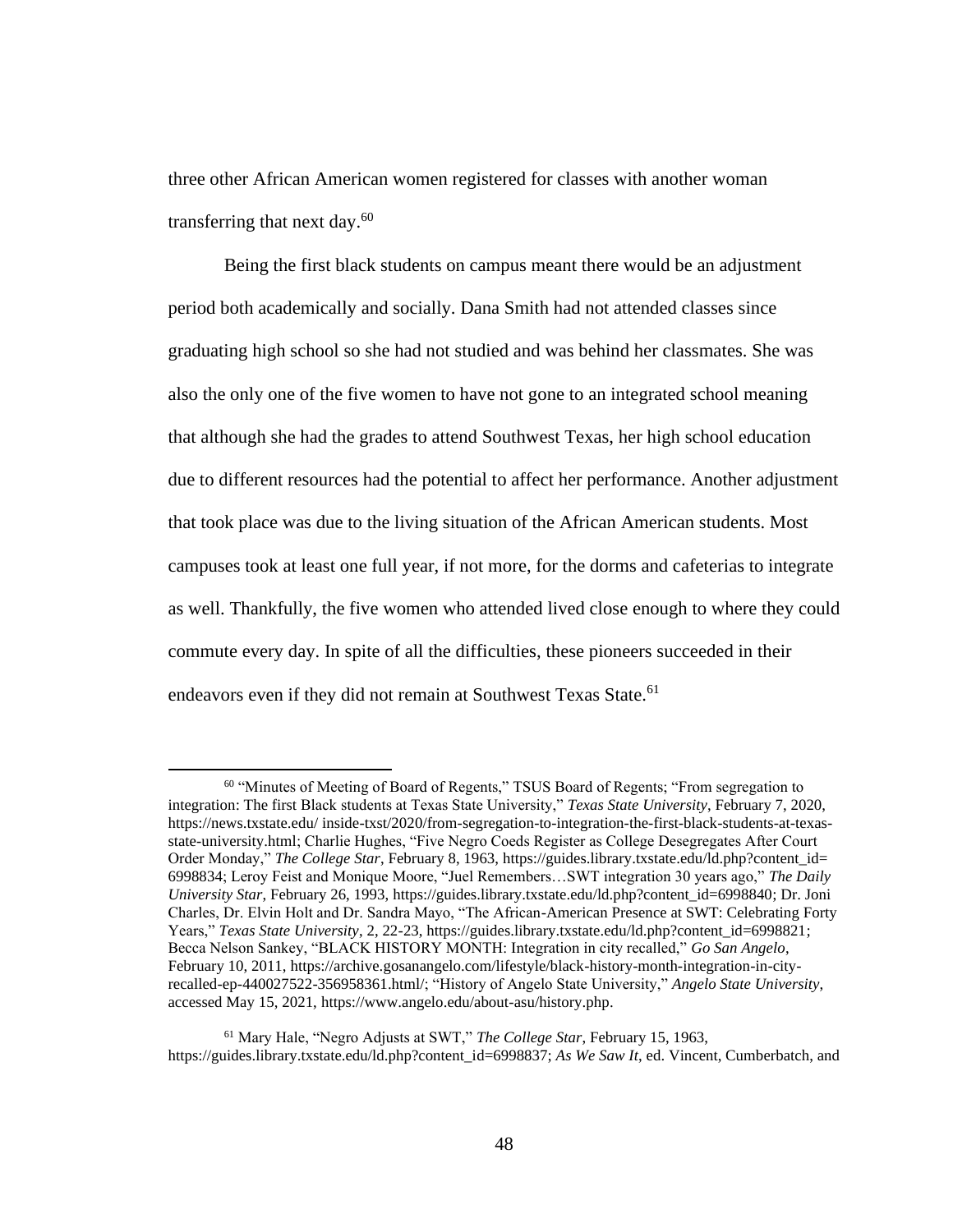three other African American women registered for classes with another woman transferring that next day. $60$ 

Being the first black students on campus meant there would be an adjustment period both academically and socially. Dana Smith had not attended classes since graduating high school so she had not studied and was behind her classmates. She was also the only one of the five women to have not gone to an integrated school meaning that although she had the grades to attend Southwest Texas, her high school education due to different resources had the potential to affect her performance. Another adjustment that took place was due to the living situation of the African American students. Most campuses took at least one full year, if not more, for the dorms and cafeterias to integrate as well. Thankfully, the five women who attended lived close enough to where they could commute every day. In spite of all the difficulties, these pioneers succeeded in their endeavors even if they did not remain at Southwest Texas State.<sup>61</sup>

<sup>&</sup>lt;sup>60</sup> "Minutes of Meeting of Board of Regents," TSUS Board of Regents; "From segregation to integration: The first Black students at Texas State University," *Texas State University*, February 7, 2020, [https://news.txstate.edu/ inside-txst/2020/from-segregation-to-integration-the-first-black-students-at-texas](https://news.txstate.edu/%20inside-txst/2020/from-segregation-to-integration-the-first-black-students-at-texas-state-university.html)[state-university.html;](https://news.txstate.edu/%20inside-txst/2020/from-segregation-to-integration-the-first-black-students-at-texas-state-university.html) Charlie Hughes, "Five Negro Coeds Register as College Desegregates After Court Order Monday," *The College Star*, February 8, 1963, [https://guides.library.txstate.edu/ld.php?content\\_id=](https://guides.library.txstate.edu/ld.php?content_id=%206998834)  [6998834;](https://guides.library.txstate.edu/ld.php?content_id=%206998834) Leroy Feist and Monique Moore, "Juel Remembers…SWT integration 30 years ago," *The Daily University Star*, February 26, 1993, [https://guides.library.txstate.edu/ld.php?content\\_id=6998840;](https://guides.library.txstate.edu/ld.php?content_id=6998840) Dr. Joni Charles, Dr. Elvin Holt and Dr. Sandra Mayo, "The African-American Presence at SWT: Celebrating Forty Years," *Texas State University*, 2, 22-23, [https://guides.library.txstate.edu/ld.php?content\\_id=6998821;](https://guides.library.txstate.edu/ld.php?content_id=6998821) Becca Nelson Sankey, "BLACK HISTORY MONTH: Integration in city recalled," *Go San Angelo*, February 10, 2011[, https://archive.gosanangelo.com/lifestyle/black-history-month-integration-in-city](https://archive.gosanangelo.com/lifestyle/black-history-month-integration-in-city-recalled-ep-440027522-356958361.html/)[recalled-ep-440027522-356958361.html/;](https://archive.gosanangelo.com/lifestyle/black-history-month-integration-in-city-recalled-ep-440027522-356958361.html/) "History of Angelo State University," *Angelo State University*, accessed May 15, 2021, [https://www.angelo.edu/about-asu/history.php.](https://www.angelo.edu/about-asu/history.php)

<sup>61</sup> Mary Hale, "Negro Adjusts at SWT," *The College Star*, February 15, 1963, https://guides.library.txstate.edu/ld.php?content\_id=6998837; *As We Saw It*, ed. Vincent, Cumberbatch, and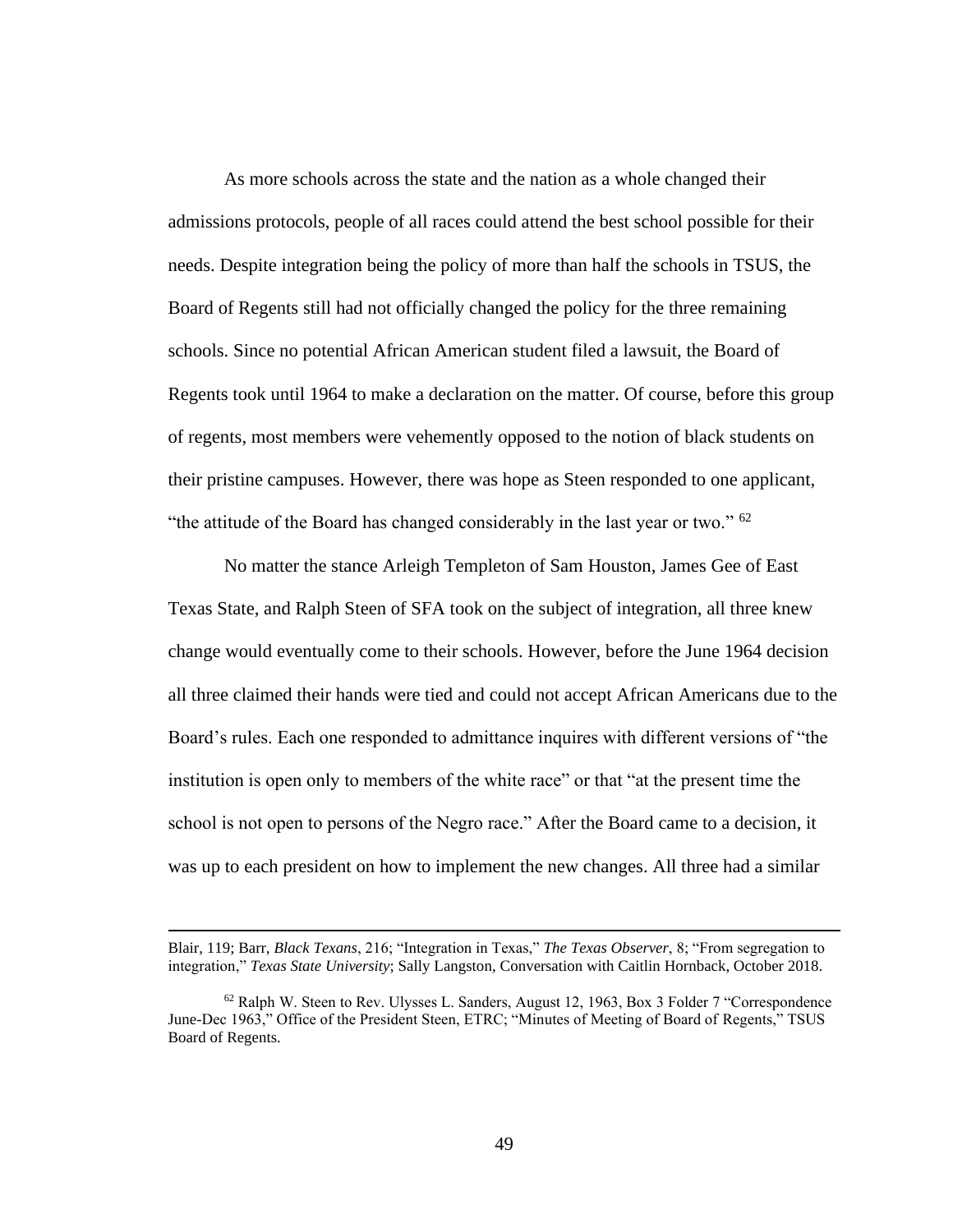As more schools across the state and the nation as a whole changed their admissions protocols, people of all races could attend the best school possible for their needs. Despite integration being the policy of more than half the schools in TSUS, the Board of Regents still had not officially changed the policy for the three remaining schools. Since no potential African American student filed a lawsuit, the Board of Regents took until 1964 to make a declaration on the matter. Of course, before this group of regents, most members were vehemently opposed to the notion of black students on their pristine campuses. However, there was hope as Steen responded to one applicant, "the attitude of the Board has changed considerably in the last year or two."  $62$ 

No matter the stance Arleigh Templeton of Sam Houston, James Gee of East Texas State, and Ralph Steen of SFA took on the subject of integration, all three knew change would eventually come to their schools. However, before the June 1964 decision all three claimed their hands were tied and could not accept African Americans due to the Board's rules. Each one responded to admittance inquires with different versions of "the institution is open only to members of the white race" or that "at the present time the school is not open to persons of the Negro race." After the Board came to a decision, it was up to each president on how to implement the new changes. All three had a similar

Blair, 119; Barr, *Black Texans*, 216; "Integration in Texas," *The Texas Observer*, 8; "From segregation to integration," *Texas State University*; Sally Langston, Conversation with Caitlin Hornback, October 2018.

 $62$  Ralph W. Steen to Rev. Ulysses L. Sanders, August 12, 1963, Box 3 Folder 7 "Correspondence" June-Dec 1963," Office of the President Steen, ETRC; "Minutes of Meeting of Board of Regents," TSUS Board of Regents.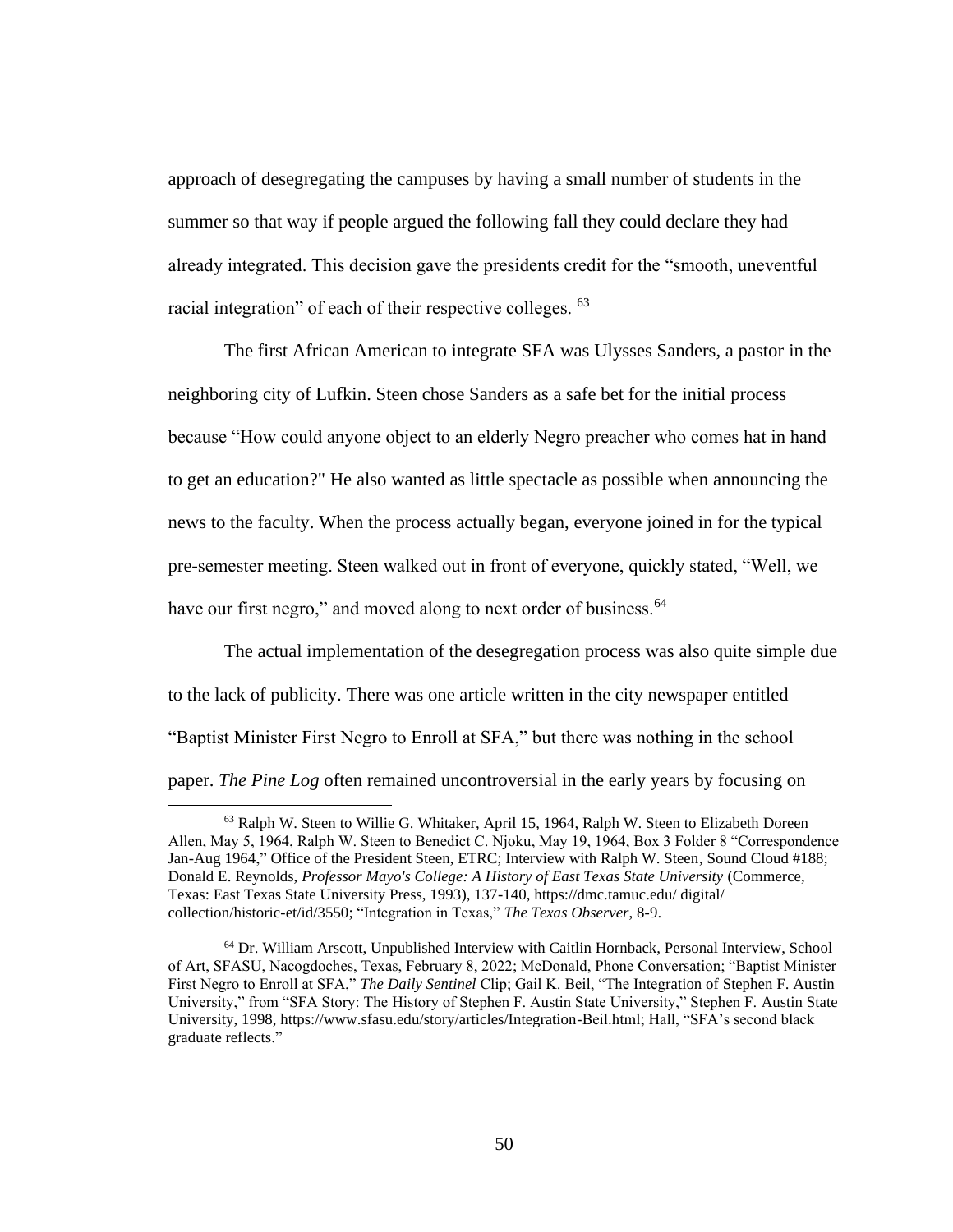approach of desegregating the campuses by having a small number of students in the summer so that way if people argued the following fall they could declare they had already integrated. This decision gave the presidents credit for the "smooth, uneventful racial integration" of each of their respective colleges. <sup>63</sup>

The first African American to integrate SFA was Ulysses Sanders, a pastor in the neighboring city of Lufkin. Steen chose Sanders as a safe bet for the initial process because "How could anyone object to an elderly Negro preacher who comes hat in hand to get an education?" He also wanted as little spectacle as possible when announcing the news to the faculty. When the process actually began, everyone joined in for the typical pre-semester meeting. Steen walked out in front of everyone, quickly stated, "Well, we have our first negro," and moved along to next order of business.<sup>64</sup>

The actual implementation of the desegregation process was also quite simple due to the lack of publicity. There was one article written in the city newspaper entitled "Baptist Minister First Negro to Enroll at SFA," but there was nothing in the school paper. *The Pine Log* often remained uncontroversial in the early years by focusing on

<sup>63</sup> Ralph W. Steen to Willie G. Whitaker, April 15, 1964, Ralph W. Steen to Elizabeth Doreen Allen, May 5, 1964, Ralph W. Steen to Benedict C. Njoku, May 19, 1964, Box 3 Folder 8 "Correspondence Jan-Aug 1964," Office of the President Steen, ETRC; Interview with Ralph W. Steen, Sound Cloud #188; Donald E. Reynolds, *Professor Mayo's College: A History of East Texas State University* (Commerce, Texas: East Texas State University Press, 1993), 137-140, [https://dmc.tamuc.edu/ digital/](https://dmc.tamuc.edu/%20digital/%20collection/historic-et/id/3550)  [collection/historic-et/id/3550;](https://dmc.tamuc.edu/%20digital/%20collection/historic-et/id/3550) "Integration in Texas," *The Texas Observer*, 8-9.

<sup>64</sup> Dr. William Arscott, Unpublished Interview with Caitlin Hornback, Personal Interview, School of Art, SFASU, Nacogdoches, Texas, February 8, 2022; McDonald, Phone Conversation; "Baptist Minister First Negro to Enroll at SFA," *The Daily Sentinel* Clip; Gail K. Beil, "The Integration of Stephen F. Austin University," from "SFA Story: The History of Stephen F. Austin State University," Stephen F. Austin State University, 1998, https://www.sfasu.edu/story/articles/Integration-Beil.html; Hall, "SFA's second black graduate reflects."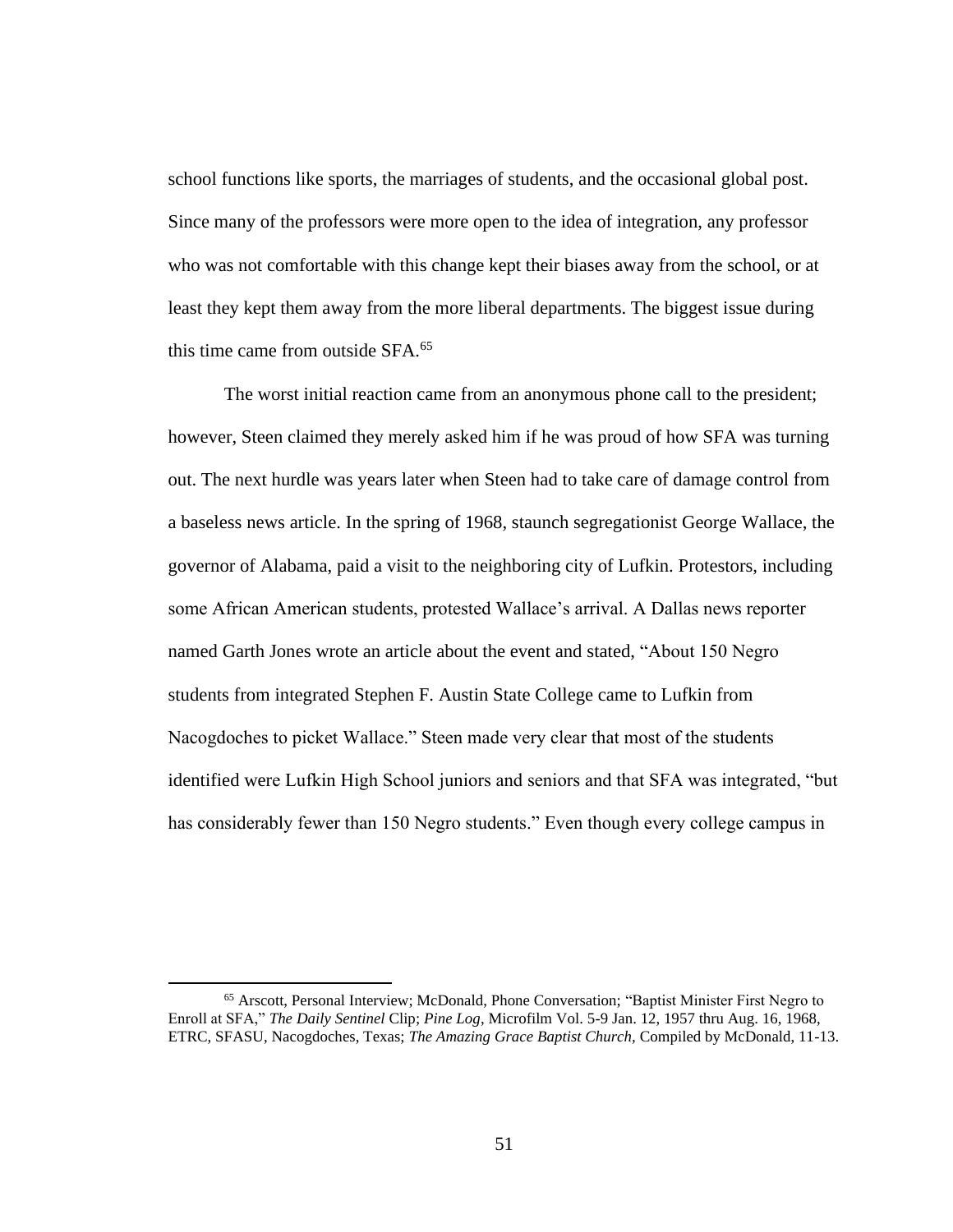school functions like sports, the marriages of students, and the occasional global post. Since many of the professors were more open to the idea of integration, any professor who was not comfortable with this change kept their biases away from the school, or at least they kept them away from the more liberal departments. The biggest issue during this time came from outside SFA.<sup>65</sup>

The worst initial reaction came from an anonymous phone call to the president; however, Steen claimed they merely asked him if he was proud of how SFA was turning out. The next hurdle was years later when Steen had to take care of damage control from a baseless news article. In the spring of 1968, staunch segregationist George Wallace, the governor of Alabama, paid a visit to the neighboring city of Lufkin. Protestors, including some African American students, protested Wallace's arrival. A Dallas news reporter named Garth Jones wrote an article about the event and stated, "About 150 Negro students from integrated Stephen F. Austin State College came to Lufkin from Nacogdoches to picket Wallace." Steen made very clear that most of the students identified were Lufkin High School juniors and seniors and that SFA was integrated, "but has considerably fewer than 150 Negro students." Even though every college campus in

<sup>65</sup> Arscott, Personal Interview; McDonald, Phone Conversation; "Baptist Minister First Negro to Enroll at SFA," *The Daily Sentinel* Clip; *Pine Log*, Microfilm Vol. 5-9 Jan. 12, 1957 thru Aug. 16, 1968, ETRC, SFASU, Nacogdoches, Texas; *The Amazing Grace Baptist Church,* Compiled by McDonald, 11-13.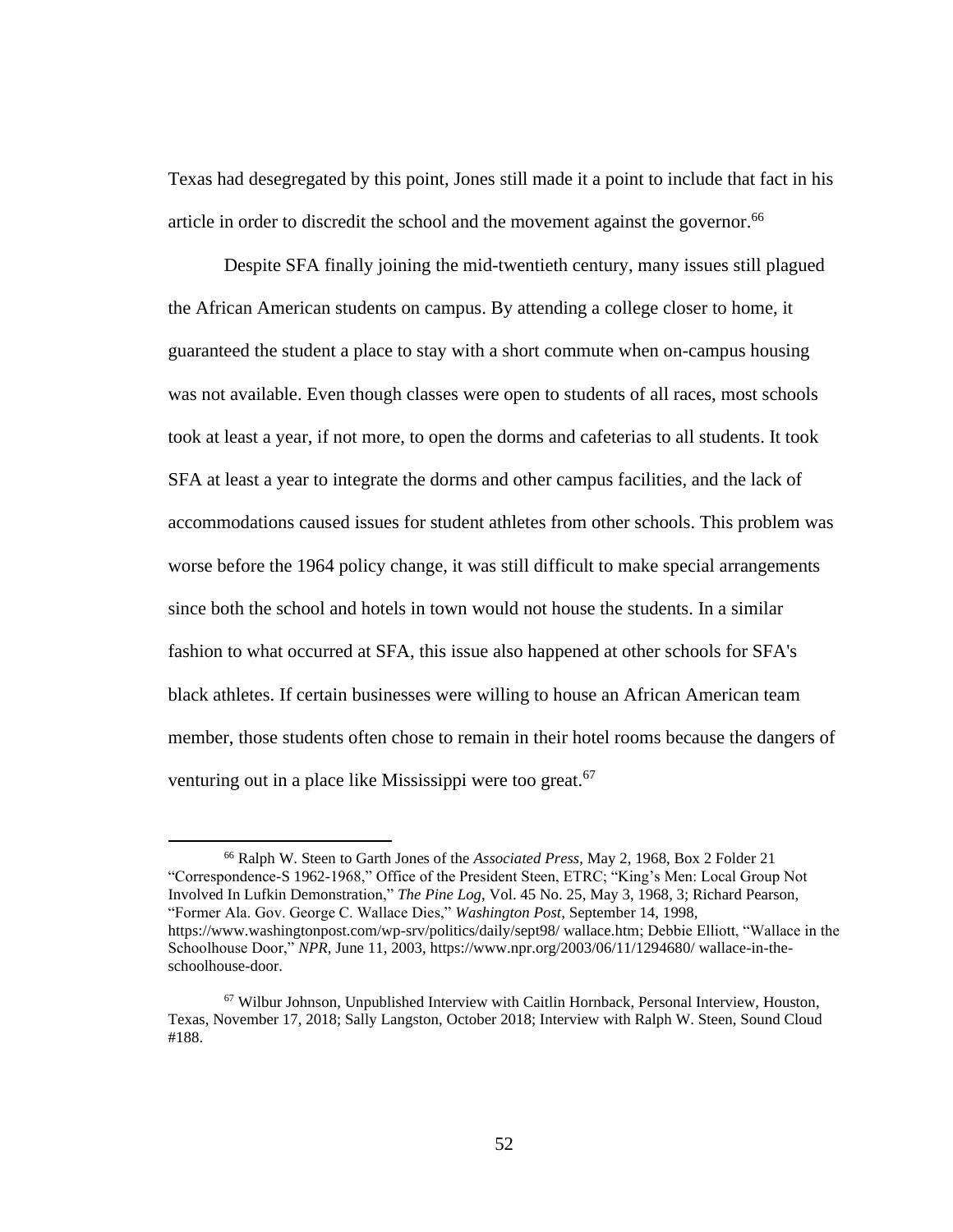Texas had desegregated by this point, Jones still made it a point to include that fact in his article in order to discredit the school and the movement against the governor.<sup>66</sup>

Despite SFA finally joining the mid-twentieth century, many issues still plagued the African American students on campus. By attending a college closer to home, it guaranteed the student a place to stay with a short commute when on-campus housing was not available. Even though classes were open to students of all races, most schools took at least a year, if not more, to open the dorms and cafeterias to all students. It took SFA at least a year to integrate the dorms and other campus facilities, and the lack of accommodations caused issues for student athletes from other schools. This problem was worse before the 1964 policy change, it was still difficult to make special arrangements since both the school and hotels in town would not house the students. In a similar fashion to what occurred at SFA, this issue also happened at other schools for SFA's black athletes. If certain businesses were willing to house an African American team member, those students often chose to remain in their hotel rooms because the dangers of venturing out in a place like Mississippi were too great.<sup>67</sup>

<sup>66</sup> Ralph W. Steen to Garth Jones of the *Associated Press*, May 2, 1968, Box 2 Folder 21 "Correspondence-S 1962-1968," Office of the President Steen, ETRC; "King's Men: Local Group Not Involved In Lufkin Demonstration," *The Pine Log*, Vol. 45 No. 25, May 3, 1968, 3; Richard Pearson, "Former Ala. Gov. George C. Wallace Dies," *Washington Post*, September 14, 1998, [https://www.washingtonpost.com/wp-srv/politics/daily/sept98/ wallace.htm;](https://www.washingtonpost.com/wp-srv/politics/daily/sept98/%20wallace.htm) Debbie Elliott, "Wallace in the Schoolhouse Door," *NPR*, June 11, 2003, [https://www.npr.org/2003/06/11/1294680/ wallace-in-the](https://www.npr.org/2003/06/11/1294680/%20wallace-in-the-schoolhouse-door)[schoolhouse-door.](https://www.npr.org/2003/06/11/1294680/%20wallace-in-the-schoolhouse-door)

 $67$  Wilbur Johnson, Unpublished Interview with Caitlin Hornback, Personal Interview, Houston, Texas, November 17, 2018; Sally Langston, October 2018; Interview with Ralph W. Steen, Sound Cloud #188.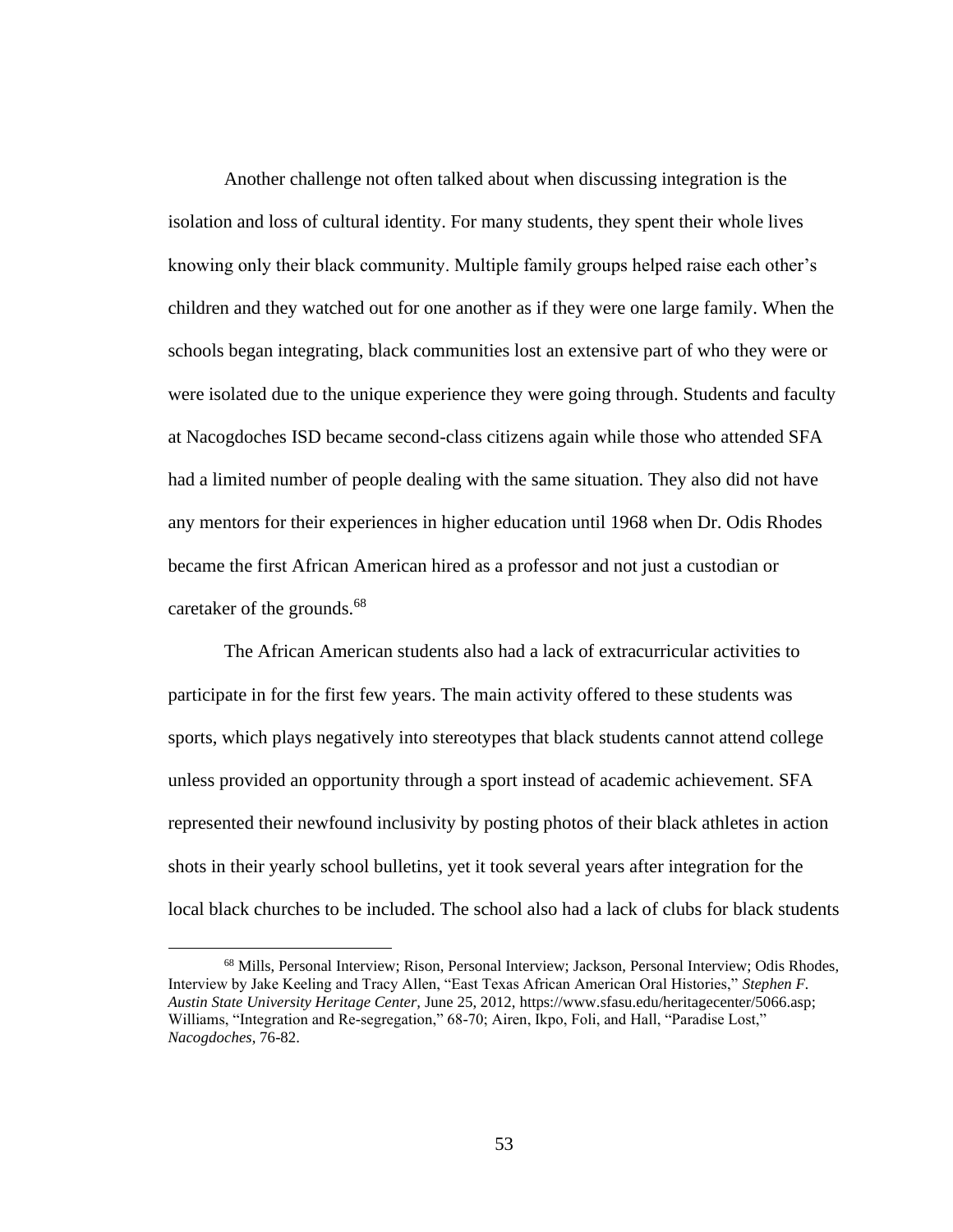Another challenge not often talked about when discussing integration is the isolation and loss of cultural identity. For many students, they spent their whole lives knowing only their black community. Multiple family groups helped raise each other's children and they watched out for one another as if they were one large family. When the schools began integrating, black communities lost an extensive part of who they were or were isolated due to the unique experience they were going through. Students and faculty at Nacogdoches ISD became second-class citizens again while those who attended SFA had a limited number of people dealing with the same situation. They also did not have any mentors for their experiences in higher education until 1968 when Dr. Odis Rhodes became the first African American hired as a professor and not just a custodian or caretaker of the grounds.<sup>68</sup>

The African American students also had a lack of extracurricular activities to participate in for the first few years. The main activity offered to these students was sports, which plays negatively into stereotypes that black students cannot attend college unless provided an opportunity through a sport instead of academic achievement. SFA represented their newfound inclusivity by posting photos of their black athletes in action shots in their yearly school bulletins, yet it took several years after integration for the local black churches to be included. The school also had a lack of clubs for black students

<sup>68</sup> Mills, Personal Interview; Rison, Personal Interview; Jackson, Personal Interview; Odis Rhodes, Interview by Jake Keeling and Tracy Allen, "East Texas African American Oral Histories," *Stephen F. Austin State University Heritage Center,* June 25, 2012, [https://www.sfasu.edu/heritagecenter/5066.asp;](https://www.sfasu.edu/heritagecenter/5066.asp) Williams, "Integration and Re-segregation," 68-70; Airen, Ikpo, Foli, and Hall, "Paradise Lost," *Nacogdoches*, 76-82.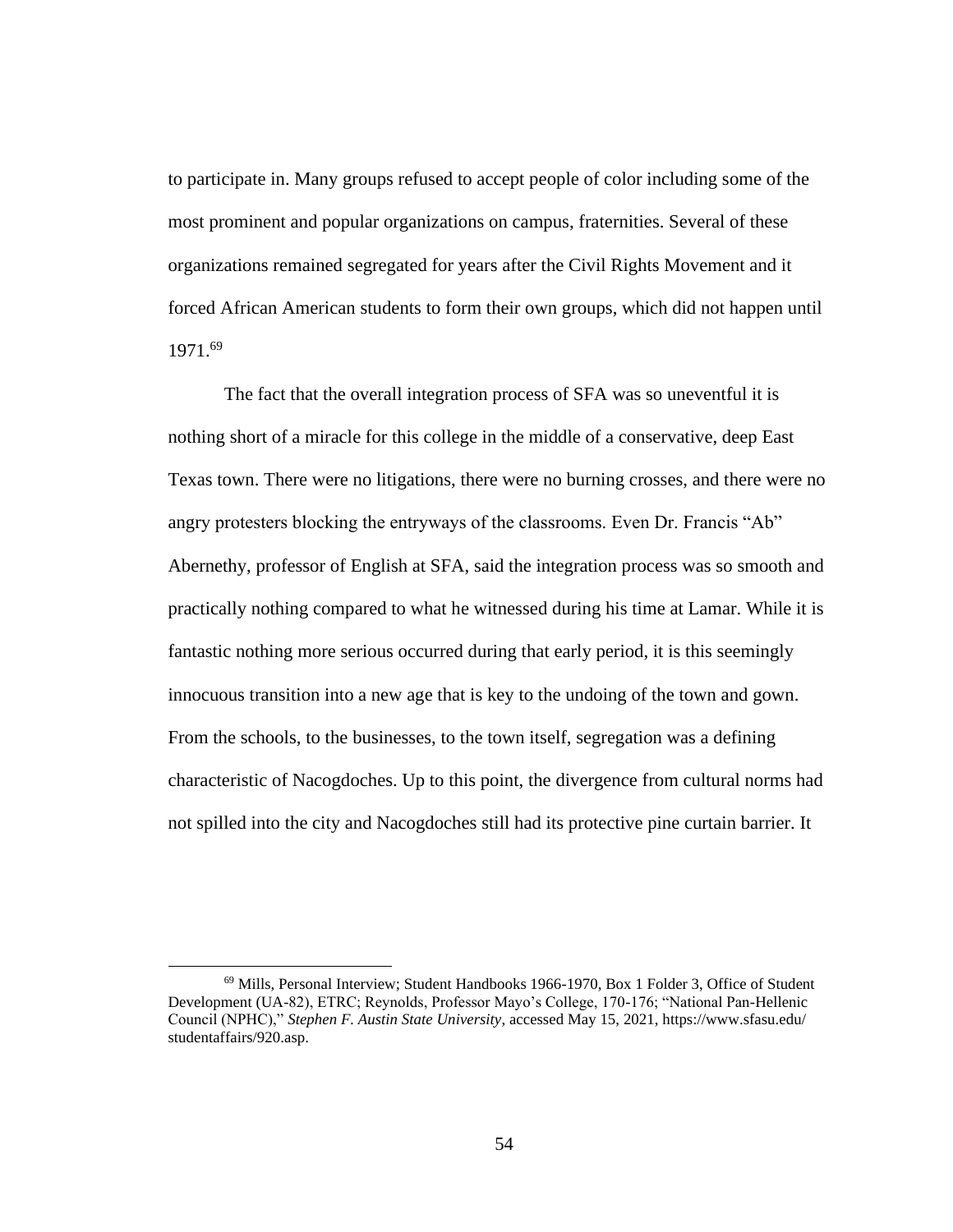to participate in. Many groups refused to accept people of color including some of the most prominent and popular organizations on campus, fraternities. Several of these organizations remained segregated for years after the Civil Rights Movement and it forced African American students to form their own groups, which did not happen until 1971.<sup>69</sup>

The fact that the overall integration process of SFA was so uneventful it is nothing short of a miracle for this college in the middle of a conservative, deep East Texas town. There were no litigations, there were no burning crosses, and there were no angry protesters blocking the entryways of the classrooms. Even Dr. Francis "Ab" Abernethy, professor of English at SFA, said the integration process was so smooth and practically nothing compared to what he witnessed during his time at Lamar. While it is fantastic nothing more serious occurred during that early period, it is this seemingly innocuous transition into a new age that is key to the undoing of the town and gown. From the schools, to the businesses, to the town itself, segregation was a defining characteristic of Nacogdoches. Up to this point, the divergence from cultural norms had not spilled into the city and Nacogdoches still had its protective pine curtain barrier. It

<sup>69</sup> Mills, Personal Interview; Student Handbooks 1966-1970, Box 1 Folder 3, Office of Student Development (UA-82), ETRC; Reynolds, Professor Mayo's College, 170-176; "National Pan-Hellenic Council (NPHC)," *Stephen F. Austin State University*, accessed May 15, 2021[, https://www.sfasu.edu/](https://www.sfasu.edu/%20studentaffairs/920.asp)  [studentaffairs/920.asp.](https://www.sfasu.edu/%20studentaffairs/920.asp)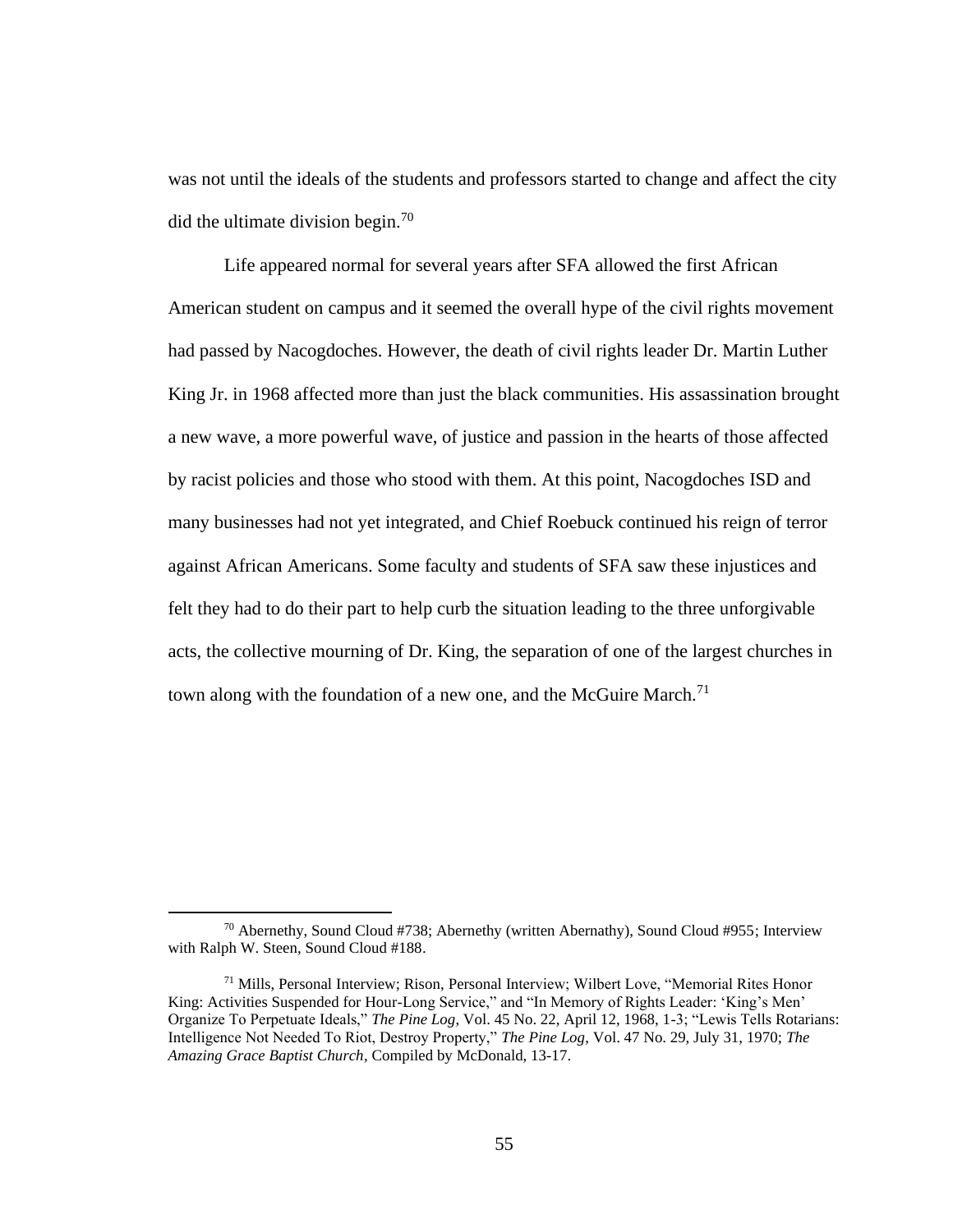was not until the ideals of the students and professors started to change and affect the city did the ultimate division begin.<sup>70</sup>

Life appeared normal for several years after SFA allowed the first African American student on campus and it seemed the overall hype of the civil rights movement had passed by Nacogdoches. However, the death of civil rights leader Dr. Martin Luther King Jr. in 1968 affected more than just the black communities. His assassination brought a new wave, a more powerful wave, of justice and passion in the hearts of those affected by racist policies and those who stood with them. At this point, Nacogdoches ISD and many businesses had not yet integrated, and Chief Roebuck continued his reign of terror against African Americans. Some faculty and students of SFA saw these injustices and felt they had to do their part to help curb the situation leading to the three unforgivable acts, the collective mourning of Dr. King, the separation of one of the largest churches in town along with the foundation of a new one, and the McGuire March. $71$ 

 $70$  Abernethy, Sound Cloud #738; Abernethy (written Abernathy), Sound Cloud #955; Interview with Ralph W. Steen, Sound Cloud #188.

<sup>71</sup> Mills, Personal Interview; Rison, Personal Interview; Wilbert Love, "Memorial Rites Honor King: Activities Suspended for Hour-Long Service," and "In Memory of Rights Leader: 'King's Men' Organize To Perpetuate Ideals," *The Pine Log*, Vol. 45 No. 22, April 12, 1968, 1-3; "Lewis Tells Rotarians: Intelligence Not Needed To Riot, Destroy Property," *The Pine Log*, Vol. 47 No. 29, July 31, 1970; *The Amazing Grace Baptist Church*, Compiled by McDonald, 13-17.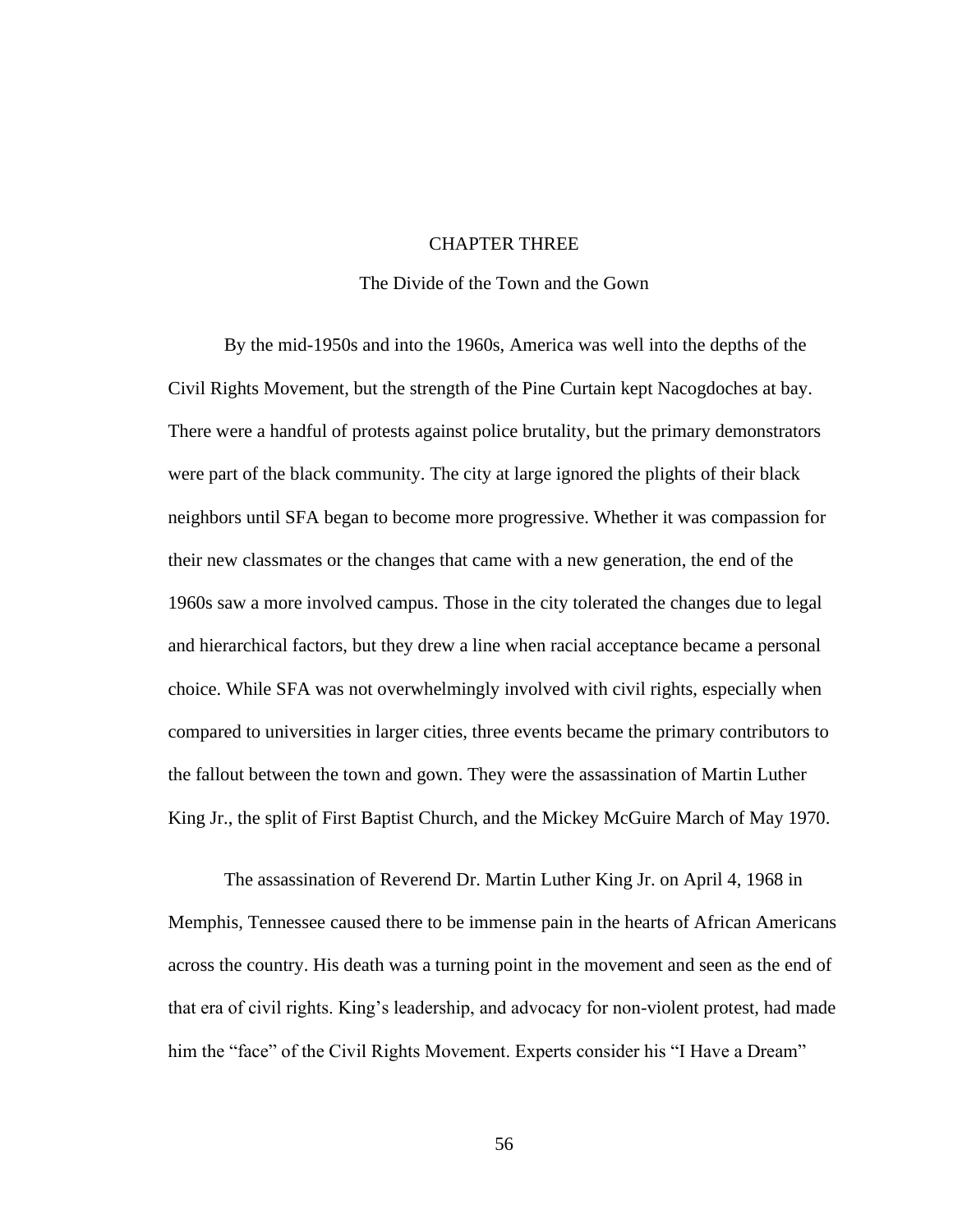## CHAPTER THREE

## The Divide of the Town and the Gown

By the mid-1950s and into the 1960s, America was well into the depths of the Civil Rights Movement, but the strength of the Pine Curtain kept Nacogdoches at bay. There were a handful of protests against police brutality, but the primary demonstrators were part of the black community. The city at large ignored the plights of their black neighbors until SFA began to become more progressive. Whether it was compassion for their new classmates or the changes that came with a new generation, the end of the 1960s saw a more involved campus. Those in the city tolerated the changes due to legal and hierarchical factors, but they drew a line when racial acceptance became a personal choice. While SFA was not overwhelmingly involved with civil rights, especially when compared to universities in larger cities, three events became the primary contributors to the fallout between the town and gown. They were the assassination of Martin Luther King Jr., the split of First Baptist Church, and the Mickey McGuire March of May 1970.

The assassination of Reverend Dr. Martin Luther King Jr. on April 4, 1968 in Memphis, Tennessee caused there to be immense pain in the hearts of African Americans across the country. His death was a turning point in the movement and seen as the end of that era of civil rights. King's leadership, and advocacy for non-violent protest, had made him the "face" of the Civil Rights Movement. Experts consider his "I Have a Dream"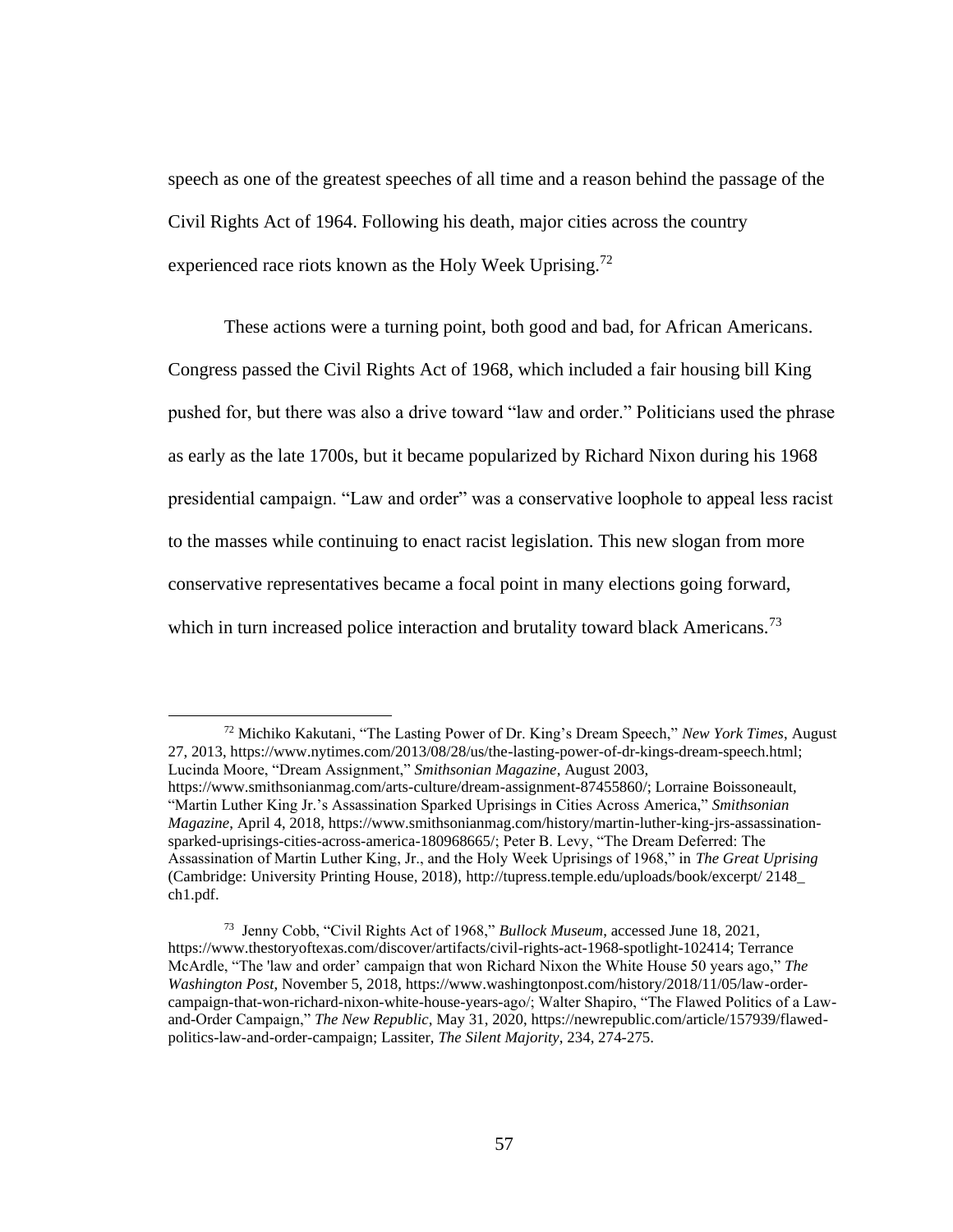speech as one of the greatest speeches of all time and a reason behind the passage of the Civil Rights Act of 1964. Following his death, major cities across the country experienced race riots known as the Holy Week Uprising.<sup>72</sup>

These actions were a turning point, both good and bad, for African Americans. Congress passed the Civil Rights Act of 1968, which included a fair housing bill King pushed for, but there was also a drive toward "law and order." Politicians used the phrase as early as the late 1700s, but it became popularized by Richard Nixon during his 1968 presidential campaign. "Law and order" was a conservative loophole to appeal less racist to the masses while continuing to enact racist legislation. This new slogan from more conservative representatives became a focal point in many elections going forward, which in turn increased police interaction and brutality toward black Americans.<sup>73</sup>

<sup>72</sup> Michiko Kakutani, "The Lasting Power of Dr. King's Dream Speech," *New York Times*, August 27, 2013, [https://www.nytimes.com/2013/08/28/us/the-lasting-power-of-dr-kings-dream-speech.html;](https://www.nytimes.com/2013/08/28/us/the-lasting-power-of-dr-kings-dream-speech.html) Lucinda Moore, "Dream Assignment," *Smithsonian Magazine*, August 2003, https://www.smithsonianmag.com/arts-culture/dream-assignment-87455860/; Lorraine Boissoneault, "Martin Luther King Jr.'s Assassination Sparked Uprisings in Cities Across America," *Smithsonian Magazine*, April 4, 2018, [https://www.smithsonianmag.com/history/martin-luther-king-jrs-assassination](https://www.smithsonianmag.com/history/martin-luther-king-jrs-assassination-sparked-uprisings-cities-across-america-180968665/)[sparked-uprisings-cities-across-america-180968665/;](https://www.smithsonianmag.com/history/martin-luther-king-jrs-assassination-sparked-uprisings-cities-across-america-180968665/) Peter B. Levy, "The Dream Deferred: The Assassination of Martin Luther King, Jr., and the Holy Week Uprisings of 1968," in *The Great Uprising* (Cambridge: University Printing House, 2018), [http://tupress.temple.edu/uploads/book/excerpt/ 2148\\_](http://tupress.temple.edu/uploads/book/excerpt/%202148_%20ch1.pdf)  [ch1.pdf.](http://tupress.temple.edu/uploads/book/excerpt/%202148_%20ch1.pdf)

<sup>73</sup> Jenny Cobb, "Civil Rights Act of 1968," *Bullock Museum*, accessed June 18, 2021, [https://www.thestoryoftexas.com/discover/artifacts/civil-rights-act-1968-spotlight-102414;](https://www.thestoryoftexas.com/discover/artifacts/civil-rights-act-1968-spotlight-102414) Terrance McArdle, "The 'law and order' campaign that won Richard Nixon the White House 50 years ago," *The Washington Post*, November 5, 2018, https://www.washingtonpost.com/history/2018/11/05/law-ordercampaign-that-won-richard-nixon-white-house-years-ago/; Walter Shapiro, "The Flawed Politics of a Lawand-Order Campaign," *The New Republic*, May 31, 2020, https://newrepublic.com/article/157939/flawedpolitics-law-and-order-campaign; Lassiter, *The Silent Majority*, 234, 274-275.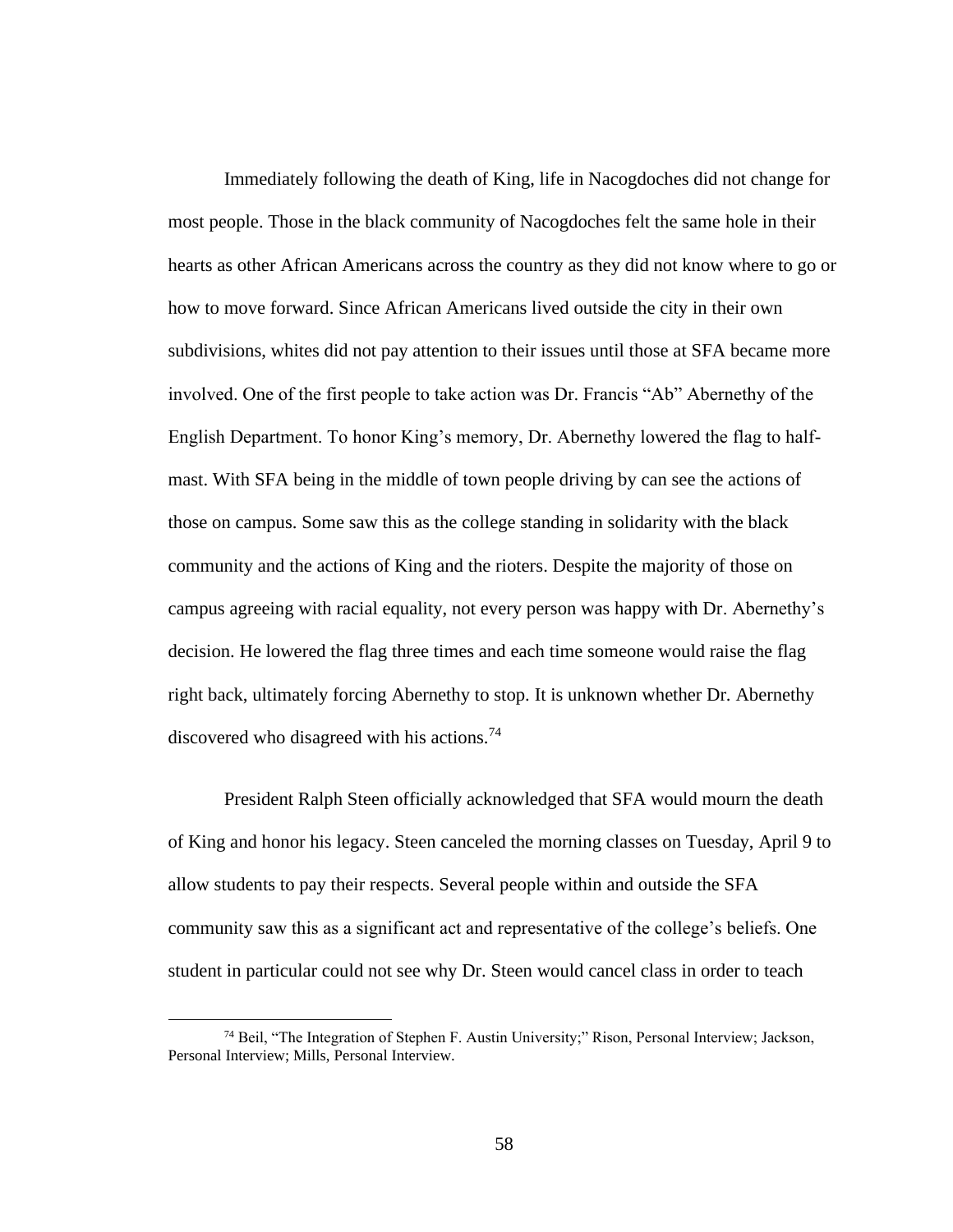Immediately following the death of King, life in Nacogdoches did not change for most people. Those in the black community of Nacogdoches felt the same hole in their hearts as other African Americans across the country as they did not know where to go or how to move forward. Since African Americans lived outside the city in their own subdivisions, whites did not pay attention to their issues until those at SFA became more involved. One of the first people to take action was Dr. Francis "Ab" Abernethy of the English Department. To honor King's memory, Dr. Abernethy lowered the flag to halfmast. With SFA being in the middle of town people driving by can see the actions of those on campus. Some saw this as the college standing in solidarity with the black community and the actions of King and the rioters. Despite the majority of those on campus agreeing with racial equality, not every person was happy with Dr. Abernethy's decision. He lowered the flag three times and each time someone would raise the flag right back, ultimately forcing Abernethy to stop. It is unknown whether Dr. Abernethy discovered who disagreed with his actions.<sup>74</sup>

President Ralph Steen officially acknowledged that SFA would mourn the death of King and honor his legacy. Steen canceled the morning classes on Tuesday, April 9 to allow students to pay their respects. Several people within and outside the SFA community saw this as a significant act and representative of the college's beliefs. One student in particular could not see why Dr. Steen would cancel class in order to teach

<sup>74</sup> Beil, "The Integration of Stephen F. Austin University;" Rison, Personal Interview; Jackson, Personal Interview; Mills, Personal Interview.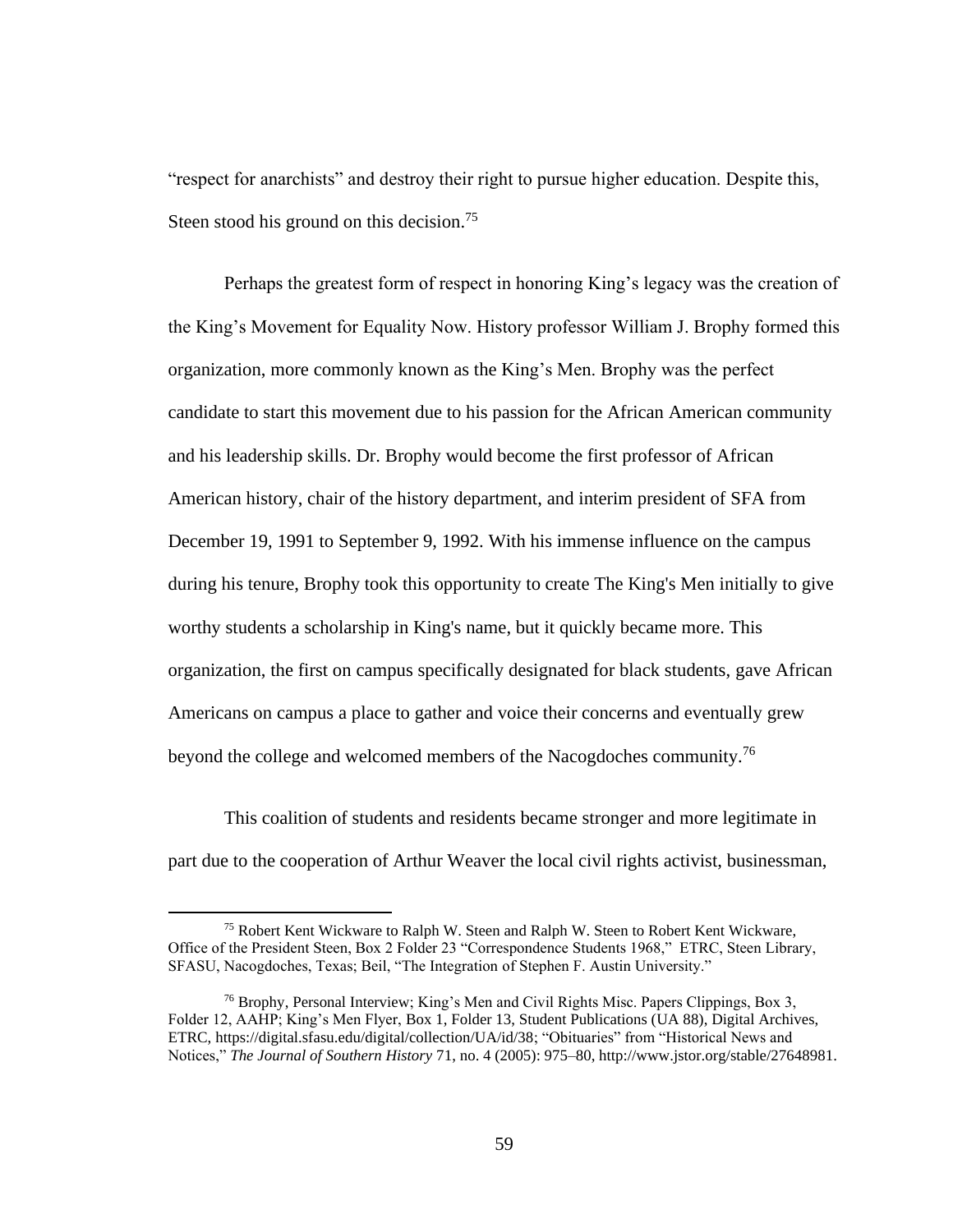"respect for anarchists" and destroy their right to pursue higher education. Despite this, Steen stood his ground on this decision.<sup>75</sup>

Perhaps the greatest form of respect in honoring King's legacy was the creation of the King's Movement for Equality Now. History professor William J. Brophy formed this organization, more commonly known as the King's Men. Brophy was the perfect candidate to start this movement due to his passion for the African American community and his leadership skills. Dr. Brophy would become the first professor of African American history, chair of the history department, and interim president of SFA from December 19, 1991 to September 9, 1992. With his immense influence on the campus during his tenure, Brophy took this opportunity to create The King's Men initially to give worthy students a scholarship in King's name, but it quickly became more. This organization, the first on campus specifically designated for black students, gave African Americans on campus a place to gather and voice their concerns and eventually grew beyond the college and welcomed members of the Nacogdoches community.<sup>76</sup>

This coalition of students and residents became stronger and more legitimate in part due to the cooperation of Arthur Weaver the local civil rights activist, businessman,

<sup>75</sup> Robert Kent Wickware to Ralph W. Steen and Ralph W. Steen to Robert Kent Wickware, Office of the President Steen, Box 2 Folder 23 "Correspondence Students 1968," ETRC, Steen Library, SFASU, Nacogdoches, Texas; Beil, "The Integration of Stephen F. Austin University."

<sup>&</sup>lt;sup>76</sup> Brophy, Personal Interview; King's Men and Civil Rights Misc. Papers Clippings, Box 3, Folder 12, AAHP; King's Men Flyer, Box 1, Folder 13, Student Publications (UA 88), Digital Archives, ETRC, [https://digital.sfasu.edu/digital/collection/UA/id/38;](https://digital.sfasu.edu/digital/collection/UA/id/38) "Obituaries" from "Historical News and Notices," *The Journal of Southern History* 71, no. 4 (2005): 975–80, [http://www.jstor.org/s](http://www.jstor.org/)table/27648981.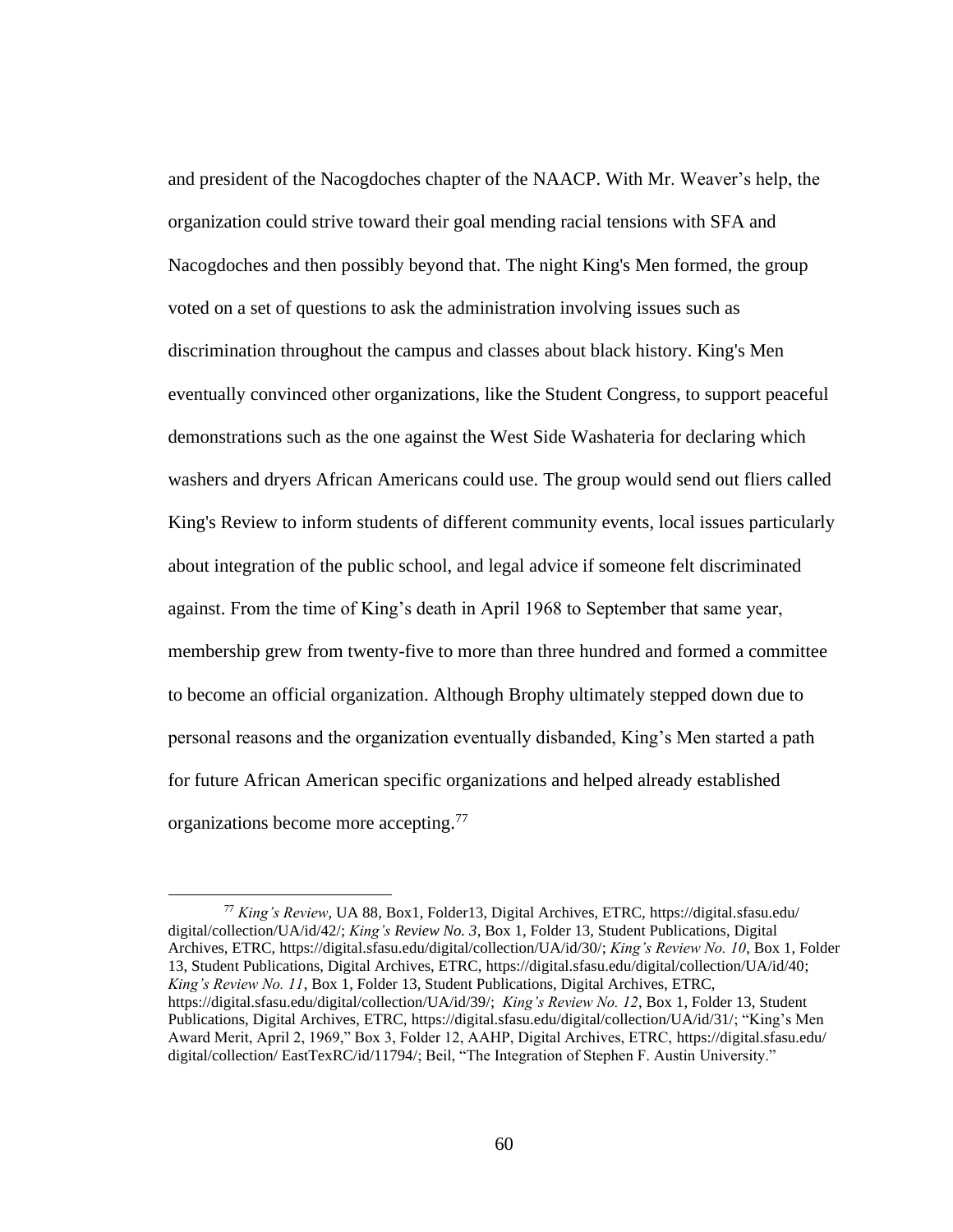and president of the Nacogdoches chapter of the NAACP. With Mr. Weaver's help, the organization could strive toward their goal mending racial tensions with SFA and Nacogdoches and then possibly beyond that. The night King's Men formed, the group voted on a set of questions to ask the administration involving issues such as discrimination throughout the campus and classes about black history. King's Men eventually convinced other organizations, like the Student Congress, to support peaceful demonstrations such as the one against the West Side Washateria for declaring which washers and dryers African Americans could use. The group would send out fliers called King's Review to inform students of different community events, local issues particularly about integration of the public school, and legal advice if someone felt discriminated against. From the time of King's death in April 1968 to September that same year, membership grew from twenty-five to more than three hundred and formed a committee to become an official organization. Although Brophy ultimately stepped down due to personal reasons and the organization eventually disbanded, King's Men started a path for future African American specific organizations and helped already established organizations become more accepting.<sup>77</sup>

<sup>77</sup> *King's Review*, UA 88, Box1, Folder13, Digital Archives, ETRC, [https://digital.sfasu.edu/](https://digital.sfasu.edu/%20digital/collection/UA/id/42/)  [digital/collection/UA/id/42/;](https://digital.sfasu.edu/%20digital/collection/UA/id/42/) *King's Review No. 3*, Box 1, Folder 13, Student Publications, Digital Archives, ETRC[, https://digital.sfasu.edu/digital/collection/UA/id/30/;](https://digital.sfasu.edu/digital/collection/UA/id/30/) *King's Review No. 10*, Box 1, Folder 13, Student Publications, Digital Archives, ETRC, [https://digital.sfasu.edu/digital/collection/UA/id/40;](https://digital.sfasu.edu/digital/collection/UA/id/40) *King's Review No. 11*, Box 1, Folder 13, Student Publications, Digital Archives, ETRC, [https://digital.sfasu.edu/digital/collection/UA/id/39/;](https://digital.sfasu.edu/digital/collection/UA/id/39/) *King's Review No. 12*, Box 1, Folder 13, Student Publications, Digital Archives, ETRC, [https://digital.sfasu.edu/digital/collection/UA/id/31/;](https://digital.sfasu.edu/digital/collection/UA/id/31/) "King's Men Award Merit, April 2, 1969," Box 3, Folder 12, AAHP, Digital Archives, ETRC, [https://digital.sfasu.edu/](https://digital.sfasu.edu/%20digital/collection/%20EastTexRC/id/11794/)  [digital/collection/ EastTexRC/id/11794/;](https://digital.sfasu.edu/%20digital/collection/%20EastTexRC/id/11794/) Beil, "The Integration of Stephen F. Austin University."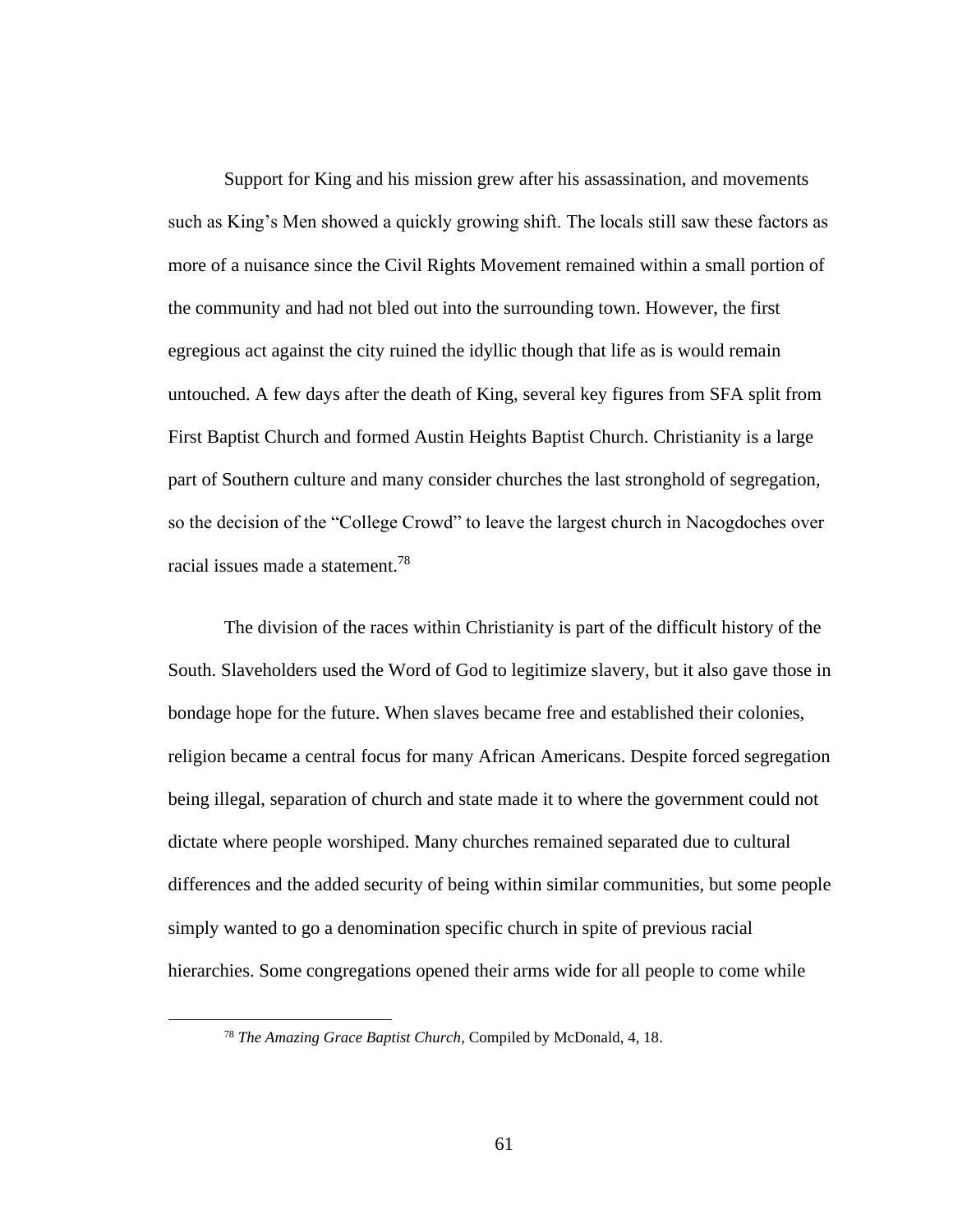Support for King and his mission grew after his assassination, and movements such as King's Men showed a quickly growing shift. The locals still saw these factors as more of a nuisance since the Civil Rights Movement remained within a small portion of the community and had not bled out into the surrounding town. However, the first egregious act against the city ruined the idyllic though that life as is would remain untouched. A few days after the death of King, several key figures from SFA split from First Baptist Church and formed Austin Heights Baptist Church. Christianity is a large part of Southern culture and many consider churches the last stronghold of segregation, so the decision of the "College Crowd" to leave the largest church in Nacogdoches over racial issues made a statement.<sup>78</sup>

The division of the races within Christianity is part of the difficult history of the South. Slaveholders used the Word of God to legitimize slavery, but it also gave those in bondage hope for the future. When slaves became free and established their colonies, religion became a central focus for many African Americans. Despite forced segregation being illegal, separation of church and state made it to where the government could not dictate where people worshiped. Many churches remained separated due to cultural differences and the added security of being within similar communities, but some people simply wanted to go a denomination specific church in spite of previous racial hierarchies. Some congregations opened their arms wide for all people to come while

<sup>78</sup> *The Amazing Grace Baptist Church*, Compiled by McDonald, 4, 18.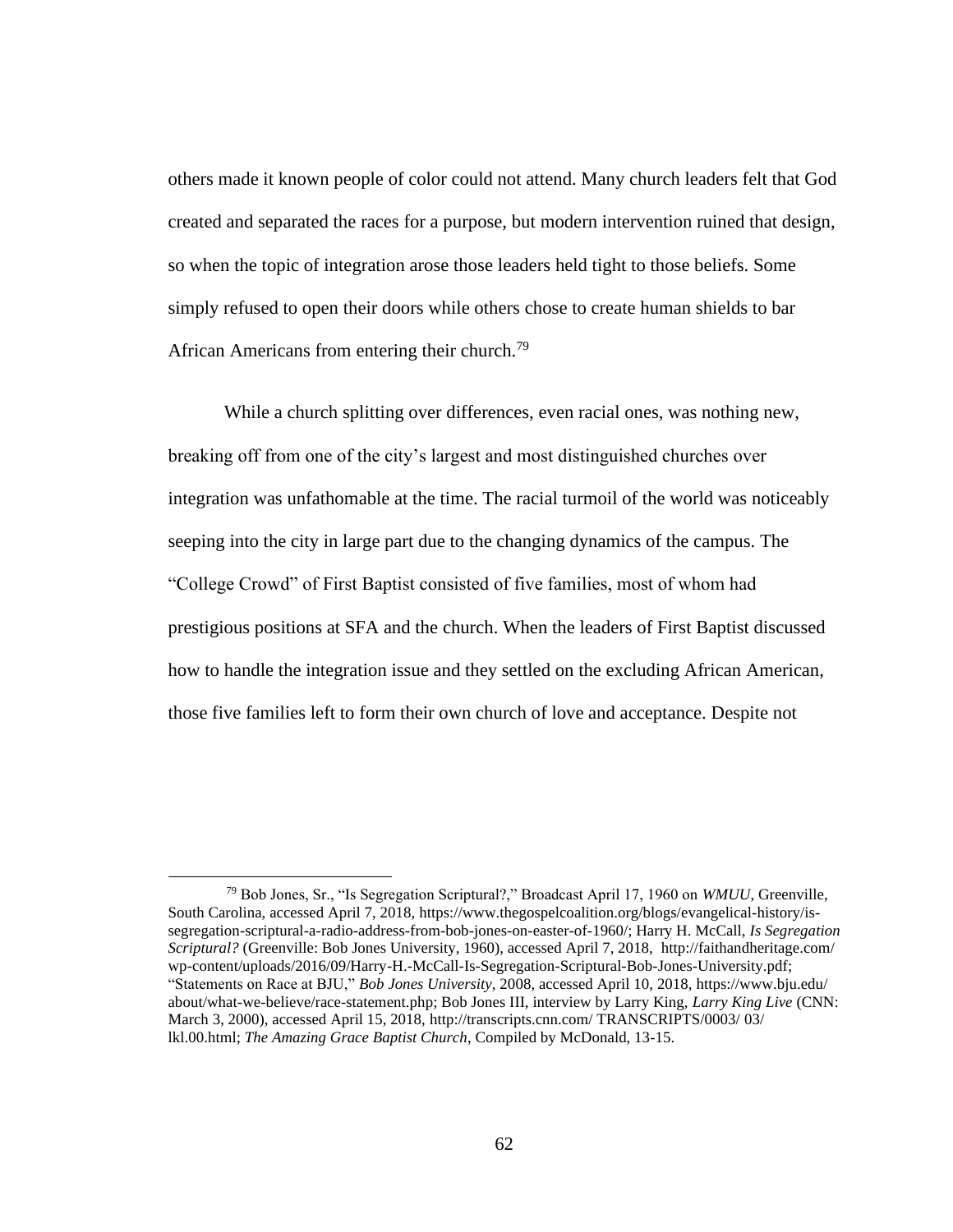others made it known people of color could not attend. Many church leaders felt that God created and separated the races for a purpose, but modern intervention ruined that design, so when the topic of integration arose those leaders held tight to those beliefs. Some simply refused to open their doors while others chose to create human shields to bar African Americans from entering their church.<sup>79</sup>

While a church splitting over differences, even racial ones, was nothing new, breaking off from one of the city's largest and most distinguished churches over integration was unfathomable at the time. The racial turmoil of the world was noticeably seeping into the city in large part due to the changing dynamics of the campus. The "College Crowd" of First Baptist consisted of five families, most of whom had prestigious positions at SFA and the church. When the leaders of First Baptist discussed how to handle the integration issue and they settled on the excluding African American, those five families left to form their own church of love and acceptance. Despite not

<sup>79</sup> Bob Jones, Sr., "Is Segregation Scriptural?," Broadcast April 17, 1960 on *WMUU*, Greenville, South Carolina, accessed April 7, 2018, [https://www.thegospelcoalition.org/blogs/e](https://www.thegospelcoalition.org/blogs/)vangelical-history/issegregation-scriptural-a-radio-address-from-bob-jones-on-easter-of-1960/; Harry H. McCall, *Is Segregation Scriptural?* (Greenville: Bob Jones University, 1960), accessed April 7, 2018, <http://faithandheritage.com/> wp-content/uploads/2016/09/Harry-H.-McCall-Is-Segregation-Scriptural-Bob-Jones-University.pdf; "Statements on Race at BJU," *Bob Jones University*, 2008, accessed April 10, 2018,<https://www.bju.edu/> about/what-we-believe/race-statement.php; Bob Jones III, interview by Larry King, *Larry King Live* (CNN: March 3, 2000), accessed April 15, 2018, [http://transcripts.cnn.com/ TRANSCRIPTS/0003/](http://transcripts.cnn.com/%20TRANSCRIPTS/0003/) 03/ lkl.00.html; *The Amazing Grace Baptist Church*, Compiled by McDonald, 13-15.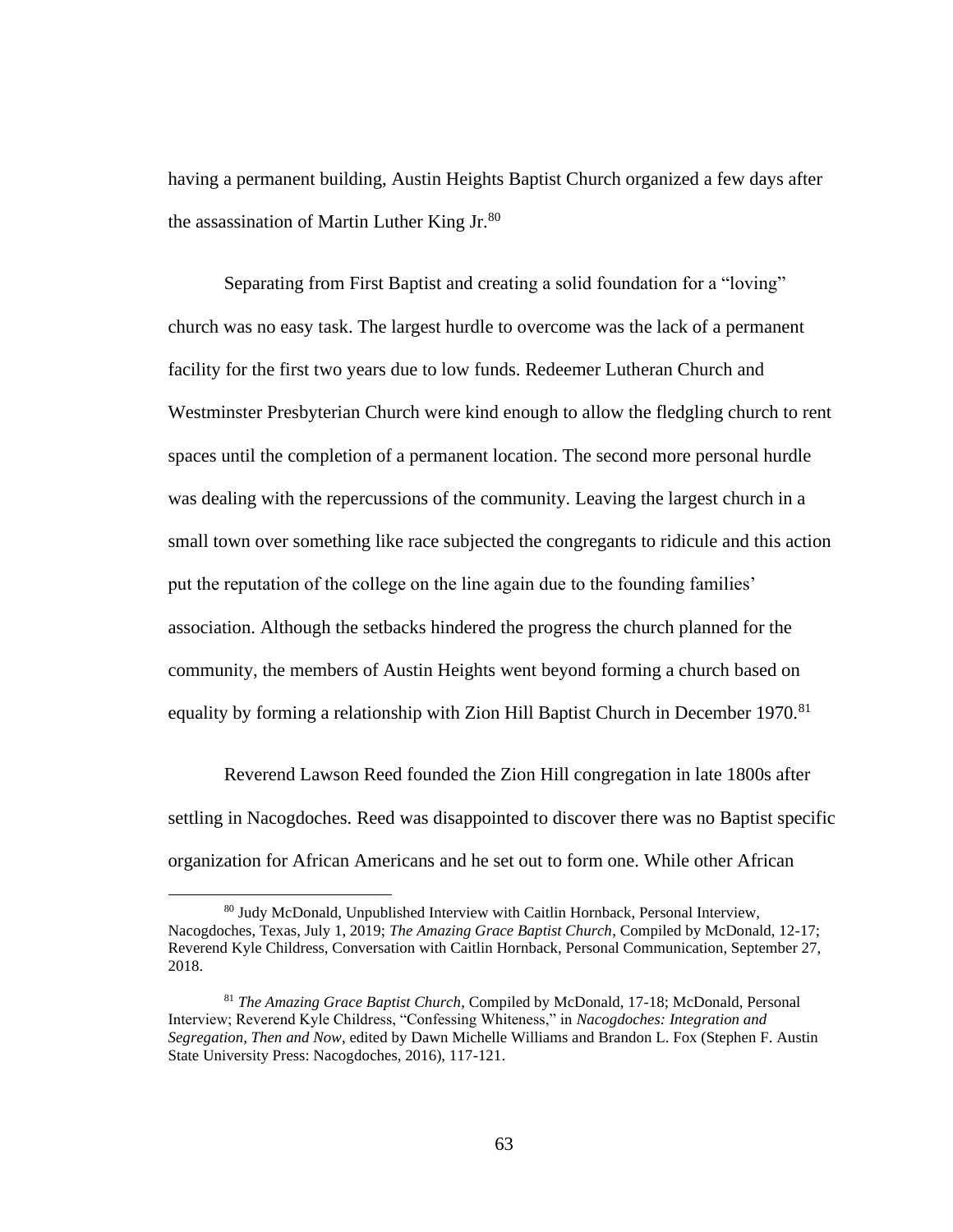having a permanent building, Austin Heights Baptist Church organized a few days after the assassination of Martin Luther King Jr.<sup>80</sup>

Separating from First Baptist and creating a solid foundation for a "loving" church was no easy task. The largest hurdle to overcome was the lack of a permanent facility for the first two years due to low funds. Redeemer Lutheran Church and Westminster Presbyterian Church were kind enough to allow the fledgling church to rent spaces until the completion of a permanent location. The second more personal hurdle was dealing with the repercussions of the community. Leaving the largest church in a small town over something like race subjected the congregants to ridicule and this action put the reputation of the college on the line again due to the founding families' association. Although the setbacks hindered the progress the church planned for the community, the members of Austin Heights went beyond forming a church based on equality by forming a relationship with Zion Hill Baptist Church in December 1970.<sup>81</sup>

Reverend Lawson Reed founded the Zion Hill congregation in late 1800s after settling in Nacogdoches. Reed was disappointed to discover there was no Baptist specific organization for African Americans and he set out to form one. While other African

<sup>80</sup> Judy McDonald, Unpublished Interview with Caitlin Hornback, Personal Interview, Nacogdoches, Texas, July 1, 2019; *The Amazing Grace Baptist Church*, Compiled by McDonald, 12-17; Reverend Kyle Childress, Conversation with Caitlin Hornback, Personal Communication, September 27, 2018.

<sup>81</sup> *The Amazing Grace Baptist Church*, Compiled by McDonald, 17-18; McDonald, Personal Interview; Reverend Kyle Childress, "Confessing Whiteness," in *Nacogdoches: Integration and Segregation, Then and Now*, edited by Dawn Michelle Williams and Brandon L. Fox (Stephen F. Austin State University Press: Nacogdoches, 2016), 117-121.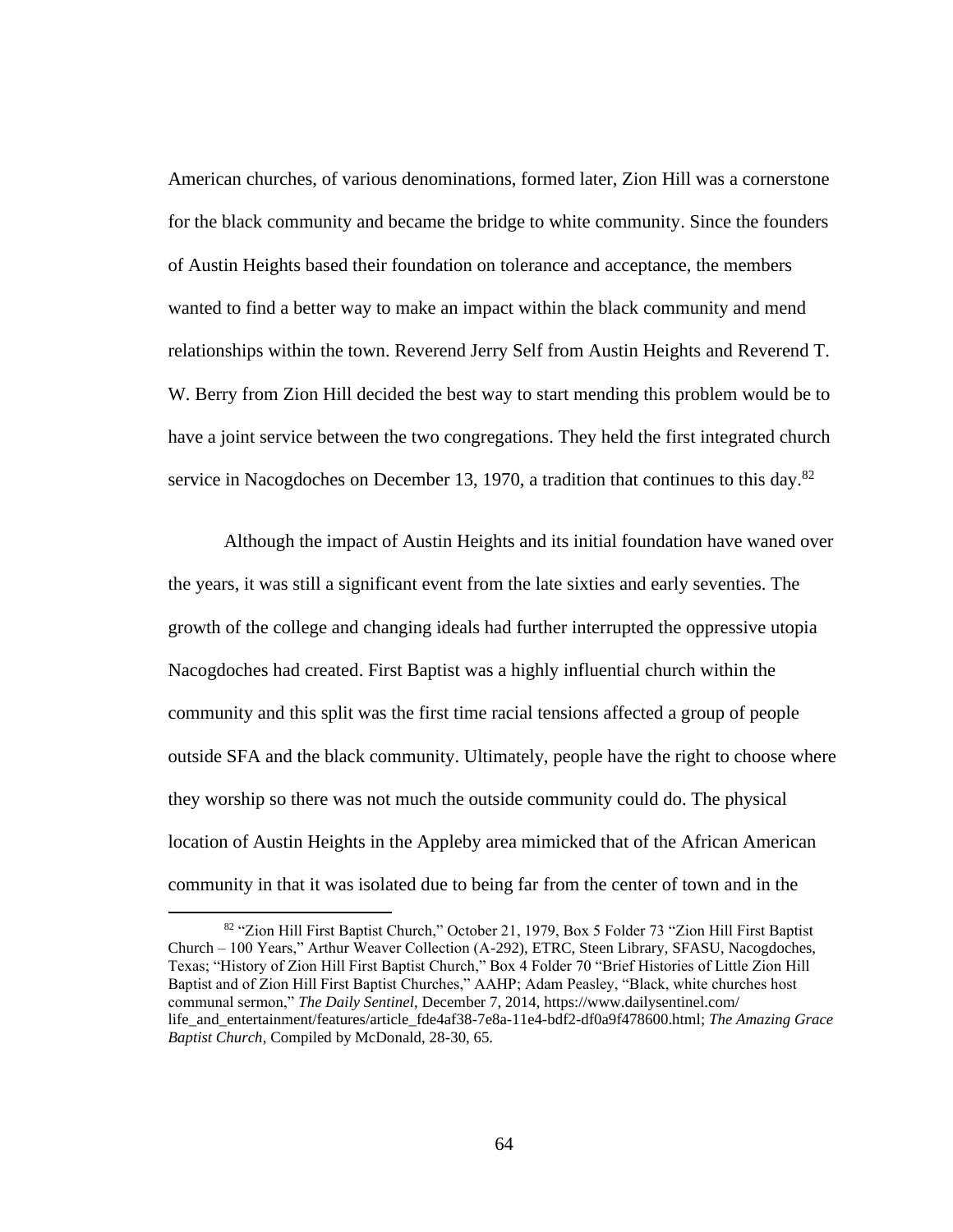American churches, of various denominations, formed later, Zion Hill was a cornerstone for the black community and became the bridge to white community. Since the founders of Austin Heights based their foundation on tolerance and acceptance, the members wanted to find a better way to make an impact within the black community and mend relationships within the town. Reverend Jerry Self from Austin Heights and Reverend T. W. Berry from Zion Hill decided the best way to start mending this problem would be to have a joint service between the two congregations. They held the first integrated church service in Nacogdoches on December 13, 1970, a tradition that continues to this day. $82$ 

Although the impact of Austin Heights and its initial foundation have waned over the years, it was still a significant event from the late sixties and early seventies. The growth of the college and changing ideals had further interrupted the oppressive utopia Nacogdoches had created. First Baptist was a highly influential church within the community and this split was the first time racial tensions affected a group of people outside SFA and the black community. Ultimately, people have the right to choose where they worship so there was not much the outside community could do. The physical location of Austin Heights in the Appleby area mimicked that of the African American community in that it was isolated due to being far from the center of town and in the

<sup>82 &</sup>quot;Zion Hill First Baptist Church," October 21, 1979, Box 5 Folder 73 "Zion Hill First Baptist Church – 100 Years," Arthur Weaver Collection (A-292), ETRC, Steen Library, SFASU, Nacogdoches, Texas; "History of Zion Hill First Baptist Church," Box 4 Folder 70 "Brief Histories of Little Zion Hill Baptist and of Zion Hill First Baptist Churches," AAHP; Adam Peasley, "Black, white churches host communal sermon," *The Daily Sentinel*, December 7, 2014[, https://www.dailysentinel.com/](https://www.dailysentinel.com/%20life_and_entertainment/features/article_fde4af38-7e8a-11e4-bdf2-df0a9f478600.html)  [life\\_and\\_entertainment/features/article\\_fde4af38-7e8a-11e4-bdf2-df0a9f478600.html;](https://www.dailysentinel.com/%20life_and_entertainment/features/article_fde4af38-7e8a-11e4-bdf2-df0a9f478600.html) *The Amazing Grace Baptist Church*, Compiled by McDonald, 28-30, 65.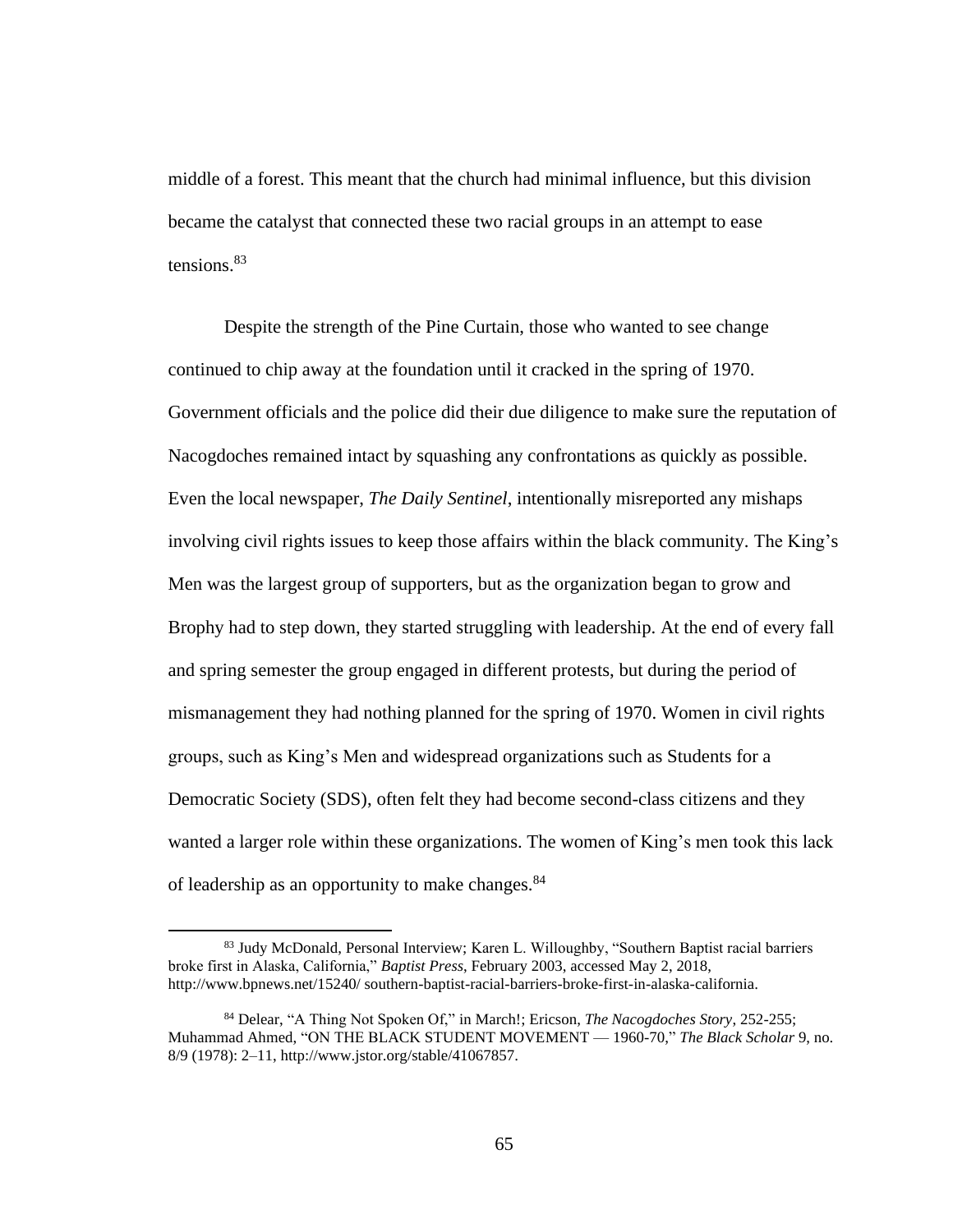middle of a forest. This meant that the church had minimal influence, but this division became the catalyst that connected these two racial groups in an attempt to ease tensions.<sup>83</sup>

Despite the strength of the Pine Curtain, those who wanted to see change continued to chip away at the foundation until it cracked in the spring of 1970. Government officials and the police did their due diligence to make sure the reputation of Nacogdoches remained intact by squashing any confrontations as quickly as possible. Even the local newspaper, *The Daily Sentinel*, intentionally misreported any mishaps involving civil rights issues to keep those affairs within the black community. The King's Men was the largest group of supporters, but as the organization began to grow and Brophy had to step down, they started struggling with leadership. At the end of every fall and spring semester the group engaged in different protests, but during the period of mismanagement they had nothing planned for the spring of 1970. Women in civil rights groups, such as King's Men and widespread organizations such as Students for a Democratic Society (SDS), often felt they had become second-class citizens and they wanted a larger role within these organizations. The women of King's men took this lack of leadership as an opportunity to make changes.<sup>84</sup>

<sup>83</sup> Judy McDonald, Personal Interview; Karen L. Willoughby, "Southern Baptist racial barriers broke first in Alaska, California," *Baptist Press*, February 2003, accessed May 2, 2018, [http://www.bpnews.net/15240/ southern-baptist-racial-barriers-broke-first-in-alaska-california.](http://www.bpnews.net/15240/%20southern-baptist-racial-barriers-broke-first-in-alaska-california)

<sup>84</sup> Delear, "A Thing Not Spoken Of," in March!; Ericson, *The Nacogdoches Story*, 252-255; Muhammad Ahmed, "ON THE BLACK STUDENT MOVEMENT — 1960-70," *The Black Scholar* 9, no. 8/9 (1978): 2–11, http://www.jstor.org/stable/41067857.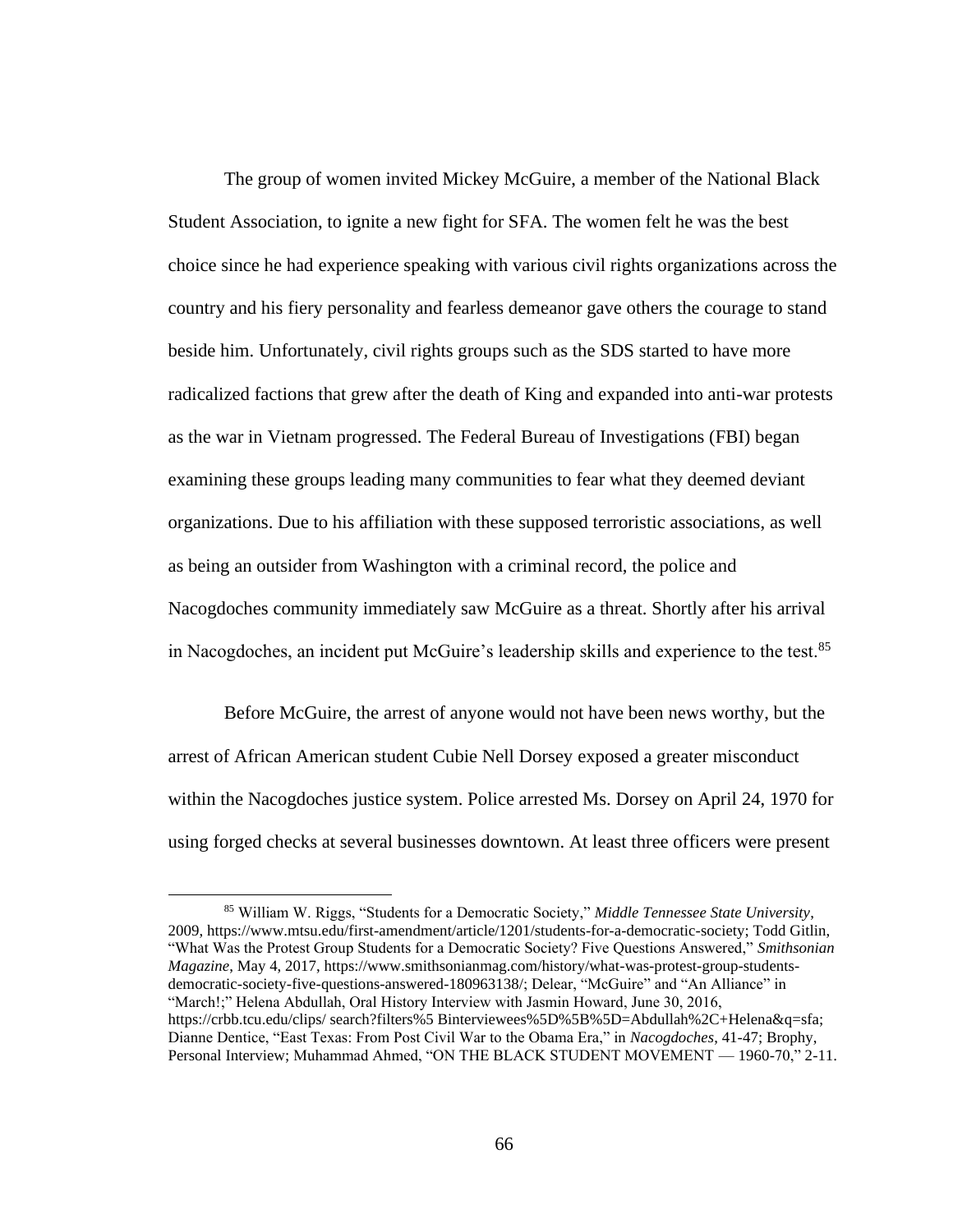The group of women invited Mickey McGuire, a member of the National Black Student Association, to ignite a new fight for SFA. The women felt he was the best choice since he had experience speaking with various civil rights organizations across the country and his fiery personality and fearless demeanor gave others the courage to stand beside him. Unfortunately, civil rights groups such as the SDS started to have more radicalized factions that grew after the death of King and expanded into anti-war protests as the war in Vietnam progressed. The Federal Bureau of Investigations (FBI) began examining these groups leading many communities to fear what they deemed deviant organizations. Due to his affiliation with these supposed terroristic associations, as well as being an outsider from Washington with a criminal record, the police and Nacogdoches community immediately saw McGuire as a threat. Shortly after his arrival in Nacogdoches, an incident put McGuire's leadership skills and experience to the test.<sup>85</sup>

Before McGuire, the arrest of anyone would not have been news worthy, but the arrest of African American student Cubie Nell Dorsey exposed a greater misconduct within the Nacogdoches justice system. Police arrested Ms. Dorsey on April 24, 1970 for using forged checks at several businesses downtown. At least three officers were present

<sup>85</sup> William W. Riggs, "Students for a Democratic Society," *Middle Tennessee State University*, 2009, [https://www.mtsu.edu/first-amendment/article/1201/students-for-a-democratic-society;](https://www.mtsu.edu/first-amendment/article/1201/students-for-a-democratic-society) Todd Gitlin, "What Was the Protest Group Students for a Democratic Society? Five Questions Answered," *Smithsonian Magazine*, May 4, 2017, [https://www.smithsonianmag.com/history/what-was-protest-group-students](https://www.smithsonianmag.com/history/what-was-protest-group-students-democratic-society-five-questions-answered-180963138/)[democratic-society-five-questions-answered-180963138/;](https://www.smithsonianmag.com/history/what-was-protest-group-students-democratic-society-five-questions-answered-180963138/) Delear, "McGuire" and "An Alliance" in "March!;" Helena Abdullah, Oral History Interview with Jasmin Howard, June 30, 2016, [https://crbb.tcu.edu/clips/ search?filters%5 Binterviewees%5D%5B](https://crbb.tcu.edu/clips/%20search?filters%255%20Binterviewees%5D%255)%5D=Abdullah%2C+Helena&q=sfa; Dianne Dentice, "East Texas: From Post Civil War to the Obama Era," in *Nacogdoches*, 41-47; Brophy, Personal Interview; Muhammad Ahmed, "ON THE BLACK STUDENT MOVEMENT — 1960-70," 2-11.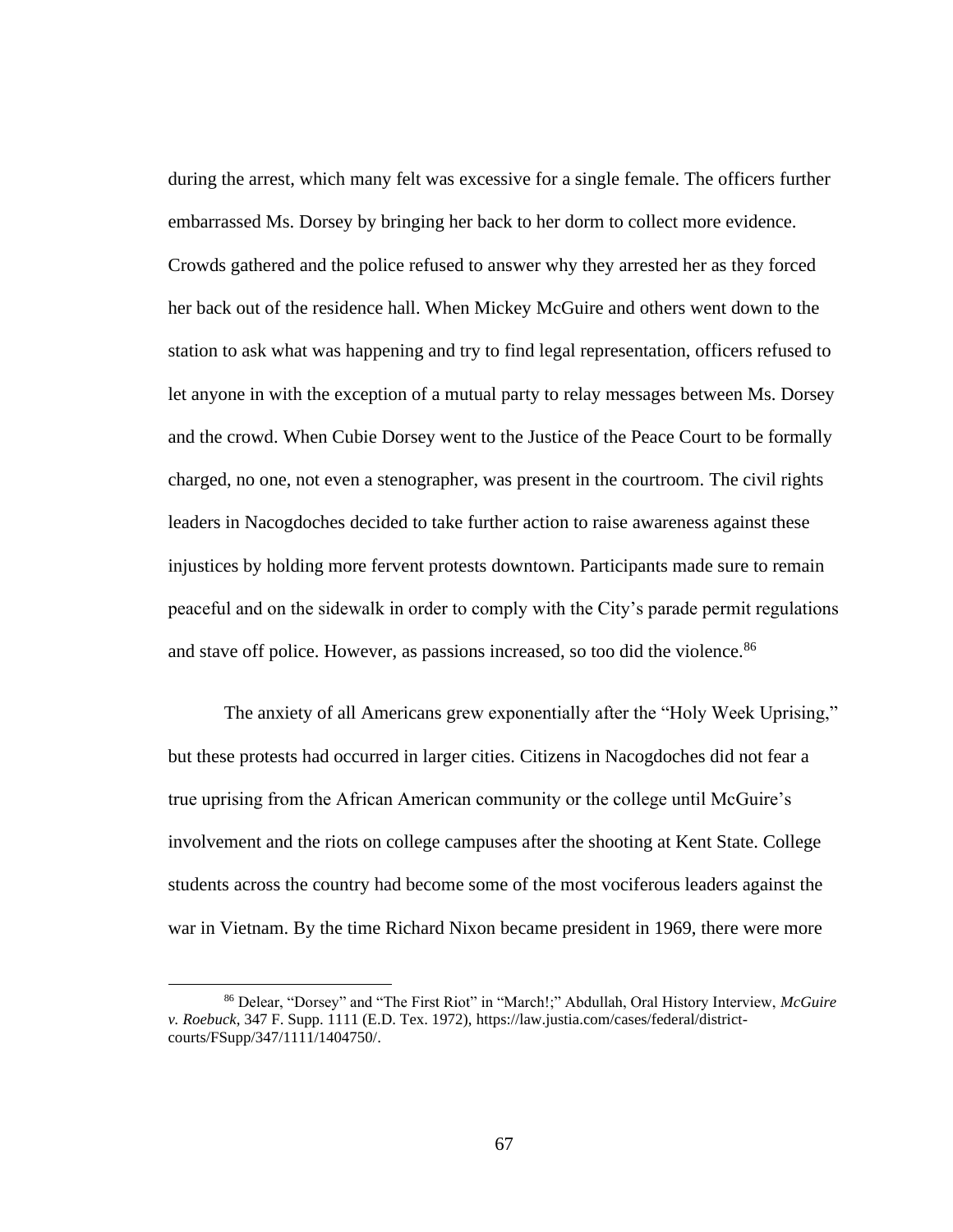during the arrest, which many felt was excessive for a single female. The officers further embarrassed Ms. Dorsey by bringing her back to her dorm to collect more evidence. Crowds gathered and the police refused to answer why they arrested her as they forced her back out of the residence hall. When Mickey McGuire and others went down to the station to ask what was happening and try to find legal representation, officers refused to let anyone in with the exception of a mutual party to relay messages between Ms. Dorsey and the crowd. When Cubie Dorsey went to the Justice of the Peace Court to be formally charged, no one, not even a stenographer, was present in the courtroom. The civil rights leaders in Nacogdoches decided to take further action to raise awareness against these injustices by holding more fervent protests downtown. Participants made sure to remain peaceful and on the sidewalk in order to comply with the City's parade permit regulations and stave off police. However, as passions increased, so too did the violence.<sup>86</sup>

The anxiety of all Americans grew exponentially after the "Holy Week Uprising," but these protests had occurred in larger cities. Citizens in Nacogdoches did not fear a true uprising from the African American community or the college until McGuire's involvement and the riots on college campuses after the shooting at Kent State. College students across the country had become some of the most vociferous leaders against the war in Vietnam. By the time Richard Nixon became president in 1969, there were more

<sup>86</sup> Delear, "Dorsey" and "The First Riot" in "March!;" Abdullah, Oral History Interview, *McGuire v. Roebuck*, 347 F. Supp. 1111 (E.D. Tex. 1972), [https://law.justia.com/cases/federal/district](https://law.justia.com/cases/federal/district-courts/FSupp/347/1111/1404750/)[courts/FSupp/347/1111/1404750/.](https://law.justia.com/cases/federal/district-courts/FSupp/347/1111/1404750/)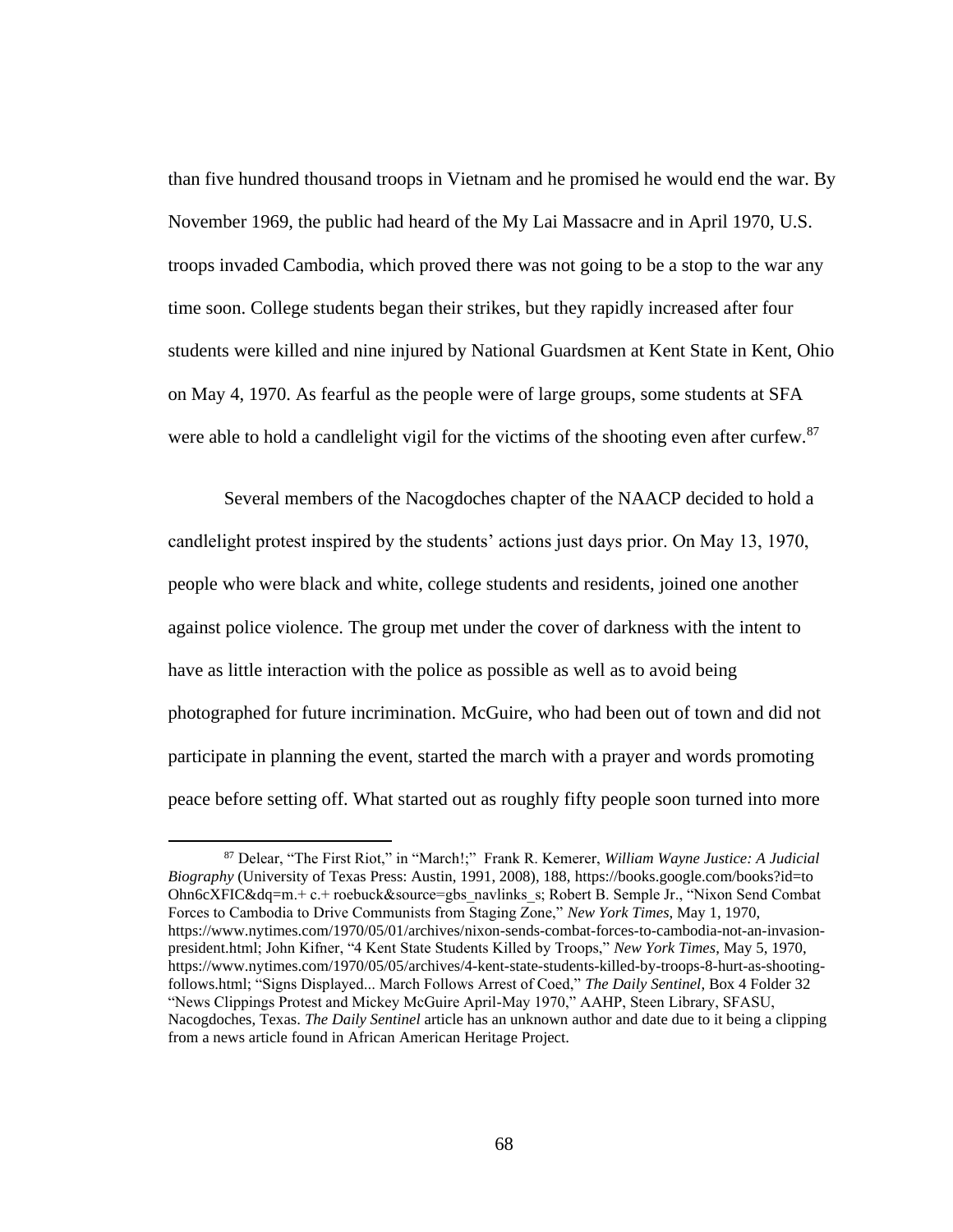than five hundred thousand troops in Vietnam and he promised he would end the war. By November 1969, the public had heard of the My Lai Massacre and in April 1970, U.S. troops invaded Cambodia, which proved there was not going to be a stop to the war any time soon. College students began their strikes, but they rapidly increased after four students were killed and nine injured by National Guardsmen at Kent State in Kent, Ohio on May 4, 1970. As fearful as the people were of large groups, some students at SFA were able to hold a candlelight vigil for the victims of the shooting even after curfew.<sup>87</sup>

Several members of the Nacogdoches chapter of the NAACP decided to hold a candlelight protest inspired by the students' actions just days prior. On May 13, 1970, people who were black and white, college students and residents, joined one another against police violence. The group met under the cover of darkness with the intent to have as little interaction with the police as possible as well as to avoid being photographed for future incrimination. McGuire, who had been out of town and did not participate in planning the event, started the march with a prayer and words promoting peace before setting off. What started out as roughly fifty people soon turned into more

<sup>87</sup> Delear, "The First Riot," in "March!;" Frank R. Kemerer, *William Wayne Justice: A Judicial Biography* (University of Texas Press: Austin, 1991, 2008), 188, [https://books.google.com/books?id=to](https://books.google.com/books?id=to%20Ohn6cXFIC&dq=m)  [Ohn6cXFIC&dq=m.](https://books.google.com/books?id=to%20Ohn6cXFIC&dq=m)+ c.+ roebuck&source=gbs\_navlinks\_s; Robert B. Semple Jr., "Nixon Send Combat Forces to Cambodia to Drive Communists from Staging Zone," *New York Times*, May 1, 1970, [https://www.nytimes.com/1970/05/01/archives/n](https://www.nytimes.com/1970/05/01/archives/)ixon-sends-combat-forces-to-cambodia-not-an-invasionpresident.html; John Kifner, "4 Kent State Students Killed by Troops," *New York Times*, May 5, 1970, [https://www.nytimes.com/1970/05/05/archives/4-kent-state-students-killed-by-troops-8-hurt-as-shooting](https://www.nytimes.com/1970/05/05/archives/4-kent-state-students-killed-by-troops-8-hurt-as-shooting-follows.html)[follows.html;](https://www.nytimes.com/1970/05/05/archives/4-kent-state-students-killed-by-troops-8-hurt-as-shooting-follows.html) "Signs Displayed... March Follows Arrest of Coed," *The Daily Sentinel*, Box 4 Folder 32 "News Clippings Protest and Mickey McGuire April-May 1970," AAHP, Steen Library, SFASU, Nacogdoches, Texas. *The Daily Sentinel* article has an unknown author and date due to it being a clipping from a news article found in African American Heritage Project.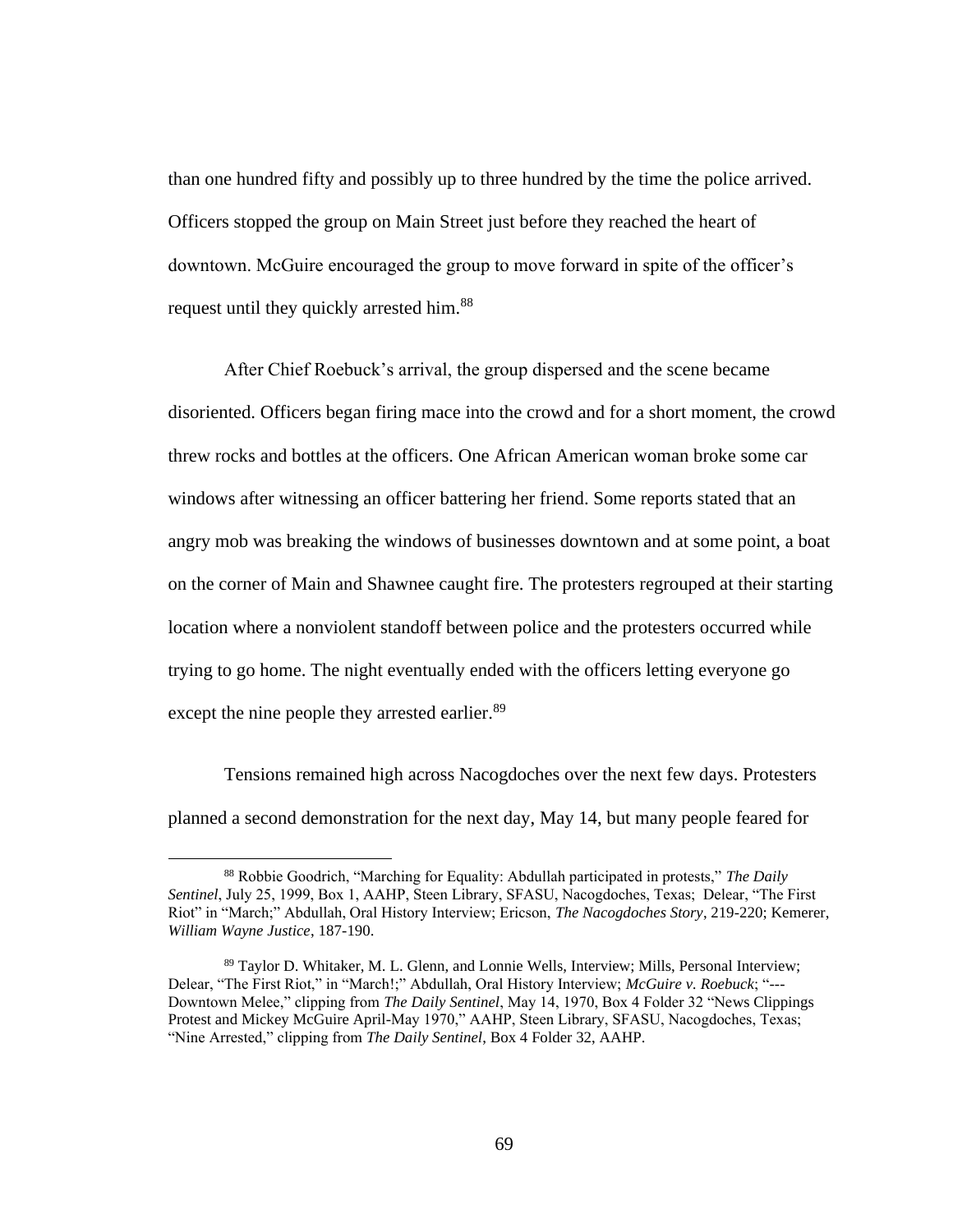than one hundred fifty and possibly up to three hundred by the time the police arrived. Officers stopped the group on Main Street just before they reached the heart of downtown. McGuire encouraged the group to move forward in spite of the officer's request until they quickly arrested him.<sup>88</sup>

After Chief Roebuck's arrival, the group dispersed and the scene became disoriented. Officers began firing mace into the crowd and for a short moment, the crowd threw rocks and bottles at the officers. One African American woman broke some car windows after witnessing an officer battering her friend. Some reports stated that an angry mob was breaking the windows of businesses downtown and at some point, a boat on the corner of Main and Shawnee caught fire. The protesters regrouped at their starting location where a nonviolent standoff between police and the protesters occurred while trying to go home. The night eventually ended with the officers letting everyone go except the nine people they arrested earlier.<sup>89</sup>

Tensions remained high across Nacogdoches over the next few days. Protesters planned a second demonstration for the next day, May 14, but many people feared for

<sup>88</sup> Robbie Goodrich, "Marching for Equality: Abdullah participated in protests," *The Daily Sentinel*, July 25, 1999, Box 1, AAHP, Steen Library, SFASU, Nacogdoches, Texas; Delear, "The First Riot" in "March;" Abdullah, Oral History Interview; Ericson, *The Nacogdoches Story*, 219-220; Kemerer, *William Wayne Justice*, 187-190.

<sup>89</sup> Taylor D. Whitaker, M. L. Glenn, and Lonnie Wells, Interview; Mills, Personal Interview; Delear, "The First Riot," in "March!;" Abdullah, Oral History Interview; *McGuire v. Roebuck*; "--- Downtown Melee," clipping from *The Daily Sentinel*, May 14, 1970, Box 4 Folder 32 "News Clippings Protest and Mickey McGuire April-May 1970," AAHP, Steen Library, SFASU, Nacogdoches, Texas; "Nine Arrested," clipping from *The Daily Sentinel*, Box 4 Folder 32, AAHP.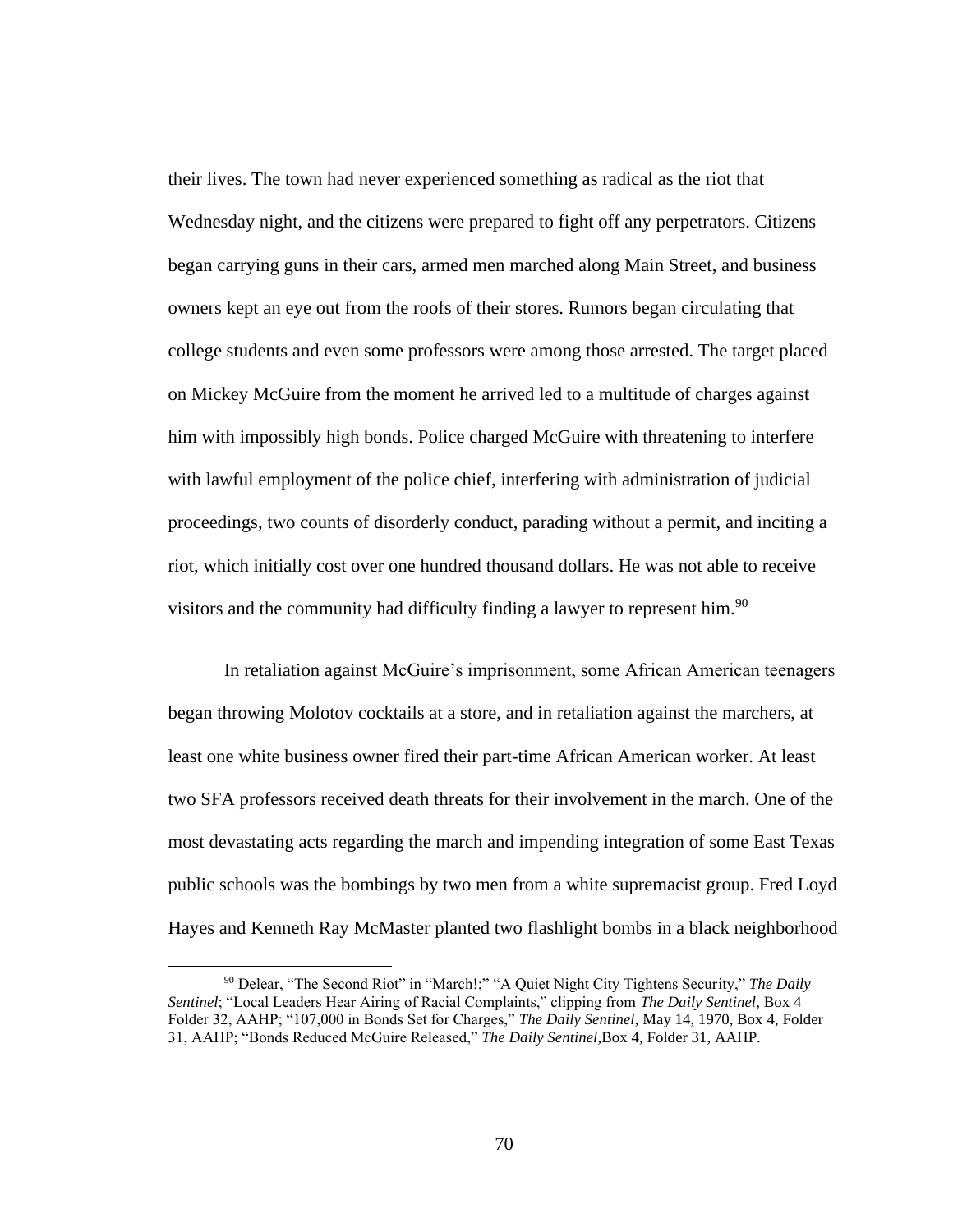their lives. The town had never experienced something as radical as the riot that Wednesday night, and the citizens were prepared to fight off any perpetrators. Citizens began carrying guns in their cars, armed men marched along Main Street, and business owners kept an eye out from the roofs of their stores. Rumors began circulating that college students and even some professors were among those arrested. The target placed on Mickey McGuire from the moment he arrived led to a multitude of charges against him with impossibly high bonds. Police charged McGuire with threatening to interfere with lawful employment of the police chief, interfering with administration of judicial proceedings, two counts of disorderly conduct, parading without a permit, and inciting a riot, which initially cost over one hundred thousand dollars. He was not able to receive visitors and the community had difficulty finding a lawyer to represent him.<sup>90</sup>

In retaliation against McGuire's imprisonment, some African American teenagers began throwing Molotov cocktails at a store, and in retaliation against the marchers, at least one white business owner fired their part-time African American worker. At least two SFA professors received death threats for their involvement in the march. One of the most devastating acts regarding the march and impending integration of some East Texas public schools was the bombings by two men from a white supremacist group. Fred Loyd Hayes and Kenneth Ray McMaster planted two flashlight bombs in a black neighborhood

<sup>90</sup> Delear, "The Second Riot" in "March!;" "A Quiet Night City Tightens Security," *The Daily Sentinel*; "Local Leaders Hear Airing of Racial Complaints," clipping from *The Daily Sentinel*, Box 4 Folder 32, AAHP; "107,000 in Bonds Set for Charges," *The Daily Sentinel*, May 14, 1970, Box 4, Folder 31, AAHP; "Bonds Reduced McGuire Released," *The Daily Sentinel*,Box 4, Folder 31, AAHP.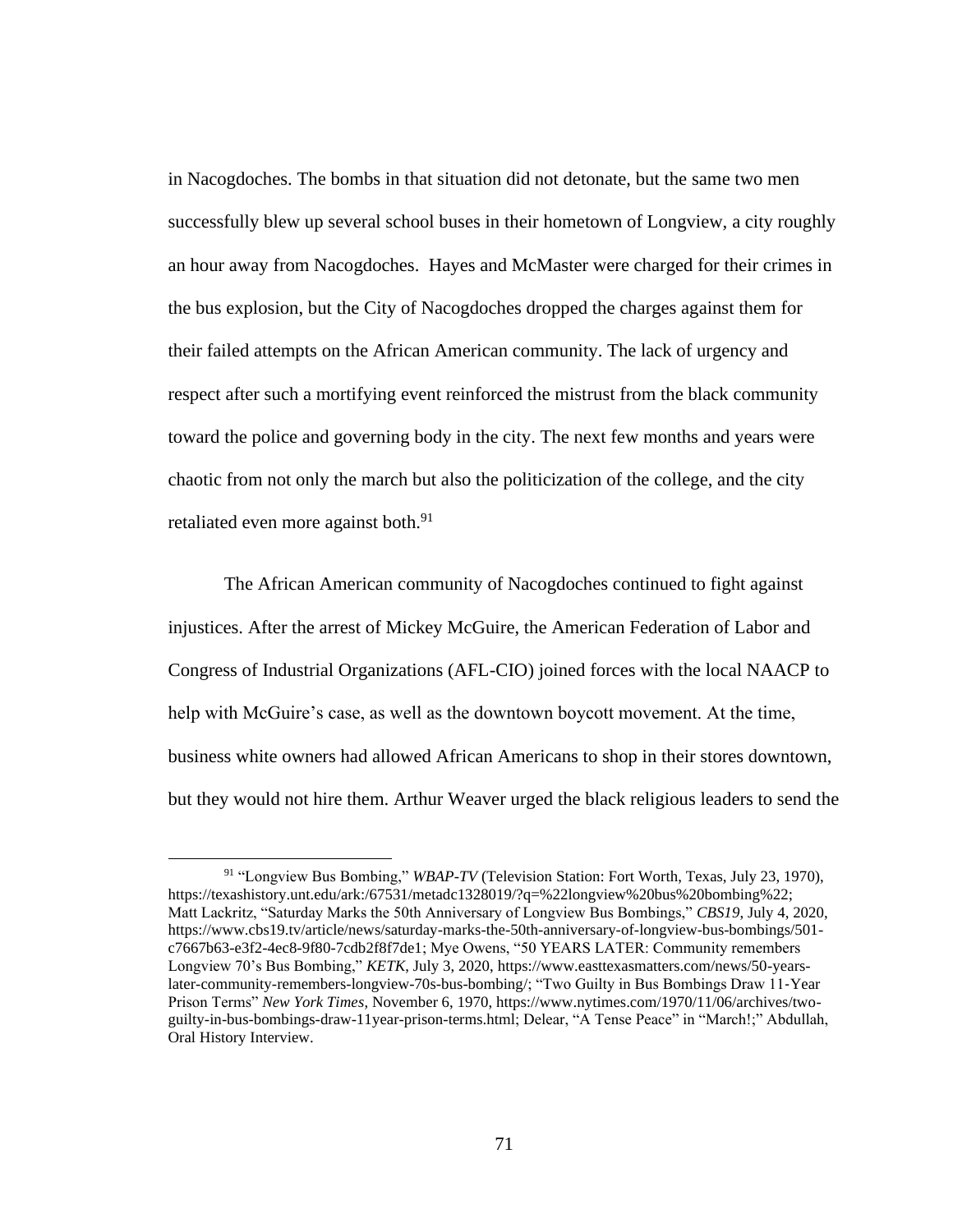in Nacogdoches. The bombs in that situation did not detonate, but the same two men successfully blew up several school buses in their hometown of Longview, a city roughly an hour away from Nacogdoches. Hayes and McMaster were charged for their crimes in the bus explosion, but the City of Nacogdoches dropped the charges against them for their failed attempts on the African American community. The lack of urgency and respect after such a mortifying event reinforced the mistrust from the black community toward the police and governing body in the city. The next few months and years were chaotic from not only the march but also the politicization of the college, and the city retaliated even more against both.<sup>91</sup>

The African American community of Nacogdoches continued to fight against injustices. After the arrest of Mickey McGuire, the American Federation of Labor and Congress of Industrial Organizations (AFL-CIO) joined forces with the local NAACP to help with McGuire's case, as well as the downtown boycott movement. At the time, business white owners had allowed African Americans to shop in their stores downtown, but they would not hire them. Arthur Weaver urged the black religious leaders to send the

<sup>91</sup> "Longview Bus Bombing," *WBAP-TV* (Television Station: Fort Worth, Texas, July 23, 1970), https://texashistory.unt.edu/ark:/67531/metadc1328019/?q=%22longview%20bus%20bombing%22; Matt Lackritz, "Saturday Marks the 50th Anniversary of Longview Bus Bombings," *CBS19*, July 4, 2020, [https://www.cbs19.tv/article/news/saturday-marks-the-50th-anniversary-of-longview-bus-bombings/501](https://www.cbs19.tv/article/news/saturday-marks-the-50th-anniversary-of-longview-bus-bombings/501-c7667b63-e3f2-4ec8-9f80-7cdb2f8f7de1) [c7667b63-e3f2-4ec8-9f80-7cdb2f8f7de1;](https://www.cbs19.tv/article/news/saturday-marks-the-50th-anniversary-of-longview-bus-bombings/501-c7667b63-e3f2-4ec8-9f80-7cdb2f8f7de1) Mye Owens, "50 YEARS LATER: Community remembers Longview 70's Bus Bombing," *KETK*, July 3, 2020[, https://www.easttexasmatters.com/news/50-years](https://www.easttexasmatters.com/news/50-years-later-community-remembers-longview-70s-bus-bombing/)[later-community-remembers-longview-70s-bus-bombing/;](https://www.easttexasmatters.com/news/50-years-later-community-remembers-longview-70s-bus-bombing/) "Two Guilty in Bus Bombings Draw 11‐Year Prison Terms" *New York Times*, November 6, 1970, [https://www.nytimes.com/1970/11/06/archives/two](https://www.nytimes.com/1970/11/06/archives/two-guilty-in-bus-bombings-draw-11year-prison-terms.html)[guilty-in-bus-bombings-draw-11year-prison-terms.html;](https://www.nytimes.com/1970/11/06/archives/two-guilty-in-bus-bombings-draw-11year-prison-terms.html) Delear, "A Tense Peace" in "March!;" Abdullah, Oral History Interview.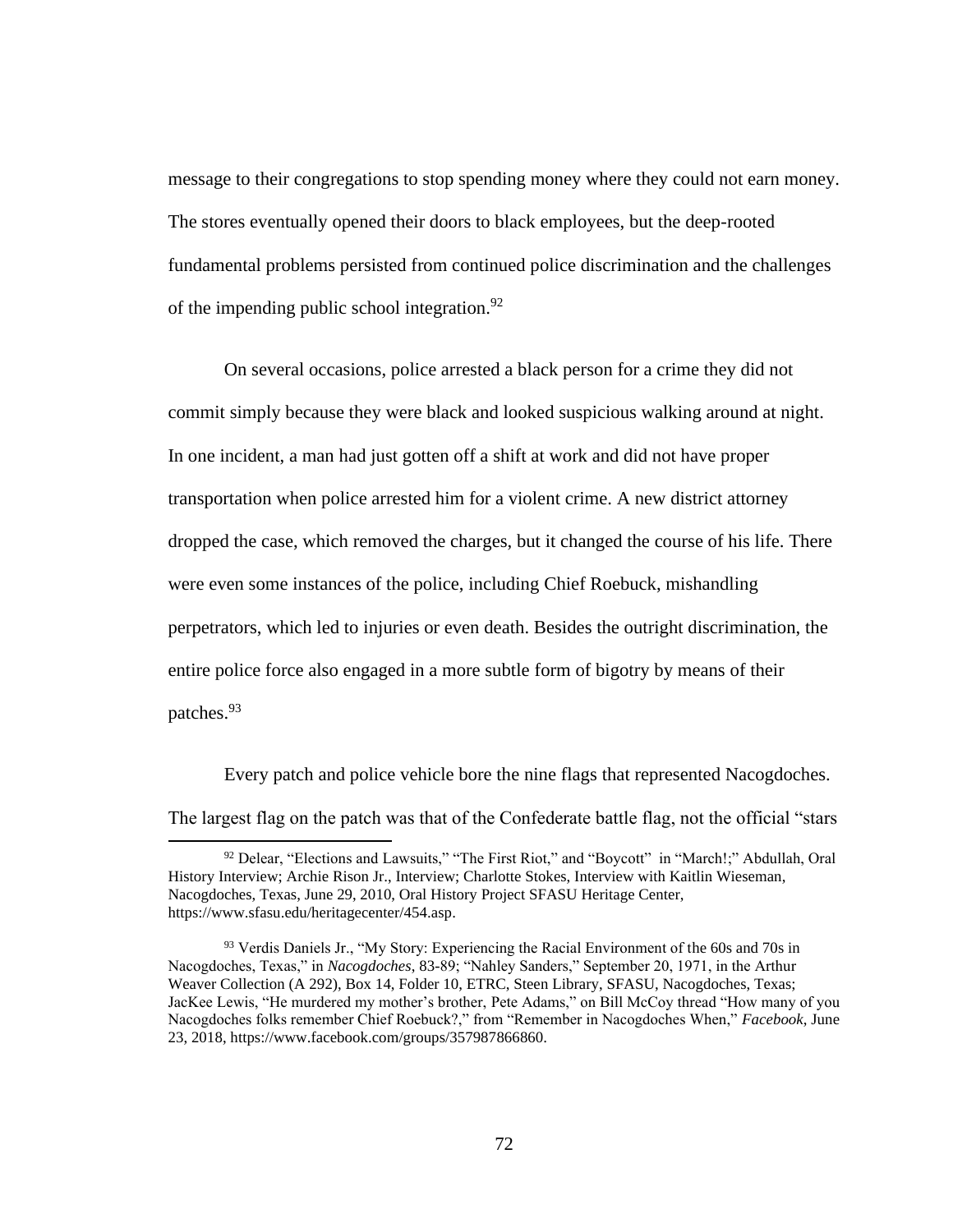message to their congregations to stop spending money where they could not earn money. The stores eventually opened their doors to black employees, but the deep-rooted fundamental problems persisted from continued police discrimination and the challenges of the impending public school integration.  $92$ 

On several occasions, police arrested a black person for a crime they did not commit simply because they were black and looked suspicious walking around at night. In one incident, a man had just gotten off a shift at work and did not have proper transportation when police arrested him for a violent crime. A new district attorney dropped the case, which removed the charges, but it changed the course of his life. There were even some instances of the police, including Chief Roebuck, mishandling perpetrators, which led to injuries or even death. Besides the outright discrimination, the entire police force also engaged in a more subtle form of bigotry by means of their patches.<sup>93</sup>

Every patch and police vehicle bore the nine flags that represented Nacogdoches. The largest flag on the patch was that of the Confederate battle flag, not the official "stars

<sup>92</sup> Delear, "Elections and Lawsuits," "The First Riot," and "Boycott" in "March!;" Abdullah, Oral History Interview; Archie Rison Jr., Interview; Charlotte Stokes, Interview with Kaitlin Wieseman, Nacogdoches, Texas, June 29, 2010, Oral History Project SFASU Heritage Center, [https://www.sfasu.edu/heritagecenter/454.asp.](https://www.sfasu.edu/heritagecenter/454.asp)

 $93$  Verdis Daniels Jr., "My Story: Experiencing the Racial Environment of the 60s and 70s in Nacogdoches, Texas," in *Nacogdoches*, 83-89; "Nahley Sanders," September 20, 1971, in the Arthur Weaver Collection (A 292), Box 14, Folder 10, ETRC, Steen Library, SFASU, Nacogdoches, Texas; JacKee Lewis, "He murdered my mother's brother, Pete Adams," on Bill McCoy thread "How many of you Nacogdoches folks remember Chief Roebuck?," from "Remember in Nacogdoches When," *Facebook*, June 23, 2018, [https://www.facebook.com/groups/357987866860.](https://www.facebook.com/groups/357987866860)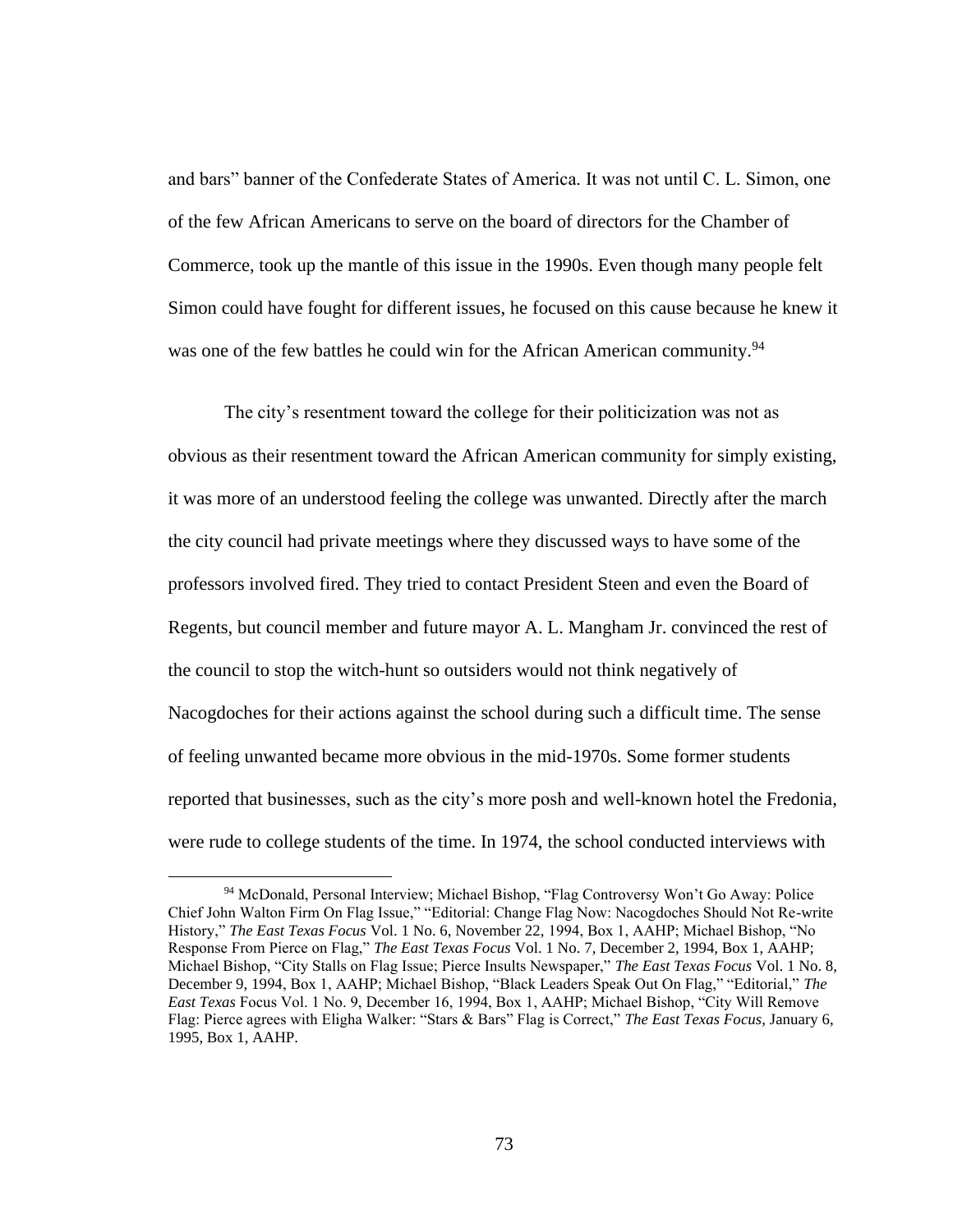and bars" banner of the Confederate States of America. It was not until C. L. Simon, one of the few African Americans to serve on the board of directors for the Chamber of Commerce, took up the mantle of this issue in the 1990s. Even though many people felt Simon could have fought for different issues, he focused on this cause because he knew it was one of the few battles he could win for the African American community.<sup>94</sup>

The city's resentment toward the college for their politicization was not as obvious as their resentment toward the African American community for simply existing, it was more of an understood feeling the college was unwanted. Directly after the march the city council had private meetings where they discussed ways to have some of the professors involved fired. They tried to contact President Steen and even the Board of Regents, but council member and future mayor A. L. Mangham Jr. convinced the rest of the council to stop the witch-hunt so outsiders would not think negatively of Nacogdoches for their actions against the school during such a difficult time. The sense of feeling unwanted became more obvious in the mid-1970s. Some former students reported that businesses, such as the city's more posh and well-known hotel the Fredonia, were rude to college students of the time. In 1974, the school conducted interviews with

<sup>94</sup> McDonald, Personal Interview; Michael Bishop, "Flag Controversy Won't Go Away: Police Chief John Walton Firm On Flag Issue," "Editorial: Change Flag Now: Nacogdoches Should Not Re-write History," *The East Texas Focus* Vol. 1 No. 6, November 22, 1994, Box 1, AAHP; Michael Bishop, "No Response From Pierce on Flag," *The East Texas Focus* Vol. 1 No. 7, December 2, 1994, Box 1, AAHP; Michael Bishop, "City Stalls on Flag Issue; Pierce Insults Newspaper," *The East Texas Focus* Vol. 1 No. 8, December 9, 1994, Box 1, AAHP; Michael Bishop, "Black Leaders Speak Out On Flag," "Editorial," *The East Texas* Focus Vol. 1 No. 9, December 16, 1994, Box 1, AAHP; Michael Bishop, "City Will Remove Flag: Pierce agrees with Eligha Walker: "Stars & Bars" Flag is Correct," *The East Texas Focus*, January 6, 1995, Box 1, AAHP.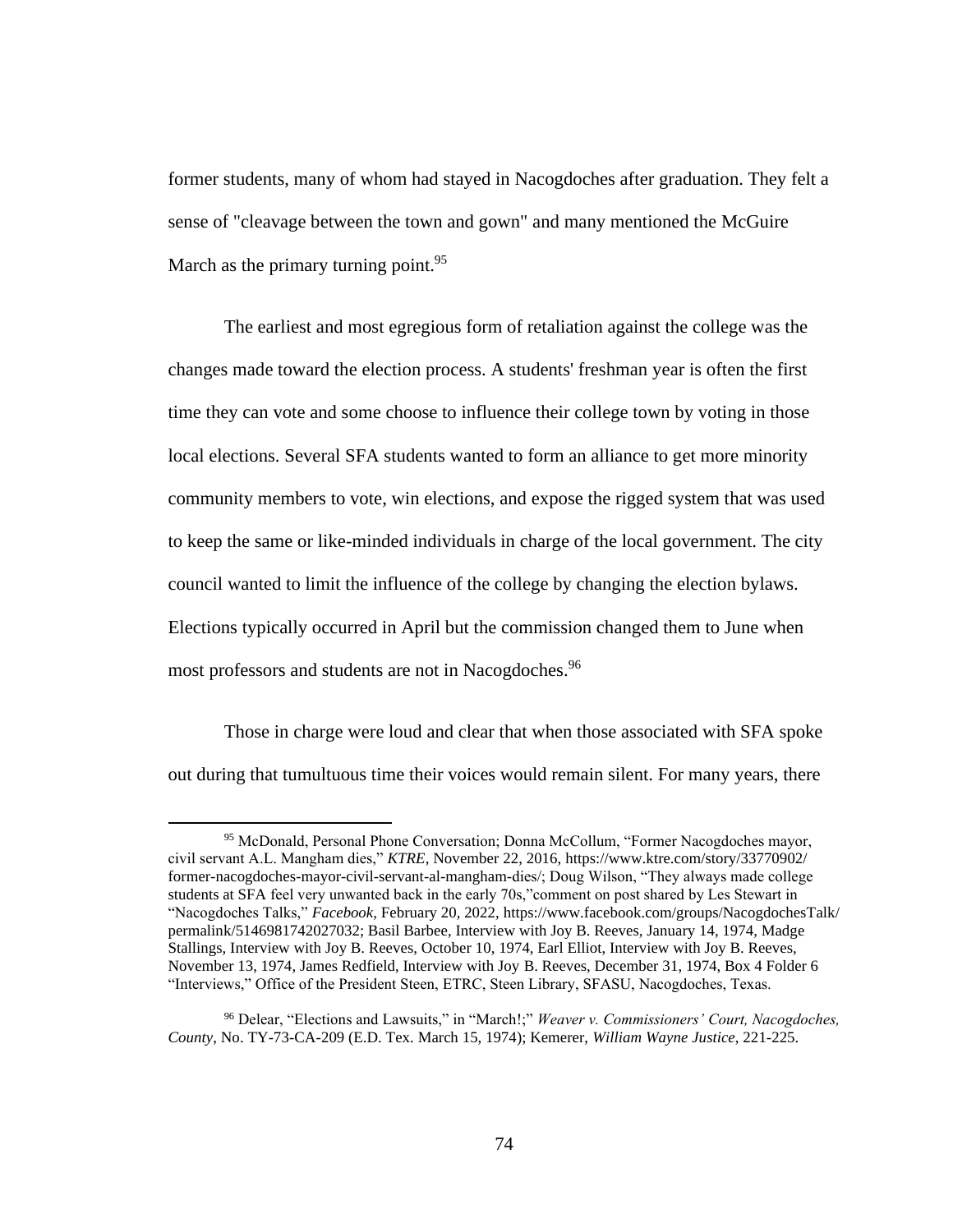former students, many of whom had stayed in Nacogdoches after graduation. They felt a sense of "cleavage between the town and gown" and many mentioned the McGuire March as the primary turning point.  $95$ 

The earliest and most egregious form of retaliation against the college was the changes made toward the election process. A students' freshman year is often the first time they can vote and some choose to influence their college town by voting in those local elections. Several SFA students wanted to form an alliance to get more minority community members to vote, win elections, and expose the rigged system that was used to keep the same or like-minded individuals in charge of the local government. The city council wanted to limit the influence of the college by changing the election bylaws. Elections typically occurred in April but the commission changed them to June when most professors and students are not in Nacogdoches.<sup>96</sup>

Those in charge were loud and clear that when those associated with SFA spoke out during that tumultuous time their voices would remain silent. For many years, there

<sup>95</sup> McDonald, Personal Phone Conversation; Donna McCollum, "Former Nacogdoches mayor, civil servant A.L. Mangham dies," *KTRE*, November 22, 2016,<https://www.ktre.com/story/33770902/> former-nacogdoches-mayor-civil-servant-al-mangham-dies/; Doug Wilson, "They always made college students at SFA feel very unwanted back in the early 70s,"comment on post shared by Les Stewart in "Nacogdoches Talks," *Facebook*, February 20, 2022[, https://www.facebook.com/groups/NacogdochesTalk/](https://www.facebook.com/groups/NacogdochesTalk/%20permalink/)  [permalink/5](https://www.facebook.com/groups/NacogdochesTalk/%20permalink/)146981742027032; Basil Barbee, Interview with Joy B. Reeves, January 14, 1974, Madge Stallings, Interview with Joy B. Reeves, October 10, 1974, Earl Elliot, Interview with Joy B. Reeves, November 13, 1974, James Redfield, Interview with Joy B. Reeves, December 31, 1974, Box 4 Folder 6 "Interviews," Office of the President Steen, ETRC, Steen Library, SFASU, Nacogdoches, Texas.

<sup>96</sup> Delear, "Elections and Lawsuits," in "March!;" *Weaver v. Commissioners' Court, Nacogdoches, County*, No. TY-73-CA-209 (E.D. Tex. March 15, 1974); Kemerer, *William Wayne Justice*, 221-225.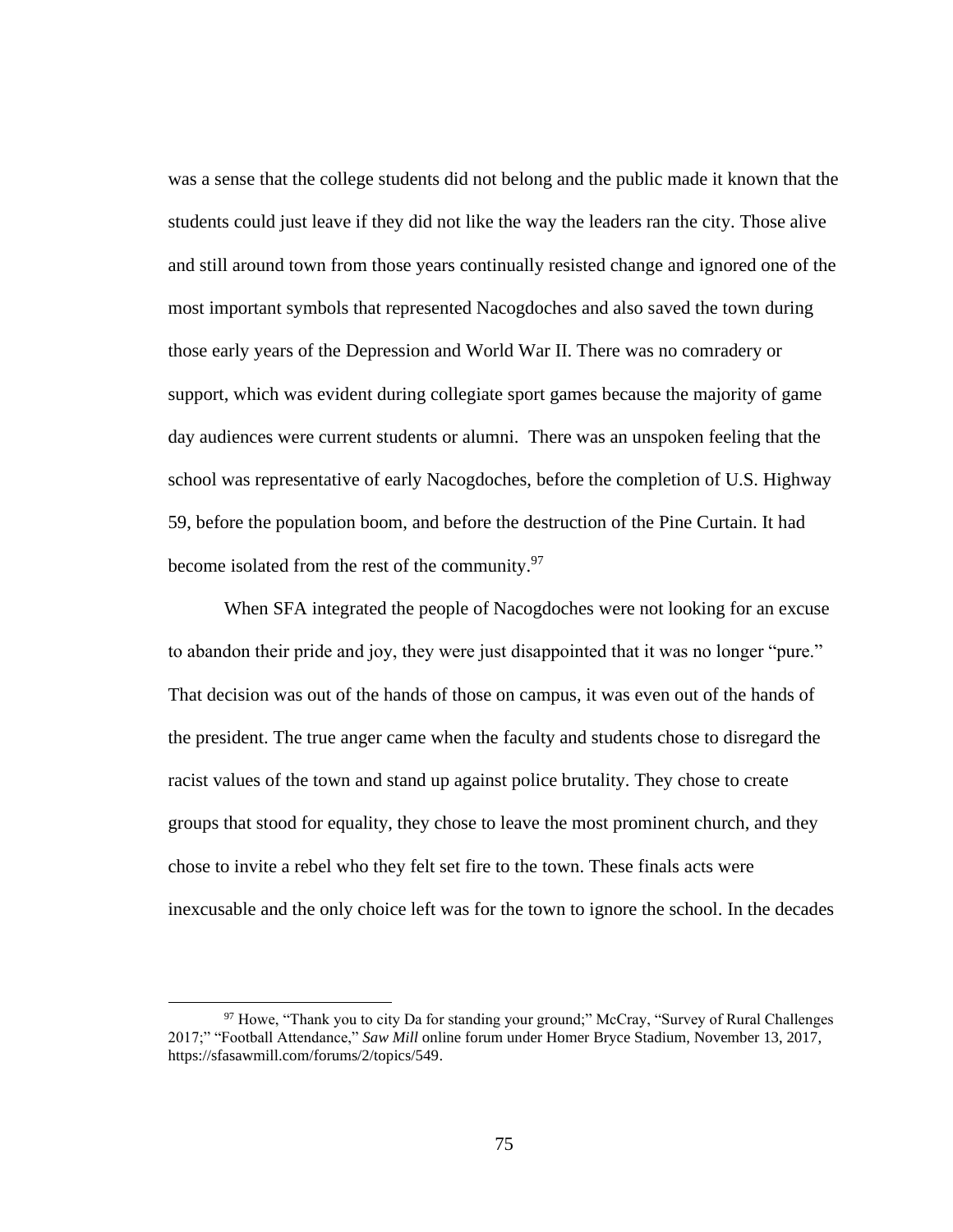was a sense that the college students did not belong and the public made it known that the students could just leave if they did not like the way the leaders ran the city. Those alive and still around town from those years continually resisted change and ignored one of the most important symbols that represented Nacogdoches and also saved the town during those early years of the Depression and World War II. There was no comradery or support, which was evident during collegiate sport games because the majority of game day audiences were current students or alumni. There was an unspoken feeling that the school was representative of early Nacogdoches, before the completion of U.S. Highway 59, before the population boom, and before the destruction of the Pine Curtain. It had become isolated from the rest of the community. $97$ 

When SFA integrated the people of Nacogdoches were not looking for an excuse to abandon their pride and joy, they were just disappointed that it was no longer "pure." That decision was out of the hands of those on campus, it was even out of the hands of the president. The true anger came when the faculty and students chose to disregard the racist values of the town and stand up against police brutality. They chose to create groups that stood for equality, they chose to leave the most prominent church, and they chose to invite a rebel who they felt set fire to the town. These finals acts were inexcusable and the only choice left was for the town to ignore the school. In the decades

<sup>&</sup>lt;sup>97</sup> Howe, "Thank you to city Da for standing your ground;" McCray, "Survey of Rural Challenges 2017;" "Football Attendance," *Saw Mill* online forum under Homer Bryce Stadium, November 13, 2017, [https://sfasawmill.com/forums/2/topics/549.](https://sfasawmill.com/forums/2/topics/549)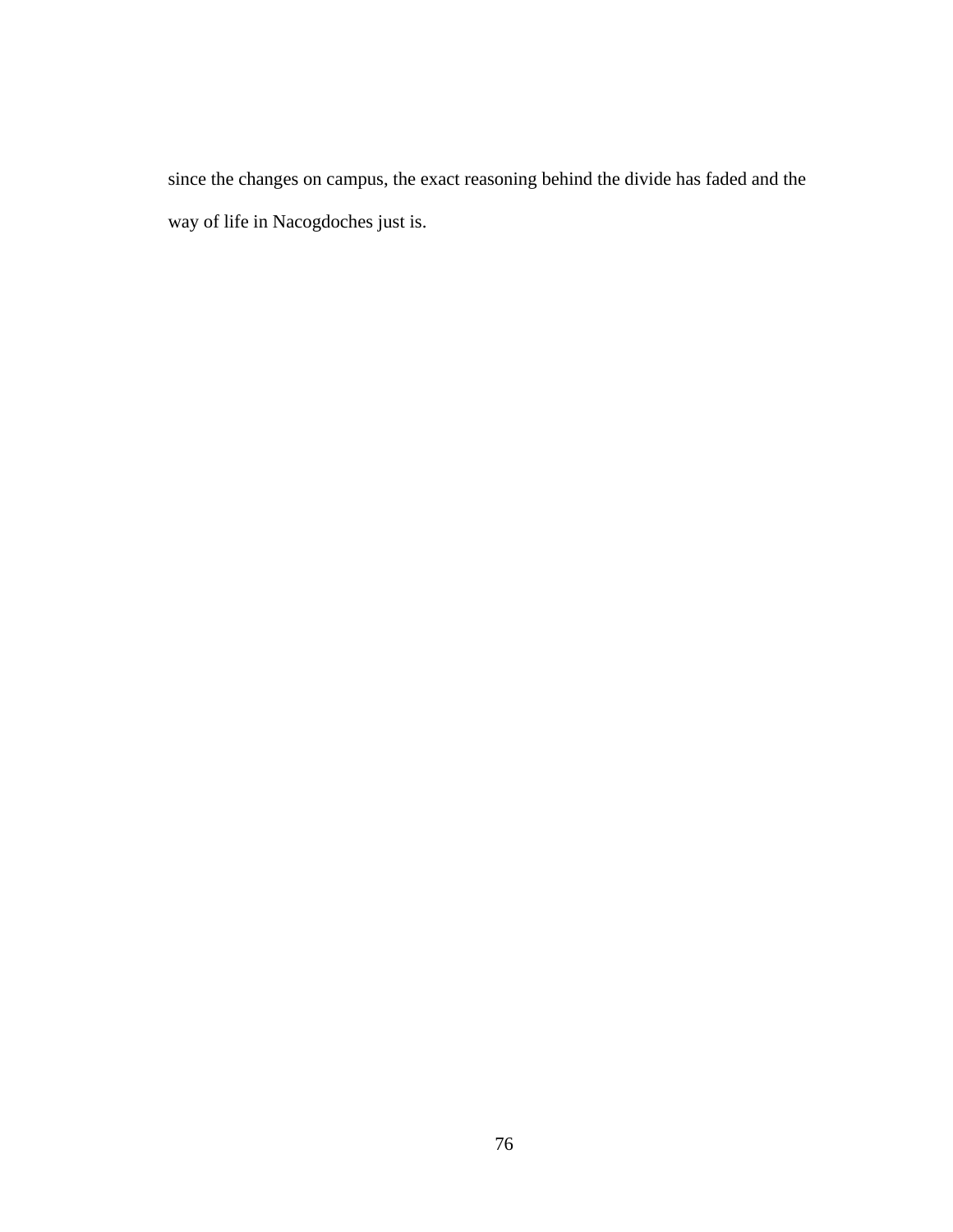since the changes on campus, the exact reasoning behind the divide has faded and the way of life in Nacogdoches just is.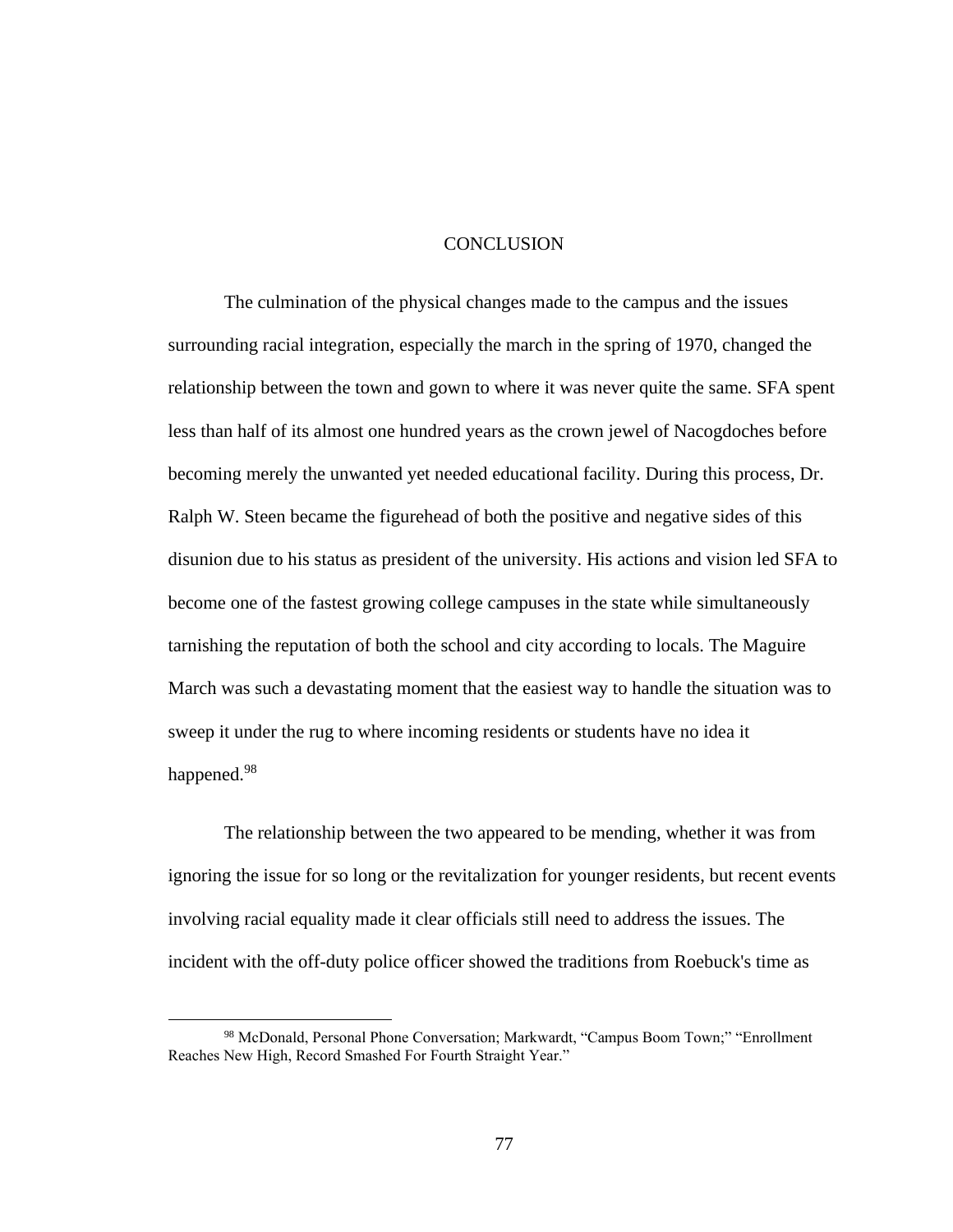## **CONCLUSION**

The culmination of the physical changes made to the campus and the issues surrounding racial integration, especially the march in the spring of 1970, changed the relationship between the town and gown to where it was never quite the same. SFA spent less than half of its almost one hundred years as the crown jewel of Nacogdoches before becoming merely the unwanted yet needed educational facility. During this process, Dr. Ralph W. Steen became the figurehead of both the positive and negative sides of this disunion due to his status as president of the university. His actions and vision led SFA to become one of the fastest growing college campuses in the state while simultaneously tarnishing the reputation of both the school and city according to locals. The Maguire March was such a devastating moment that the easiest way to handle the situation was to sweep it under the rug to where incoming residents or students have no idea it happened.<sup>98</sup>

The relationship between the two appeared to be mending, whether it was from ignoring the issue for so long or the revitalization for younger residents, but recent events involving racial equality made it clear officials still need to address the issues. The incident with the off-duty police officer showed the traditions from Roebuck's time as

<sup>98</sup> McDonald, Personal Phone Conversation; Markwardt, "Campus Boom Town;" "Enrollment Reaches New High, Record Smashed For Fourth Straight Year."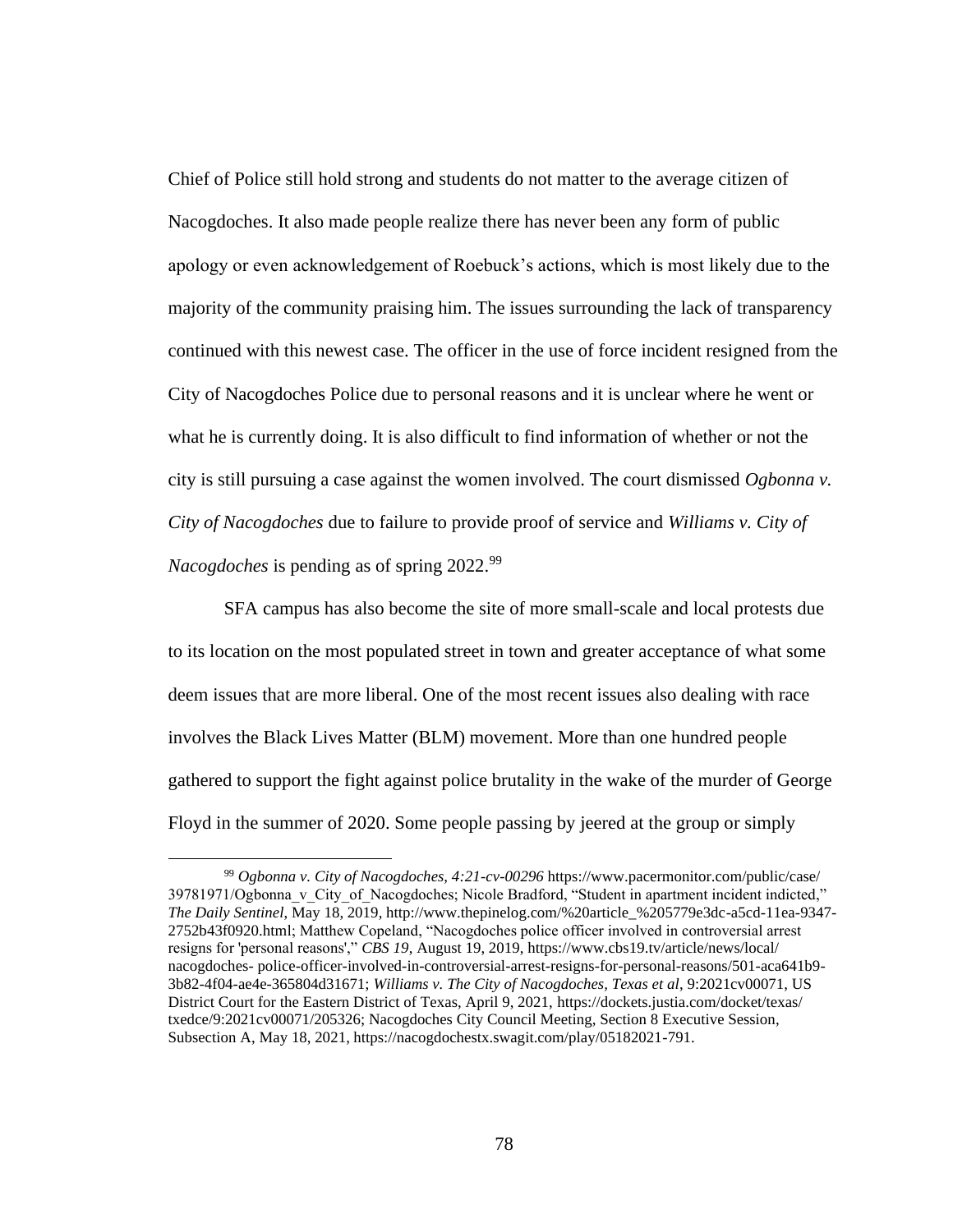Chief of Police still hold strong and students do not matter to the average citizen of Nacogdoches. It also made people realize there has never been any form of public apology or even acknowledgement of Roebuck's actions, which is most likely due to the majority of the community praising him. The issues surrounding the lack of transparency continued with this newest case. The officer in the use of force incident resigned from the City of Nacogdoches Police due to personal reasons and it is unclear where he went or what he is currently doing. It is also difficult to find information of whether or not the city is still pursuing a case against the women involved. The court dismissed *Ogbonna v. City of Nacogdoches* due to failure to provide proof of service and *Williams v. City of Nacogdoches* is pending as of spring 2022.<sup>99</sup>

SFA campus has also become the site of more small-scale and local protests due to its location on the most populated street in town and greater acceptance of what some deem issues that are more liberal. One of the most recent issues also dealing with race involves the Black Lives Matter (BLM) movement. More than one hundred people gathered to support the fight against police brutality in the wake of the murder of George Floyd in the summer of 2020. Some people passing by jeered at the group or simply

<sup>99</sup> *Ogbonna v. City of Nacogdoches, 4:21-cv-00296* https://www.pacermonitor.com/public/case/ 39781971/Ogbonna v City of Nacogdoches; Nicole Bradford, "Student in apartment incident indicted," *The Daily Sentinel*, May 18, 2019, http://www.thepinelog.com/%20article\_%205779e3dc-a5cd-11ea-9347- 2752b43f0920.html; Matthew Copeland, "Nacogdoches police officer involved in controversial arrest resigns for 'personal reasons'," *CBS 19*, August 19, 2019,<https://www.cbs19.tv/article/news/local/> nacogdoches- police-officer-involved-in-controversial-arrest-resigns-for-personal-reasons/501-aca641b9- 3b82-4f04-ae4e-365804d31671; *Williams v. The City of Nacogdoches, Texas et al*, 9:2021cv00071, US District Court for the Eastern District of Texas, April 9, 2021,<https://dockets.justia.com/docket/texas/> txedce/9:2021cv00071/205326; Nacogdoches City Council Meeting, Section 8 Executive Session, Subsection A, May 18, 2021, https://nacogdochestx.swagit.com/play/05182021-791.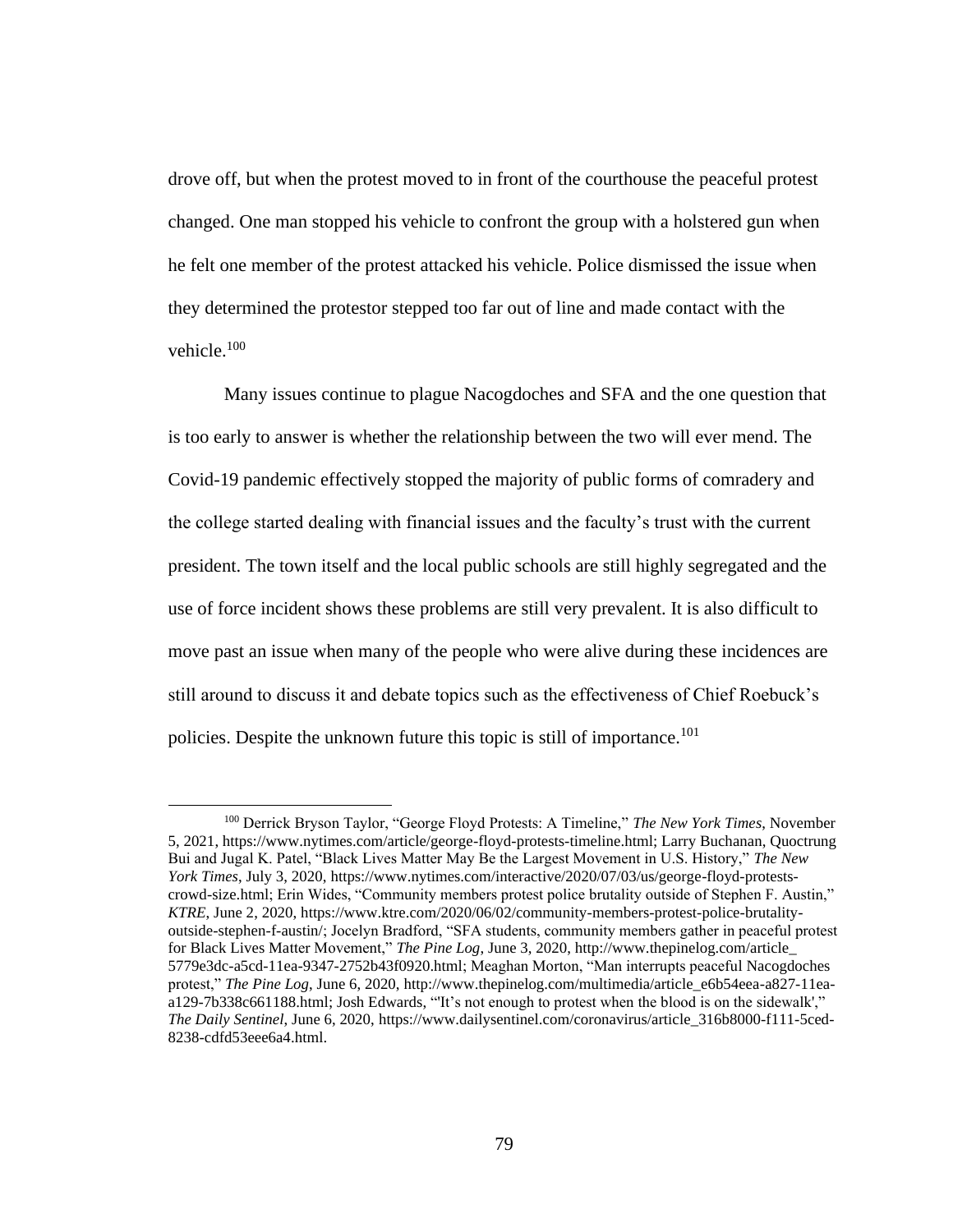drove off, but when the protest moved to in front of the courthouse the peaceful protest changed. One man stopped his vehicle to confront the group with a holstered gun when he felt one member of the protest attacked his vehicle. Police dismissed the issue when they determined the protestor stepped too far out of line and made contact with the vehicle.<sup>100</sup>

Many issues continue to plague Nacogdoches and SFA and the one question that is too early to answer is whether the relationship between the two will ever mend. The Covid-19 pandemic effectively stopped the majority of public forms of comradery and the college started dealing with financial issues and the faculty's trust with the current president. The town itself and the local public schools are still highly segregated and the use of force incident shows these problems are still very prevalent. It is also difficult to move past an issue when many of the people who were alive during these incidences are still around to discuss it and debate topics such as the effectiveness of Chief Roebuck's policies. Despite the unknown future this topic is still of importance.<sup>101</sup>

<sup>100</sup> Derrick Bryson Taylor, "George Floyd Protests: A Timeline," *The New York Times*, November 5, 2021, [https://www.nytimes.com/article/george-floyd-protests-timeline.html;](https://www.nytimes.com/article/george-floyd-protests-timeline.html) Larry Buchanan, Quoctrung Bui and Jugal K. Patel, "Black Lives Matter May Be the Largest Movement in U.S. History," *The New York Times*, July 3, 2020, [https://www.nytimes.com/interactive/2020/07/03/us/george-floyd-protests](https://www.nytimes.com/interactive/2020/07/03/us/george-floyd-protests-crowd-size.html)[crowd-size.html;](https://www.nytimes.com/interactive/2020/07/03/us/george-floyd-protests-crowd-size.html) Erin Wides, "Community members protest police brutality outside of Stephen F. Austin," *KTRE*, June 2, 2020, [https://www.ktre.com/2020/06/02/community-members-protest-police-brutality](https://www.ktre.com/2020/06/02/community-members-protest-police-brutality-outside-stephen-f-austin/)[outside-stephen-f-austin/;](https://www.ktre.com/2020/06/02/community-members-protest-police-brutality-outside-stephen-f-austin/) Jocelyn Bradford, "SFA students, community members gather in peaceful protest for Black Lives Matter Movement," *The Pine Log*, June 3, 2020[, http://www.thepinelog.com/article\\_](http://www.thepinelog.com/article_%205779e3dc-a5cd-11ea-9347-2752b43f0920.html)  [5779e3dc-a5cd-11ea-9347-2752b43f0920.html;](http://www.thepinelog.com/article_%205779e3dc-a5cd-11ea-9347-2752b43f0920.html) Meaghan Morton, "Man interrupts peaceful Nacogdoches protest," *The Pine Log*, June 6, 2020, [http://www.thepinelog.com/multimedia/article\\_e6b54eea-a827-11ea](http://www.thepinelog.com/multimedia/article_e6b54eea-a827-11ea-a129-7b338c661188.html)[a129-7b338c661188.html;](http://www.thepinelog.com/multimedia/article_e6b54eea-a827-11ea-a129-7b338c661188.html) Josh Edwards, "'It's not enough to protest when the blood is on the sidewalk'," *The Daily Sentinel*, June 6, 2020, [https://www.dailysentinel.com/coronavirus/article\\_316b8000-f111-5ced-](https://www.dailysentinel.com/coronavirus/article_316b8000-f111-5ced-8238-cdfd53eee6a4.html)[8238-cdfd53eee6a4.html.](https://www.dailysentinel.com/coronavirus/article_316b8000-f111-5ced-8238-cdfd53eee6a4.html)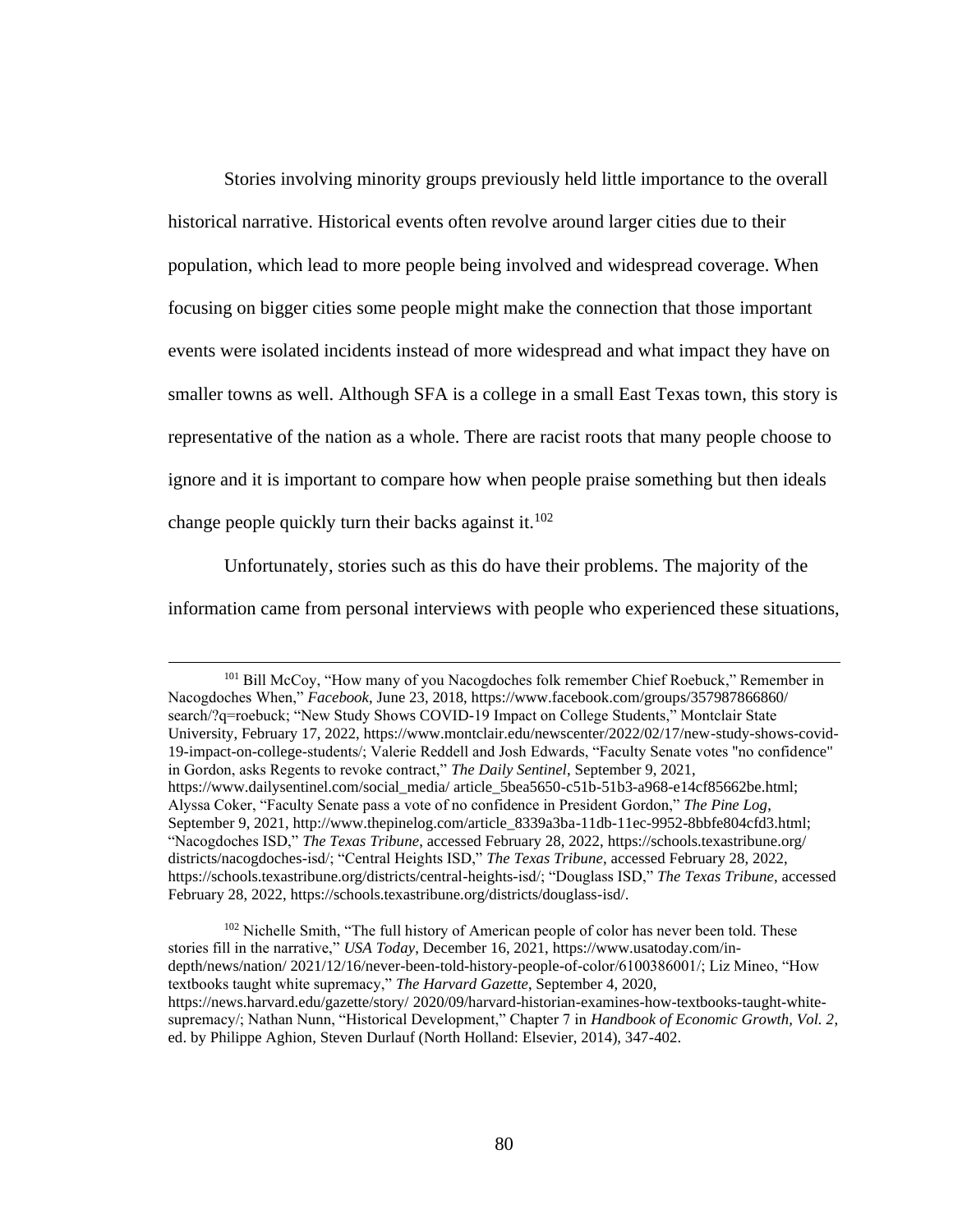Stories involving minority groups previously held little importance to the overall historical narrative. Historical events often revolve around larger cities due to their population, which lead to more people being involved and widespread coverage. When focusing on bigger cities some people might make the connection that those important events were isolated incidents instead of more widespread and what impact they have on smaller towns as well. Although SFA is a college in a small East Texas town, this story is representative of the nation as a whole. There are racist roots that many people choose to ignore and it is important to compare how when people praise something but then ideals change people quickly turn their backs against it.<sup>102</sup>

Unfortunately, stories such as this do have their problems. The majority of the information came from personal interviews with people who experienced these situations,

<sup>102</sup> Nichelle Smith, "The full history of American people of color has never been told. These stories fill in the narrative," *USA Today*, December 16, 2021, [https://www.usatoday.com/in](https://www.usatoday.com/in-depth/news/nation/)[depth/news/nation/](https://www.usatoday.com/in-depth/news/nation/) 2021/12/16/never-been-told-history-people-of-color/6100386001/; Liz Mineo, "How textbooks taught white supremacy," *The Harvard Gazette*, September 4, 2020, <https://news.harvard.edu/gazette/story/> 2020/09/harvard-historian-examines-how-textbooks-taught-whitesupremacy/; Nathan Nunn, "Historical Development," Chapter 7 in *Handbook of Economic Growth, Vol. 2*, ed. by Philippe Aghion, Steven Durlauf (North Holland: Elsevier, 2014), 347-402.

<sup>101</sup> Bill McCoy, "How many of you Nacogdoches folk remember Chief Roebuck," Remember in Nacogdoches When," *Facebook*, June 23, 2018, https://www.facebook.com/groups/357987866860/ search/?q=roebuck; "New Study Shows COVID-19 Impact on College Students," Montclair State University, February 17, 2022, https://www.montclair.edu/newscenter/2022/02/17/new-study-shows-covid-19-impact-on-college-students/; Valerie Reddell and Josh Edwards, "Faculty Senate votes "no confidence" in Gordon, asks Regents to revoke contract," *The Daily Sentinel*, September 9, 2021, https://www.dailysentinel.com/social\_media/ article\_5bea5650-c51b-51b3-a968-e14cf85662be.html; Alyssa Coker, "Faculty Senate pass a vote of no confidence in President Gordon," *The Pine Log*, September 9, 2021, http://www.thepinelog.com/article 8339a3ba-11db-11ec-9952-8bbfe804cfd3.html; "Nacogdoches ISD," *The Texas Tribune*, accessed February 28, 2022,<https://schools.texastribune.org/> districts/nacogdoches-isd/; "Central Heights ISD," *The Texas Tribune*, accessed February 28, 2022, https://schools.texastribune.org/districts/central-heights-isd/; "Douglass ISD," *The Texas Tribune*, accessed February 28, 2022, https://schools.texastribune.org/districts/douglass-isd/.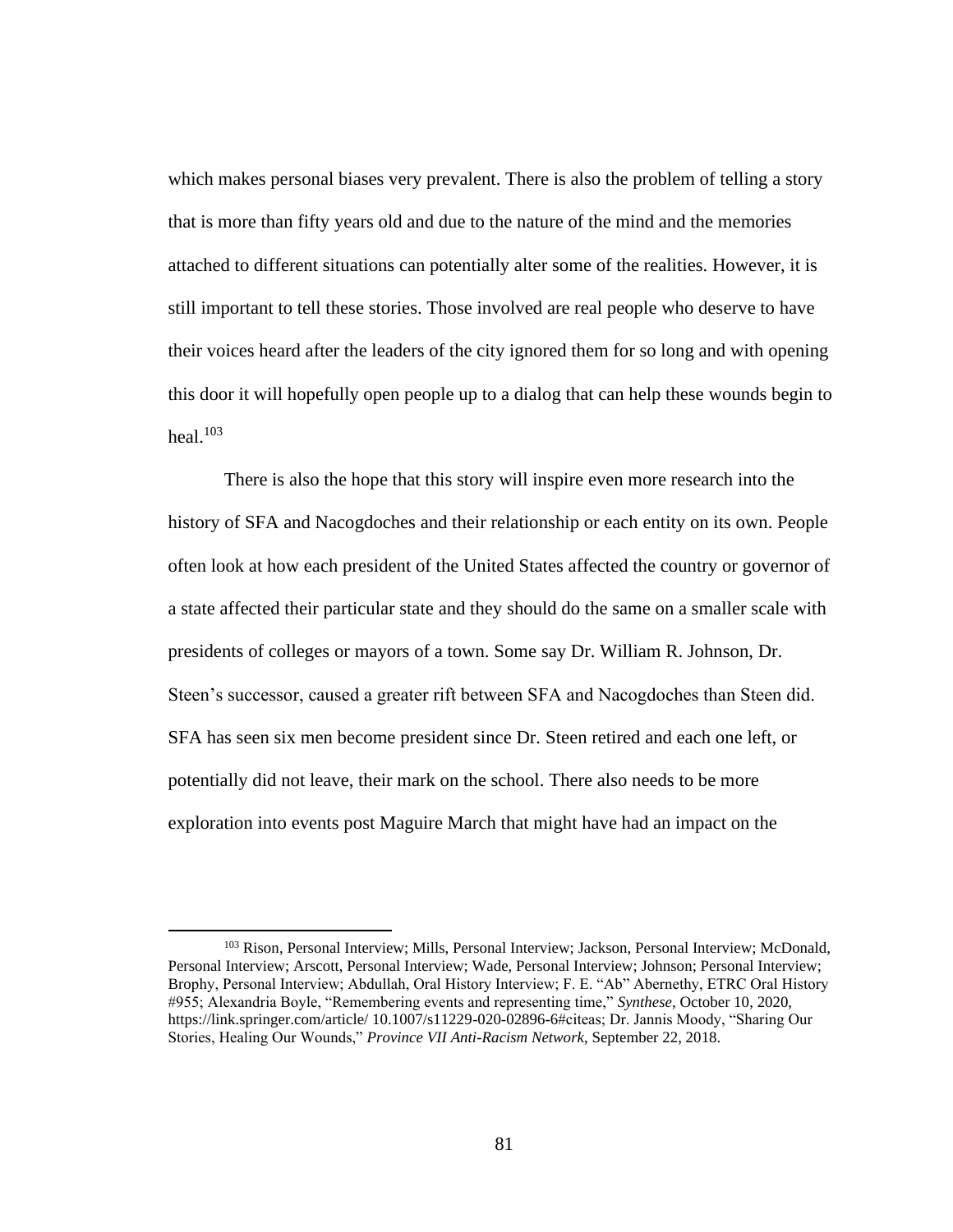which makes personal biases very prevalent. There is also the problem of telling a story that is more than fifty years old and due to the nature of the mind and the memories attached to different situations can potentially alter some of the realities. However, it is still important to tell these stories. Those involved are real people who deserve to have their voices heard after the leaders of the city ignored them for so long and with opening this door it will hopefully open people up to a dialog that can help these wounds begin to heal. $103$ 

There is also the hope that this story will inspire even more research into the history of SFA and Nacogdoches and their relationship or each entity on its own. People often look at how each president of the United States affected the country or governor of a state affected their particular state and they should do the same on a smaller scale with presidents of colleges or mayors of a town. Some say Dr. William R. Johnson, Dr. Steen's successor, caused a greater rift between SFA and Nacogdoches than Steen did. SFA has seen six men become president since Dr. Steen retired and each one left, or potentially did not leave, their mark on the school. There also needs to be more exploration into events post Maguire March that might have had an impact on the

<sup>103</sup> Rison, Personal Interview; Mills, Personal Interview; Jackson, Personal Interview; McDonald, Personal Interview; Arscott, Personal Interview; Wade, Personal Interview; Johnson; Personal Interview; Brophy, Personal Interview; Abdullah, Oral History Interview; F. E. "Ab" Abernethy, ETRC Oral History #955; Alexandria Boyle, "Remembering events and representing time," *Synthese*, October 10, 2020, https://link.springer.com/article/ 10.1007/s11229-020-02896-6#citeas; Dr. Jannis Moody, "Sharing Our Stories, Healing Our Wounds," *Province VII Anti-Racism Network*, September 22, 2018.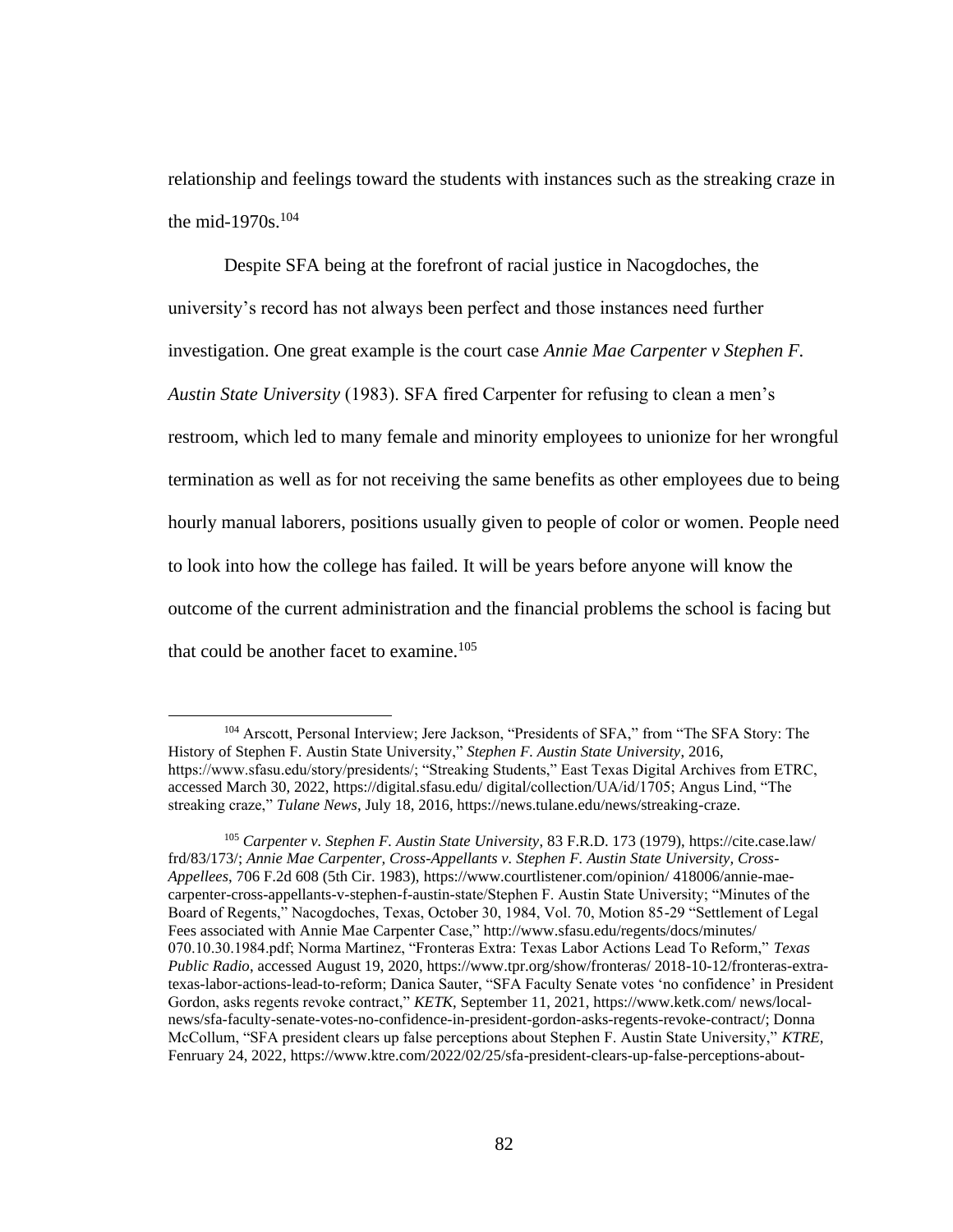relationship and feelings toward the students with instances such as the streaking craze in the mid-1970s. $104$ 

Despite SFA being at the forefront of racial justice in Nacogdoches, the university's record has not always been perfect and those instances need further investigation. One great example is the court case *Annie Mae Carpenter v Stephen F. Austin State University* (1983). SFA fired Carpenter for refusing to clean a men's restroom, which led to many female and minority employees to unionize for her wrongful termination as well as for not receiving the same benefits as other employees due to being hourly manual laborers, positions usually given to people of color or women. People need to look into how the college has failed. It will be years before anyone will know the outcome of the current administration and the financial problems the school is facing but that could be another facet to examine.<sup>105</sup>

<sup>104</sup> Arscott, Personal Interview; Jere Jackson, "Presidents of SFA," from "The SFA Story: The History of Stephen F. Austin State University," *Stephen F. Austin State University*, 2016, https://www.sfasu.edu/story/presidents/; "Streaking Students," East Texas Digital Archives from ETRC, accessed March 30, 2022,<https://digital.sfasu.edu/> digital/collection/UA/id/1705; Angus Lind, "The streaking craze," *Tulane News*, July 18, 2016, https://news.tulane.edu/news/streaking-craze.

<sup>105</sup> *Carpenter v. Stephen F. Austin State University*, 83 F.R.D. 173 (1979), [https://cite.case.law/](https://cite.case.law/%20frd/83/173/)  [frd/83/173/;](https://cite.case.law/%20frd/83/173/) *Annie Mae Carpenter, Cross-Appellants v. Stephen F. Austin State University, Cross-Appellees*, 706 F.2d 608 (5th Cir. 1983),<https://www.courtlistener.com/opinion/> 418006/annie-maecarpenter-cross-appellants-v-stephen-f-austin-state/Stephen F. Austin State University; "Minutes of the Board of Regents," Nacogdoches, Texas, October 30, 1984, Vol. 70, Motion 85-29 "Settlement of Legal Fees associated with Annie Mae Carpenter Case,[" http://www.sfasu.edu/regents/docs/minutes/](http://www.sfasu.edu/regents/docs/minutes/) 070.10.30.1984.pdf; Norma Martinez, "Fronteras Extra: Texas Labor Actions Lead To Reform," *Texas Public Radio*, accessed August 19, 2020, https://www.tpr.org/show/fronteras/ 2018-10-12/fronteras-extratexas-labor-actions-lead-to-reform; Danica Sauter, "SFA Faculty Senate votes 'no confidence' in President Gordon, asks regents revoke contract," *KETK*, September 11, 2021, https://www.ketk.com/ news/localnews/sfa-faculty-senate-votes-no-confidence-in-president-gordon-asks-regents-revoke-contract/; Donna McCollum, "SFA president clears up false perceptions about Stephen F. Austin State University," *KTRE*, Fenruary 24, 2022, https://www.ktre.com/2022/02/25/sfa-president-clears-up-false-perceptions-about-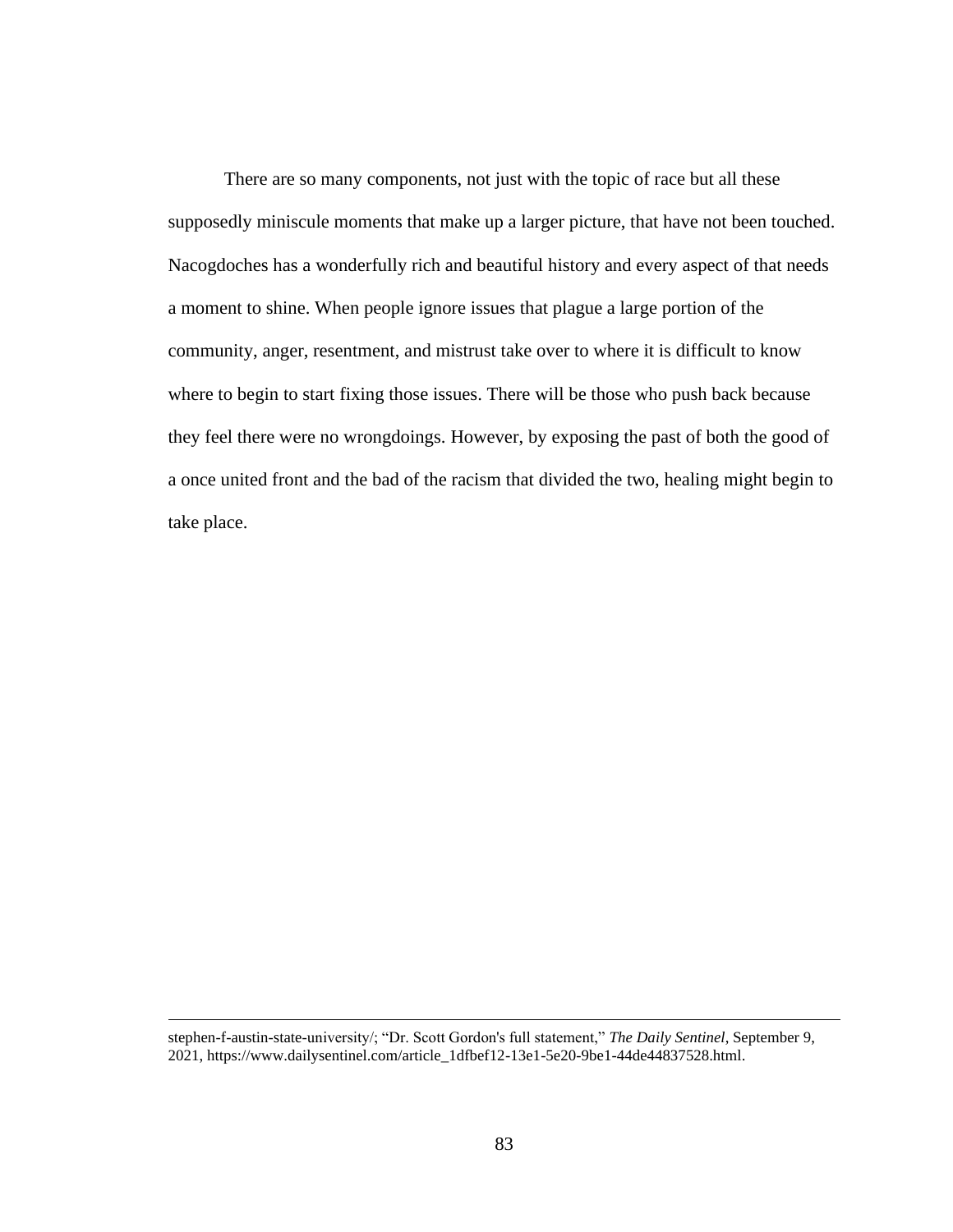There are so many components, not just with the topic of race but all these supposedly miniscule moments that make up a larger picture, that have not been touched. Nacogdoches has a wonderfully rich and beautiful history and every aspect of that needs a moment to shine. When people ignore issues that plague a large portion of the community, anger, resentment, and mistrust take over to where it is difficult to know where to begin to start fixing those issues. There will be those who push back because they feel there were no wrongdoings. However, by exposing the past of both the good of a once united front and the bad of the racism that divided the two, healing might begin to take place.

stephen-f-austin-state-university/; "Dr. Scott Gordon's full statement," *The Daily Sentinel*, September 9, 2021, [https://www.dailysentinel.com/article\\_1dfbef12-13e1-5e20-9be1-44de44837528.html.](https://www.dailysentinel.com/article_1dfbef12-13e1-5e20-9be1-44de44837528.html)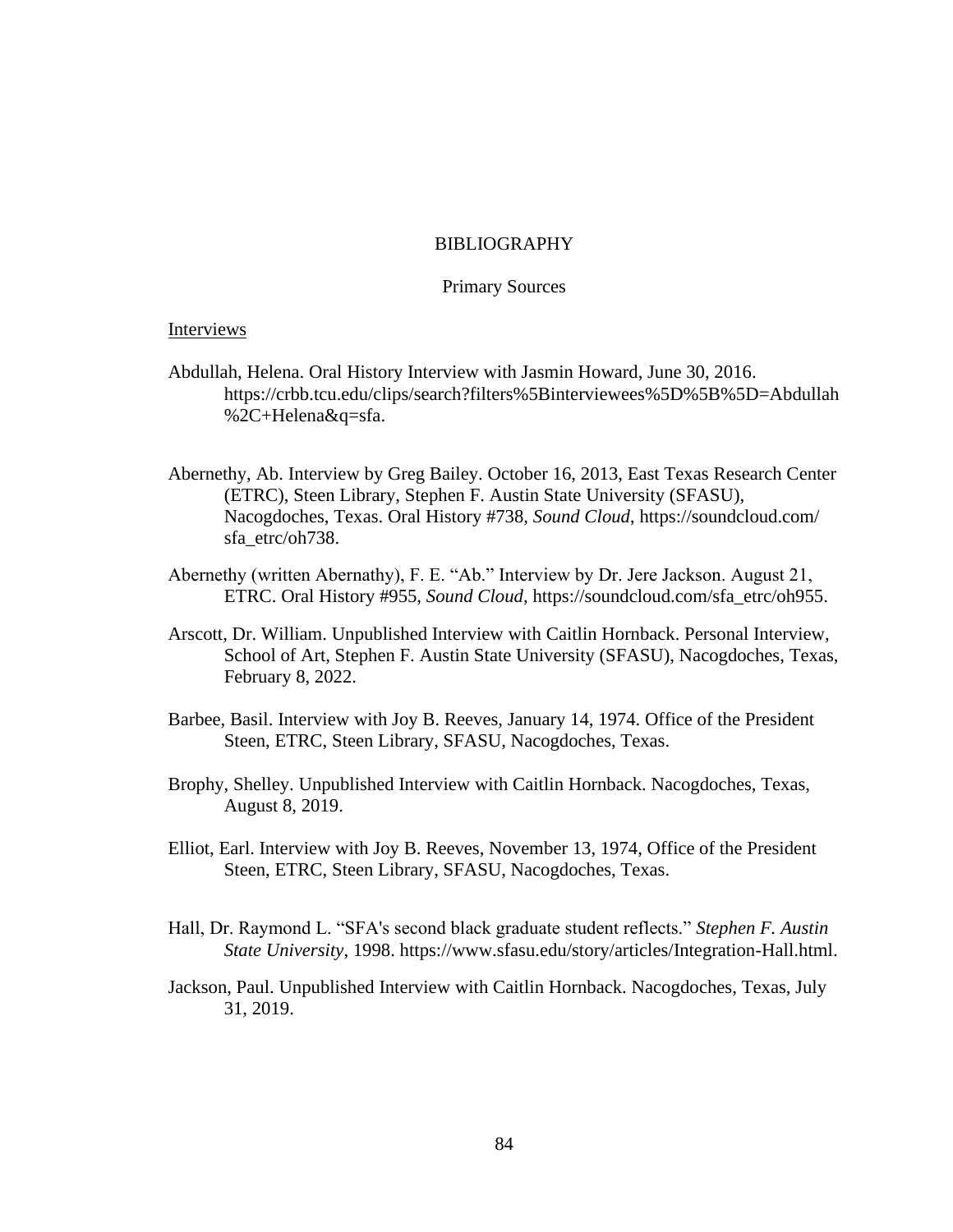# BIBLIOGRAPHY

#### Primary Sources

## Interviews

- Abdullah, Helena. Oral History Interview with Jasmin Howard, June 30, 2016. [https://crbb.tcu.edu/clips/search?filters%5Binterviewees%5D%5B%5D=Abdullah](https://crbb.tcu.edu/clips/search?filters%5Binterviewees%5D%5B%5D=Abdullah%09%2C+Helena&q=sfa) [%2C+Helena&q=sfa.](https://crbb.tcu.edu/clips/search?filters%5Binterviewees%5D%5B%5D=Abdullah%09%2C+Helena&q=sfa)
- Abernethy, Ab. Interview by Greg Bailey. October 16, 2013, East Texas Research Center (ETRC), Steen Library, Stephen F. Austin State University (SFASU), Nacogdoches, Texas. Oral History #738, *Sound Cloud*, [https://soundcloud.com/](https://soundcloud.com/%20%09sfa_etrc/oh738)  [sfa\\_etrc/oh738.](https://soundcloud.com/%20%09sfa_etrc/oh738)
- Abernethy (written Abernathy), F. E. "Ab." Interview by Dr. Jere Jackson. August 21, ETRC. Oral History #955, *Sound Cloud*, [https://soundcloud.com/sfa\\_etrc/oh955.](https://soundcloud.com/sfa_etrc/oh955)
- Arscott, Dr. William. Unpublished Interview with Caitlin Hornback. Personal Interview, School of Art, Stephen F. Austin State University (SFASU), Nacogdoches, Texas, February 8, 2022.
- Barbee, Basil. Interview with Joy B. Reeves, January 14, 1974. Office of the President Steen, ETRC, Steen Library, SFASU, Nacogdoches, Texas.
- Brophy, Shelley. Unpublished Interview with Caitlin Hornback. Nacogdoches, Texas, August 8, 2019.
- Elliot, Earl. Interview with Joy B. Reeves, November 13, 1974, Office of the President Steen, ETRC, Steen Library, SFASU, Nacogdoches, Texas.
- Hall, Dr. Raymond L. "SFA's second black graduate student reflects." *Stephen F. Austin State University*, 1998. [https://www.sfasu.edu/story/articles/Integration-Hall.html.](https://www.sfasu.edu/story/articles/Integration-Hall.html)
- Jackson, Paul. Unpublished Interview with Caitlin Hornback. Nacogdoches, Texas, July 31, 2019.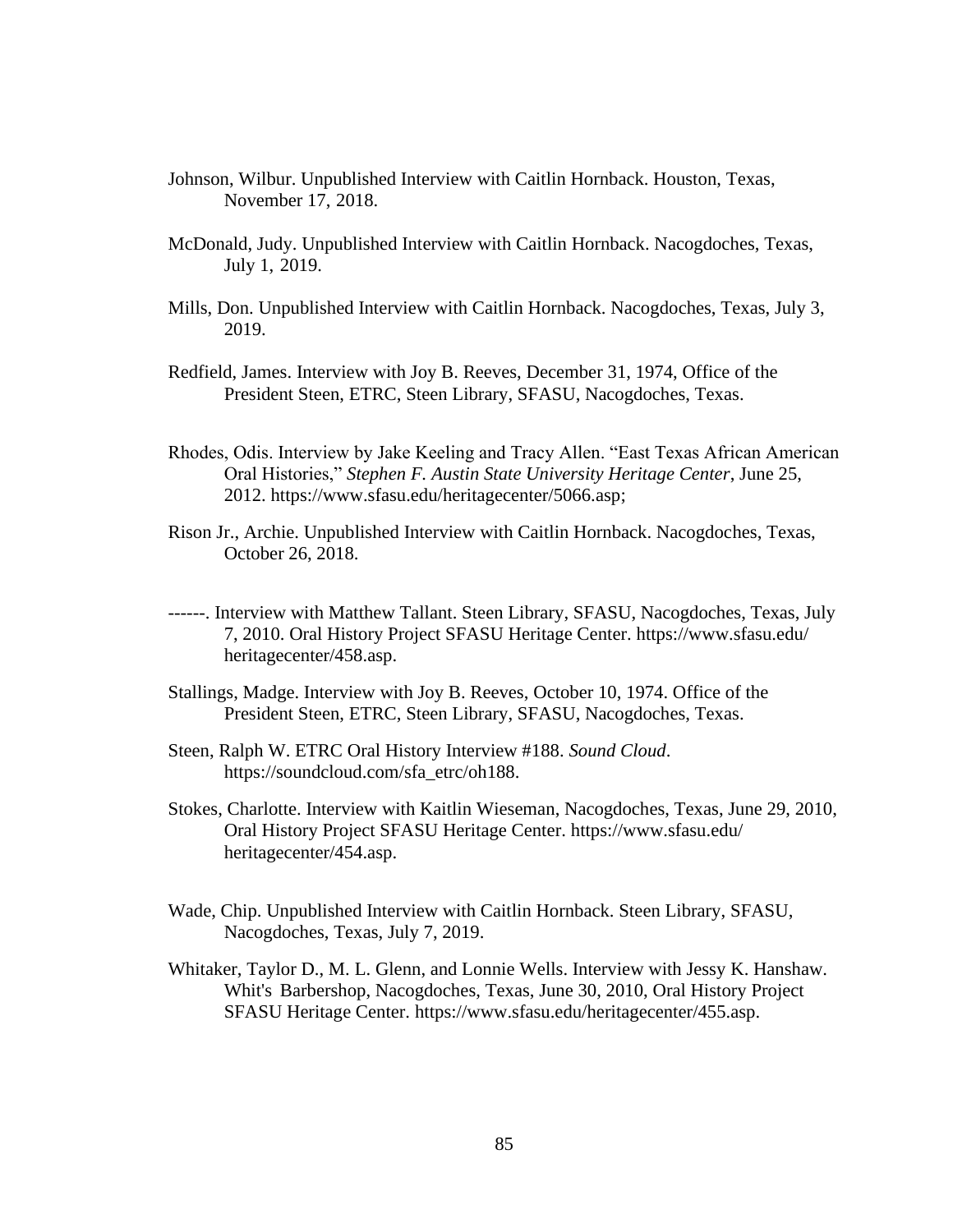- Johnson, Wilbur. Unpublished Interview with Caitlin Hornback. Houston, Texas, November 17, 2018.
- McDonald, Judy. Unpublished Interview with Caitlin Hornback. Nacogdoches, Texas, July 1, 2019.
- Mills, Don. Unpublished Interview with Caitlin Hornback. Nacogdoches, Texas, July 3, 2019.
- Redfield, James. Interview with Joy B. Reeves, December 31, 1974, Office of the President Steen, ETRC, Steen Library, SFASU, Nacogdoches, Texas.
- Rhodes, Odis. Interview by Jake Keeling and Tracy Allen. "East Texas African American Oral Histories," *Stephen F. Austin State University Heritage Center*, June 25, 2012. [https://www.sfasu.edu/heritagecenter/5066.asp;](https://www.sfasu.edu/heritagecenter/5066.asp)
- Rison Jr., Archie. Unpublished Interview with Caitlin Hornback. Nacogdoches, Texas, October 26, 2018.
- ------. Interview with Matthew Tallant. Steen Library, SFASU, Nacogdoches, Texas, July 7, 2010. Oral History Project SFASU Heritage Center.<https://www.sfasu.edu/> heritagecenter/458.asp.
- Stallings, Madge. Interview with Joy B. Reeves, October 10, 1974. Office of the President Steen, ETRC, Steen Library, SFASU, Nacogdoches, Texas.
- Steen, Ralph W. ETRC Oral History Interview #188. *Sound Cloud*. [https://soundcloud.com/s](https://soundcloud.com/)fa\_etrc/oh188.
- Stokes, Charlotte. Interview with Kaitlin Wieseman, Nacogdoches, Texas, June 29, 2010, Oral History Project SFASU Heritage Center. [https://www.sfasu.edu/](https://www.sfasu.edu/%20%09heritagecenter/454.asp)  [heritagecenter/454.asp.](https://www.sfasu.edu/%20%09heritagecenter/454.asp)
- Wade, Chip. Unpublished Interview with Caitlin Hornback. Steen Library, SFASU, Nacogdoches, Texas, July 7, 2019.
- Whitaker, Taylor D., M. L. Glenn, and Lonnie Wells. Interview with Jessy K. Hanshaw. Whit's Barbershop, Nacogdoches, Texas, June 30, 2010, Oral History Project SFASU Heritage Center. [https://www.sfasu.edu/heritagecenter/455.asp.](https://www.sfasu.edu/heritagecenter/455.asp)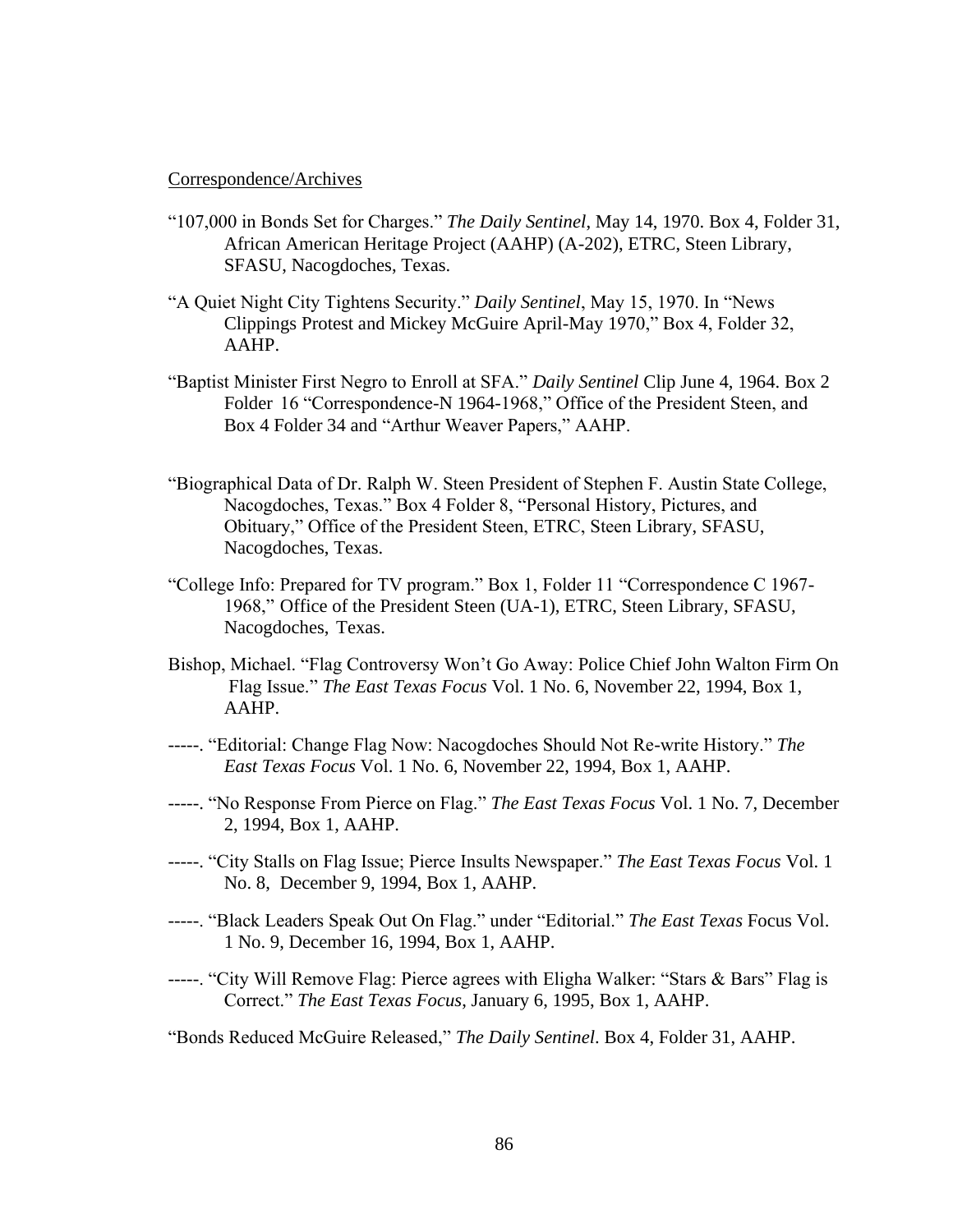### Correspondence/Archives

- "107,000 in Bonds Set for Charges." *The Daily Sentinel*, May 14, 1970. Box 4, Folder 31, African American Heritage Project (AAHP) (A-202), ETRC, Steen Library, SFASU, Nacogdoches, Texas.
- "A Quiet Night City Tightens Security." *Daily Sentinel*, May 15, 1970. In "News Clippings Protest and Mickey McGuire April-May 1970," Box 4, Folder 32, AAHP.
- "Baptist Minister First Negro to Enroll at SFA." *Daily Sentinel* Clip June 4, 1964. Box 2 Folder 16 "Correspondence-N 1964-1968," Office of the President Steen, and Box 4 Folder 34 and "Arthur Weaver Papers," AAHP.
- "Biographical Data of Dr. Ralph W. Steen President of Stephen F. Austin State College, Nacogdoches, Texas." Box 4 Folder 8, "Personal History, Pictures, and Obituary," Office of the President Steen, ETRC, Steen Library, SFASU, Nacogdoches, Texas.
- "College Info: Prepared for TV program." Box 1, Folder 11 "Correspondence C 1967- 1968," Office of the President Steen (UA-1), ETRC, Steen Library, SFASU, Nacogdoches, Texas.
- Bishop, Michael. "Flag Controversy Won't Go Away: Police Chief John Walton Firm On Flag Issue." *The East Texas Focus* Vol. 1 No. 6, November 22, 1994, Box 1, AAHP.
- -----. "Editorial: Change Flag Now: Nacogdoches Should Not Re-write History." *The East Texas Focus* Vol. 1 No. 6, November 22, 1994, Box 1, AAHP.
- -----. "No Response From Pierce on Flag." *The East Texas Focus* Vol. 1 No. 7, December 2, 1994, Box 1, AAHP.
- -----. "City Stalls on Flag Issue; Pierce Insults Newspaper." *The East Texas Focus* Vol. 1 No. 8, December 9, 1994, Box 1, AAHP.
- -----. "Black Leaders Speak Out On Flag." under "Editorial." *The East Texas* Focus Vol. 1 No. 9, December 16, 1994, Box 1, AAHP.
- -----. "City Will Remove Flag: Pierce agrees with Eligha Walker: "Stars & Bars" Flag is Correct." *The East Texas Focus*, January 6, 1995, Box 1, AAHP.

"Bonds Reduced McGuire Released," *The Daily Sentinel*. Box 4, Folder 31, AAHP.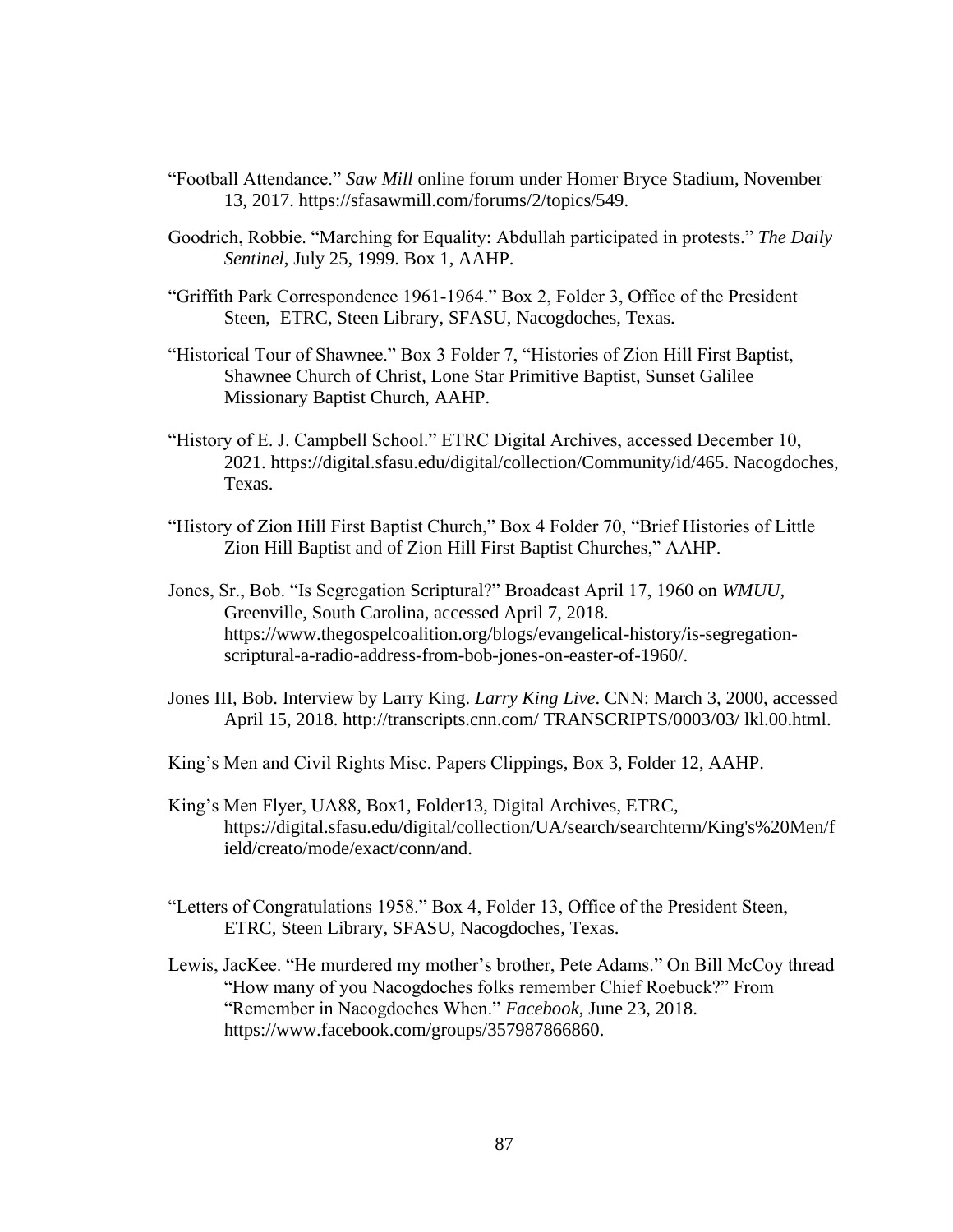- "Football Attendance." *Saw Mill* online forum under Homer Bryce Stadium, November 13, 2017. [https://sfasawmill.com/forums/2/topics/549.](https://sfasawmill.com/forums/2/topics/549)
- Goodrich, Robbie. "Marching for Equality: Abdullah participated in protests." *The Daily Sentinel*, July 25, 1999. Box 1, AAHP.
- "Griffith Park Correspondence 1961-1964." Box 2, Folder 3, Office of the President Steen, ETRC, Steen Library, SFASU, Nacogdoches, Texas.
- "Historical Tour of Shawnee." Box 3 Folder 7, "Histories of Zion Hill First Baptist, Shawnee Church of Christ, Lone Star Primitive Baptist, Sunset Galilee Missionary Baptist Church, AAHP.
- "History of E. J. Campbell School." ETRC Digital Archives, accessed December 10, 2021. [https://digital.sfasu.edu/digital/collection/Community/id/465.](https://digital.sfasu.edu/digital/collection/Community/id/465) Nacogdoches, Texas.
- "History of Zion Hill First Baptist Church," Box 4 Folder 70, "Brief Histories of Little Zion Hill Baptist and of Zion Hill First Baptist Churches," AAHP.
- Jones, Sr., Bob. "Is Segregation Scriptural?" Broadcast April 17, 1960 on *WMUU*, Greenville, South Carolina, accessed April 7, 2018. https://www.thegospelcoalition.org/blogs/evangelical-history/is-segregationscriptural-a-radio-address-from-bob-jones-on-easter-of-1960/.
- Jones III, Bob. Interview by Larry King. *Larry King Live*. CNN: March 3, 2000, accessed April 15, 2018. [http://transcripts.cnn.com/ TRANSCRIPTS/0003/0](http://transcripts.cnn.com/%20TRANSCRIPTS/0003/)3/ lkl.00.html.
- King's Men and Civil Rights Misc. Papers Clippings, Box 3, Folder 12, AAHP.
- King's Men Flyer, UA88, Box1, Folder13, Digital Archives, ETRC, [https://digital.sfasu.edu/digital/collection/UA/search/searchterm/King's%20Men/f](https://digital.sfasu.edu/digital/collection/UA/search/searchterm/King) ield/creato/mode/exact/conn/and.
- "Letters of Congratulations 1958." Box 4, Folder 13, Office of the President Steen, ETRC, Steen Library, SFASU, Nacogdoches, Texas.
- Lewis, JacKee. "He murdered my mother's brother, Pete Adams." On Bill McCoy thread "How many of you Nacogdoches folks remember Chief Roebuck?" From "Remember in Nacogdoches When." *Facebook*, June 23, 2018. [https://www.facebook.com/groups/357987866860.](https://www.facebook.com/groups/357987866860)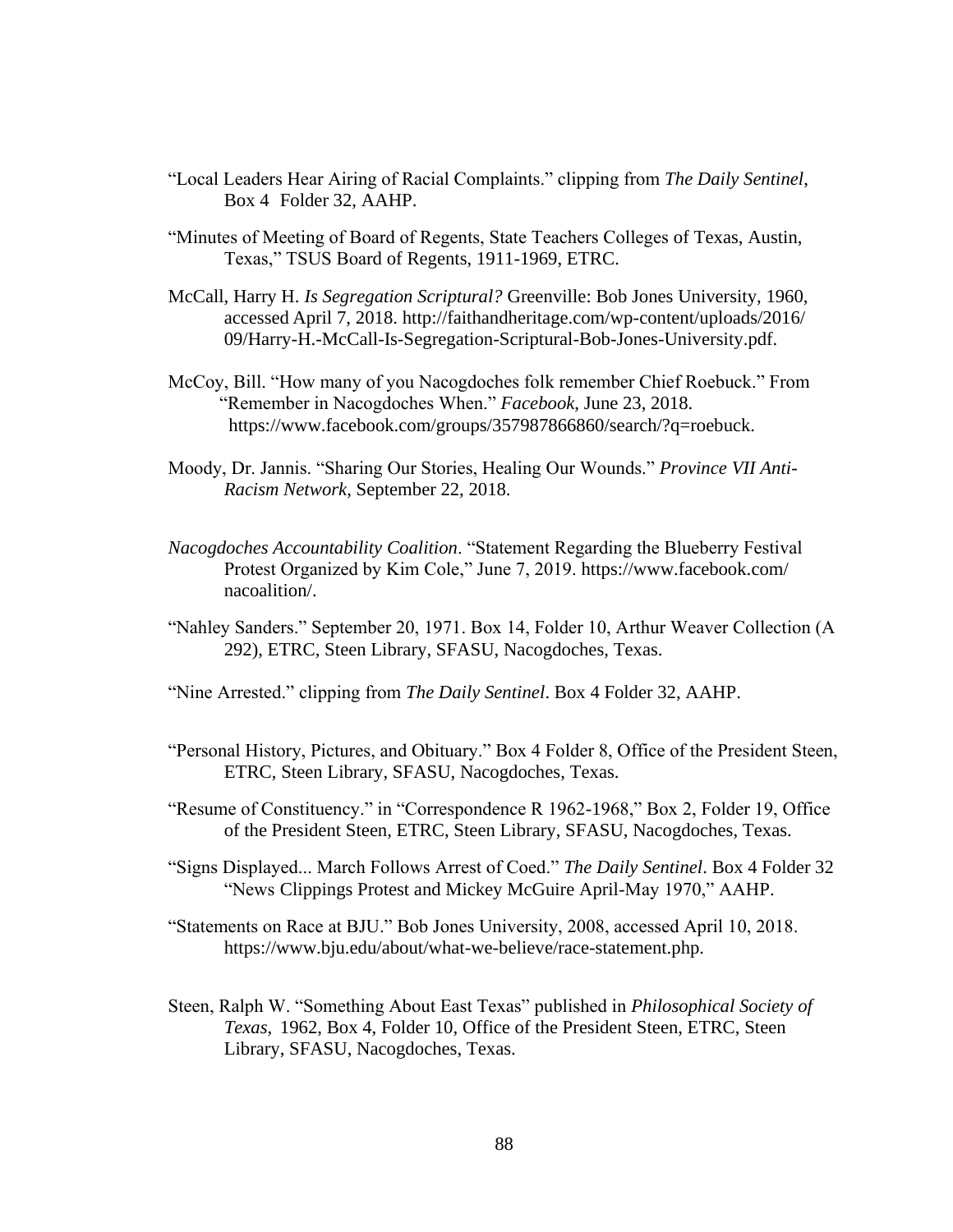- "Local Leaders Hear Airing of Racial Complaints." clipping from *The Daily Sentinel*, Box 4 Folder 32, AAHP.
- "Minutes of Meeting of Board of Regents, State Teachers Colleges of Texas, Austin, Texas," TSUS Board of Regents, 1911-1969, ETRC.
- McCall, Harry H. *Is Segregation Scriptural?* Greenville: Bob Jones University, 1960, accessed April 7, 2018.<http://faithandheritage.com/wp-content/uploads/2016/> 09/Harry-H.-McCall-Is-Segregation-Scriptural-Bob-Jones-University.pdf.
- McCoy, Bill. "How many of you Nacogdoches folk remember Chief Roebuck." From "Remember in Nacogdoches When." *Facebook*, June 23, 2018. [https://www.facebook.com/groups/3](https://www.facebook.com/groups/)57987866860/search/?q=roebuck.
- Moody, Dr. Jannis. "Sharing Our Stories, Healing Our Wounds." *Province VII Anti-Racism Network*, September 22, 2018.
- *Nacogdoches Accountability Coalition*. "Statement Regarding the Blueberry Festival Protest Organized by Kim Cole," June 7, 2019. [https://www.facebook.com/](https://www.facebook.com/%20%09nacoalition/)  [nacoalition/.](https://www.facebook.com/%20%09nacoalition/)
- "Nahley Sanders." September 20, 1971. Box 14, Folder 10, Arthur Weaver Collection (A 292), ETRC, Steen Library, SFASU, Nacogdoches, Texas.
- "Nine Arrested." clipping from *The Daily Sentinel*. Box 4 Folder 32, AAHP.
- "Personal History, Pictures, and Obituary." Box 4 Folder 8, Office of the President Steen, ETRC, Steen Library, SFASU, Nacogdoches, Texas.
- "Resume of Constituency." in "Correspondence R 1962-1968," Box 2, Folder 19, Office of the President Steen, ETRC, Steen Library, SFASU, Nacogdoches, Texas.
- "Signs Displayed... March Follows Arrest of Coed." *The Daily Sentinel*. Box 4 Folder 32 "News Clippings Protest and Mickey McGuire April-May 1970," AAHP.
- "Statements on Race at BJU." Bob Jones University, 2008, accessed April 10, 2018. [https://www.bju.edu/a](https://www.bju.edu/)bout/what-we-believe/race-statement.php.
- Steen, Ralph W. "Something About East Texas" published in *Philosophical Society of Texas*, 1962, Box 4, Folder 10, Office of the President Steen, ETRC, Steen Library, SFASU, Nacogdoches, Texas.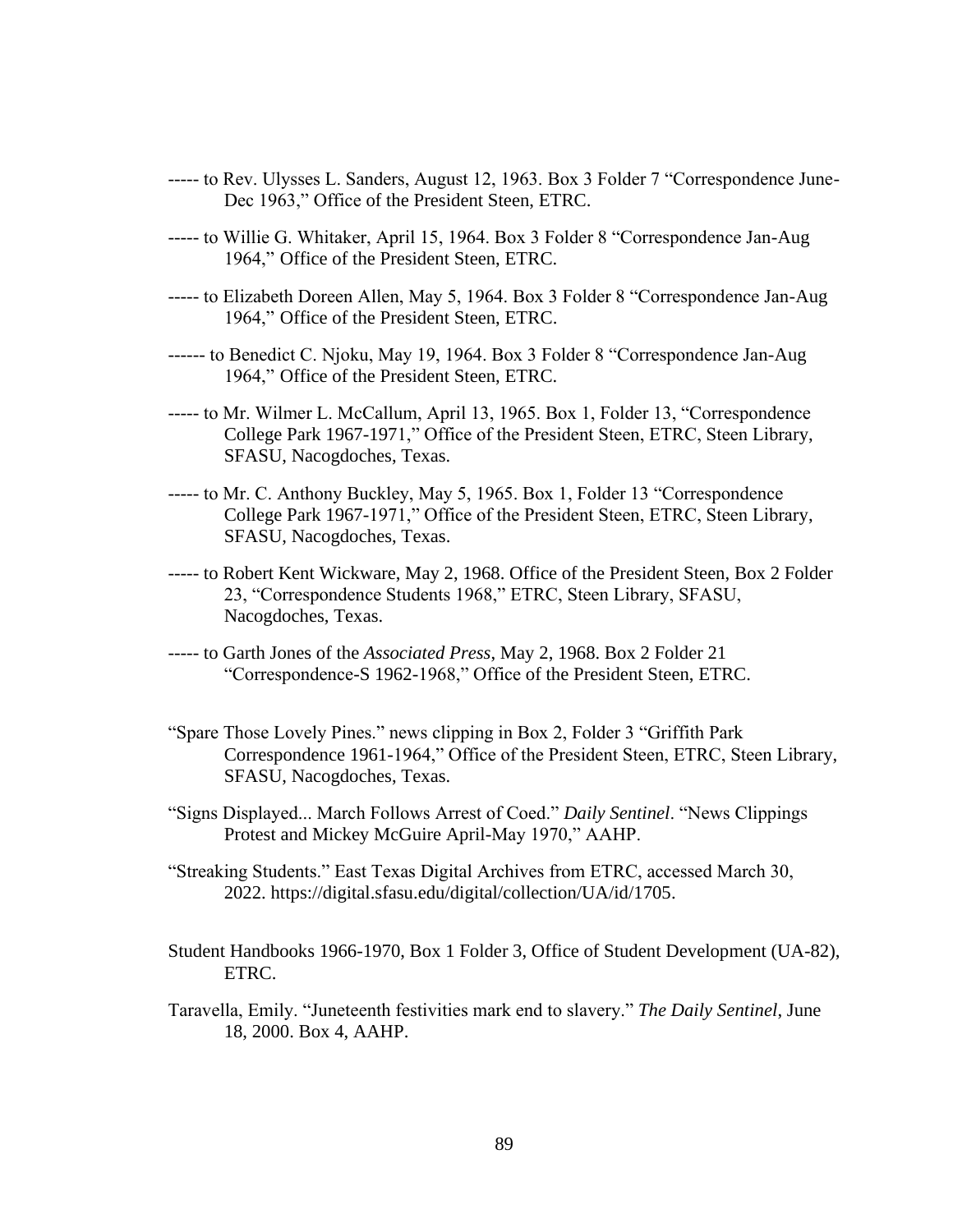- ----- to Rev. Ulysses L. Sanders, August 12, 1963. Box 3 Folder 7 "Correspondence June-Dec 1963," Office of the President Steen, ETRC.
- ----- to Willie G. Whitaker, April 15, 1964. Box 3 Folder 8 "Correspondence Jan-Aug 1964," Office of the President Steen, ETRC.
- ----- to Elizabeth Doreen Allen, May 5, 1964. Box 3 Folder 8 "Correspondence Jan-Aug 1964," Office of the President Steen, ETRC.
- ------ to Benedict C. Njoku, May 19, 1964. Box 3 Folder 8 "Correspondence Jan-Aug 1964," Office of the President Steen, ETRC.
- ----- to Mr. Wilmer L. McCallum, April 13, 1965. Box 1, Folder 13, "Correspondence College Park 1967-1971," Office of the President Steen, ETRC, Steen Library, SFASU, Nacogdoches, Texas.
- ----- to Mr. C. Anthony Buckley, May 5, 1965. Box 1, Folder 13 "Correspondence College Park 1967-1971," Office of the President Steen, ETRC, Steen Library, SFASU, Nacogdoches, Texas.
- ----- to Robert Kent Wickware, May 2, 1968. Office of the President Steen, Box 2 Folder 23, "Correspondence Students 1968," ETRC, Steen Library, SFASU, Nacogdoches, Texas.
- ----- to Garth Jones of the *Associated Press*, May 2, 1968. Box 2 Folder 21 "Correspondence-S 1962-1968," Office of the President Steen, ETRC.
- "Spare Those Lovely Pines." news clipping in Box 2, Folder 3 "Griffith Park Correspondence 1961-1964," Office of the President Steen, ETRC, Steen Library, SFASU, Nacogdoches, Texas.
- "Signs Displayed... March Follows Arrest of Coed." *Daily Sentinel*. "News Clippings Protest and Mickey McGuire April-May 1970," AAHP.
- "Streaking Students." East Texas Digital Archives from ETRC, accessed March 30, 2022. [https://digital.sfasu.edu/digital/collection/UA/id/1705.](https://digital.sfasu.edu/digital/collection/UA/id/1705)
- Student Handbooks 1966-1970, Box 1 Folder 3, Office of Student Development (UA-82), ETRC.
- Taravella, Emily. "Juneteenth festivities mark end to slavery." *The Daily Sentinel*, June 18, 2000. Box 4, AAHP.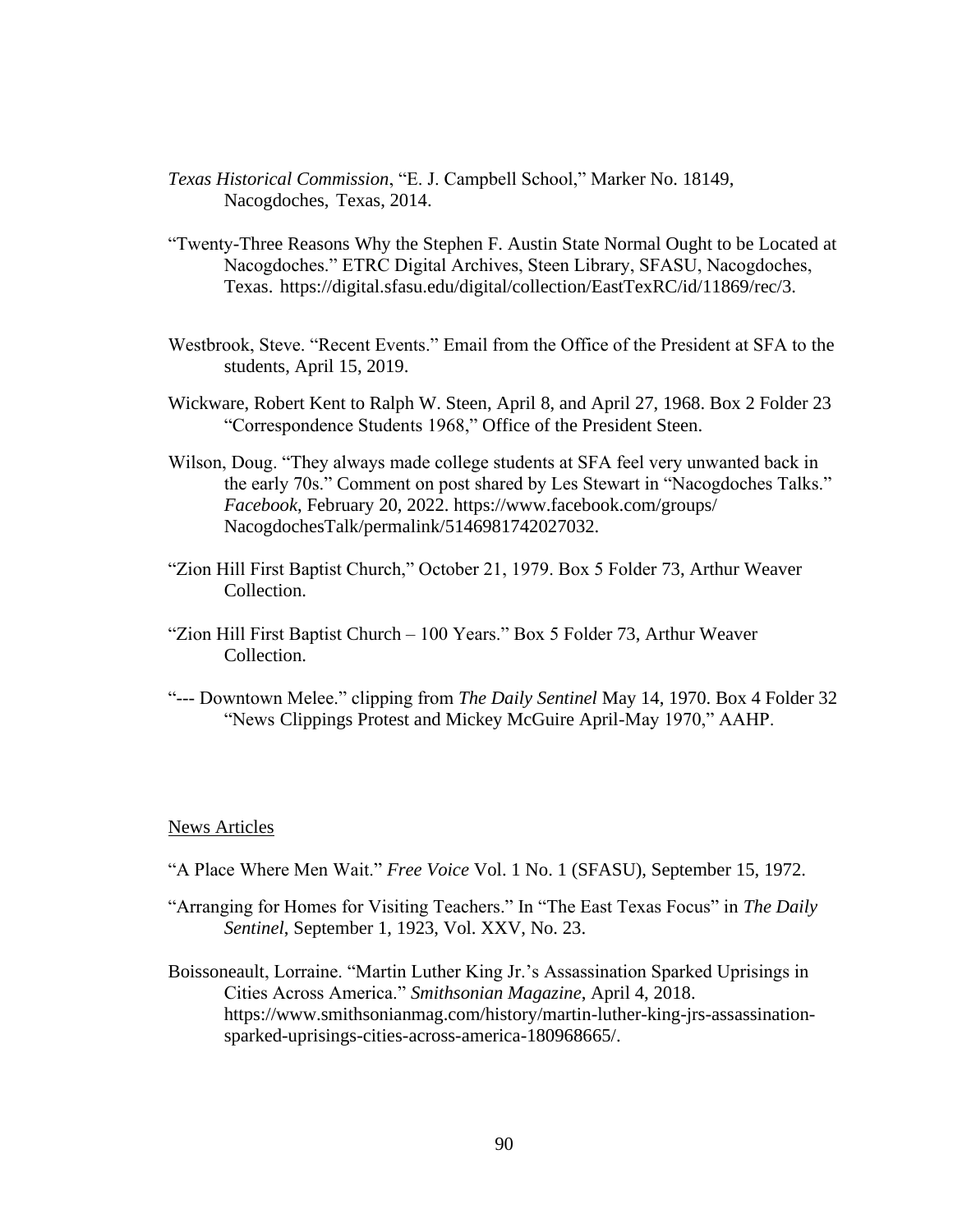- *Texas Historical Commission*, "E. J. Campbell School," Marker No. 18149, Nacogdoches, Texas, 2014.
- "Twenty-Three Reasons Why the Stephen F. Austin State Normal Ought to be Located at Nacogdoches." ETRC Digital Archives, Steen Library, SFASU, Nacogdoches, Texas. https://digital.sfasu.edu/digital/collection/EastTexRC/id/11869/rec/3.
- Westbrook, Steve. "Recent Events." Email from the Office of the President at SFA to the students, April 15, 2019.
- Wickware, Robert Kent to Ralph W. Steen, April 8, and April 27, 1968. Box 2 Folder 23 "Correspondence Students 1968," Office of the President Steen.
- Wilson, Doug. "They always made college students at SFA feel very unwanted back in the early 70s." Comment on post shared by Les Stewart in "Nacogdoches Talks." *Facebook*, February 20, 2022. [https://www.facebook.com/groups/](https://www.facebook.com/groups/%20%09NacogdochesTalk/permalink/)  [NacogdochesTalk/permalink/5](https://www.facebook.com/groups/%20%09NacogdochesTalk/permalink/)146981742027032.
- "Zion Hill First Baptist Church," October 21, 1979. Box 5 Folder 73, Arthur Weaver Collection.
- "Zion Hill First Baptist Church 100 Years." Box 5 Folder 73, Arthur Weaver Collection.
- "--- Downtown Melee." clipping from *The Daily Sentinel* May 14, 1970. Box 4 Folder 32 "News Clippings Protest and Mickey McGuire April-May 1970," AAHP.

### News Articles

- "A Place Where Men Wait." *Free Voice* Vol. 1 No. 1 (SFASU), September 15, 1972.
- "Arranging for Homes for Visiting Teachers." In "The East Texas Focus" in *The Daily Sentinel*, September 1, 1923, Vol. XXV, No. 23.
- Boissoneault, Lorraine. "Martin Luther King Jr.'s Assassination Sparked Uprisings in Cities Across America." *Smithsonian Magazine*, April 4, 2018. [https://www.smithsonianmag.com/history/martin-luther-king-jrs-assassination](https://www.smithsonianmag.com/history/martin-luther-king-jrs-assassination-%09sparked-uprisings-cities-across-america-180968665/)[sparked-uprisings-cities-across-america-180968665/.](https://www.smithsonianmag.com/history/martin-luther-king-jrs-assassination-%09sparked-uprisings-cities-across-america-180968665/)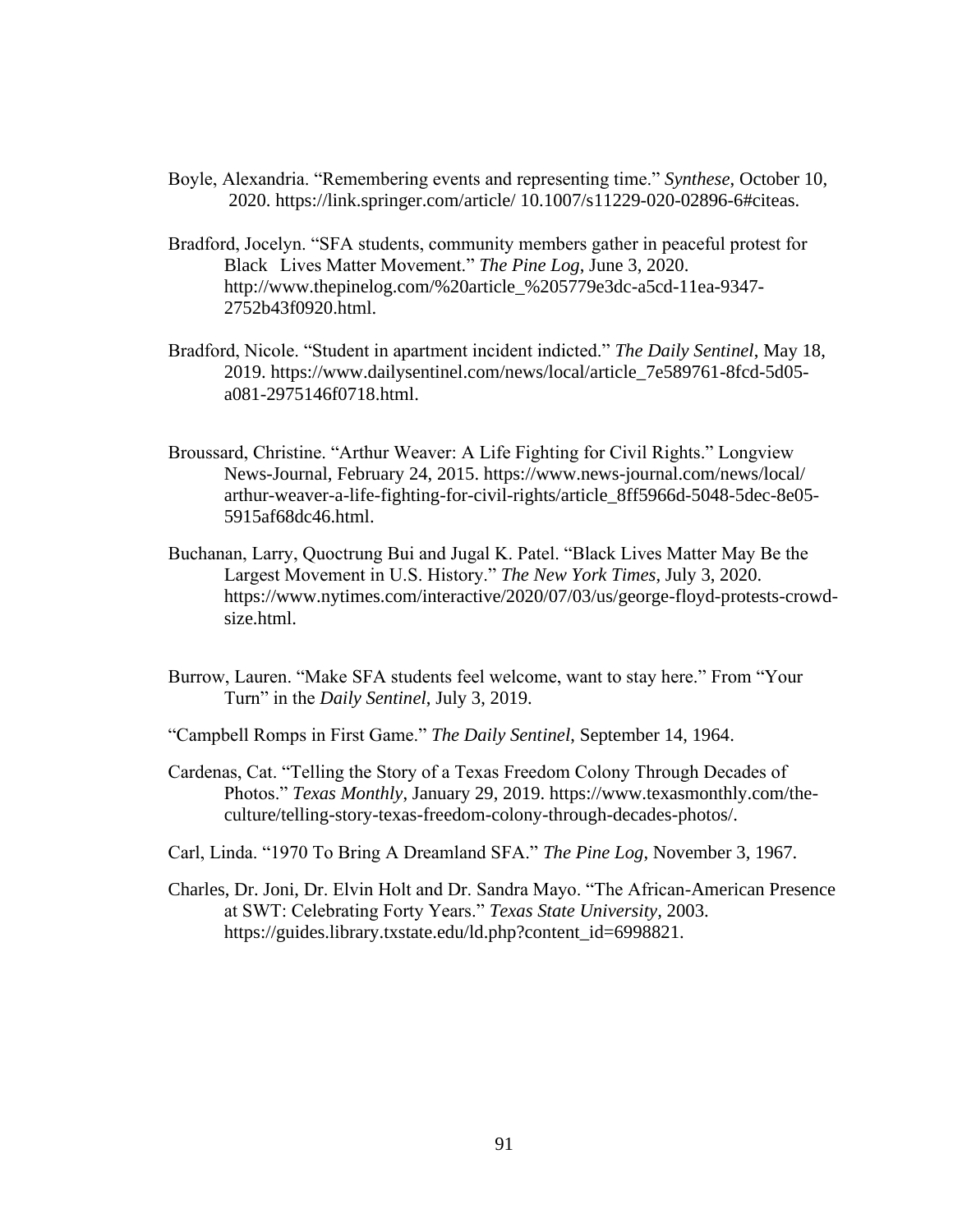- Boyle, Alexandria. "Remembering events and representing time." *Synthese*, October 10, 2020. https://link.springer.com/article/ 10.1007/s11229-020-02896-6#citeas.
- Bradford, Jocelyn. "SFA students, community members gather in peaceful protest for Black Lives Matter Movement." *The Pine Log*, June 3, 2020. [http://www.thepinelog.com/%20article\\_%205779e3dc-a5cd-11ea-9347-](http://www.thepinelog.com/%20article_%205779e3dc-a5cd-11ea-9347-) 2752b43f0920.html.
- Bradford, Nicole. "Student in apartment incident indicted." *The Daily Sentinel*, May 18, 2019. [https://www.dailysentinel.com/news/local/article\\_7e589761-8fcd-5d05](https://www.dailysentinel.com/news/local/article_7e589761-8fcd-5d05-%09a081-2975146f0718.html) [a081-2975146f0718.html.](https://www.dailysentinel.com/news/local/article_7e589761-8fcd-5d05-%09a081-2975146f0718.html)
- Broussard, Christine. "Arthur Weaver: A Life Fighting for Civil Rights." Longview News-Journal, February 24, 2015. [https://www.news-journal.com/news/local/](https://www.news-journal.com/news/local/%20%09arthur-weaver-a-life-fighting-for-civil-rights/article_8ff5966d-5048-5dec-8e05-%095915af68dc46.html)  [arthur-weaver-a-life-fighting-for-civil-rights/article\\_8ff5966d-5048-5dec-8e05-](https://www.news-journal.com/news/local/%20%09arthur-weaver-a-life-fighting-for-civil-rights/article_8ff5966d-5048-5dec-8e05-%095915af68dc46.html) [5915af68dc46.html.](https://www.news-journal.com/news/local/%20%09arthur-weaver-a-life-fighting-for-civil-rights/article_8ff5966d-5048-5dec-8e05-%095915af68dc46.html)
- Buchanan, Larry, Quoctrung Bui and Jugal K. Patel. "Black Lives Matter May Be the Largest Movement in U.S. History." *The New York Times*, July 3, 2020. [https://www.nytimes.com/interactive/2020/07/03/us/george-floyd-protests-crowd](https://www.nytimes.com/interactive/2020/07/03/us/george-floyd-protests-crowd-%09size.html)[size.html.](https://www.nytimes.com/interactive/2020/07/03/us/george-floyd-protests-crowd-%09size.html)
- Burrow, Lauren. "Make SFA students feel welcome, want to stay here." From "Your Turn" in the *Daily Sentinel*, July 3, 2019.
- "Campbell Romps in First Game." *The Daily Sentinel*, September 14, 1964.
- Cardenas, Cat. "Telling the Story of a Texas Freedom Colony Through Decades of Photos." *Texas Monthly*, January 29, 2019. [https://www.texasmonthly.com/the](https://www.texasmonthly.com/the-)culture/telling-story-texas-freedom-colony-through-decades-photos/.
- Carl, Linda. "1970 To Bring A Dreamland SFA." *The Pine Log*, November 3, 1967.
- Charles, Dr. Joni, Dr. Elvin Holt and Dr. Sandra Mayo. "The African-American Presence at SWT: Celebrating Forty Years." *Texas State University,* 2003. [https://guides.library.txstate.edu/ld.php?content\\_id=6998821.](https://guides.library.txstate.edu/ld.php?content_id=6998821)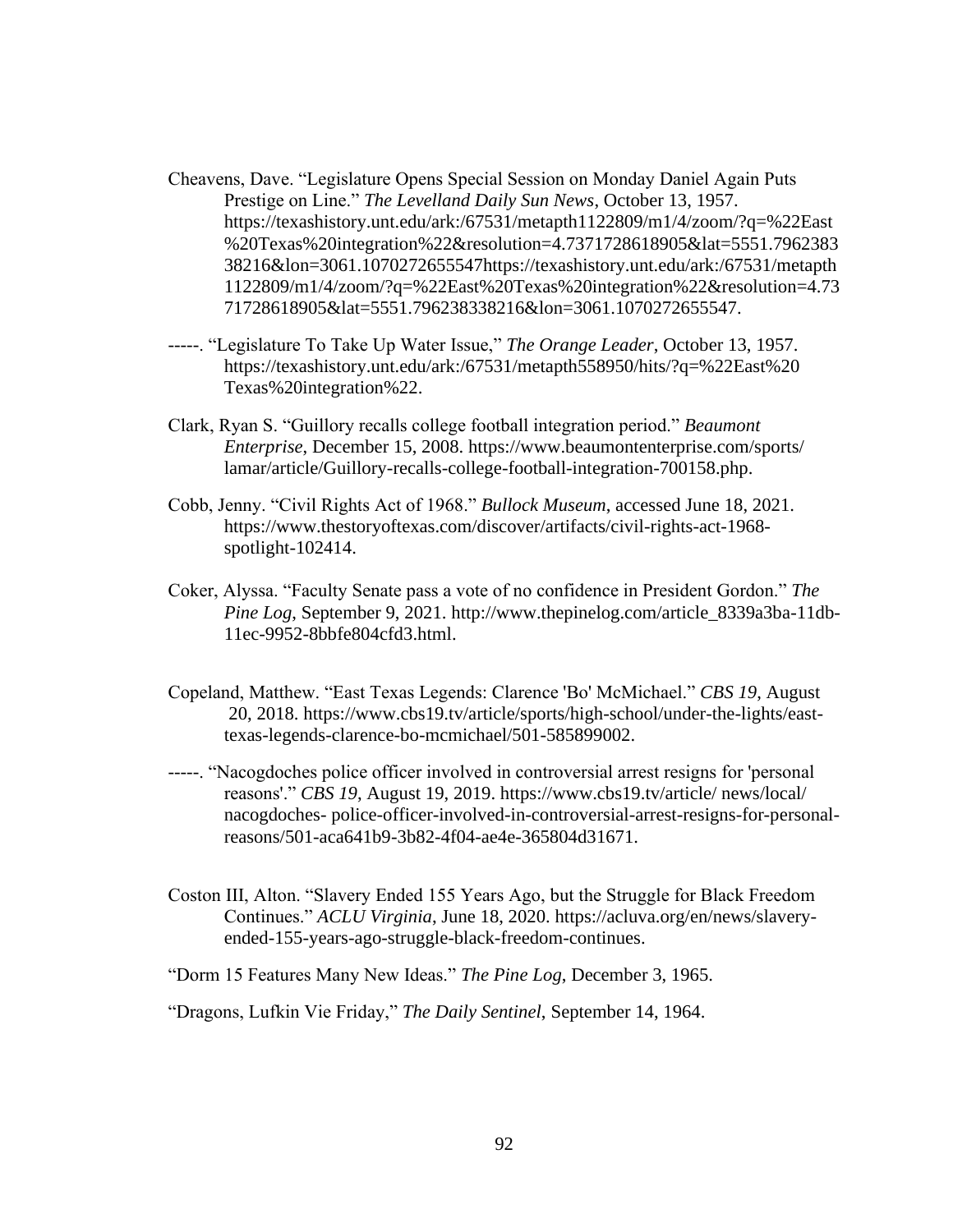- Cheavens, Dave. "Legislature Opens Special Session on Monday Daniel Again Puts Prestige on Line." *The Levelland Daily Sun News*, October 13, 1957. [https://texashistory.unt.edu/ark:/67531/metapth1122809/m1/4/zoom/?q=%22East](https://texashistory.unt.edu/ark:/67531/metapth1122809/m1/4/zoom/?q=%22East%09%20Texas%20integration%22&resolution=4.7371728618905&lat=5551.7962383%0938216&lon=3061.1070272655547) [%20Texas%20integration%22&resolution=4.7371728618905&lat=5551.7962383](https://texashistory.unt.edu/ark:/67531/metapth1122809/m1/4/zoom/?q=%22East%09%20Texas%20integration%22&resolution=4.7371728618905&lat=5551.7962383%0938216&lon=3061.1070272655547) [38216&lon=3061.1070272655547](https://texashistory.unt.edu/ark:/67531/metapth1122809/m1/4/zoom/?q=%22East%09%20Texas%20integration%22&resolution=4.7371728618905&lat=5551.7962383%0938216&lon=3061.1070272655547)[https://texashistory.unt.edu/ark:/67531/metapth](https://texashistory.unt.edu/ark:/67531/metapth%091122809/m1/4/zoom/?q=%22East%20Texas%20integration%22&resolution=4.73%0971728618905&lat=5551.796238338216&lon=3061.1070272655547) [1122809/m1/4/zoom/?q=%22East%20Texas%20integration%22&resolution=4.73](https://texashistory.unt.edu/ark:/67531/metapth%091122809/m1/4/zoom/?q=%22East%20Texas%20integration%22&resolution=4.73%0971728618905&lat=5551.796238338216&lon=3061.1070272655547) [71728618905&lat=5551.796238338216&lon=3061.1070272655547.](https://texashistory.unt.edu/ark:/67531/metapth%091122809/m1/4/zoom/?q=%22East%20Texas%20integration%22&resolution=4.73%0971728618905&lat=5551.796238338216&lon=3061.1070272655547)
- -----. "Legislature To Take Up Water Issue," *The Orange Leader*, October 13, 1957. [https://texashistory.unt.edu/ark:/67531/metapth558950/hits/?q=%22East%20](https://texashistory.unt.edu/ark:/67531/metapth558950/hits/?q=%22East%20%09Texas%20integration%22) [Texas%20integration%22.](https://texashistory.unt.edu/ark:/67531/metapth558950/hits/?q=%22East%20%09Texas%20integration%22)
- Clark, Ryan S. "Guillory recalls college football integration period." *Beaumont Enterprise*, December 15, 2008. [https://www.beaumontenterprise.com/sports/](https://www.beaumontenterprise.com/sports/%20%09lamar/article/Guillory-recalls-college-football-integration-700158.php)  [lamar/article/Guillory-recalls-college-football-integration-700158.php.](https://www.beaumontenterprise.com/sports/%20%09lamar/article/Guillory-recalls-college-football-integration-700158.php)
- Cobb, Jenny. "Civil Rights Act of 1968." *Bullock Museum*, accessed June 18, 2021. [https://www.thestoryoftexas.com/discover/artifacts/civil-rights-act-1968](https://www.thestoryoftexas.com/discover/artifacts/civil-rights-act-1968-%09spotlight-102414) [spotlight-102414.](https://www.thestoryoftexas.com/discover/artifacts/civil-rights-act-1968-%09spotlight-102414)
- Coker, Alyssa. "Faculty Senate pass a vote of no confidence in President Gordon." *The Pine Log*, September 9, 2021. [http://www.thepinelog.com/article\\_8339a3ba-11db-](http://www.thepinelog.com/article_8339a3ba-11db-%0911ec-9952-8bbfe804cfd3.html)[11ec-9952-8bbfe804cfd3.html.](http://www.thepinelog.com/article_8339a3ba-11db-%0911ec-9952-8bbfe804cfd3.html)
- Copeland, Matthew. "East Texas Legends: Clarence 'Bo' McMichael." *CBS 19*, August 20, 2018. [https://www.cbs19.tv/article/sports/high-school/under-the-lights/east](https://www.cbs19.tv/article/sports/high-school/under-the-lights/east-%09texas-legends-clarence-bo-mcmichael/501-585899002)[texas-legends-clarence-bo-mcmichael/501-585899002.](https://www.cbs19.tv/article/sports/high-school/under-the-lights/east-%09texas-legends-clarence-bo-mcmichael/501-585899002)
- -----. "Nacogdoches police officer involved in controversial arrest resigns for 'personal reasons'." *CBS 19*, August 19, 2019. [https://www.cbs19.tv/article/ news/local/](https://www.cbs19.tv/article/%20news/local/) nacogdoches- police-officer-involved-in-controversial-arrest-resigns-for-personalreasons/501-aca641b9-3b82-4f04-ae4e-365804d31671.
- Coston III, Alton. "Slavery Ended 155 Years Ago, but the Struggle for Black Freedom Continues." *ACLU Virginia*, June 18, 2020. [https://acluva.org/en/news/slavery](https://acluva.org/en/news/slavery-)ended-155-years-ago-struggle-black-freedom-continues.

"Dorm 15 Features Many New Ideas." *The Pine Log*, December 3, 1965.

"Dragons, Lufkin Vie Friday," *The Daily Sentinel*, September 14, 1964.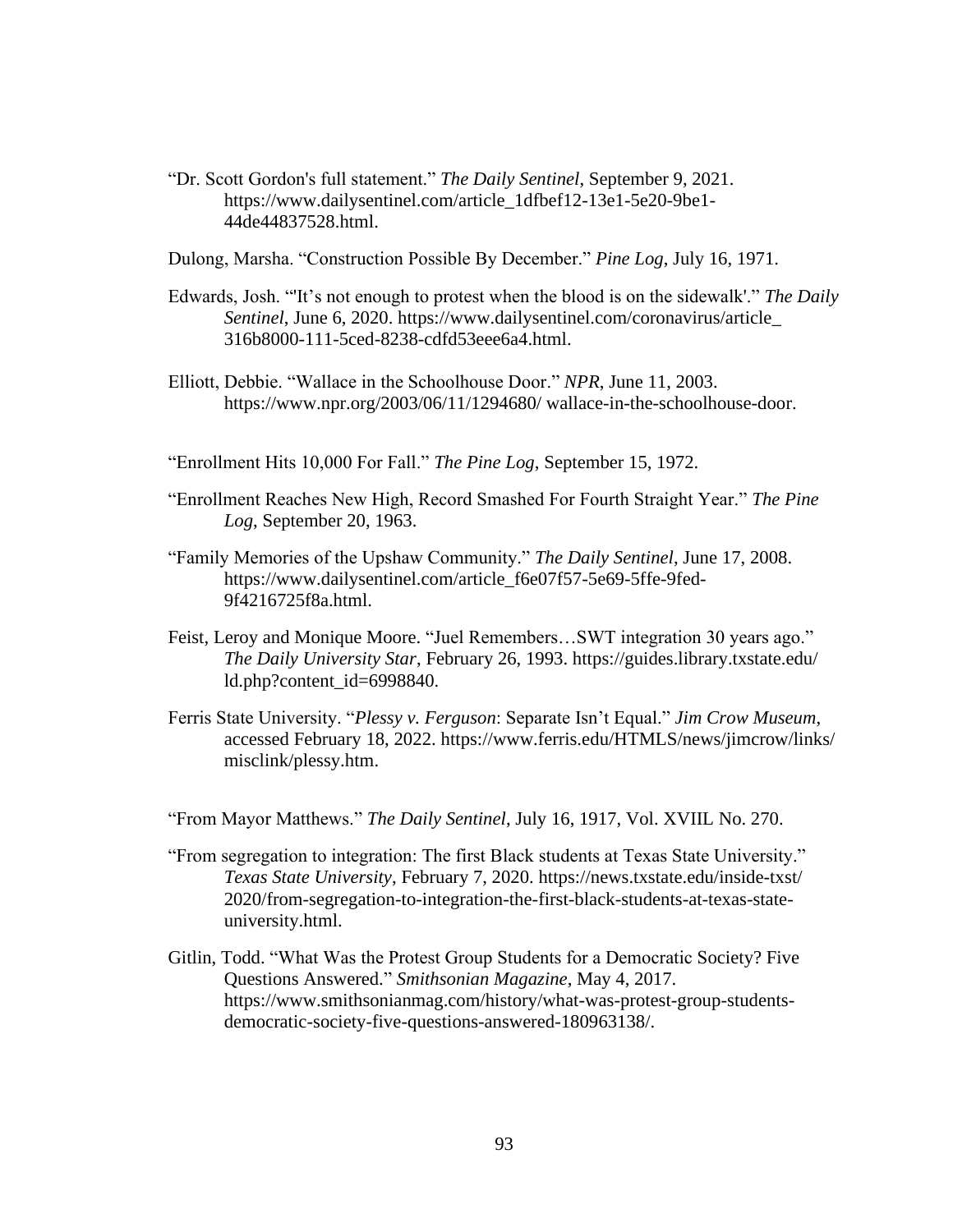- "Dr. Scott Gordon's full statement." *The Daily Sentinel*, September 9, 2021. [https://www.dailysentinel.com/article\\_1dfbef12-13e1-5e20-9be1-](https://www.dailysentinel.com/article_1dfbef12-13e1-5e20-9be1-%0944de44837528.html) [44de44837528.html.](https://www.dailysentinel.com/article_1dfbef12-13e1-5e20-9be1-%0944de44837528.html)
- Dulong, Marsha. "Construction Possible By December." *Pine Log*, July 16, 1971.
- Edwards, Josh. "'It's not enough to protest when the blood is on the sidewalk'." *The Daily Sentinel*, June 6, 2020. [https://www.dailysentinel.com/coronavirus/article\\_](https://www.dailysentinel.com/coronavirus/article_%20%09316b8000-111-5ced-8238-cdfd53eee6a4.html)  [316b8000-111-5ced-8238-cdfd53eee6a4.html.](https://www.dailysentinel.com/coronavirus/article_%20%09316b8000-111-5ced-8238-cdfd53eee6a4.html)
- Elliott, Debbie. "Wallace in the Schoolhouse Door." *NPR*, June 11, 2003. [https://www.npr.org/2003/06/11/1294680/ wallace-in-the-schoolhouse-door.](https://www.npr.org/2003/06/11/1294680/%20wallace-in-the-schoolhouse-door)
- "Enrollment Hits 10,000 For Fall." *The Pine Log*, September 15, 1972.
- "Enrollment Reaches New High, Record Smashed For Fourth Straight Year." *The Pine Log*, September 20, 1963.
- "Family Memories of the Upshaw Community." *The Daily Sentinel*, June 17, 2008. [https://www.dailysentinel.com/article\\_f6e07f57-5e69-5ffe-9fed-](https://www.dailysentinel.com/article_f6e07f57-5e69-5ffe-9fed-)9f4216725f8a.html.
- Feist, Leroy and Monique Moore. "Juel Remembers…SWT integration 30 years ago." *The Daily University Star*, February 26, 1993. [https://guides.library.txstate.edu/](https://guides.library.txstate.edu/%20%09ld.php?content_id=6998840)  [ld.php?content\\_id=6998840.](https://guides.library.txstate.edu/%20%09ld.php?content_id=6998840)
- Ferris State University. "*Plessy v. Ferguson*: Separate Isn't Equal." *Jim Crow Museum*, accessed February 18, 2022. [https://www.ferris.edu/HTMLS/news/jimcrow/links/](https://www.ferris.edu/HTMLS/news/jimcrow/links/%20%09misclink/plessy.htm)  [misclink/plessy.htm.](https://www.ferris.edu/HTMLS/news/jimcrow/links/%20%09misclink/plessy.htm)
- "From Mayor Matthews." *The Daily Sentinel*, July 16, 1917, Vol. XVIIL No. 270.
- "From segregation to integration: The first Black students at Texas State University." *Texas State University*, February 7, 2020. [https://news.txstate.edu/inside-txst/](https://news.txstate.edu/inside-txst/%20%092020/from-segregation-to-integration-the-first-black-students-at-texas-state-%09university.html)  [2020/from-segregation-to-integration-the-first-black-students-at-texas-state](https://news.txstate.edu/inside-txst/%20%092020/from-segregation-to-integration-the-first-black-students-at-texas-state-%09university.html)[university.html.](https://news.txstate.edu/inside-txst/%20%092020/from-segregation-to-integration-the-first-black-students-at-texas-state-%09university.html)
- Gitlin, Todd. "What Was the Protest Group Students for a Democratic Society? Five Questions Answered." *Smithsonian Magazine*, May 4, 2017. [https://www.smithsonianmag.com/history/what-was-protest-group-students](https://www.smithsonianmag.com/history/what-was-protest-group-students-)democratic-society-five-questions-answered-180963138/.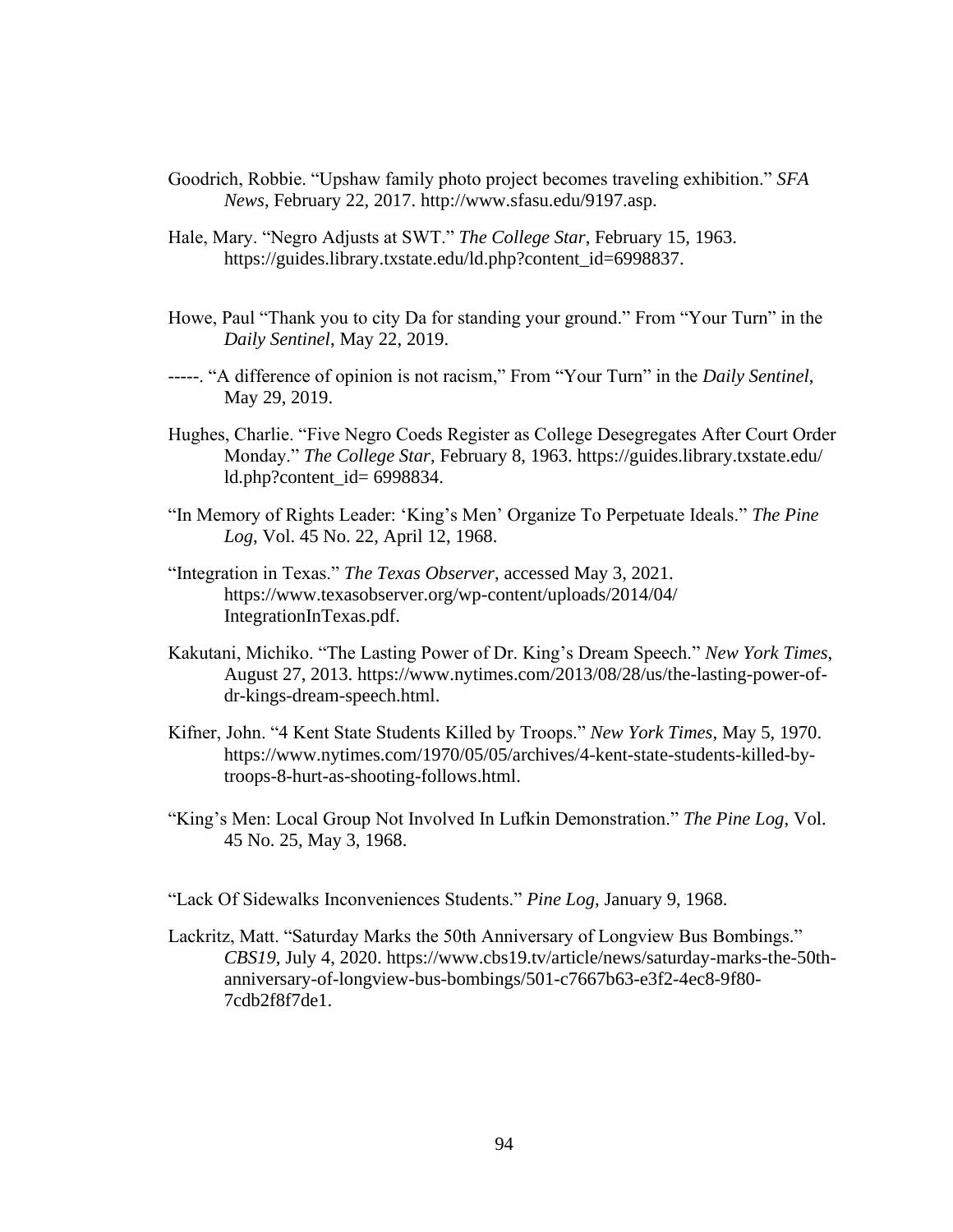- Goodrich, Robbie. "Upshaw family photo project becomes traveling exhibition." *SFA News*, February 22, 2017. [http://www.sfasu.edu/9197.asp.](http://www.sfasu.edu/9197.asp)
- Hale, Mary. "Negro Adjusts at SWT." *The College Star*, February 15, 1963. [https://guides.library.txstate.edu/ld.php?content\\_id=6998837.](https://guides.library.txstate.edu/ld.php?content_id=6998837)
- Howe, Paul "Thank you to city Da for standing your ground." From "Your Turn" in the *Daily Sentinel*, May 22, 2019.
- -----. "A difference of opinion is not racism," From "Your Turn" in the *Daily Sentinel*, May 29, 2019.
- Hughes, Charlie. "Five Negro Coeds Register as College Desegregates After Court Order Monday." *The College Star*, February 8, 1963. [https://guides.library.txstate.edu/](https://guides.library.txstate.edu/%20%09ld.php?content_id=%206998834)  [ld.php?content\\_id= 6998834.](https://guides.library.txstate.edu/%20%09ld.php?content_id=%206998834)
- "In Memory of Rights Leader: 'King's Men' Organize To Perpetuate Ideals." *The Pine Log*, Vol. 45 No. 22, April 12, 1968.
- "Integration in Texas." *The Texas Observer*, accessed May 3, 2021. [https://www.texasobserver.org/wp-content/uploads/2014/04/](https://www.texasobserver.org/wp-content/uploads/2014/04/%20%09IntegrationInTexas.pdf)  [IntegrationInTexas.pdf.](https://www.texasobserver.org/wp-content/uploads/2014/04/%20%09IntegrationInTexas.pdf)
- Kakutani, Michiko. "The Lasting Power of Dr. King's Dream Speech." *New York Times*, August 27, 2013. [https://www.nytimes.com/2013/08/28/us/the-lasting-power-of](https://www.nytimes.com/2013/08/28/us/the-lasting-power-of-%09dr-kings-dream-speech.html)[dr-kings-dream-speech.html.](https://www.nytimes.com/2013/08/28/us/the-lasting-power-of-%09dr-kings-dream-speech.html)
- Kifner, John. "4 Kent State Students Killed by Troops." *New York Times*, May 5, 1970. [https://www.nytimes.com/1970/05/05/archives/4-kent-state-students-killed-by](https://www.nytimes.com/1970/05/05/archives/4-kent-state-students-killed-by-%09troops-8-hurt-as-shooting-follows.html)[troops-8-hurt-as-shooting-follows.html.](https://www.nytimes.com/1970/05/05/archives/4-kent-state-students-killed-by-%09troops-8-hurt-as-shooting-follows.html)
- "King's Men: Local Group Not Involved In Lufkin Demonstration." *The Pine Log*, Vol. 45 No. 25, May 3, 1968.

"Lack Of Sidewalks Inconveniences Students." *Pine Log*, January 9, 1968.

Lackritz, Matt. "Saturday Marks the 50th Anniversary of Longview Bus Bombings." *CBS19*, July 4, 2020. [https://www.cbs19.tv/article/news/saturday-marks-the-50th](https://www.cbs19.tv/article/news/saturday-marks-the-50th-%09anniversary-of-longview-bus-bombings/501-c7667b63-e3f2-4ec8-9f80-%097cdb2f8f7de1)[anniversary-of-longview-bus-bombings/501-c7667b63-e3f2-4ec8-9f80-](https://www.cbs19.tv/article/news/saturday-marks-the-50th-%09anniversary-of-longview-bus-bombings/501-c7667b63-e3f2-4ec8-9f80-%097cdb2f8f7de1) [7cdb2f8f7de1.](https://www.cbs19.tv/article/news/saturday-marks-the-50th-%09anniversary-of-longview-bus-bombings/501-c7667b63-e3f2-4ec8-9f80-%097cdb2f8f7de1)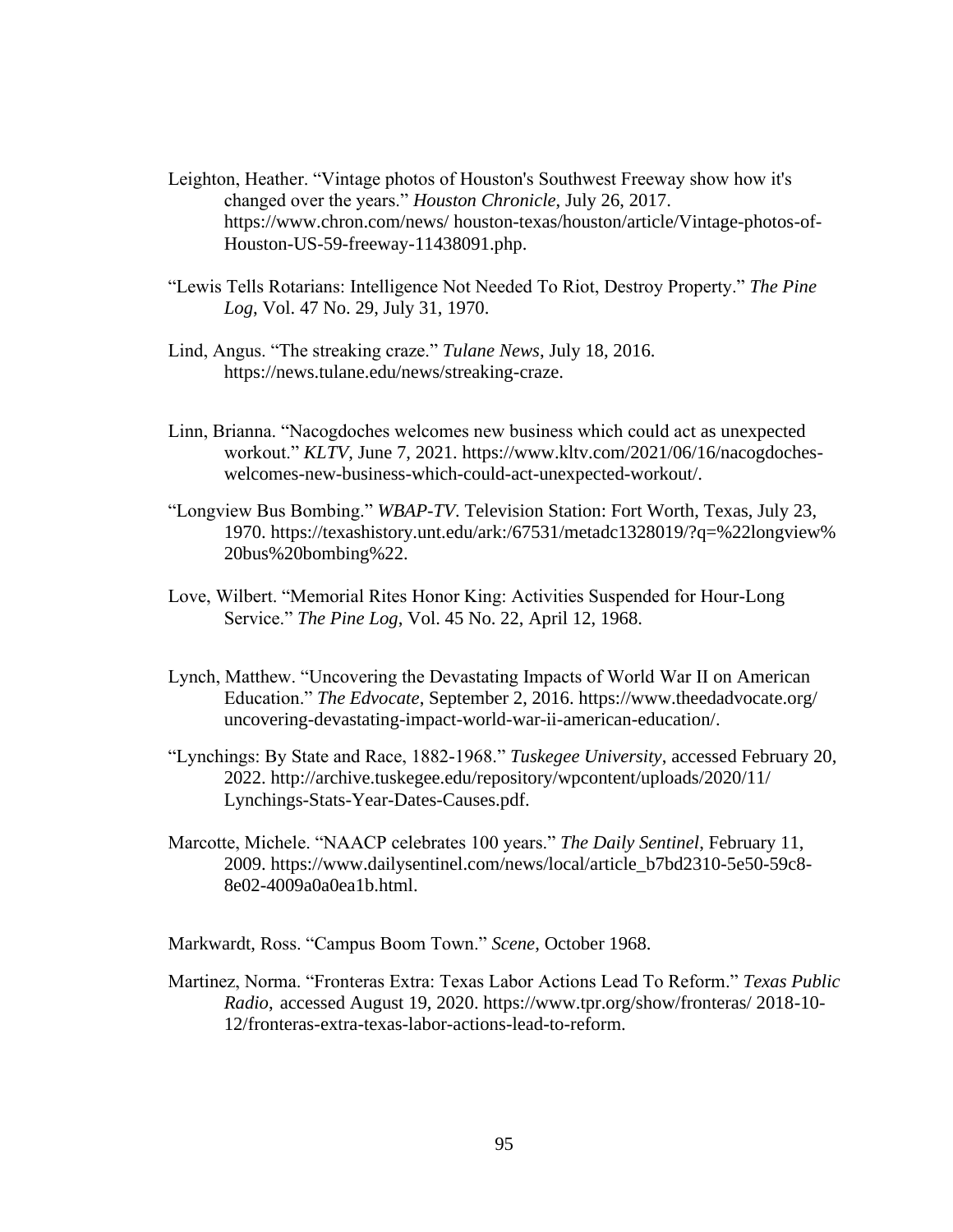- Leighton, Heather. "Vintage photos of Houston's Southwest Freeway show how it's changed over the years." *Houston Chronicle*, July 26, 2017. <https://www.chron.com/news/> houston-texas/houston/article/Vintage-photos-of-Houston-US-59-freeway-11438091.php.
- "Lewis Tells Rotarians: Intelligence Not Needed To Riot, Destroy Property." *The Pine Log*, Vol. 47 No. 29, July 31, 1970.
- Lind, Angus. "The streaking craze." *Tulane News*, July 18, 2016. [https://news.tulane.edu/news/s](https://news.tulane.edu/news/)treaking-craze.
- Linn, Brianna. "Nacogdoches welcomes new business which could act as unexpected workout." *KLTV*, June 7, 2021. [https://www.kltv.com/2021/06/16/nacogdoches](https://www.kltv.com/2021/06/16/nacogdoches-%09welcomes-new-business-which-could-act-unexpected-workout/)[welcomes-new-business-which-could-act-unexpected-workout/.](https://www.kltv.com/2021/06/16/nacogdoches-%09welcomes-new-business-which-could-act-unexpected-workout/)
- "Longview Bus Bombing." *WBAP-TV*. Television Station: Fort Worth, Texas, July 23, 1970. [https://texashistory.unt.edu/ark:/67531/metadc1328019/?q=%22longview%](https://texashistory.unt.edu/ark:/67531/metadc1328019/?q=%22longview%25%20%0920bus%20bombing%22)  [20bus%20bombing%22.](https://texashistory.unt.edu/ark:/67531/metadc1328019/?q=%22longview%25%20%0920bus%20bombing%22)
- Love, Wilbert. "Memorial Rites Honor King: Activities Suspended for Hour-Long Service." *The Pine Log*, Vol. 45 No. 22, April 12, 1968.
- Lynch, Matthew. "Uncovering the Devastating Impacts of World War II on American Education." *The Edvocate*, September 2, 2016. [https://www.theedadvocate.org/](https://www.theedadvocate.org/%20%09uncovering-devastating-impact-world-war-ii-american-education/)  [uncovering-devastating-impact-world-war-ii-american-education/.](https://www.theedadvocate.org/%20%09uncovering-devastating-impact-world-war-ii-american-education/)
- "Lynchings: By State and Race, 1882-1968." *Tuskegee University*, accessed February 20, 2022. [http://archive.tuskegee.edu/repository/wpcontent/uploads/2020/11/](http://archive.tuskegee.edu/repository/wpcontent/uploads/2020/11/%20%09Lynchings-Stats-Year-Dates-Causes.pdf)  [Lynchings-Stats-Year-Dates-Causes.pdf.](http://archive.tuskegee.edu/repository/wpcontent/uploads/2020/11/%20%09Lynchings-Stats-Year-Dates-Causes.pdf)
- Marcotte, Michele. "NAACP celebrates 100 years." *The Daily Sentinel*, February 11, 2009. [https://www.dailysentinel.com/news/local/article\\_b7bd2310-5e50-59c8-](https://www.dailysentinel.com/news/local/article_b7bd2310-5e50-59c8-) 8e02-4009a0a0ea1b.html.

Markwardt, Ross. "Campus Boom Town." *Scene*, October 1968.

Martinez, Norma. "Fronteras Extra: Texas Labor Actions Lead To Reform." *Texas Public Radio*, accessed August 19, 2020. https://www.tpr.org/show/fronteras/ 2018-10- 12/fronteras-extra-texas-labor-actions-lead-to-reform.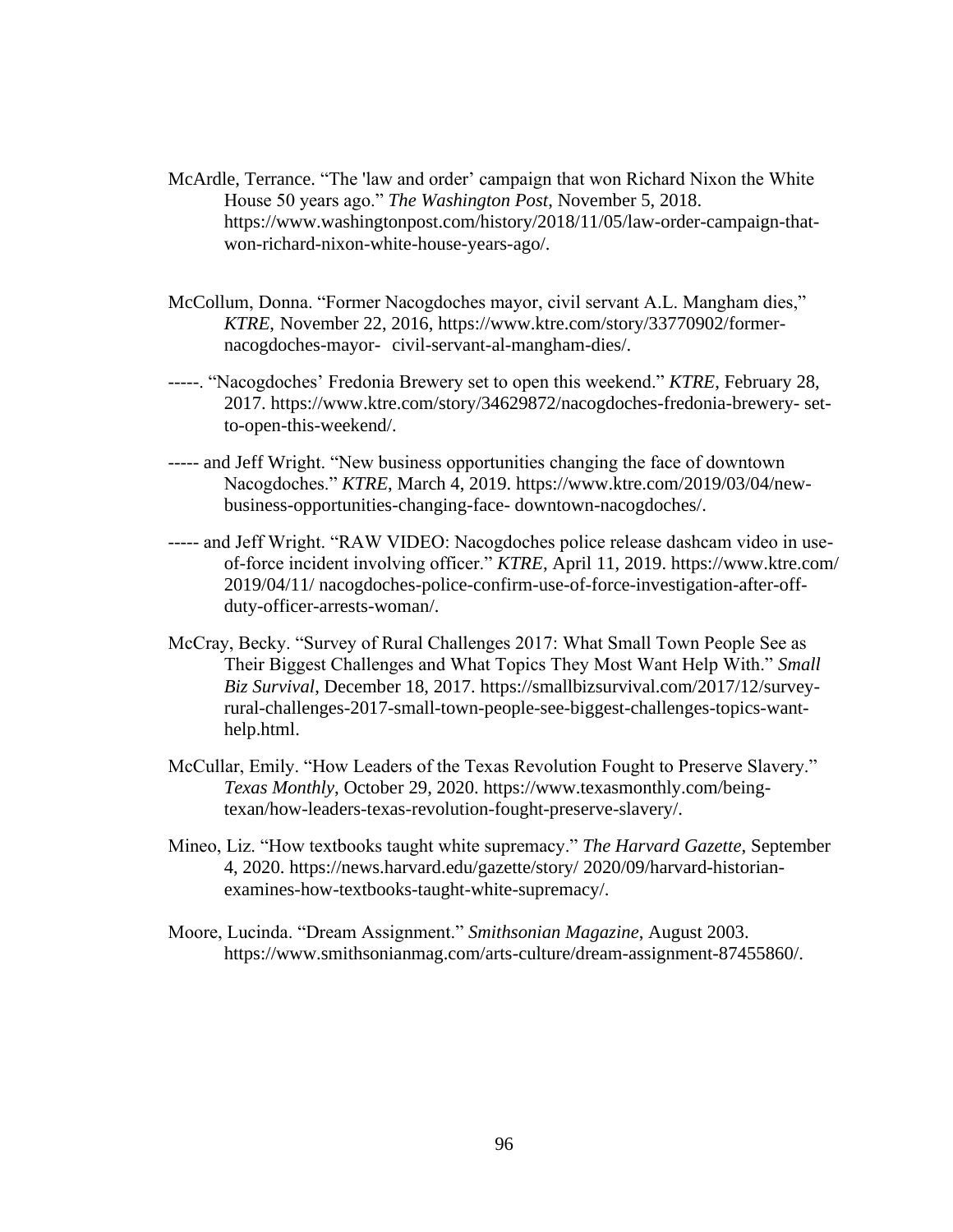- McArdle, Terrance. "The 'law and order' campaign that won Richard Nixon the White House 50 years ago." *The Washington Post*, November 5, 2018. [https://www.washingtonpost.com/history/2018/11/05/law-order-campaign-that](https://www.washingtonpost.com/history/2018/11/05/law-order-campaign-that-%09won-richard-nixon-white-house-years-ago/)[won-richard-nixon-white-house-years-ago/.](https://www.washingtonpost.com/history/2018/11/05/law-order-campaign-that-%09won-richard-nixon-white-house-years-ago/)
- McCollum, Donna. "Former Nacogdoches mayor, civil servant A.L. Mangham dies," *KTRE*, November 22, 2016, [https://www.ktre.com/story/33770902/former](https://www.ktre.com/story/33770902/former-%09nacogdoches-mayor-%09civil-servant-al-mangham-dies/)nacogdoches-mayor- [civil-servant-al-mangham-dies/.](https://www.ktre.com/story/33770902/former-%09nacogdoches-mayor-%09civil-servant-al-mangham-dies/)
- -----. "Nacogdoches' Fredonia Brewery set to open this weekend." *KTRE*, February 28, 2017. https://www.ktre.com/story/34629872/nacogdoches-fredonia-brewery- setto-open-this-weekend/.
- ----- and Jeff Wright. "New business opportunities changing the face of downtown Nacogdoches." *KTRE*, March 4, 2019. [https://www.ktre.com/2019/03/04/new](https://www.ktre.com/2019/03/04/new-%09business-opportunities-changing-face-%20downtown-nacogdoches/)[business-opportunities-changing-face-](https://www.ktre.com/2019/03/04/new-%09business-opportunities-changing-face-%20downtown-nacogdoches/) downtown-nacogdoches/.
- ----- and Jeff Wright. "RAW VIDEO: Nacogdoches police release dashcam video in useof-force incident involving officer." *KTRE*, April 11, 2019. [https://www.ktre.com/](https://www.ktre.com/%20%092019/04/11/%20nacogdoches-police-confirm-use-of-force-investigation-after-off-%09duty-officer-arrests-woman/)  [2019/04/11/ nacogdoches-police-confirm-use-of-force-investigation-after-off](https://www.ktre.com/%20%092019/04/11/%20nacogdoches-police-confirm-use-of-force-investigation-after-off-%09duty-officer-arrests-woman/)[duty-officer-arrests-woman/.](https://www.ktre.com/%20%092019/04/11/%20nacogdoches-police-confirm-use-of-force-investigation-after-off-%09duty-officer-arrests-woman/)
- McCray, Becky. "Survey of Rural Challenges 2017: What Small Town People See as Their Biggest Challenges and What Topics They Most Want Help With." *Small Biz Survival*, December 18, 2017. [https://smallbizsurvival.com/2017/12/survey](https://smallbizsurvival.com/2017/12/survey-)rural-challenges-2017-small-town-people-see-biggest-challenges-topics-wanthelp.html.
- McCullar, Emily. "How Leaders of the Texas Revolution Fought to Preserve Slavery." *Texas Monthly*, October 29, 2020. [https://www.texasmonthly.com/being](https://www.texasmonthly.com/being-%09texan/how-leaders-texas-revolution-fought-preserve-slavery/)[texan/how-leaders-texas-revolution-fought-preserve-slavery/.](https://www.texasmonthly.com/being-%09texan/how-leaders-texas-revolution-fought-preserve-slavery/)
- Mineo, Liz. "How textbooks taught white supremacy." *The Harvard Gazette*, September 4, 2020.<https://news.harvard.edu/gazette/story/> 2020/09/harvard-historianexamines-how-textbooks-taught-white-supremacy/.
- Moore, Lucinda. "Dream Assignment." *Smithsonian Magazine*, August 2003. [https://www.smithsonianmag.com/arts-culture/dream-assignment-87455860/.](https://www.smithsonianmag.com/arts-culture/dream-assignment-87455860/)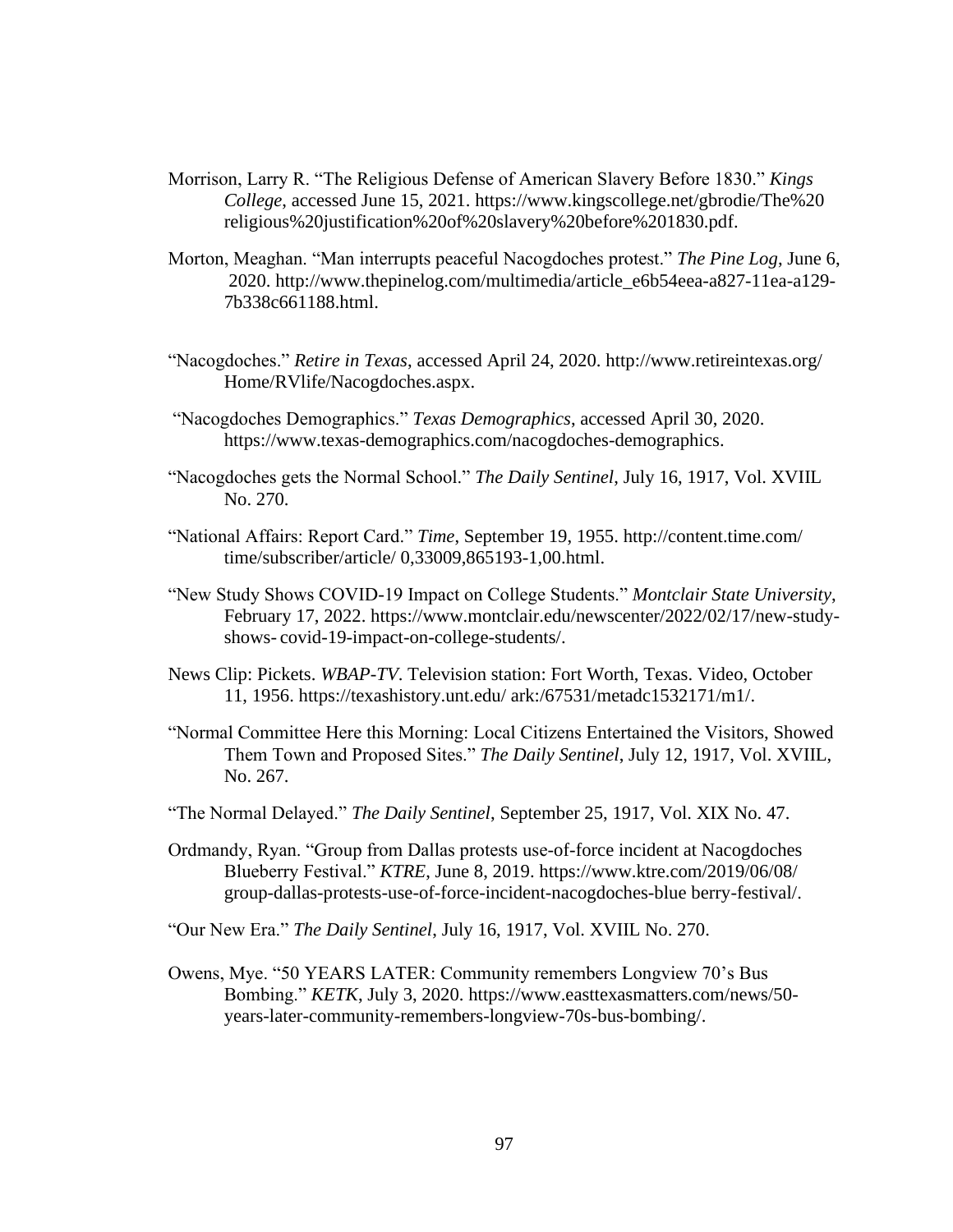- Morrison, Larry R. "The Religious Defense of American Slavery Before 1830." *Kings College*, accessed June 15, 2021. [https://www.kingscollege.net/gbrodie/The%20](https://www.kingscollege.net/gbrodie/The%20%20%09religious%20justification%20of%20slavery)  [religious%20justification%20of%20slavery%](https://www.kingscollege.net/gbrodie/The%20%20%09religious%20justification%20of%20slavery)20before%201830.pdf.
- Morton, Meaghan. "Man interrupts peaceful Nacogdoches protest." *The Pine Log*, June 6, 2020. [http://www.thepinelog.com/multimedia/article\\_e6b54eea-a827-11ea-a129-](http://www.thepinelog.com/multimedia/article_e6b54eea-a827-11ea-a129-%097b338c661188.html) [7b338c661188.html.](http://www.thepinelog.com/multimedia/article_e6b54eea-a827-11ea-a129-%097b338c661188.html)
- "Nacogdoches." *Retire in Texas*, accessed April 24, 2020. [http://www.retireintexas.org/](http://www.retireintexas.org/%20%09Home/RVlife/Nacogdoches.aspx)  [Home/RVlife/Nacogdoches.aspx.](http://www.retireintexas.org/%20%09Home/RVlife/Nacogdoches.aspx)
- "Nacogdoches Demographics." *Texas Demographics*, accessed April 30, 2020. [https://www.texas-demographics.com/nacogdoches-demographics.](https://www.texas-demographics.com/nacogdoches-demographics)
- "Nacogdoches gets the Normal School." *The Daily Sentinel*, July 16, 1917, Vol. XVIIL No. 270.
- "National Affairs: Report Card." *Time*, September 19, 1955. [http://content.time.com/](http://content.time.com/%20%09time/subscriber/article/%200,33009,865193-1,00.html)  [time/subscriber/article/ 0,33009,865193-1,00.html.](http://content.time.com/%20%09time/subscriber/article/%200,33009,865193-1,00.html)
- "New Study Shows COVID-19 Impact on College Students." *Montclair State University*, February 17, 2022. [https://www.montclair.edu/newscenter/2022/02/17/new-study](https://www.montclair.edu/newscenter/2022/02/17/new-study-%09shows-%09covid-19-impact-on-college-students/)shows- [covid-19-impact-on-college-students/.](https://www.montclair.edu/newscenter/2022/02/17/new-study-%09shows-%09covid-19-impact-on-college-students/)
- News Clip: Pickets. *WBAP-TV*. Television station: Fort Worth, Texas. Video, October 11, 1956. [https://texashistory.unt.edu/ ark:/67531/metadc1532171/m1/.](https://texashistory.unt.edu/%20ark:/67531/metadc1532171/m1/)
- "Normal Committee Here this Morning: Local Citizens Entertained the Visitors, Showed Them Town and Proposed Sites." *The Daily Sentinel*, July 12, 1917, Vol. XVIIL, No. 267.
- "The Normal Delayed." *The Daily Sentinel*, September 25, 1917, Vol. XIX No. 47.
- Ordmandy, Ryan. "Group from Dallas protests use-of-force incident at Nacogdoches Blueberry Festival." *KTRE*, June 8, 2019.<https://www.ktre.com/2019/06/08/> group-dallas-protests-use-of-force-incident-nacogdoches-blue berry-festival/.
- "Our New Era." *The Daily Sentinel*, July 16, 1917, Vol. XVIIL No. 270.
- Owens, Mye. "50 YEARS LATER: Community remembers Longview 70's Bus Bombing." *KETK*, July 3, 2020. [https://www.easttexasmatters.com/news/50](https://www.easttexasmatters.com/news/50-%09years-later-community-remembers-longview-70s-bus-bombing/) [years-later-community-remembers-longview-70s-bus-bombing/.](https://www.easttexasmatters.com/news/50-%09years-later-community-remembers-longview-70s-bus-bombing/)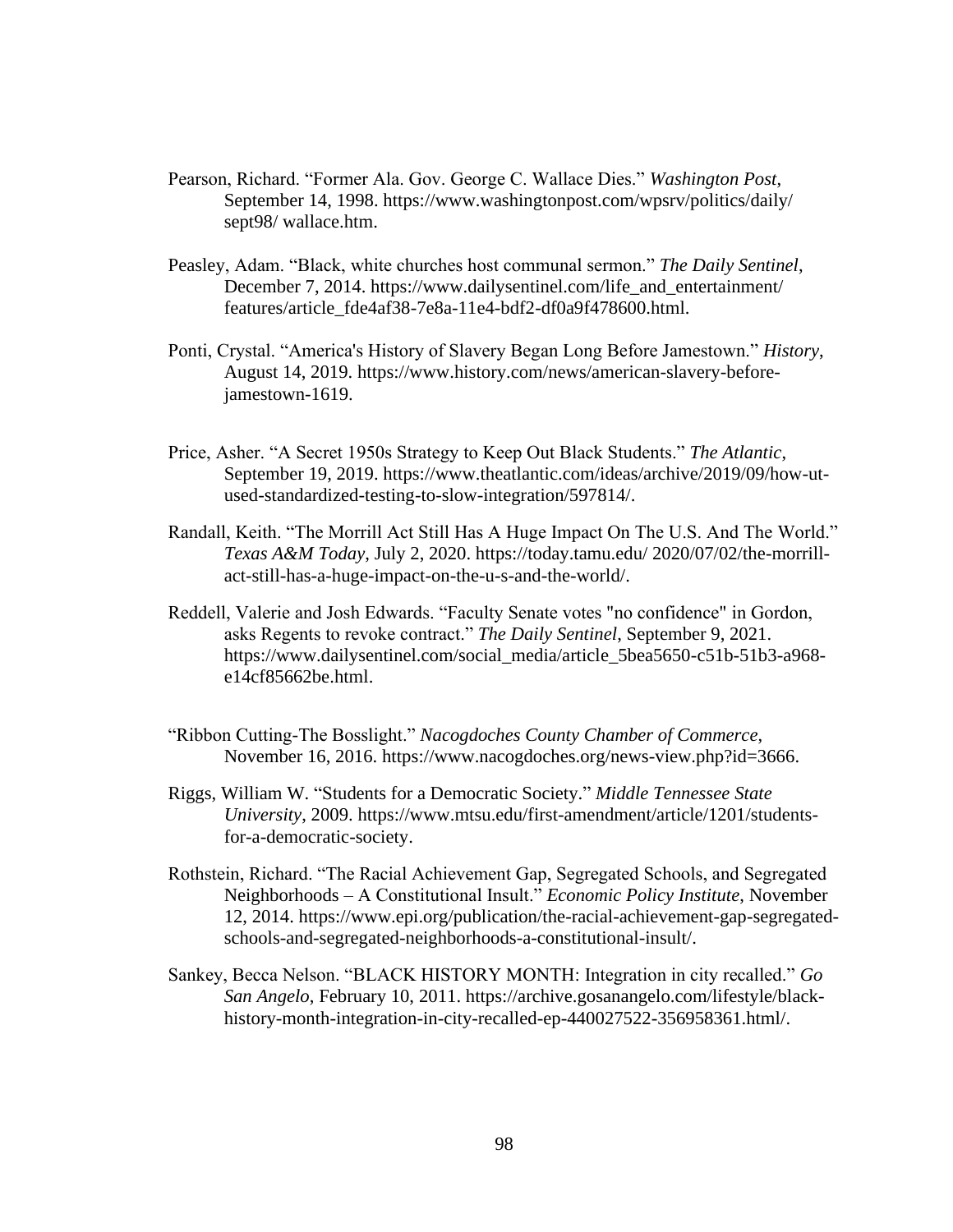- Pearson, Richard. "Former Ala. Gov. George C. Wallace Dies." *Washington Post*, September 14, 1998. [https://www.washingtonpost.com/wpsrv/politics/daily/](https://www.washingtonpost.com/wpsrv/politics/daily/%20%09sept98/%20wallace.htm)  [sept98/ wallace.htm.](https://www.washingtonpost.com/wpsrv/politics/daily/%20%09sept98/%20wallace.htm)
- Peasley, Adam. "Black, white churches host communal sermon." *The Daily Sentinel*, December 7, 2014. [https://www.dailysentinel.com/life\\_and\\_entertainment/](https://www.dailysentinel.com/life_and_entertainment/%09features/article_fde4af38-7e8a-11e4-bdf2-df0a9f478600.html) [features/article\\_fde4af38-7e8a-11e4-bdf2-df0a9f478600.html.](https://www.dailysentinel.com/life_and_entertainment/%09features/article_fde4af38-7e8a-11e4-bdf2-df0a9f478600.html)
- Ponti, Crystal. "America's History of Slavery Began Long Before Jamestown." *History*, August 14, 2019. [https://www.history.com/news/american-slavery-before](https://www.history.com/news/american-slavery-before-%09jamestown-1619)[jamestown-1619.](https://www.history.com/news/american-slavery-before-%09jamestown-1619)
- Price, Asher. "A Secret 1950s Strategy to Keep Out Black Students." *The Atlantic*, September 19, 2019. [https://www.theatlantic.com/ideas/archive/2019/09/how-ut](https://www.theatlantic.com/ideas/archive/2019/09/how-ut-%09used-standardized-testing-to-slow-integration/597814/)[used-standardized-testing-to-slow-integration/597814/.](https://www.theatlantic.com/ideas/archive/2019/09/how-ut-%09used-standardized-testing-to-slow-integration/597814/)
- Randall, Keith. "The Morrill Act Still Has A Huge Impact On The U.S. And The World." *Texas A&M Today*, July 2, 2020. [https://today.tamu.edu/ 2020/07/02/the-morrill](https://today.tamu.edu/%202020/07/02/the-morrill-%09act-still-has-a-huge-impact-on-the-u-s-and-the-world/)[act-still-has-a-huge-impact-on-the-u-s-and-the-world/.](https://today.tamu.edu/%202020/07/02/the-morrill-%09act-still-has-a-huge-impact-on-the-u-s-and-the-world/)
- Reddell, Valerie and Josh Edwards. "Faculty Senate votes "no confidence" in Gordon, asks Regents to revoke contract." *The Daily Sentinel*, September 9, 2021. [https://www.dailysentinel.com/social\\_media/article\\_5bea5650-c51b-51b3-a968](https://www.dailysentinel.com/social_media/article_5bea5650-c51b-51b3-a968-) e14cf85662be.html.
- "Ribbon Cutting-The Bosslight." *Nacogdoches County Chamber of Commerce*, November 16, 2016. [https://www.nacogdoches.org/news-view.php?id=3666.](https://www.nacogdoches.org/news-view.php?id=3666)
- Riggs, William W. "Students for a Democratic Society." *Middle Tennessee State University*, 2009. [https://www.mtsu.edu/first-amendment/article/1201/students](https://www.mtsu.edu/first-amendment/article/1201/students-)for-a-democratic-society.
- Rothstein, Richard. "The Racial Achievement Gap, Segregated Schools, and Segregated Neighborhoods – A Constitutional Insult." *Economic Policy Institute*, November 12, 2014. [https://www.epi.org/publication/the-racial-achievement-gap-segregated](https://www.epi.org/publication/the-racial-achievement-gap-segregated-%09schools-and-segregated-neighborhoods-a-constitutional-insult/)[schools-and-segregated-neighborhoods-a-constitutional-insult/.](https://www.epi.org/publication/the-racial-achievement-gap-segregated-%09schools-and-segregated-neighborhoods-a-constitutional-insult/)
- Sankey, Becca Nelson. "BLACK HISTORY MONTH: Integration in city recalled." *Go San Angelo*, February 10, 2011. [https://archive.gosanangelo.com/lifestyle/black](https://archive.gosanangelo.com/lifestyle/black-%09history-month-integration-in-city-recalled-ep-440027522-356958361.html/)[history-month-integration-in-city-recalled-ep-440027522-356958361.html/.](https://archive.gosanangelo.com/lifestyle/black-%09history-month-integration-in-city-recalled-ep-440027522-356958361.html/)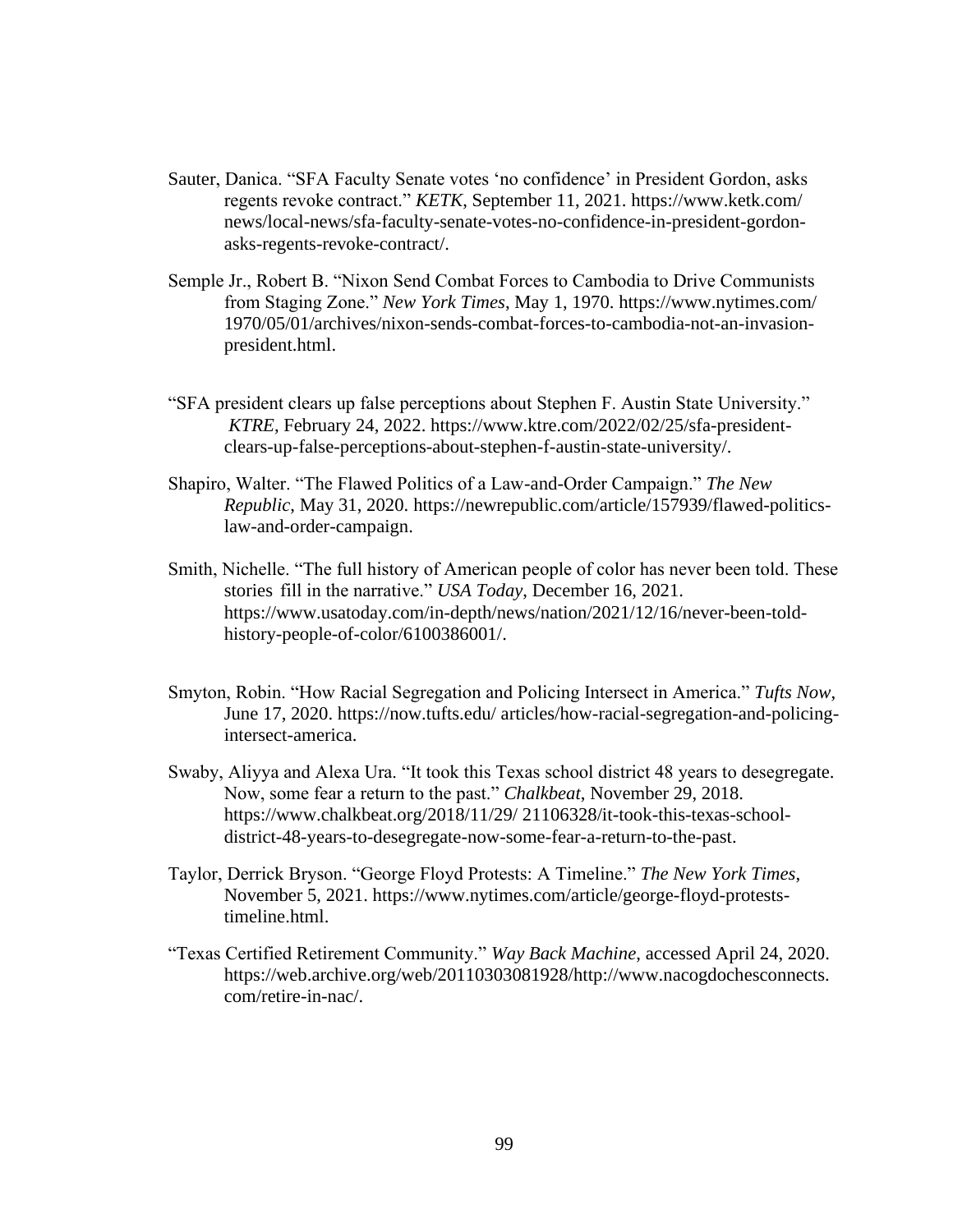- Sauter, Danica. "SFA Faculty Senate votes 'no confidence' in President Gordon, asks regents revoke contract." *KETK*, September 11, 2021.<https://www.ketk.com/> news/local-news/sfa-faculty-senate-votes-no-confidence-in-president-gordonasks-regents-revoke-contract/.
- Semple Jr., Robert B. "Nixon Send Combat Forces to Cambodia to Drive Communists from Staging Zone." *New York Times*, May 1, 1970. [https://www.nytimes.com/](https://www.nytimes.com/%20%091970/05/01/archives/nixon-sends-combat-forces-to-cambodia-not-an-invasion-%09president.html)  [1970/05/01/archives/nixon-sends-combat-forces-to-cambodia-not-an-invasion](https://www.nytimes.com/%20%091970/05/01/archives/nixon-sends-combat-forces-to-cambodia-not-an-invasion-%09president.html)[president.html.](https://www.nytimes.com/%20%091970/05/01/archives/nixon-sends-combat-forces-to-cambodia-not-an-invasion-%09president.html)
- "SFA president clears up false perceptions about Stephen F. Austin State University." *KTRE*, February 24, 2022. [https://www.ktre.com/2022/02/25/sfa-president](https://www.ktre.com/2022/02/25/sfa-president-%09clears-up-false-perceptions-about-stephen-f-austin-state-university/)[clears-up-false-perceptions-about-stephen-f-austin-state-university/.](https://www.ktre.com/2022/02/25/sfa-president-%09clears-up-false-perceptions-about-stephen-f-austin-state-university/)
- Shapiro, Walter. "The Flawed Politics of a Law-and-Order Campaign." *The New Republic*, May 31, 2020. [https://newrepublic.com/article/157939/flawed-politics](https://newrepublic.com/article/157939/flawed-politics-%09law-and-order-campaign)[law-and-order-campaign.](https://newrepublic.com/article/157939/flawed-politics-%09law-and-order-campaign)
- Smith, Nichelle. "The full history of American people of color has never been told. These stories fill in the narrative." *USA Today*, December 16, 2021. [https://www.usatoday.com/in-depth/news/nation/2021/12/16/never-been-told](https://www.usatoday.com/in-depth/news/nation/2021/12/16/never-been-told-%09history-people-of-color/6100386001/)[history-people-of-color/6100386001/.](https://www.usatoday.com/in-depth/news/nation/2021/12/16/never-been-told-%09history-people-of-color/6100386001/)
- Smyton, Robin. "How Racial Segregation and Policing Intersect in America." *Tufts Now*, June 17, 2020. https://now.tufts.edu/ articles/how-racial-segregation-and-policingintersect-america.
- Swaby, Aliyya and Alexa Ura. "It took this Texas school district 48 years to desegregate. Now, some fear a return to the past." *Chalkbeat*, November 29, 2018. [https://www.chalkbeat.org/2018/11/29/ 21106328/it-took-this-texas-school](https://www.chalkbeat.org/2018/11/29/%2021106328/it-took-this-texas-school-%09district-48-years-to-desegregate-now-some-fear-a-return-to-the-past)[district-48-years-to-desegregate-now-some-fear-a-return-to-the-past.](https://www.chalkbeat.org/2018/11/29/%2021106328/it-took-this-texas-school-%09district-48-years-to-desegregate-now-some-fear-a-return-to-the-past)
- Taylor, Derrick Bryson. "George Floyd Protests: A Timeline." *The New York Times*, November 5, 2021. [https://www.nytimes.com/article/george-floyd-protests](https://www.nytimes.com/article/george-floyd-protests-%09timeline.html)[timeline.html.](https://www.nytimes.com/article/george-floyd-protests-%09timeline.html)
- "Texas Certified Retirement Community." *Way Back Machine*, accessed April 24, 2020. [https://web.archive.org/web/20110303081928/http://www.nacogdochesconnects.](https://web.archive.org/web/20110303081928/http:/www.nacogdochesconnects.%20%09com/retire-in-nac/)  [com/retire-in-nac/.](https://web.archive.org/web/20110303081928/http:/www.nacogdochesconnects.%20%09com/retire-in-nac/)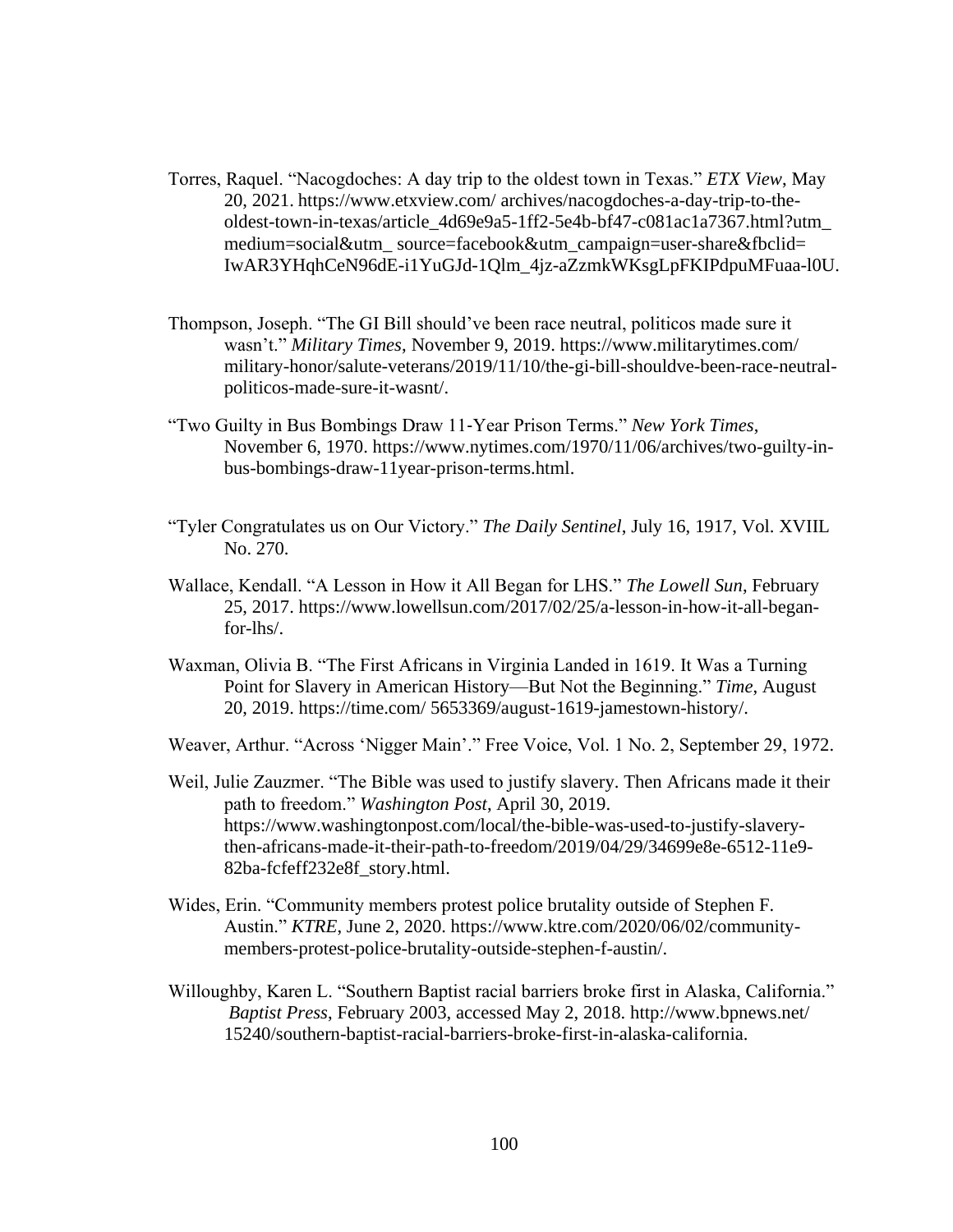- Torres, Raquel. "Nacogdoches: A day trip to the oldest town in Texas." *ETX View*, May 20, 2021. https://www.etxview.com/ archives/nacogdoches-a-day-trip-to-theoldest-town-in-texas/article\_4d69e9a5-1ff2-5e4b-bf47-c081ac1a7367.html?utm\_ medium=social&utm\_ source=facebook&utm\_campaign=user-share&fbclid= IwAR3YHqhCeN96dE-i1YuGJd-1Qlm\_4jz-aZzmkWKsgLpFKIPdpuMFuaa-l0U.
- Thompson, Joseph. "The GI Bill should've been race neutral, politicos made sure it wasn't." *Military Times*, November 9, 2019. [https://www.militarytimes.com/](https://www.militarytimes.com/%20%09military-honor/salute-veterans/2019/11/10/the-gi-bill-shouldve-been-race-neutral-%09politicos-made-sure-it-wasnt/)  [military-honor/salute-veterans/2019/11/10/the-gi-bill-shouldve-been-race-neutral](https://www.militarytimes.com/%20%09military-honor/salute-veterans/2019/11/10/the-gi-bill-shouldve-been-race-neutral-%09politicos-made-sure-it-wasnt/)[politicos-made-sure-it-wasnt/.](https://www.militarytimes.com/%20%09military-honor/salute-veterans/2019/11/10/the-gi-bill-shouldve-been-race-neutral-%09politicos-made-sure-it-wasnt/)
- "Two Guilty in Bus Bombings Draw 11‐Year Prison Terms." *New York Times*, November 6, 1970. [https://www.nytimes.com/1970/11/06/archives/two-guilty-in](https://www.nytimes.com/1970/11/06/archives/two-guilty-in-%09bus-bombings-draw-11year-prison-terms.html)[bus-bombings-draw-11year-prison-terms.html.](https://www.nytimes.com/1970/11/06/archives/two-guilty-in-%09bus-bombings-draw-11year-prison-terms.html)
- "Tyler Congratulates us on Our Victory." *The Daily Sentinel*, July 16, 1917, Vol. XVIIL No. 270.
- Wallace, Kendall. "A Lesson in How it All Began for LHS." *The Lowell Sun*, February 25, 2017. [https://www.lowellsun.com/2017/02/25/a-lesson-in-how-it-all-began](https://www.lowellsun.com/2017/02/25/a-lesson-in-how-it-all-began-%09for-lhs/)[for-lhs/.](https://www.lowellsun.com/2017/02/25/a-lesson-in-how-it-all-began-%09for-lhs/)
- Waxman, Olivia B. "The First Africans in Virginia Landed in 1619. It Was a Turning Point for Slavery in American History—But Not the Beginning." *Time*, August 20, 2019. [https://time.com/ 5653369/august-1619-jamestown-history/.](https://time.com/%205653369/august-1619-jamestown-history/)
- Weaver, Arthur. "Across 'Nigger Main'." Free Voice, Vol. 1 No. 2, September 29, 1972.
- Weil, Julie Zauzmer. "The Bible was used to justify slavery. Then Africans made it their path to freedom." *Washington Post*, April 30, 2019. [https://www.washingtonpost.com/local/the-bible-was-used-to-justify-slavery](https://www.washingtonpost.com/local/the-bible-was-used-to-justify-slavery-%09then-africans-made-it-their-path-to-freedom/2019/04/29/34699e8e-6512-11e9-%0982ba-fcfeff232e8f_story.html)[then-africans-made-it-their-path-to-freedom/2019/04/29/34699e8e-6512-11e9-](https://www.washingtonpost.com/local/the-bible-was-used-to-justify-slavery-%09then-africans-made-it-their-path-to-freedom/2019/04/29/34699e8e-6512-11e9-%0982ba-fcfeff232e8f_story.html) [82ba-fcfeff232e8f\\_story.html.](https://www.washingtonpost.com/local/the-bible-was-used-to-justify-slavery-%09then-africans-made-it-their-path-to-freedom/2019/04/29/34699e8e-6512-11e9-%0982ba-fcfeff232e8f_story.html)
- Wides, Erin. "Community members protest police brutality outside of Stephen F. Austin." *KTRE*, June 2, 2020. [https://www.ktre.com/2020/06/02/community](https://www.ktre.com/2020/06/02/community-%09members-protest-police-brutality-outside-stephen-f-austin/)[members-protest-police-brutality-outside-stephen-f-austin/.](https://www.ktre.com/2020/06/02/community-%09members-protest-police-brutality-outside-stephen-f-austin/)
- Willoughby, Karen L. "Southern Baptist racial barriers broke first in Alaska, California." *Baptist Press*, February 2003, accessed May 2, 2018. [http://www.bpnews.net/](http://www.bpnews.net/%20%0915240/southern-baptist-racial-barriers-broke-first-in-alaska-california)  [15240/southern-baptist-racial-barriers-broke-first-in-alaska-california.](http://www.bpnews.net/%20%0915240/southern-baptist-racial-barriers-broke-first-in-alaska-california)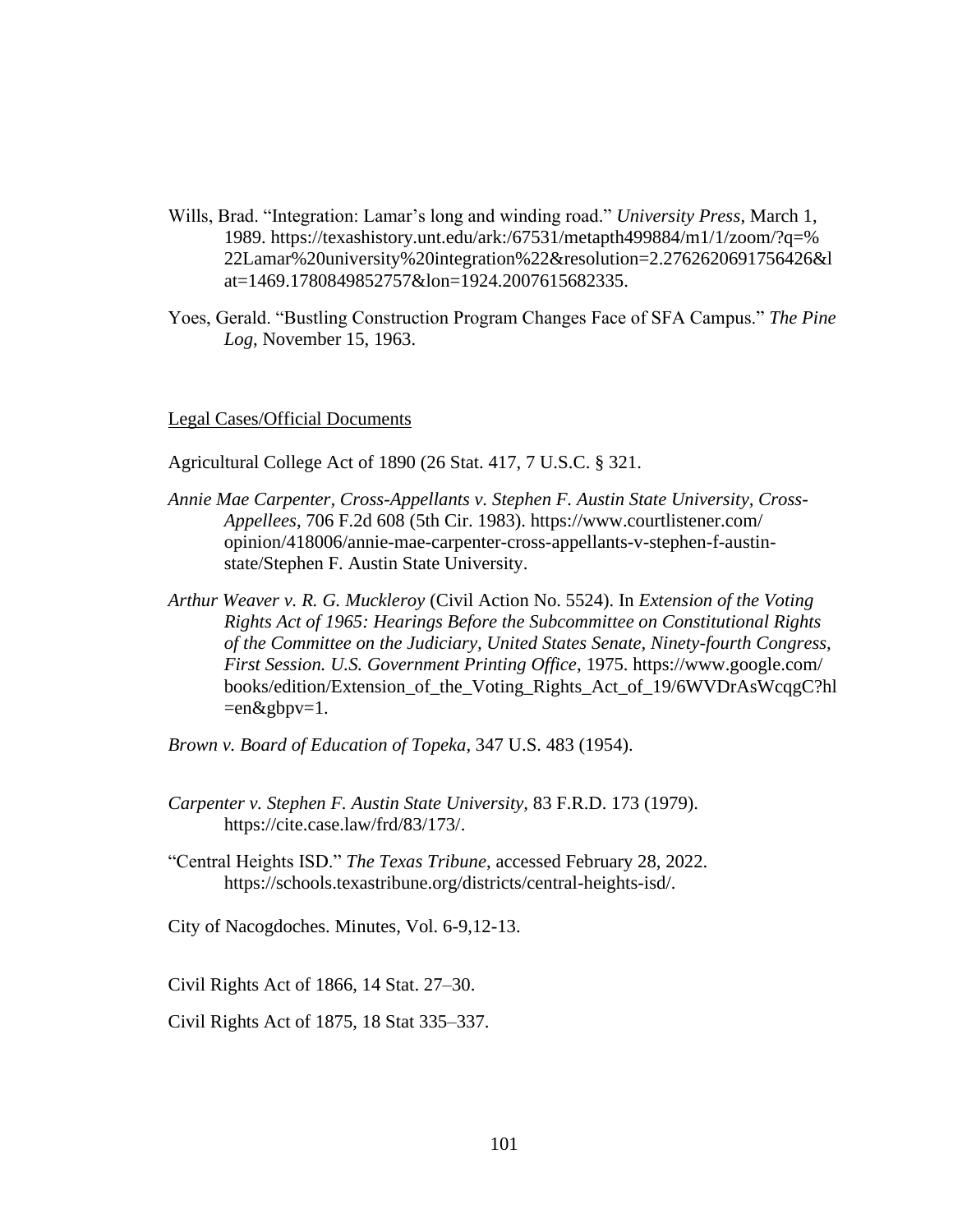- Wills, Brad. "Integration: Lamar's long and winding road." *University Press*, March 1, 1989. [https://texashistory.unt.edu/ark:/67531/metapth499884/m1/1/zoom/?q=%](https://texashistory.unt.edu/ark:/67531/metapth499884/m1/1/zoom/?q=%25%20%0922Lamar%20university%20integration%22&resolution=2.2762620691756426&l%09at=1469.1780849852757&lon=1924.2007615682335)  [22Lamar%20university%20integration%22&resolution=2.2762620691756426&l](https://texashistory.unt.edu/ark:/67531/metapth499884/m1/1/zoom/?q=%25%20%0922Lamar%20university%20integration%22&resolution=2.2762620691756426&l%09at=1469.1780849852757&lon=1924.2007615682335) [at=1469.1780849852757&lon=1924.2007615682335.](https://texashistory.unt.edu/ark:/67531/metapth499884/m1/1/zoom/?q=%25%20%0922Lamar%20university%20integration%22&resolution=2.2762620691756426&l%09at=1469.1780849852757&lon=1924.2007615682335)
- Yoes, Gerald. "Bustling Construction Program Changes Face of SFA Campus." *The Pine Log*, November 15, 1963.

#### Legal Cases/Official Documents

Agricultural College Act of 1890 (26 Stat. 417, 7 U.S.C. § 321.

- *Annie Mae Carpenter, Cross-Appellants v. Stephen F. Austin State University, Cross-Appellees*, 706 F.2d 608 (5th Cir. 1983). [https://www.courtlistener.com/](https://www.courtlistener.com/%20%09opinion/)  [opinion/4](https://www.courtlistener.com/%20%09opinion/)18006/annie-mae-carpenter-cross-appellants-v-stephen-f-austinstate/Stephen F. Austin State University.
- *Arthur Weaver v. R. G. Muckleroy* (Civil Action No. 5524). In *Extension of the Voting Rights Act of 1965: Hearings Before the Subcommittee on Constitutional Rights of the Committee on the Judiciary, United States Senate, Ninety-fourth Congress, First Session. U.S. Government Printing Office*, 1975. [https://www.google.com/](https://www.google.com/%20%09books/edition/Extension_of_the)  [books/edition/Extension\\_of\\_the\\_](https://www.google.com/%20%09books/edition/Extension_of_the)Voting\_Rights\_Act\_of\_19/6WVDrAsWcqgC?hl  $=$ en $\&$ gbpv=1.
- *Brown v. Board of Education of Topeka*, 347 U.S. 483 (1954).
- *Carpenter v. Stephen F. Austin State University,* 83 F.R.D. 173 (1979). [https://cite.case.law/frd/83/173/.](https://cite.case.law/frd/83/173/)
- "Central Heights ISD." *The Texas Tribune*, accessed February 28, 2022. https://schools.texastribune.org/districts/central-heights-isd/.
- City of Nacogdoches. Minutes, Vol. 6-9,12-13.
- Civil Rights Act of 1866, 14 Stat. 27–30.

Civil Rights Act of 1875, 18 Stat 335–337.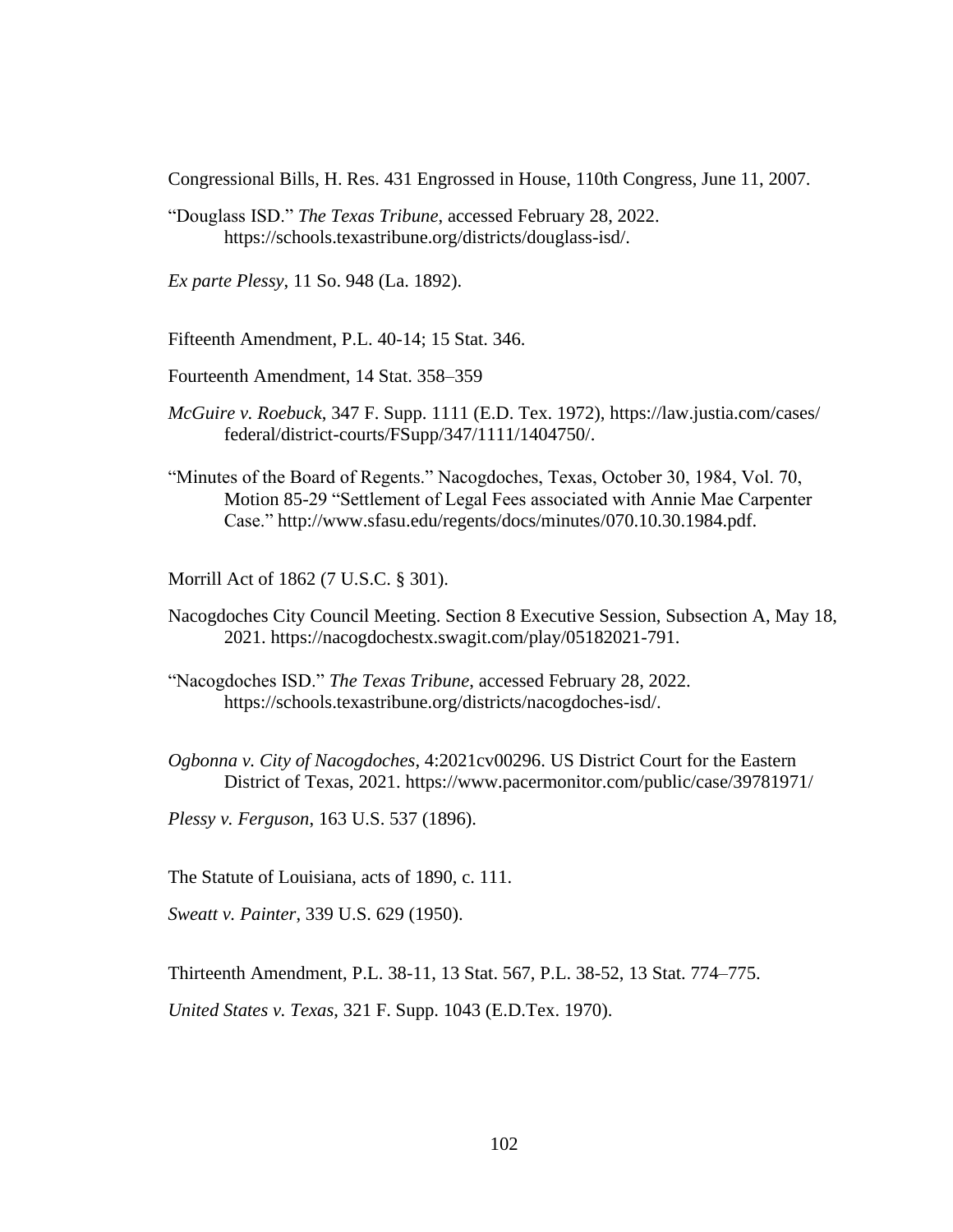Congressional Bills, H. Res. 431 Engrossed in House, 110th Congress, June 11, 2007.

"Douglass ISD." *The Texas Tribune*, accessed February 28, 2022. https://schools.texastribune.org/districts/douglass-isd/.

*Ex parte Plessy*, 11 So. 948 (La. 1892).

Fifteenth Amendment, P.L. 40-14; 15 Stat. 346.

Fourteenth Amendment, 14 Stat. 358–359

- *McGuire v. Roebuck*, 347 F. Supp. 1111 (E.D. Tex. 1972), [https://law.justia.com/cases/](https://law.justia.com/cases/%20%09federal/district-courts/FSupp/347/1111/1404750/)  [federal/district-courts/FSupp/347/1111/1404750/.](https://law.justia.com/cases/%20%09federal/district-courts/FSupp/347/1111/1404750/)
- "Minutes of the Board of Regents." Nacogdoches, Texas, October 30, 1984, Vol. 70, Motion 85-29 "Settlement of Legal Fees associated with Annie Mae Carpenter Case." [http://www.sfasu.edu/regents/docs/minutes/0](http://www.sfasu.edu/regents/docs/minutes/)70.10.30.1984.pdf.

Morrill Act of 1862 (7 U.S.C. § 301).

- Nacogdoches City Council Meeting. Section 8 Executive Session, Subsection A, May 18, 2021. [https://nacogdochestx.swagit.com/play/05182021-791.](https://nacogdochestx.swagit.com/play/05182021-791)
- "Nacogdoches ISD." *The Texas Tribune*, accessed February 28, 2022. [https://schools.texastribune.org/d](https://schools.texastribune.org/)istricts/nacogdoches-isd/.
- *Ogbonna v. City of Nacogdoches*, 4:2021cv00296. US District Court for the Eastern District of Texas, 2021.<https://www.pacermonitor.com/public/case/39781971/>
- *Plessy v. Ferguson*, 163 U.S. 537 (1896).

The Statute of Louisiana, acts of 1890, c. 111.

*Sweatt v. Painter*, 339 U.S. 629 (1950).

Thirteenth Amendment, P.L. 38-11, 13 Stat. 567, P.L. 38-52, 13 Stat. 774–775.

*United States v. Texas*, 321 F. Supp. 1043 (E.D.Tex. 1970).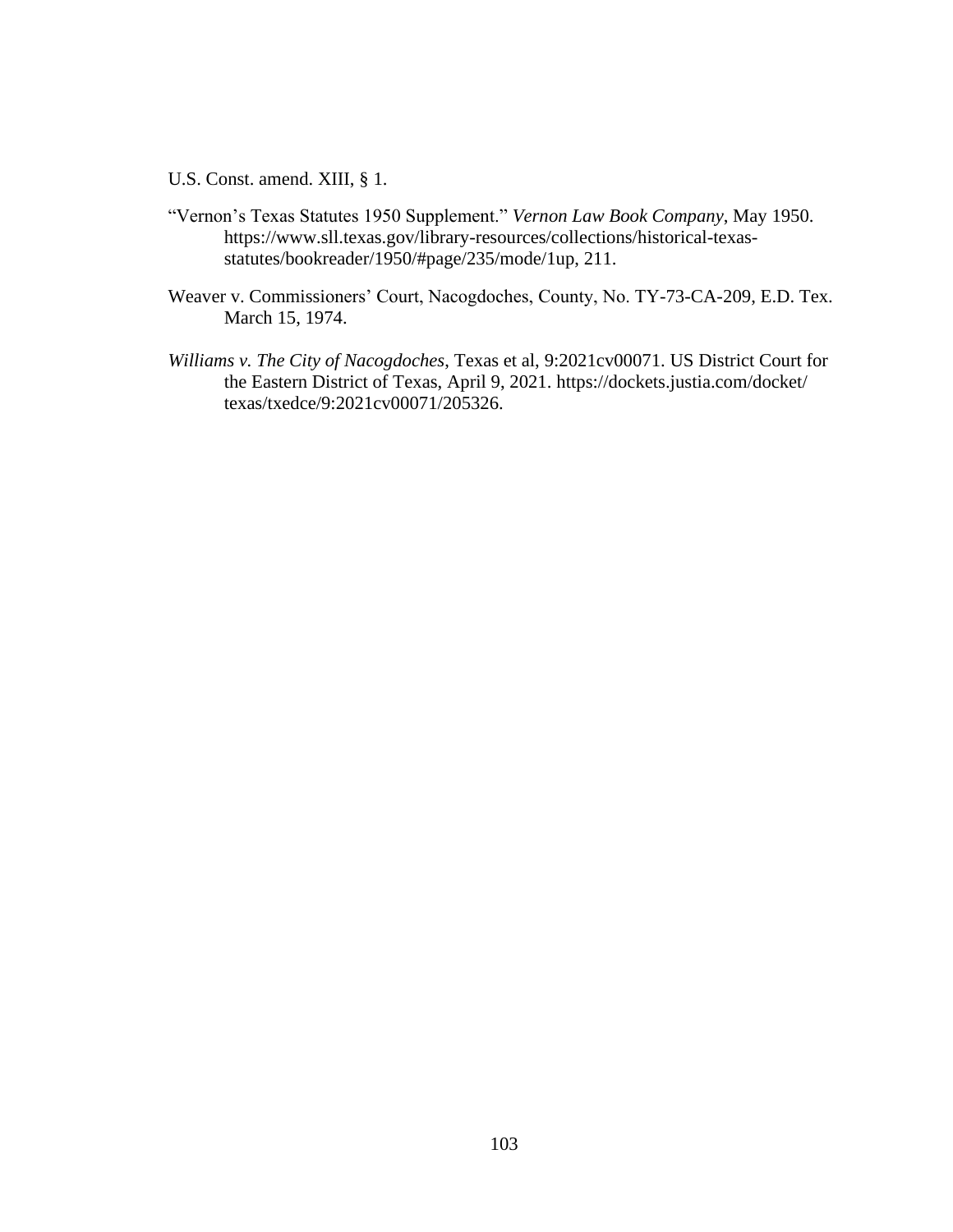U.S. Const. amend. XIII, § 1.

- "Vernon's Texas Statutes 1950 Supplement." *Vernon Law Book Company*, May 1950. [https://www.sll.texas.gov/library-resources/collections/historical-texas](https://www.sll.texas.gov/library-resources/collections/historical-texas-%09statutes/bookreader/1950/)[statutes/bookreader/1950/#](https://www.sll.texas.gov/library-resources/collections/historical-texas-%09statutes/bookreader/1950/)page/235/mode/1up, 211.
- Weaver v. Commissioners' Court, Nacogdoches, County, No. TY-73-CA-209, E.D. Tex. March 15, 1974.
- *Williams v. The City of Nacogdoches*, Texas et al, 9:2021cv00071. US District Court for the Eastern District of Texas, April 9, 2021. [https://dockets.justia.com/docket/](https://dockets.justia.com/docket/%20%09texas/)  [texas/t](https://dockets.justia.com/docket/%20%09texas/)xedce/9:2021cv00071/205326.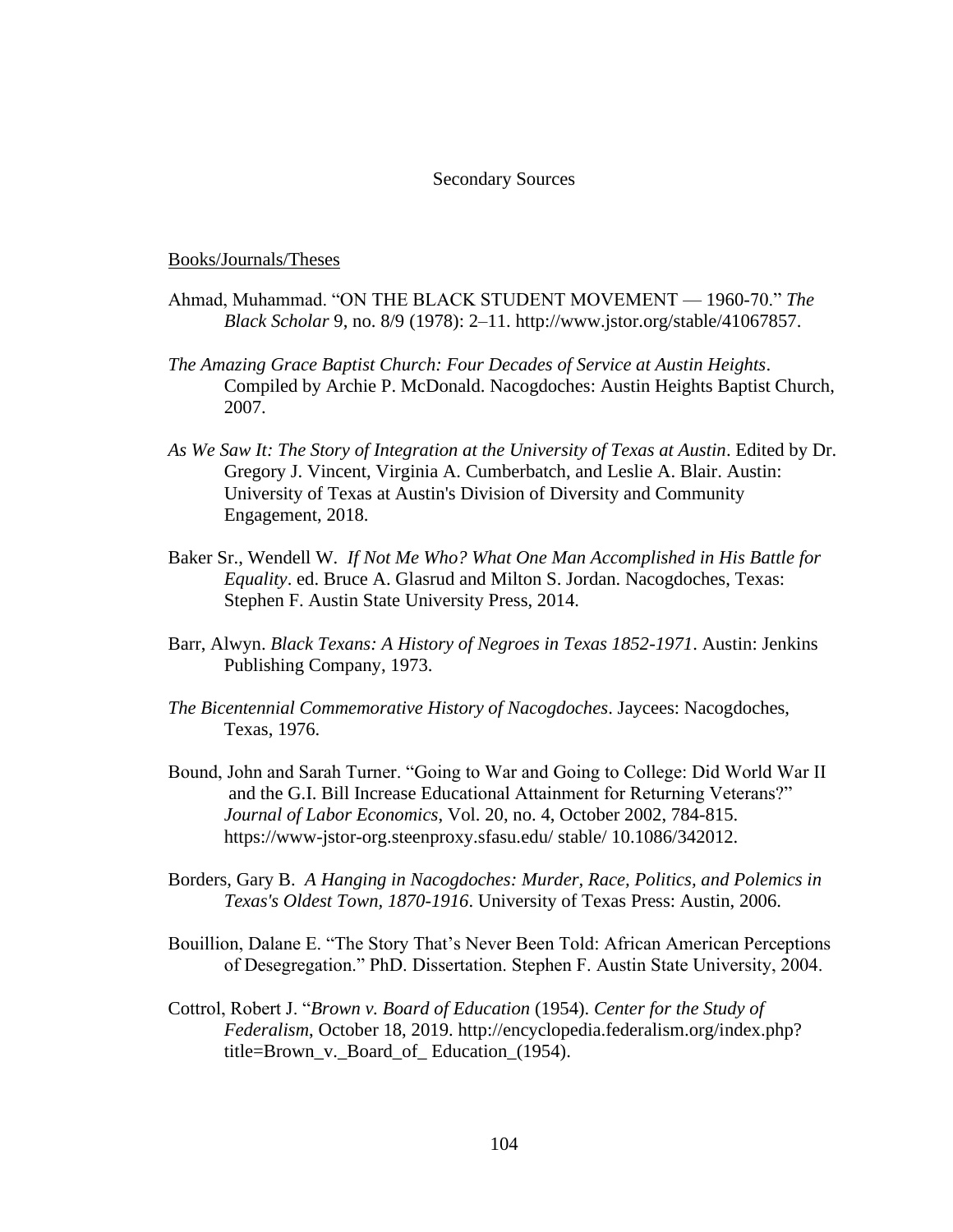# Secondary Sources

#### Books/Journals/Theses

- Ahmad, Muhammad. "ON THE BLACK STUDENT MOVEMENT 1960-70." *The Black Scholar* 9, no. 8/9 (1978): 2–11. http://www.jstor.org/stable/41067857.
- *The Amazing Grace Baptist Church: Four Decades of Service at Austin Heights*. Compiled by Archie P. McDonald. Nacogdoches: Austin Heights Baptist Church, 2007.
- *As We Saw It: The Story of Integration at the University of Texas at Austin*. Edited by Dr. Gregory J. Vincent, Virginia A. Cumberbatch, and Leslie A. Blair. Austin: University of Texas at Austin's Division of Diversity and Community Engagement, 2018.
- Baker Sr., Wendell W. *If Not Me Who? What One Man Accomplished in His Battle for Equality*. ed. Bruce A. Glasrud and Milton S. Jordan. Nacogdoches, Texas: Stephen F. Austin State University Press, 2014.
- Barr, Alwyn. *Black Texans: A History of Negroes in Texas 1852-1971*. Austin: Jenkins Publishing Company, 1973.
- *The Bicentennial Commemorative History of Nacogdoches*. Jaycees: Nacogdoches, Texas, 1976.
- Bound, John and Sarah Turner. "Going to War and Going to College: Did World War II and the G.I. Bill Increase Educational Attainment for Returning Veterans?" *Journal of Labor Economics*, Vol. 20, no. 4, October 2002, 784-815. https://www-jstor-org.steenproxy.sfasu.edu/ stable/ 10.1086/342012.
- Borders, Gary B. *A Hanging in Nacogdoches: Murder, Race, Politics, and Polemics in Texas's Oldest Town, 1870-1916*. University of Texas Press: Austin, 2006.
- Bouillion, Dalane E. "The Story That's Never Been Told: African American Perceptions of Desegregation." PhD. Dissertation. Stephen F. Austin State University, 2004.
- Cottrol, Robert J. "*Brown v. Board of Education* (1954). *Center for the Study of Federalism*, October 18, 2019. [http://encyclopedia.federalism.org/index.php?](http://encyclopedia.federalism.org/index.php?%20%09title=Brown_v._Board_of_%20Education_(1954))  [title=Brown\\_v.\\_Board\\_of\\_ Education\\_\(1954\).](http://encyclopedia.federalism.org/index.php?%20%09title=Brown_v._Board_of_%20Education_(1954))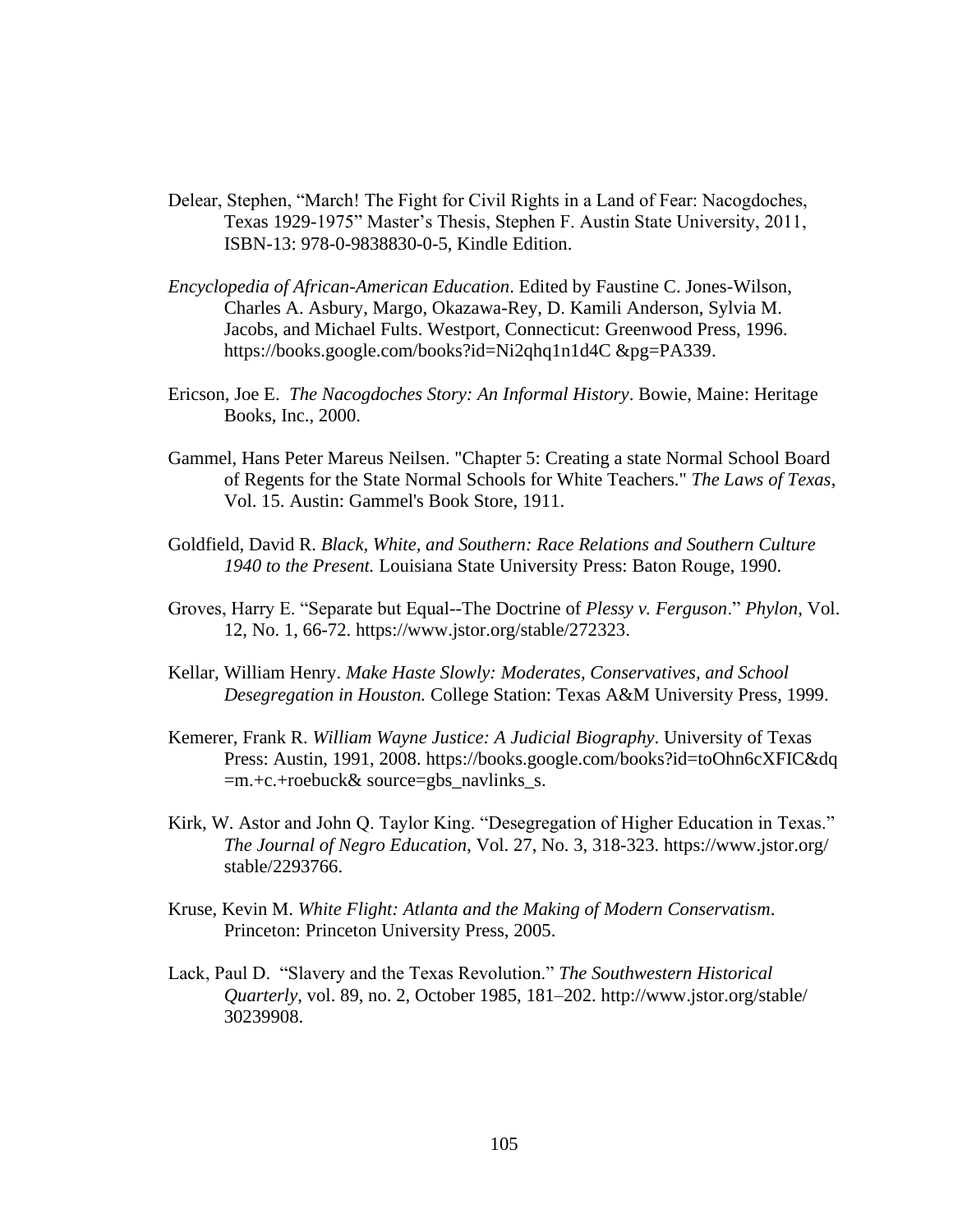- Delear, Stephen, "March! The Fight for Civil Rights in a Land of Fear: Nacogdoches, Texas 1929-1975" Master's Thesis, Stephen F. Austin State University, 2011, ISBN-13: 978-0-9838830-0-5, Kindle Edition.
- *Encyclopedia of African-American Education*. Edited by Faustine C. Jones-Wilson, Charles A. Asbury, Margo, Okazawa-Rey, D. Kamili Anderson, Sylvia M. Jacobs, and Michael Fults. Westport, Connecticut: Greenwood Press, 1996. [https://books.google.com/books?id=Ni2qhq1n1d4C &pg=PA339.](https://books.google.com/books?id=Ni2qhq1n1d4C%20&pg=PA339)
- Ericson, Joe E. *The Nacogdoches Story: An Informal History*. Bowie, Maine: Heritage Books, Inc., 2000.
- Gammel, Hans Peter Mareus Neilsen. "Chapter 5: Creating a state Normal School Board of Regents for the State Normal Schools for White Teachers." *The Laws of Texas*, Vol. 15. Austin: Gammel's Book Store, 1911.
- Goldfield, David R. *Black, White, and Southern: Race Relations and Southern Culture 1940 to the Present.* Louisiana State University Press: Baton Rouge, 1990.
- Groves, Harry E. "Separate but Equal--The Doctrine of *Plessy v. Ferguson*." *Phylon*, Vol. 12, No. 1, 66-72. [https://www.jstor.org/stable/272323.](https://www.jstor.org/stable/272323)
- Kellar, William Henry. *Make Haste Slowly: Moderates, Conservatives, and School Desegregation in Houston.* College Station: Texas A&M University Press, 1999.
- Kemerer, Frank R. *William Wayne Justice: A Judicial Biography*. University of Texas Press: Austin, 1991, 2008. [https://books.google.com/books?id=toOhn6cXFIC&dq](https://books.google.com/books?id=toOhn6cXFIC&dq%20%09=m.+c.+roebuck&)  [=m.+c.+roebuck&](https://books.google.com/books?id=toOhn6cXFIC&dq%20%09=m.+c.+roebuck&) source=gbs\_navlinks\_s.
- Kirk, W. Astor and John Q. Taylor King. "Desegregation of Higher Education in Texas." *The Journal of Negro Education*, Vol. 27, No. 3, 318-323. [https://www.jstor.org/](https://www.jstor.org/%20%09stable/2293766)  [stable/2293766.](https://www.jstor.org/%20%09stable/2293766)
- Kruse, Kevin M. *White Flight: Atlanta and the Making of Modern Conservatism*. Princeton: Princeton University Press, 2005.
- Lack, Paul D. "Slavery and the Texas Revolution." *The Southwestern Historical Quarterly*, vol. 89, no. 2, October 1985, 181–202. [http://www.jstor.org/stable/](http://www.jstor.org/stable/%20%0930239908)  [30239908.](http://www.jstor.org/stable/%20%0930239908)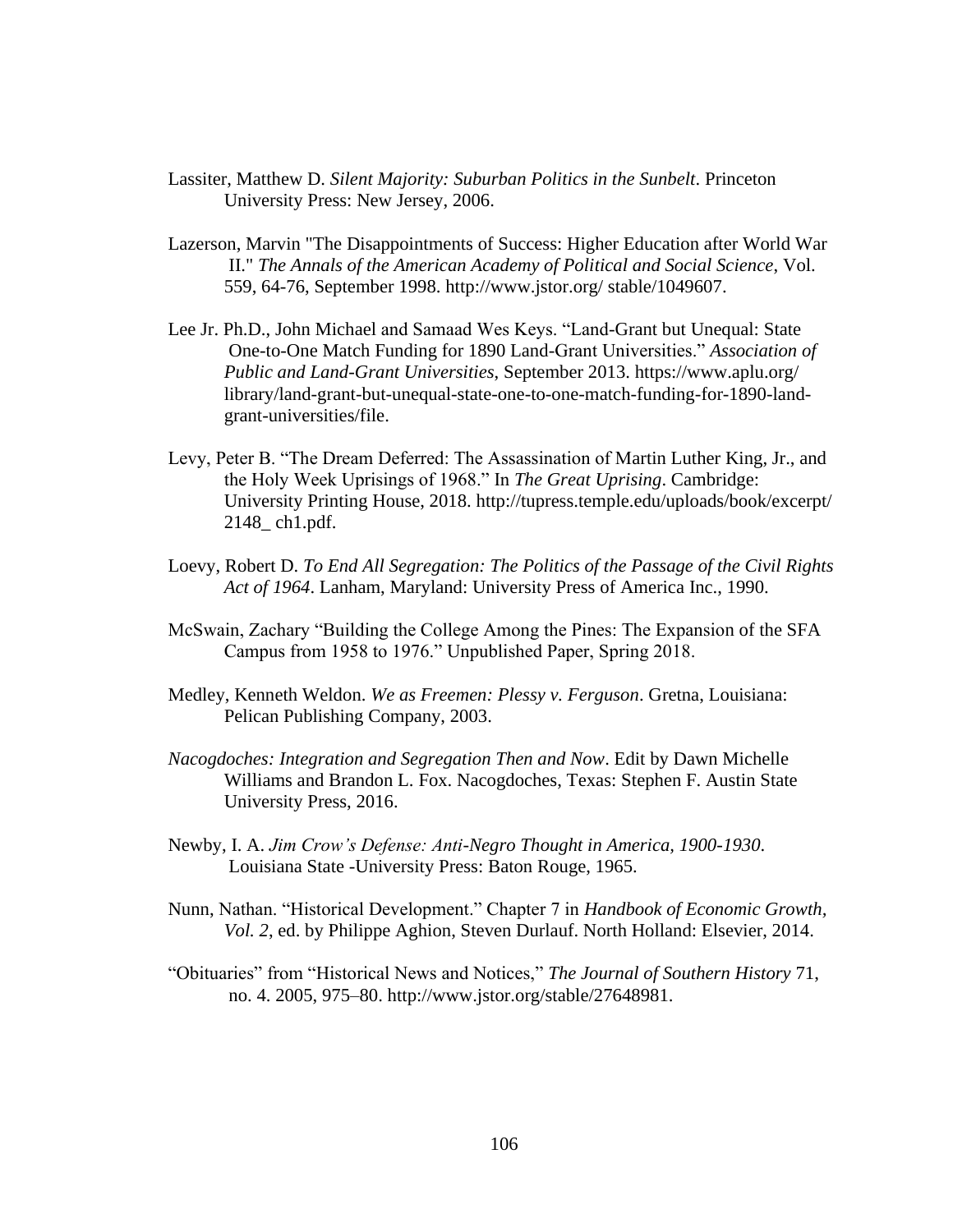- Lassiter, Matthew D. *Silent Majority: Suburban Politics in the Sunbelt*. Princeton University Press: New Jersey, 2006.
- Lazerson, Marvin "The Disappointments of Success: Higher Education after World War II." *The Annals of the American Academy of Political and Social Science*, Vol. 559, 64-76, September 1998. [http://www.jstor.org/ stable/1049607.](http://www.jstor.org/%20stable/1049607)
- Lee Jr. Ph.D., John Michael and Samaad Wes Keys. "Land-Grant but Unequal: State One-to-One Match Funding for 1890 Land-Grant Universities." *Association of Public and Land-Grant Universities*, September 2013. [https://www.aplu.org/](https://www.aplu.org/%20%09library/land-grant-but-unequal-state-one-to-one-match-funding-for-1890-land-%09grant-universities/file)  [library/land-grant-but-unequal-state-one-to-one-match-funding-for-1890-land](https://www.aplu.org/%20%09library/land-grant-but-unequal-state-one-to-one-match-funding-for-1890-land-%09grant-universities/file)[grant-universities/file.](https://www.aplu.org/%20%09library/land-grant-but-unequal-state-one-to-one-match-funding-for-1890-land-%09grant-universities/file)
- Levy, Peter B. "The Dream Deferred: The Assassination of Martin Luther King, Jr., and the Holy Week Uprisings of 1968." In *The Great Uprising*. Cambridge: University Printing House, 2018. [http://tupress.temple.edu/uploads/book/excerpt/](http://tupress.temple.edu/uploads/book/excerpt/%20%092148_%20ch1.pdf)  [2148\\_ ch1.pdf.](http://tupress.temple.edu/uploads/book/excerpt/%20%092148_%20ch1.pdf)
- Loevy, Robert D. *To End All Segregation: The Politics of the Passage of the Civil Rights Act of 1964*. Lanham, Maryland: University Press of America Inc., 1990.
- McSwain, Zachary "Building the College Among the Pines: The Expansion of the SFA Campus from 1958 to 1976." Unpublished Paper, Spring 2018.
- Medley, Kenneth Weldon. *We as Freemen: Plessy v. Ferguson*. Gretna, Louisiana: Pelican Publishing Company, 2003.
- *Nacogdoches: Integration and Segregation Then and Now*. Edit by Dawn Michelle Williams and Brandon L. Fox. Nacogdoches, Texas: Stephen F. Austin State University Press, 2016.
- Newby, I. A. *Jim Crow's Defense: Anti-Negro Thought in America, 1900-1930*. Louisiana State -University Press: Baton Rouge, 1965.
- Nunn, Nathan. "Historical Development." Chapter 7 in *Handbook of Economic Growth, Vol. 2*, ed. by Philippe Aghion, Steven Durlauf. North Holland: Elsevier, 2014.
- "Obituaries" from "Historical News and Notices," *The Journal of Southern History* 71, no. 4. 2005, 975–80. [http://www.jstor.org/stable/27648981.](http://www.jstor.org/stable/27648981)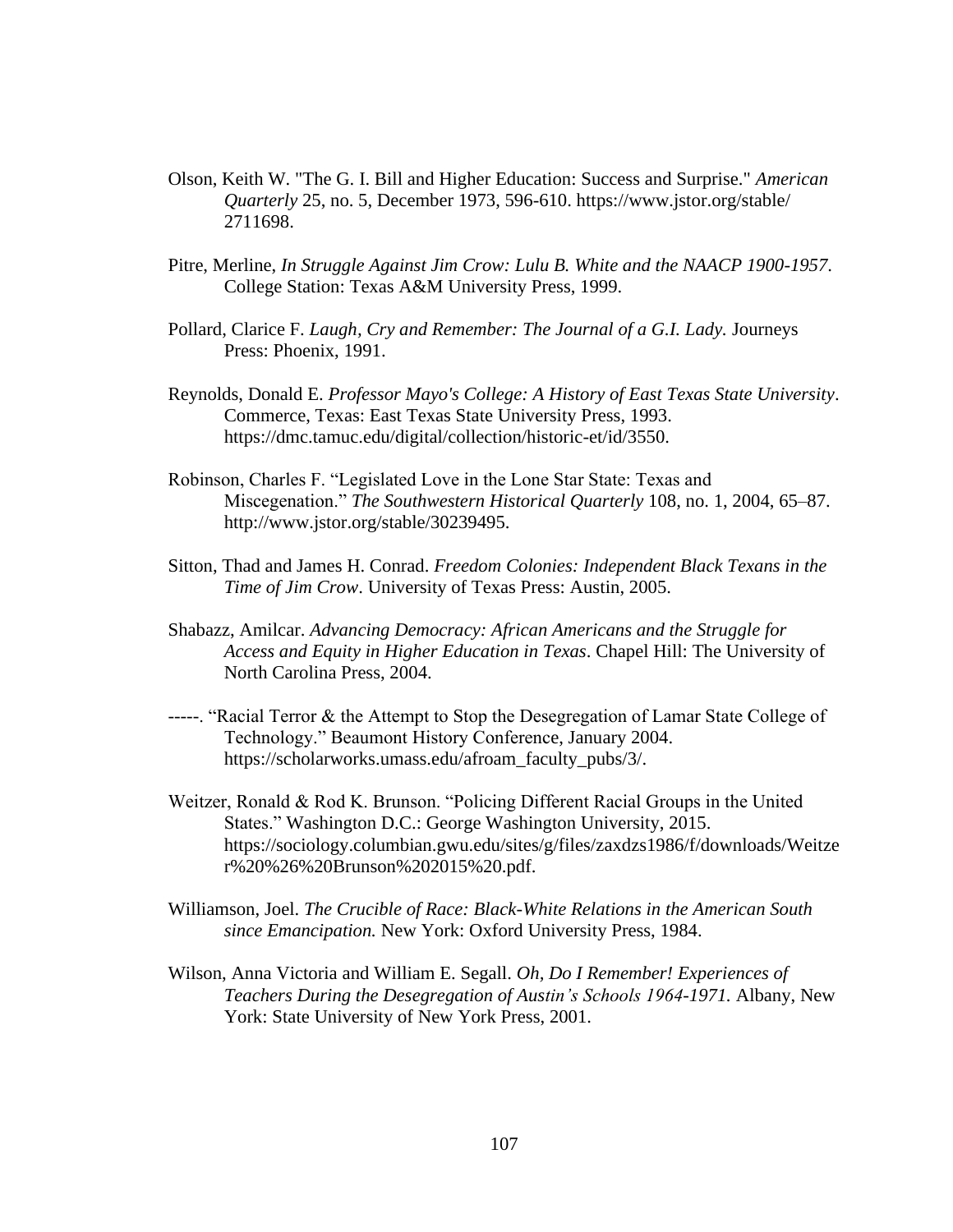- Olson, Keith W. "The G. I. Bill and Higher Education: Success and Surprise." *American Quarterly* 25, no. 5, December 1973, 596-610. [https://www.jstor.org/stable/](https://www.jstor.org/stable/%20%092711698)  [2711698.](https://www.jstor.org/stable/%20%092711698)
- Pitre, Merline, *In Struggle Against Jim Crow: Lulu B. White and the NAACP 1900-1957*. College Station: Texas A&M University Press, 1999.
- Pollard, Clarice F. *Laugh, Cry and Remember: The Journal of a G.I. Lady.* Journeys Press: Phoenix, 1991.
- Reynolds, Donald E. *Professor Mayo's College: A History of East Texas State University*. Commerce, Texas: East Texas State University Press, 1993. [https://dmc.tamuc.edu/digital/collection/historic-et/id/3550.](https://dmc.tamuc.edu/digital/collection/historic-et/id/3550)
- Robinson, Charles F. "Legislated Love in the Lone Star State: Texas and Miscegenation." *The Southwestern Historical Quarterly* 108, no. 1, 2004, 65–87. http://www.jstor.org/stable/30239495.
- Sitton, Thad and James H. Conrad. *Freedom Colonies: Independent Black Texans in the Time of Jim Crow*. University of Texas Press: Austin, 2005.
- Shabazz, Amilcar. *Advancing Democracy: African Americans and the Struggle for Access and Equity in Higher Education in Texas*. Chapel Hill: The University of North Carolina Press, 2004.
- -----. "Racial Terror & the Attempt to Stop the Desegregation of Lamar State College of Technology." Beaumont History Conference, January 2004. [https://scholarworks.umass.edu/afroam\\_faculty\\_pubs/3/.](https://scholarworks.umass.edu/afroam_faculty_pubs/3/)
- Weitzer, Ronald & Rod K. Brunson. "Policing Different Racial Groups in the United States." Washington D.C.: George Washington University, 2015. <https://sociology.columbian.gwu.edu/sites/g/files/zaxdzs1986/f/downloads/Weitze> r%20%26%20Brunson%202015%20.pdf.
- Williamson, Joel. *The Crucible of Race: Black-White Relations in the American South since Emancipation.* New York: Oxford University Press, 1984.
- Wilson, Anna Victoria and William E. Segall. *Oh, Do I Remember! Experiences of Teachers During the Desegregation of Austin's Schools 1964-1971.* Albany, New York: State University of New York Press, 2001.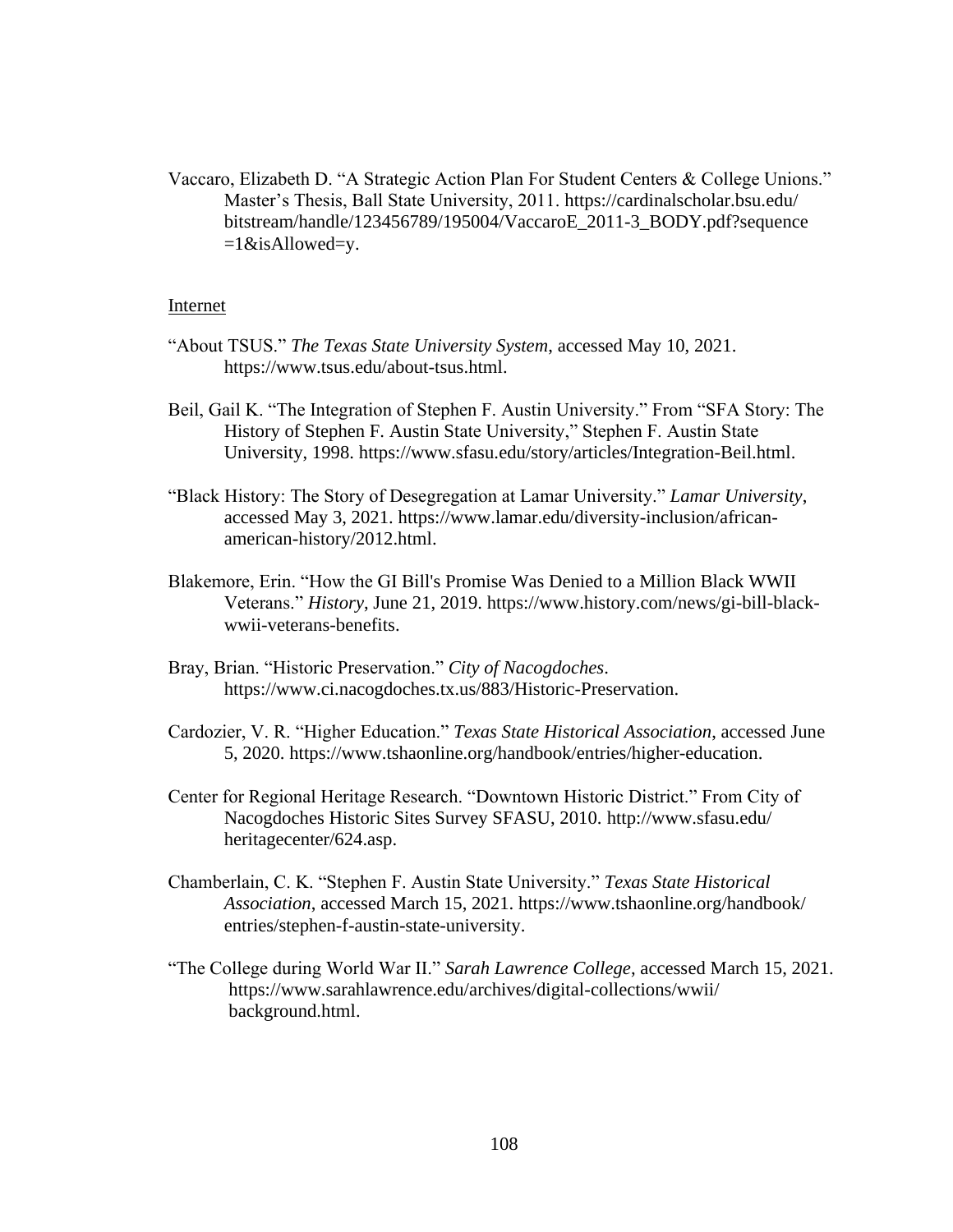Vaccaro, Elizabeth D. "A Strategic Action Plan For Student Centers & College Unions." Master's Thesis, Ball State University, 2011. [https://cardinalscholar.bsu.edu/](https://cardinalscholar.bsu.edu/%20%09bitstream/handle/123456789/195004/)  [bitstream/handle/123456789/195004/V](https://cardinalscholar.bsu.edu/%20%09bitstream/handle/123456789/195004/)accaroE\_2011-3\_BODY.pdf?sequence  $=1$ &isAllowed=y.

## Internet

- "About TSUS." *The Texas State University System*, accessed May 10, 2021. [https://www.tsus.edu/about-tsus.html.](https://www.tsus.edu/about-tsus.html)
- Beil, Gail K. "The Integration of Stephen F. Austin University." From "SFA Story: The History of Stephen F. Austin State University," Stephen F. Austin State University, 1998. [https://www.sfasu.edu/story/articles/Integration-Beil.html.](https://www.sfasu.edu/story/articles/Integration-Beil.html)
- "Black History: The Story of Desegregation at Lamar University." *Lamar University*, accessed May 3, 2021. [https://www.lamar.edu/diversity-inclusion/african](https://www.lamar.edu/diversity-inclusion/african-%09american-history/2012.html)[american-history/2012.html.](https://www.lamar.edu/diversity-inclusion/african-%09american-history/2012.html)
- Blakemore, Erin. "How the GI Bill's Promise Was Denied to a Million Black WWII Veterans." *History*, June 21, 2019. [https://www.history.com/news/gi-bill-black](https://www.history.com/news/gi-bill-black-%09wwii-veterans-benefits)[wwii-veterans-benefits.](https://www.history.com/news/gi-bill-black-%09wwii-veterans-benefits)
- Bray, Brian. "Historic Preservation." *City of Nacogdoches*. https://www.ci.nacogdoches.tx.us/883/Historic-Preservation.
- Cardozier, V. R. "Higher Education." *Texas State Historical Association*, accessed June 5, 2020. [https://www.tshaonline.org/handbook/e](https://www.tshaonline.org/handbook/)ntries/higher-education.
- Center for Regional Heritage Research. "Downtown Historic District." From City of Nacogdoches Historic Sites Survey SFASU, 2010. [http://www.sfasu.edu/](http://www.sfasu.edu/%20%09heritagecenter/624.asp)  [heritagecenter/624.asp.](http://www.sfasu.edu/%20%09heritagecenter/624.asp)
- Chamberlain, C. K. "Stephen F. Austin State University." *Texas State Historical Association*, accessed March 15, 2021. [https://www.tshaonline.org/handbook/](https://www.tshaonline.org/handbook/%20%09entries/stephen-f-austin-state-university)  [entries/stephen-f-austin-state-university.](https://www.tshaonline.org/handbook/%20%09entries/stephen-f-austin-state-university)
- "The College during World War II." *Sarah Lawrence College*, accessed March 15, 2021. [https://www.sarahlawrence.edu/archives/digital-collections/wwii/](https://www.sarahlawrence.edu/archives/digital-collections/wwii/%09%09%09%09%20background.html) [background.html.](https://www.sarahlawrence.edu/archives/digital-collections/wwii/%09%09%09%09%20background.html)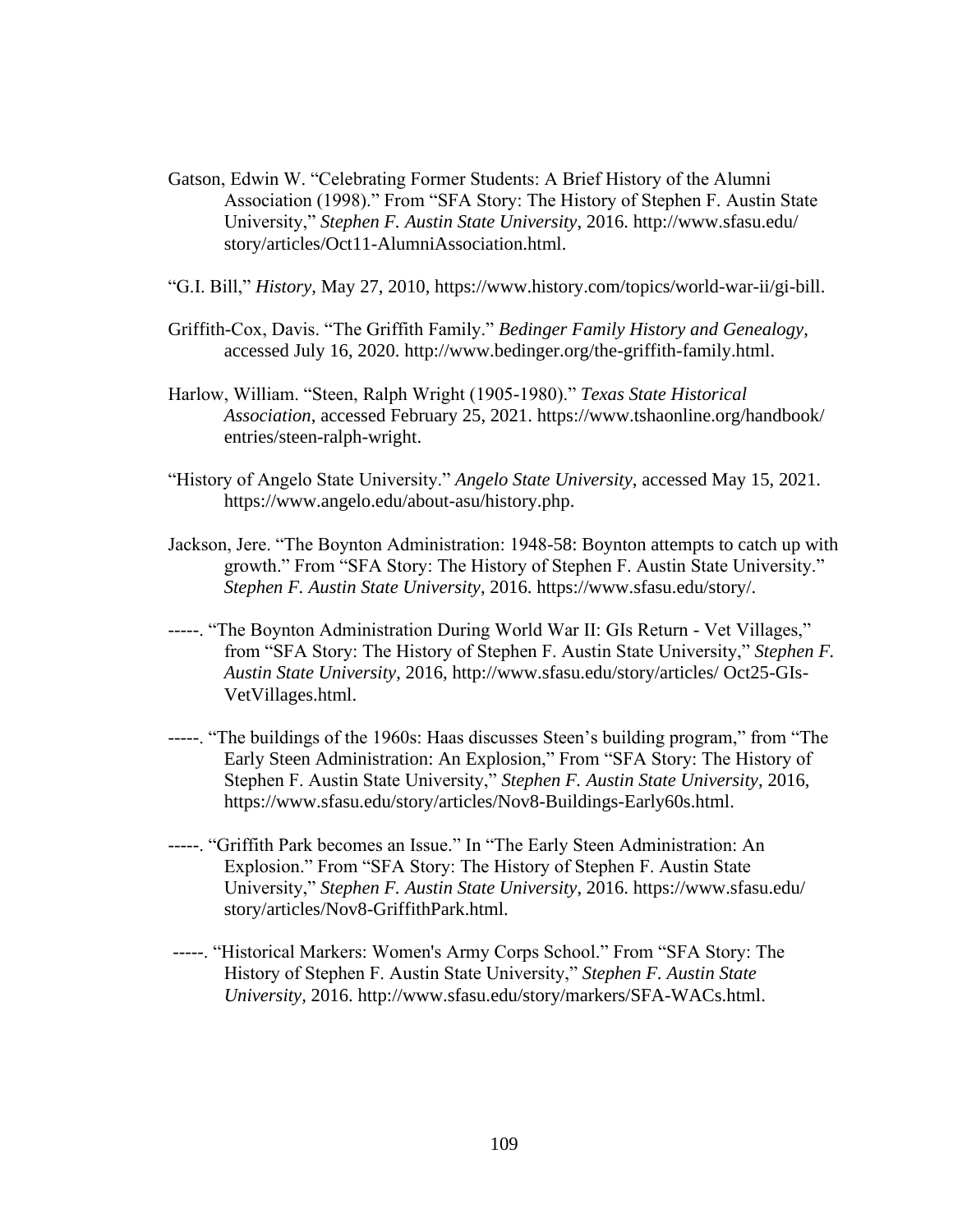- Gatson, Edwin W. "Celebrating Former Students: A Brief History of the Alumni Association (1998)." From "SFA Story: The History of Stephen F. Austin State University," *Stephen F. Austin State University*, 2016. [http://www.sfasu.edu/](http://www.sfasu.edu/%20%09story/articles/Oct11-AlumniAssociation.html)  [story/articles/Oct11-AlumniAssociation.html.](http://www.sfasu.edu/%20%09story/articles/Oct11-AlumniAssociation.html)
- "G.I. Bill," *History*, May 27, 2010, https://www.history.com/topics/world-war-ii/gi-bill.
- Griffith-Cox, Davis. "The Griffith Family." *Bedinger Family History and Genealogy*, accessed July 16, 2020. http://www.bedinger.org/the-griffith-family.html.
- Harlow, William. "Steen, Ralph Wright (1905-1980)." *Texas State Historical Association*, accessed February 25, 2021. [https://www.tshaonline.org/handbook/](https://www.tshaonline.org/handbook/%20%09entries/steen-ralph-wright)  [entries/steen-ralph-wright.](https://www.tshaonline.org/handbook/%20%09entries/steen-ralph-wright)
- "History of Angelo State University." *Angelo State University*, accessed May 15, 2021. [https://www.angelo.edu/about-asu/history.php.](https://www.angelo.edu/about-asu/history.php)
- Jackson, Jere. "The Boynton Administration: 1948-58: Boynton attempts to catch up with growth." From "SFA Story: The History of Stephen F. Austin State University." *Stephen F. Austin State University*, 2016. [https://www.sfasu.edu/story/.](https://www.sfasu.edu/story/)
- -----. "The Boynton Administration During World War II: GIs Return Vet Villages," from "SFA Story: The History of Stephen F. Austin State University," *Stephen F. Austin State University*, 2016, http://www.sfasu.edu/story/articles/ Oct25-GIs-VetVillages.html.
- -----. "The buildings of the 1960s: Haas discusses Steen's building program," from "The Early Steen Administration: An Explosion," From "SFA Story: The History of Stephen F. Austin State University," *Stephen F. Austin State University*, 2016, [https://www.sfasu.edu/story/articles/Nov8-Buildings-Early60s.html.](https://www.sfasu.edu/story/articles/Nov8-Buildings-Early60s.html)
- -----. "Griffith Park becomes an Issue." In "The Early Steen Administration: An Explosion." From "SFA Story: The History of Stephen F. Austin State University," *Stephen F. Austin State University*, 2016.<https://www.sfasu.edu/> story/articles/Nov8-GriffithPark.html.
- -----. "Historical Markers: Women's Army Corps School." From "SFA Story: The History of Stephen F. Austin State University," *Stephen F. Austin State University,* 2016. [http://www.sfasu.edu/story/markers/SFA-WACs.html.](http://www.sfasu.edu/story/markers/SFA-WACs.html)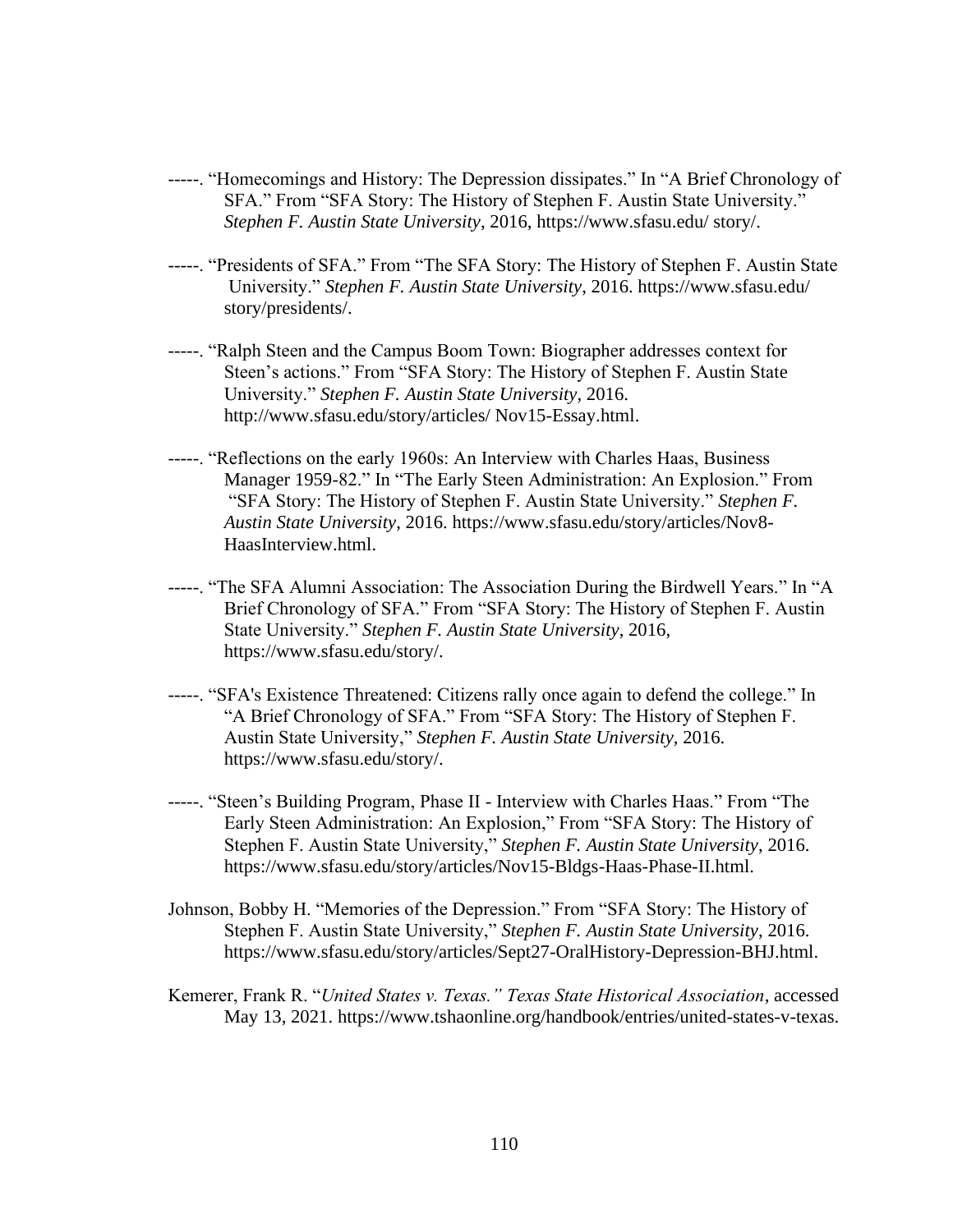- -----. "Homecomings and History: The Depression dissipates." In "A Brief Chronology of SFA." From "SFA Story: The History of Stephen F. Austin State University." *Stephen F. Austin State University*, 2016, https://www.sfasu.edu/ story/.
- -----. "Presidents of SFA." From "The SFA Story: The History of Stephen F. Austin State University." *Stephen F. Austin State University*, 2016. [https://www.sfasu.edu/](https://www.sfasu.edu/%20%09story/presidents/)  [story/presidents/.](https://www.sfasu.edu/%20%09story/presidents/)
- -----. "Ralph Steen and the Campus Boom Town: Biographer addresses context for Steen's actions." From "SFA Story: The History of Stephen F. Austin State University." *Stephen F. Austin State University*, 2016. http://www.sfasu.edu/story/articles/ Nov15-Essay.html.
- -----. "Reflections on the early 1960s: An Interview with Charles Haas, Business Manager 1959-82." In "The Early Steen Administration: An Explosion." From "SFA Story: The History of Stephen F. Austin State University." *Stephen F. Austin State University*, 2016. [https://www.sfasu.edu/story/articles/Nov8-](https://www.sfasu.edu/story/articles/Nov8-%09HaasInterview.html) [HaasInterview.html.](https://www.sfasu.edu/story/articles/Nov8-%09HaasInterview.html)
- -----. "The SFA Alumni Association: The Association During the Birdwell Years." In "A Brief Chronology of SFA." From "SFA Story: The History of Stephen F. Austin State University." *Stephen F. Austin State University*, 2016, https://www.sfasu.edu/story/.
- -----. "SFA's Existence Threatened: Citizens rally once again to defend the college." In "A Brief Chronology of SFA." From "SFA Story: The History of Stephen F. Austin State University," *Stephen F. Austin State University*, 2016. https://www.sfasu.edu/story/.
- -----. "Steen's Building Program, Phase II Interview with Charles Haas." From "The Early Steen Administration: An Explosion," From "SFA Story: The History of Stephen F. Austin State University," *Stephen F. Austin State University*, 2016. https://www.sfasu.edu/story/articles/Nov15-Bldgs-Haas-Phase-II.html.
- Johnson, Bobby H. "Memories of the Depression." From "SFA Story: The History of Stephen F. Austin State University," *Stephen F. Austin State University*, 2016. [https://www.sfasu.edu/story/articles/Sept27-OralHistory-Depression-BHJ.html.](https://www.sfasu.edu/story/articles/Sept27-OralHistory-Depression-BHJ.html)
- Kemerer, Frank R. "*United States v. Texas." Texas State Historical Association*, accessed May 13, 2021. [https://www.tshaonline.org/handbook/entries/united-states-v-texas.](https://www.tshaonline.org/handbook/entries/united-states-v-texas)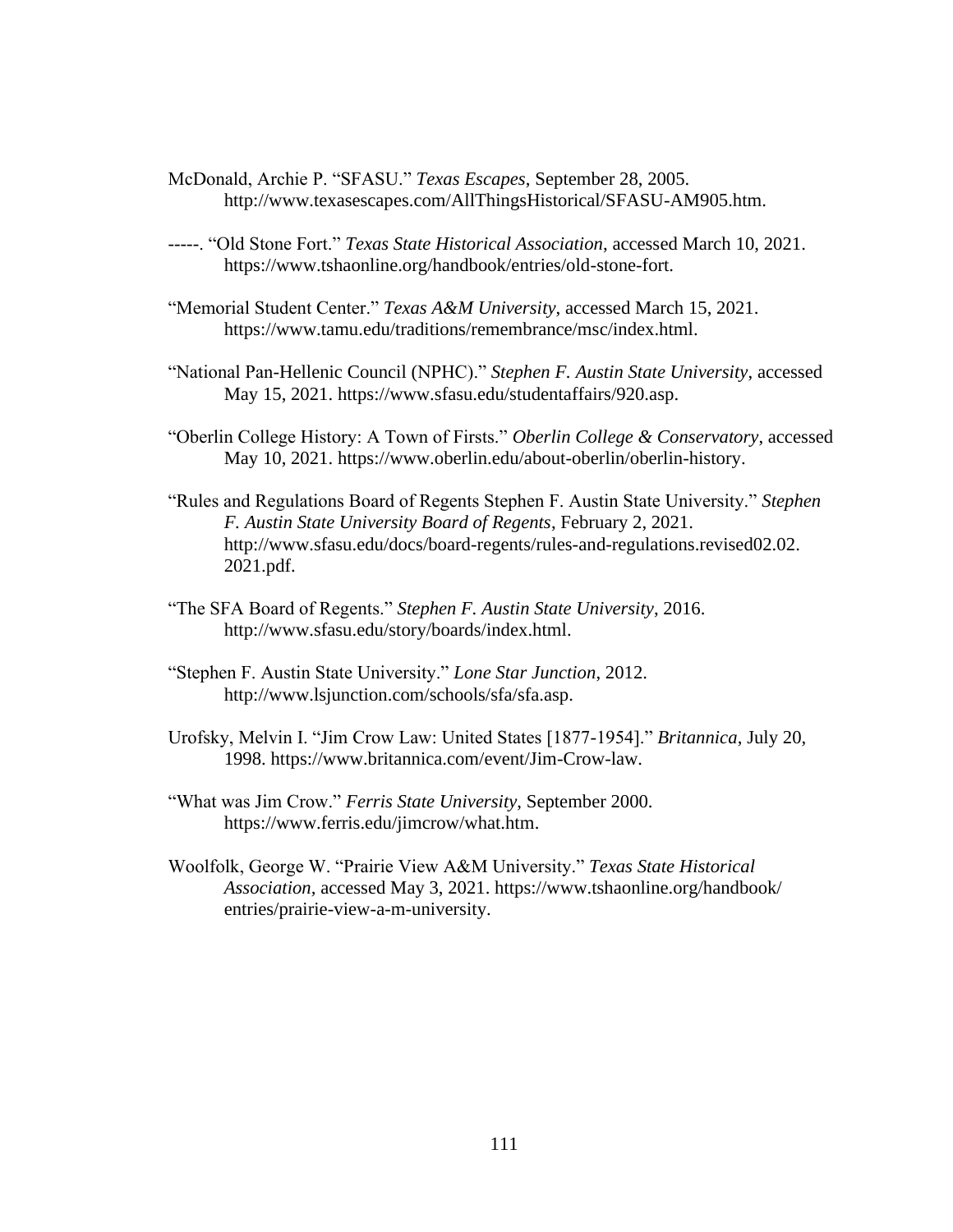- McDonald, Archie P. "SFASU." *Texas Escapes*, September 28, 2005. [http://www.texasescapes.com/AllThingsHistorical/SFASU-AM905.htm.](http://www.texasescapes.com/AllThingsHistorical/SFASU-AM905.htm)
- -----. "Old Stone Fort." *Texas State Historical Association*, accessed March 10, 2021. [https://www.tshaonline.org/handbook/entries/old-stone-fort.](https://www.tshaonline.org/handbook/entries/old-stone-fort)
- "Memorial Student Center." *Texas A&M University*, accessed March 15, 2021. [https://www.tamu.edu/traditions/remembrance/msc/index.html.](https://www.tamu.edu/traditions/remembrance/msc/index.html)
- "National Pan-Hellenic Council (NPHC)." *Stephen F. Austin State University*, accessed May 15, 2021. [https://www.sfasu.edu/studentaffairs/920.asp.](https://www.sfasu.edu/studentaffairs/920.asp)
- "Oberlin College History: A Town of Firsts." *Oberlin College & Conservatory*, accessed May 10, 2021. [https://www.oberlin.edu/about-oberlin/oberlin-history.](https://www.oberlin.edu/about-oberlin/oberlin-history)
- "Rules and Regulations Board of Regents Stephen F. Austin State University." *Stephen F. Austin State University Board of Regents*, February 2, 2021. [http://www.sfasu.edu/docs/board-regents/rules-and-regulations.revised02.02.](http://www.sfasu.edu/docs/board-regents/rules-and-regulations.revised02.02.%20%092021.pdf)  [2021.pdf.](http://www.sfasu.edu/docs/board-regents/rules-and-regulations.revised02.02.%20%092021.pdf)
- "The SFA Board of Regents." *Stephen F. Austin State University*, 2016. [http://www.sfasu.edu/story/boards/index.html.](http://www.sfasu.edu/story/boards/index.html)
- "Stephen F. Austin State University." *Lone Star Junction*, 2012. [http://www.lsjunction.com/schools/sfa/sfa.asp.](http://www.lsjunction.com/schools/sfa/sfa.asp)
- Urofsky, Melvin I. "Jim Crow Law: United States [1877-1954]." *Britannica*, July 20, 1998. [https://www.britannica.com/event/Jim-Crow-law.](https://www.britannica.com/event/Jim-Crow-law)
- "What was Jim Crow." *Ferris State University*, September 2000. [https://www.ferris.edu/jimcrow/what.htm.](https://www.ferris.edu/jimcrow/what.htm)
- Woolfolk, George W. "Prairie View A&M University." *Texas State Historical Association,* accessed May 3, 2021. [https://www.tshaonline.org/handbook/](https://www.tshaonline.org/handbook/%20%09entries/prairie-view-a-m-university)  [entries/prairie-view-a-m-university.](https://www.tshaonline.org/handbook/%20%09entries/prairie-view-a-m-university)